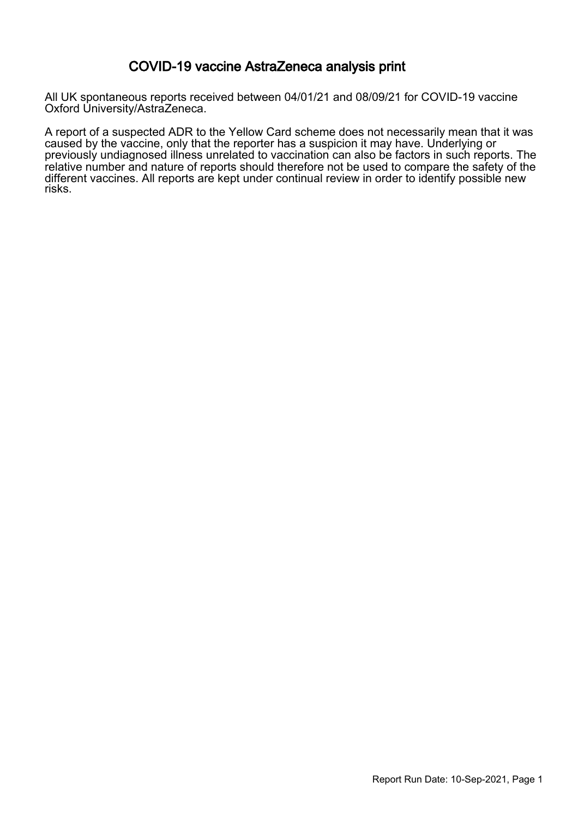#### COVID-19 vaccine AstraZeneca analysis print

All UK spontaneous reports received between 04/01/21 and 08/09/21 for COVID-19 vaccine Oxford University/AstraZeneca.

A report of a suspected ADR to the Yellow Card scheme does not necessarily mean that it was caused by the vaccine, only that the reporter has a suspicion it may have. Underlying or previously undiagnosed illness unrelated to vaccination can also be factors in such reports. The relative number and nature of reports should therefore not be used to compare the safety of the different vaccines. All reports are kept under continual review in order to identify possible new risks.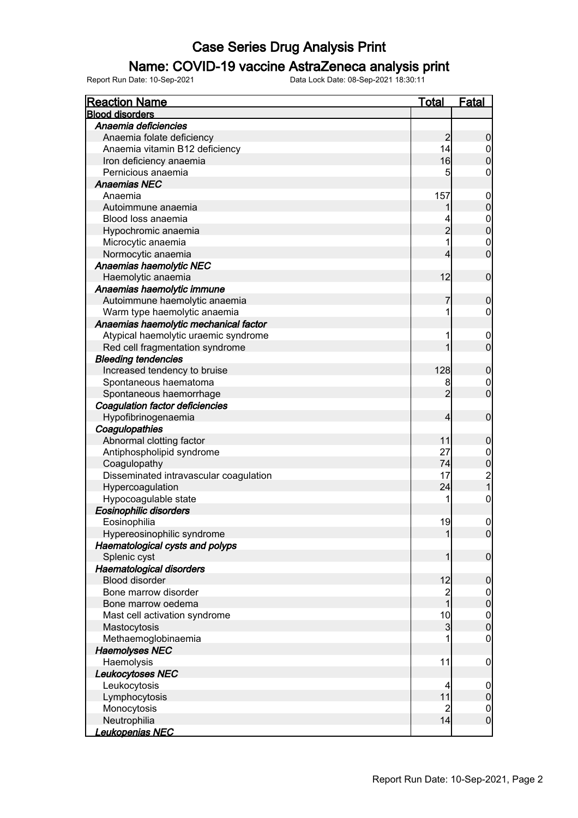### Name: COVID-19 vaccine AstraZeneca analysis print

| <b>Reaction Name</b>                   | <b>Total</b>   | <b>Fatal</b>                                 |
|----------------------------------------|----------------|----------------------------------------------|
| <b>Blood disorders</b>                 |                |                                              |
| Anaemia deficiencies                   |                |                                              |
| Anaemia folate deficiency              | $\overline{c}$ | $\boldsymbol{0}$                             |
| Anaemia vitamin B12 deficiency         | 14             |                                              |
| Iron deficiency anaemia                | 16             | $0$<br>0                                     |
| Pernicious anaemia                     | 5              | $\overline{0}$                               |
| <b>Anaemias NEC</b>                    |                |                                              |
| Anaemia                                | 157            | $\boldsymbol{0}$                             |
| Autoimmune anaemia                     |                | $\mathbf{0}$                                 |
| Blood loss anaemia                     |                |                                              |
| Hypochromic anaemia                    | $\overline{2}$ | $\begin{matrix}0\\0\end{matrix}$             |
| Microcytic anaemia                     | 1              |                                              |
| Normocytic anaemia                     | 4              | $\begin{matrix} 0 \\ 0 \end{matrix}$         |
| Anaemias haemolytic NEC                |                |                                              |
| Haemolytic anaemia                     | 12             | $\boldsymbol{0}$                             |
| Anaemias haemolytic immune             |                |                                              |
| Autoimmune haemolytic anaemia          | 7              | $\boldsymbol{0}$                             |
| Warm type haemolytic anaemia           | 1              | $\pmb{0}$                                    |
| Anaemias haemolytic mechanical factor  |                |                                              |
|                                        | 1              |                                              |
| Atypical haemolytic uraemic syndrome   | 1              | $\mathbf 0$<br>$\overline{0}$                |
| Red cell fragmentation syndrome        |                |                                              |
| <b>Bleeding tendencies</b>             |                |                                              |
| Increased tendency to bruise           | 128            | $\boldsymbol{0}$                             |
| Spontaneous haematoma                  | 8              | $\begin{matrix} 0 \\ 0 \end{matrix}$         |
| Spontaneous haemorrhage                | $\overline{2}$ |                                              |
| Coagulation factor deficiencies        |                |                                              |
| Hypofibrinogenaemia                    | 4              | $\boldsymbol{0}$                             |
| Coagulopathies                         |                |                                              |
| Abnormal clotting factor               | 11             | $\boldsymbol{0}$                             |
| Antiphospholipid syndrome              | 27             |                                              |
| Coagulopathy                           | 74             |                                              |
| Disseminated intravascular coagulation | 17             | $\begin{array}{c}\n0 \\ 0 \\ 2\n\end{array}$ |
| Hypercoagulation                       | 24             |                                              |
| Hypocoagulable state                   | 1              | $\boldsymbol{0}$                             |
| Eosinophilic disorders                 |                |                                              |
| Eosinophilia                           | 19             | $\boldsymbol{0}$                             |
| Hypereosinophilic syndrome             | $\mathbf{1}$   | 0                                            |
| Haematological cysts and polyps        |                |                                              |
| Splenic cyst                           | 1              | $\boldsymbol{0}$                             |
| Haematological disorders               |                |                                              |
| <b>Blood disorder</b>                  | 12             | $\boldsymbol{0}$                             |
| Bone marrow disorder                   | $\overline{c}$ |                                              |
| Bone marrow oedema                     | $\overline{1}$ | $0$ 0                                        |
| Mast cell activation syndrome          | 10             | $\begin{matrix}0\\0\end{matrix}$             |
| Mastocytosis                           | $\overline{3}$ |                                              |
| Methaemoglobinaemia                    |                | $\boldsymbol{0}$                             |
| <b>Haemolyses NEC</b>                  |                |                                              |
| Haemolysis                             | 11             | $\mathbf 0$                                  |
| Leukocytoses NEC                       |                |                                              |
| Leukocytosis                           | 4              | $\mathbf 0$                                  |
| Lymphocytosis                          | 11             | $\mathbf 0$                                  |
| Monocytosis                            | $\overline{2}$ |                                              |
| Neutrophilia                           | 14             | $\begin{matrix} 0 \\ 0 \end{matrix}$         |
| Leukopenias NEC                        |                |                                              |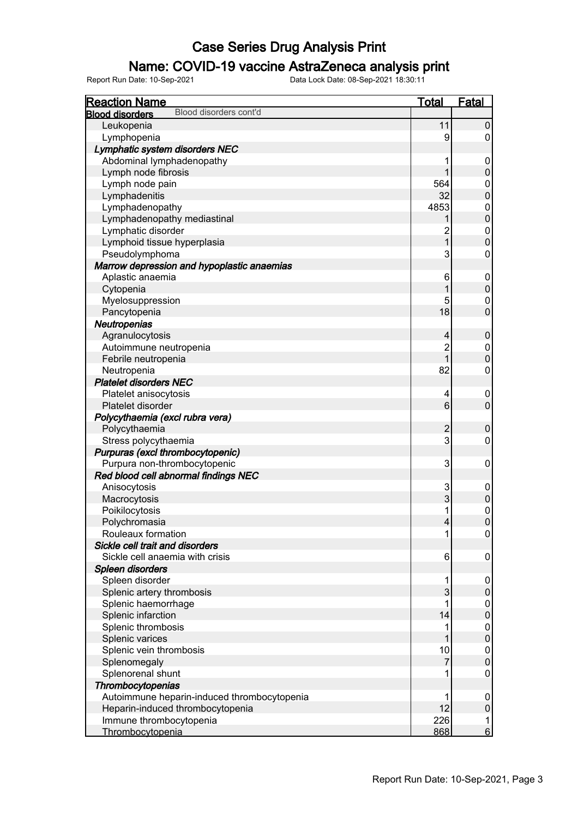### Name: COVID-19 vaccine AstraZeneca analysis print

| <b>Reaction Name</b>                             | <b>Total</b>   | <u>Fatal</u>                     |
|--------------------------------------------------|----------------|----------------------------------|
| Blood disorders cont'd<br><b>Blood disorders</b> |                |                                  |
| Leukopenia                                       | 11             | $\pmb{0}$                        |
| Lymphopenia                                      | 9              | $\pmb{0}$                        |
| Lymphatic system disorders NEC                   |                |                                  |
| Abdominal lymphadenopathy                        | 1              | $\mathbf 0$                      |
| Lymph node fibrosis                              | 1              | $\pmb{0}$                        |
| Lymph node pain                                  | 564            | $\mathbf 0$                      |
| Lymphadenitis                                    | 32             | $\overline{0}$                   |
| Lymphadenopathy                                  | 4853           | $\mathbf{0}$                     |
| Lymphadenopathy mediastinal                      |                | $\overline{0}$                   |
| Lymphatic disorder                               | $\overline{c}$ | $\mathbf{0}$                     |
| Lymphoid tissue hyperplasia                      | $\overline{1}$ | $\overline{0}$                   |
| Pseudolymphoma                                   | 3              | $\mathbf 0$                      |
| Marrow depression and hypoplastic anaemias       |                |                                  |
| Aplastic anaemia                                 | 6              | $\mathbf 0$                      |
| Cytopenia                                        | 1              | $\pmb{0}$                        |
| Myelosuppression                                 | 5              | $\pmb{0}$                        |
| Pancytopenia                                     | 18             | $\overline{0}$                   |
| <b>Neutropenias</b>                              |                |                                  |
| Agranulocytosis                                  | 4              | $\boldsymbol{0}$                 |
| Autoimmune neutropenia                           | $\overline{c}$ | $\mathbf 0$                      |
| Febrile neutropenia                              | $\overline{1}$ | $\mathbf 0$                      |
| Neutropenia                                      | 82             | $\pmb{0}$                        |
| <b>Platelet disorders NEC</b>                    |                |                                  |
| Platelet anisocytosis                            | 4              | $\mathbf 0$                      |
| Platelet disorder                                | 6              | $\mathbf 0$                      |
| Polycythaemia (excl rubra vera)                  |                |                                  |
| Polycythaemia                                    | $\overline{c}$ | $\mathbf 0$                      |
| Stress polycythaemia                             | 3              | $\mathbf 0$                      |
| Purpuras (excl thrombocytopenic)                 |                |                                  |
| Purpura non-thrombocytopenic                     | 3              | $\mathbf 0$                      |
| Red blood cell abnormal findings NEC             |                |                                  |
| Anisocytosis                                     | 3              | $\mathbf 0$                      |
| Macrocytosis                                     | 3              | $\pmb{0}$                        |
| Poikilocytosis                                   | 1              |                                  |
| Polychromasia                                    | 4              | $\begin{matrix}0\\0\end{matrix}$ |
| Rouleaux formation                               | 1              | $\mathbf 0$                      |
| Sickle cell trait and disorders                  |                |                                  |
| Sickle cell anaemia with crisis                  | 6              | 0                                |
| Spleen disorders                                 |                |                                  |
| Spleen disorder                                  | 1              | 0                                |
| Splenic artery thrombosis                        | 3              | $\pmb{0}$                        |
| Splenic haemorrhage                              | 1              | $\boldsymbol{0}$                 |
| Splenic infarction                               | 14             | $\boldsymbol{0}$                 |
| Splenic thrombosis                               | 1              | $\pmb{0}$                        |
| Splenic varices                                  | 1              | $\boldsymbol{0}$                 |
| Splenic vein thrombosis                          | 10             | $\pmb{0}$                        |
| Splenomegaly                                     | 7              | $\boldsymbol{0}$                 |
| Splenorenal shunt                                | 1              | $\pmb{0}$                        |
| Thrombocytopenias                                |                |                                  |
| Autoimmune heparin-induced thrombocytopenia      | 1              | $\mathbf 0$                      |
| Heparin-induced thrombocytopenia                 | 12             | $\pmb{0}$                        |
| Immune thrombocytopenia                          | 226            | 1                                |
| Thrombocytopenia                                 | 868            | $6 \overline{}$                  |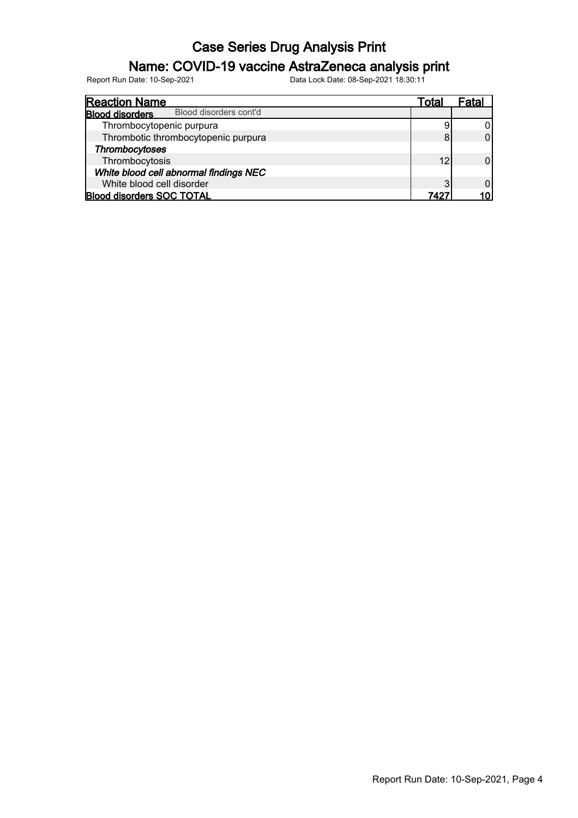### Name: COVID-19 vaccine AstraZeneca analysis print

| <b>Reaction Name</b>                             | l otal | ⊦atai |
|--------------------------------------------------|--------|-------|
| Blood disorders cont'd<br><b>Blood disorders</b> |        |       |
| Thrombocytopenic purpura                         | 9      |       |
| Thrombotic thrombocytopenic purpura              | 8      |       |
| Thrombocytoses                                   |        |       |
| Thrombocytosis                                   | 12     |       |
| White blood cell abnormal findings NEC           |        |       |
| White blood cell disorder                        | 3      |       |
| <b>Blood disorders SOC TOTAL</b>                 | 7497   |       |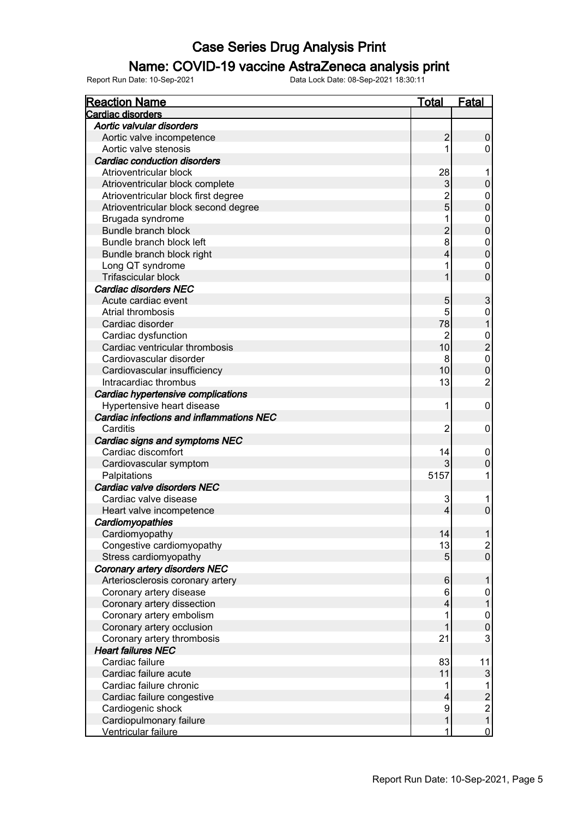### Name: COVID-19 vaccine AstraZeneca analysis print

| <b>Reaction Name</b>                     | <u>Total</u>   | <b>Fatal</b>                          |
|------------------------------------------|----------------|---------------------------------------|
| Cardiac disorders                        |                |                                       |
| Aortic valvular disorders                |                |                                       |
| Aortic valve incompetence                | $\overline{c}$ | 0                                     |
| Aortic valve stenosis                    |                | 0                                     |
| <b>Cardiac conduction disorders</b>      |                |                                       |
| Atrioventricular block                   | 28             |                                       |
| Atrioventricular block complete          | 3              | 0                                     |
| Atrioventricular block first degree      | $\overline{c}$ | 0                                     |
| Atrioventricular block second degree     | 5              | $\mathbf 0$                           |
| Brugada syndrome                         |                | 0                                     |
| <b>Bundle branch block</b>               | 2              | $\mathbf 0$                           |
| Bundle branch block left                 | 8              | 0                                     |
| Bundle branch block right                | 4              | $\mathbf 0$                           |
| Long QT syndrome                         |                | 0                                     |
| Trifascicular block                      |                | $\overline{0}$                        |
| <b>Cardiac disorders NEC</b>             |                |                                       |
| Acute cardiac event                      | 5              | 3                                     |
| Atrial thrombosis                        | 5              | 0                                     |
| Cardiac disorder                         | 78             |                                       |
| Cardiac dysfunction                      | $\overline{2}$ | $\mathbf 0$                           |
| Cardiac ventricular thrombosis           | 10             | $\overline{2}$                        |
| Cardiovascular disorder                  | 8              | $\overline{0}$                        |
| Cardiovascular insufficiency             | 10             | $\overline{0}$                        |
| Intracardiac thrombus                    | 13             | $\overline{2}$                        |
| Cardiac hypertensive complications       |                |                                       |
| Hypertensive heart disease               | 1              | 0                                     |
| Cardiac infections and inflammations NEC |                |                                       |
| Carditis                                 | 2              | 0                                     |
| Cardiac signs and symptoms NEC           |                |                                       |
| Cardiac discomfort                       | 14             | 0                                     |
| Cardiovascular symptom                   |                | 0                                     |
| Palpitations                             | 5157           | 1                                     |
| Cardiac valve disorders NEC              |                |                                       |
| Cardiac valve disease                    | 3              | 1                                     |
| Heart valve incompetence                 | 4              | $\mathbf 0$                           |
| Cardiomyopathies                         |                |                                       |
| Cardiomyopathy                           | 14             |                                       |
| Congestive cardiomyopathy                | 13             |                                       |
| Stress cardiomyopathy                    | 5              | $\frac{2}{0}$                         |
| Coronary artery disorders NEC            |                |                                       |
| Arteriosclerosis coronary artery         | $\,6$          |                                       |
| Coronary artery disease                  | 6              | 0                                     |
| Coronary artery dissection               | 4              |                                       |
| Coronary artery embolism                 | 1              | 0                                     |
| Coronary artery occlusion                |                | $\mathbf 0$                           |
| Coronary artery thrombosis               | 21             | 3                                     |
| <b>Heart failures NEC</b>                |                |                                       |
| Cardiac failure                          | 83             | 11                                    |
| Cardiac failure acute                    | 11             | 3                                     |
| Cardiac failure chronic                  |                | 1                                     |
| Cardiac failure congestive               | 4              | $\overline{c}$                        |
| Cardiogenic shock                        | 9              |                                       |
| Cardiopulmonary failure                  |                | $\begin{array}{c} 2 \\ 1 \end{array}$ |
| Ventricular failure                      | 1              | $\overline{0}$                        |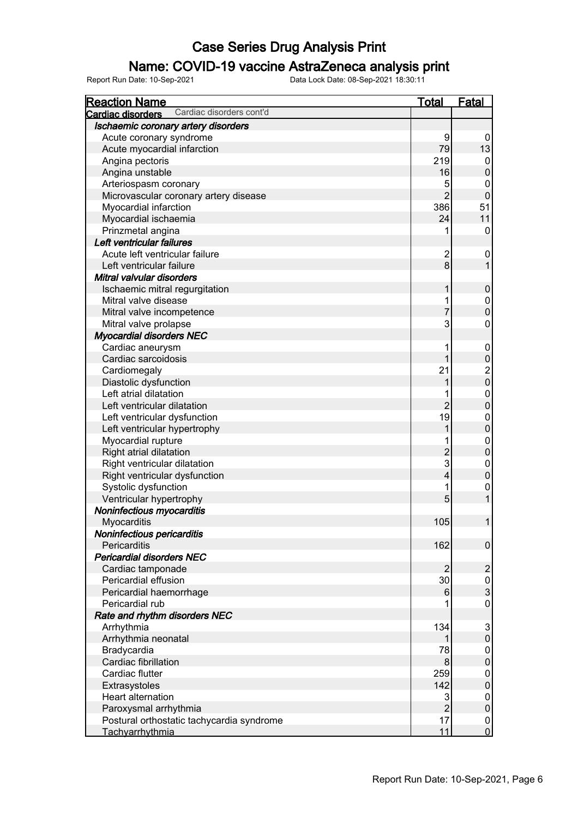### Name: COVID-19 vaccine AstraZeneca analysis print

| <b>Reaction Name</b>                                 | <b>Total</b>            | <b>Fatal</b>                          |
|------------------------------------------------------|-------------------------|---------------------------------------|
| Cardiac disorders cont'd<br><b>Cardiac disorders</b> |                         |                                       |
| Ischaemic coronary artery disorders                  |                         |                                       |
| Acute coronary syndrome                              | 9                       | 0                                     |
| Acute myocardial infarction                          | 79                      | 13                                    |
| Angina pectoris                                      | 219                     | $\mathbf 0$                           |
| Angina unstable                                      | 16                      | $\mathbf 0$                           |
| Arteriospasm coronary                                | 5                       | 0                                     |
| Microvascular coronary artery disease                | $\overline{2}$          | $\mathbf 0$                           |
| Myocardial infarction                                | 386                     | 51                                    |
| Myocardial ischaemia                                 | 24                      | 11                                    |
| Prinzmetal angina                                    |                         | 0                                     |
| Left ventricular failures                            |                         |                                       |
| Acute left ventricular failure                       | $\overline{2}$          | 0                                     |
| Left ventricular failure                             | 8                       | $\mathbf{1}$                          |
| Mitral valvular disorders                            |                         |                                       |
| Ischaemic mitral regurgitation                       | 1                       | $\pmb{0}$                             |
| Mitral valve disease                                 |                         | 0                                     |
| Mitral valve incompetence                            | 7                       | $\boldsymbol{0}$                      |
|                                                      | 3                       | 0                                     |
| Mitral valve prolapse                                |                         |                                       |
| <b>Myocardial disorders NEC</b>                      |                         |                                       |
| Cardiac aneurysm                                     | 1<br>1                  | 0                                     |
| Cardiac sarcoidosis                                  |                         | $\pmb{0}$                             |
| Cardiomegaly                                         | 21                      | $\begin{array}{c} 2 \\ 0 \end{array}$ |
| Diastolic dysfunction                                | 1                       |                                       |
| Left atrial dilatation                               |                         | 0                                     |
| Left ventricular dilatation                          | $\overline{2}$          | $\pmb{0}$                             |
| Left ventricular dysfunction                         | 19                      | 0                                     |
| Left ventricular hypertrophy                         |                         | $\pmb{0}$                             |
| Myocardial rupture                                   |                         | 0                                     |
| Right atrial dilatation                              | $\overline{2}$          | $\boldsymbol{0}$                      |
| Right ventricular dilatation                         | 3                       | 0                                     |
| Right ventricular dysfunction                        | $\overline{\mathbf{4}}$ | $\boldsymbol{0}$                      |
| Systolic dysfunction                                 |                         | $\mathbf 0$                           |
| Ventricular hypertrophy                              | 5                       | $\mathbf{1}$                          |
| Noninfectious myocarditis                            |                         |                                       |
| Myocarditis                                          | 105                     | 1                                     |
| Noninfectious pericarditis                           |                         |                                       |
| Pericarditis                                         | 162                     | $\boldsymbol{0}$                      |
| <b>Pericardial disorders NEC</b>                     |                         |                                       |
| Cardiac tamponade                                    | $\overline{2}$          | $\overline{2}$                        |
| Pericardial effusion                                 | 30                      | 0                                     |
| Pericardial haemorrhage                              | 6                       | $\overline{3}$                        |
| Pericardial rub                                      |                         | 0                                     |
| Rate and rhythm disorders NEC                        |                         |                                       |
| Arrhythmia                                           | 134                     | $\mathsf 3$                           |
| Arrhythmia neonatal                                  |                         | $\pmb{0}$                             |
| Bradycardia                                          | 78                      | 0                                     |
| Cardiac fibrillation                                 | 8                       | $\boldsymbol{0}$                      |
| Cardiac flutter                                      | 259                     | 0                                     |
| Extrasystoles                                        | 142                     | $\boldsymbol{0}$                      |
| Heart alternation                                    | 3                       | 0                                     |
| Paroxysmal arrhythmia                                | $\overline{2}$          | $\boldsymbol{0}$                      |
| Postural orthostatic tachycardia syndrome            | 17                      | 0                                     |
| Tachyarrhythmia                                      | 11                      | $\overline{0}$                        |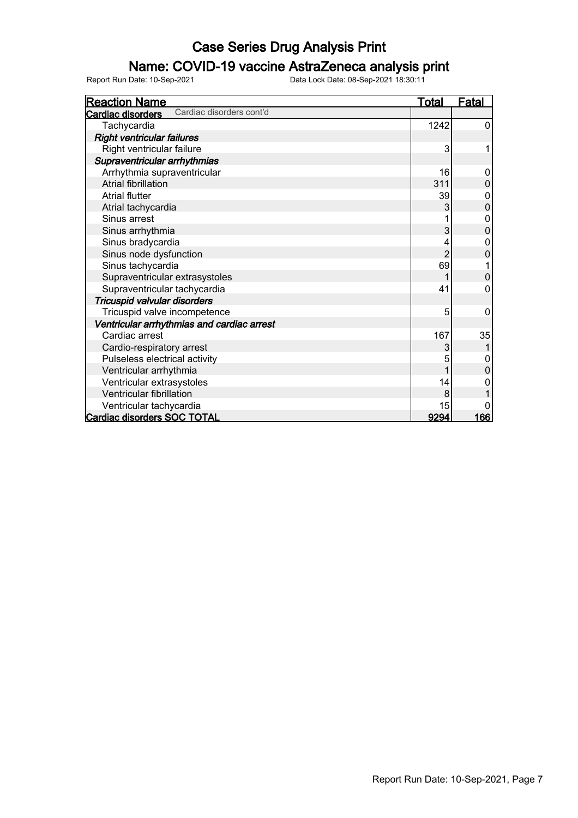### Name: COVID-19 vaccine AstraZeneca analysis print

| <b>Reaction Name</b>                          | <u>Total</u>   | <b>Fatal</b>   |
|-----------------------------------------------|----------------|----------------|
| Cardiac disorders cont'd<br>Cardiac disorders |                |                |
| Tachycardia                                   | 1242           | 0              |
| <b>Right ventricular failures</b>             |                |                |
| Right ventricular failure                     | 3              | 1              |
| Supraventricular arrhythmias                  |                |                |
| Arrhythmia supraventricular                   | 16             | 0              |
| <b>Atrial fibrillation</b>                    | 311            | 0              |
| <b>Atrial flutter</b>                         | 39             | 0              |
| Atrial tachycardia                            | 3              | $\overline{0}$ |
| Sinus arrest                                  | 1              | 0              |
| Sinus arrhythmia                              | 3              | 0              |
| Sinus bradycardia                             |                | 0              |
| Sinus node dysfunction                        | $\overline{c}$ | 0              |
| Sinus tachycardia                             | 69             |                |
| Supraventricular extrasystoles                |                | $\mathbf 0$    |
| Supraventricular tachycardia                  | 41             | 0              |
| Tricuspid valvular disorders                  |                |                |
| Tricuspid valve incompetence                  | 5              | 0              |
| Ventricular arrhythmias and cardiac arrest    |                |                |
| Cardiac arrest                                | 167            | 35             |
| Cardio-respiratory arrest                     | 3              |                |
| Pulseless electrical activity                 | 5              | 0              |
| Ventricular arrhythmia                        |                | $\overline{0}$ |
| Ventricular extrasystoles                     | 14             | 0              |
| Ventricular fibrillation                      | 8              |                |
| Ventricular tachycardia                       | 15             | 0              |
| Cardiac disorders SOC TOTAL                   | 9294           | 166            |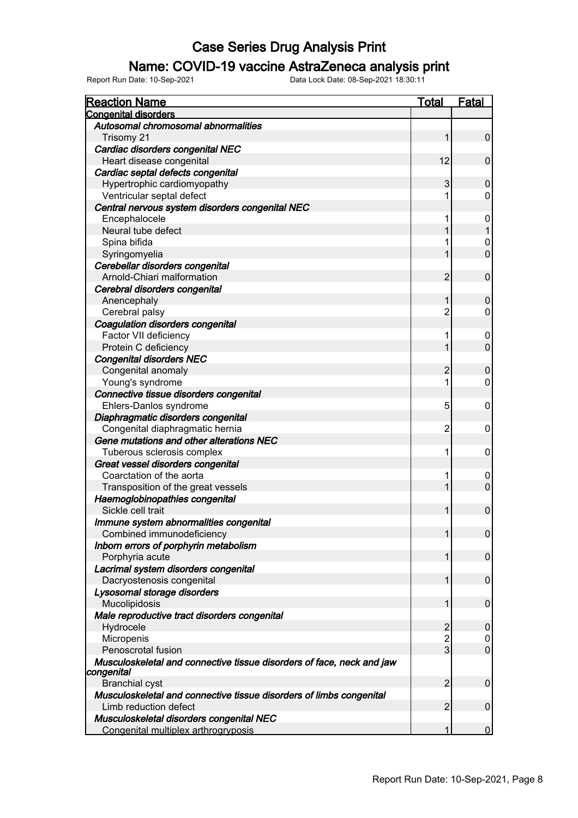### Name: COVID-19 vaccine AstraZeneca analysis print

| <b>Reaction Name</b>                                                                | <b>Total</b>   | <b>Fatal</b>          |
|-------------------------------------------------------------------------------------|----------------|-----------------------|
| <b>Congenital disorders</b>                                                         |                |                       |
| Autosomal chromosomal abnormalities                                                 |                |                       |
| Trisomy 21                                                                          | 1              | $\pmb{0}$             |
| Cardiac disorders congenital NEC                                                    |                |                       |
| Heart disease congenital                                                            | 12             | $\mathbf 0$           |
| Cardiac septal defects congenital                                                   |                |                       |
| Hypertrophic cardiomyopathy                                                         | 3              | $\mathbf 0$           |
| Ventricular septal defect                                                           | 1              | $\mathbf 0$           |
| Central nervous system disorders congenital NEC                                     |                |                       |
| Encephalocele                                                                       | 1              | $\mathbf 0$           |
| Neural tube defect                                                                  | 1              | $\mathbf{1}$          |
| Spina bifida                                                                        |                | 0                     |
| Syringomyelia                                                                       | 1              | $\mathbf 0$           |
| Cerebellar disorders congenital                                                     |                |                       |
| Arnold-Chiari malformation                                                          | $\overline{2}$ | $\mathbf 0$           |
| Cerebral disorders congenital                                                       |                |                       |
| Anencephaly                                                                         | 1              | $\mathbf 0$           |
| Cerebral palsy                                                                      | $\overline{c}$ | 0                     |
| Coagulation disorders congenital                                                    |                |                       |
| Factor VII deficiency                                                               | 1              | 0                     |
| Protein C deficiency                                                                | 1              | $\mathbf 0$           |
| <b>Congenital disorders NEC</b>                                                     |                |                       |
| Congenital anomaly                                                                  | $\overline{c}$ | $\mathbf 0$           |
| Young's syndrome                                                                    | 1              | $\mathbf 0$           |
| Connective tissue disorders congenital                                              |                |                       |
| Ehlers-Danlos syndrome                                                              | 5              | 0                     |
| Diaphragmatic disorders congenital                                                  |                |                       |
| Congenital diaphragmatic hernia                                                     | $\overline{2}$ | 0                     |
| Gene mutations and other alterations NEC                                            |                |                       |
| Tuberous sclerosis complex                                                          | 1              | $\mathbf 0$           |
| Great vessel disorders congenital                                                   |                |                       |
| Coarctation of the aorta                                                            | 1              | 0                     |
| Transposition of the great vessels                                                  | 1              | $\mathbf 0$           |
| Haemoglobinopathies congenital                                                      |                |                       |
| Sickle cell trait                                                                   | 1              | $\mathbf 0$           |
| Immune system abnormalities congenital                                              |                |                       |
| Combined immunodeficiency                                                           | 1              | $\overline{0}$        |
| Inborn errors of porphyrin metabolism                                               |                |                       |
| Porphyria acute                                                                     | 1              | $\pmb{0}$             |
| Lacrimal system disorders congenital                                                |                |                       |
| Dacryostenosis congenital                                                           | 1              | $\mathbf 0$           |
| Lysosomal storage disorders                                                         |                |                       |
| Mucolipidosis                                                                       | 1              | $\mathbf 0$           |
| Male reproductive tract disorders congenital                                        |                |                       |
| Hydrocele                                                                           | $\overline{c}$ |                       |
| Micropenis                                                                          | $\overline{c}$ | $\boldsymbol{0}$<br>0 |
| Penoscrotal fusion                                                                  | $\overline{3}$ | $\pmb{0}$             |
|                                                                                     |                |                       |
| Musculoskeletal and connective tissue disorders of face, neck and jaw<br>congenital |                |                       |
| <b>Branchial cyst</b>                                                               | $\overline{2}$ | $\mathbf 0$           |
| Musculoskeletal and connective tissue disorders of limbs congenital                 |                |                       |
| Limb reduction defect                                                               | $\overline{2}$ | $\mathbf 0$           |
| Musculoskeletal disorders congenital NEC                                            |                |                       |
| Congenital multiplex arthrogryposis                                                 |                | $\mathbf 0$           |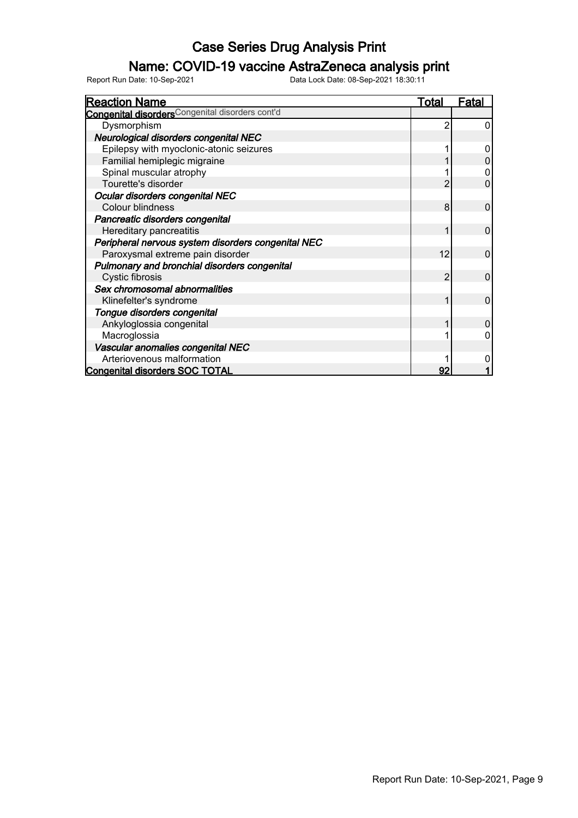### Name: COVID-19 vaccine AstraZeneca analysis print

| <b>Reaction Name</b>                                        | Total | Fatal          |
|-------------------------------------------------------------|-------|----------------|
| Congenital disorders <sup>Congenital disorders cont'd</sup> |       |                |
| Dysmorphism                                                 | 2     | 0              |
| Neurological disorders congenital NEC                       |       |                |
| Epilepsy with myoclonic-atonic seizures                     |       | 0              |
| Familial hemiplegic migraine                                |       |                |
| Spinal muscular atrophy                                     |       |                |
| Tourette's disorder                                         | 2     | 0              |
| Ocular disorders congenital NEC                             |       |                |
| Colour blindness                                            | 8     | $\overline{0}$ |
| Pancreatic disorders congenital                             |       |                |
| Hereditary pancreatitis                                     | 1     | $\mathbf{0}$   |
| Peripheral nervous system disorders congenital NEC          |       |                |
| Paroxysmal extreme pain disorder                            | 12    | $\Omega$       |
| Pulmonary and bronchial disorders congenital                |       |                |
| Cystic fibrosis                                             | 2     | $\Omega$       |
| Sex chromosomal abnormalities                               |       |                |
| Klinefelter's syndrome                                      |       | $\Omega$       |
| Tongue disorders congenital                                 |       |                |
| Ankyloglossia congenital                                    |       | 0              |
| Macroglossia                                                |       |                |
| Vascular anomalies congenital NEC                           |       |                |
| Arteriovenous malformation                                  |       |                |
| <b>Congenital disorders SOC TOTAL</b>                       | 92    |                |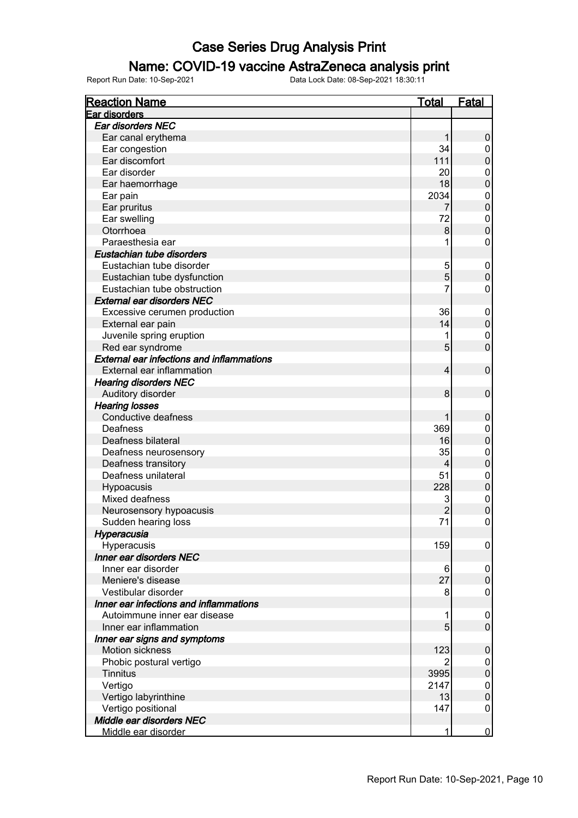### Name: COVID-19 vaccine AstraZeneca analysis print

| <b>Reaction Name</b>                             | <b>Total</b>   | <b>Fatal</b>                  |
|--------------------------------------------------|----------------|-------------------------------|
| Ear disorders                                    |                |                               |
| Ear disorders NEC                                |                |                               |
| Ear canal erythema                               | 1              | $\boldsymbol{0}$              |
| Ear congestion                                   | 34             | $\mathbf 0$                   |
| Ear discomfort                                   | 111            | $\mathbf 0$                   |
| Ear disorder                                     | 20             | $\mathbf 0$                   |
| Ear haemorrhage                                  | 18             | $\mathbf 0$                   |
| Ear pain                                         | 2034           | $\mathbf{0}$                  |
| Ear pruritus                                     | 7              | $\overline{0}$                |
| Ear swelling                                     | 72             | $\mathbf{0}$                  |
| Otorrhoea                                        | 8              | $\overline{0}$                |
| Paraesthesia ear                                 | 1              | $\mathbf 0$                   |
| Eustachian tube disorders                        |                |                               |
| Eustachian tube disorder                         | 5              | $\mathbf 0$                   |
| Eustachian tube dysfunction                      | 5              | $\mathbf 0$                   |
| Eustachian tube obstruction                      | 7              | $\mathbf 0$                   |
| <b>External ear disorders NEC</b>                |                |                               |
|                                                  | 36             |                               |
| Excessive cerumen production                     | 14             | $\boldsymbol{0}$              |
| External ear pain                                |                | $\mathbf 0$                   |
| Juvenile spring eruption                         | 1              | $\mathbf 0$<br>$\overline{0}$ |
| Red ear syndrome                                 | 5              |                               |
| <b>External ear infections and inflammations</b> |                |                               |
| External ear inflammation                        | 4              | $\mathbf 0$                   |
| <b>Hearing disorders NEC</b>                     |                |                               |
| Auditory disorder                                | 8              | $\mathbf 0$                   |
| <b>Hearing losses</b>                            |                |                               |
| Conductive deafness                              | 1              | $\boldsymbol{0}$              |
| Deafness                                         | 369            | $\mathbf 0$                   |
| Deafness bilateral                               | 16             | $\mathbf 0$                   |
| Deafness neurosensory                            | 35             | $\mathbf{0}$                  |
| Deafness transitory                              | 4              | $\mathbf 0$                   |
| Deafness unilateral                              | 51             | $\mathbf 0$                   |
| Hypoacusis                                       | 228            | $\mathbf 0$                   |
| Mixed deafness                                   | 3              | $\mathbf{0}$                  |
| Neurosensory hypoacusis                          | $\overline{2}$ | $\mathbf 0$                   |
| Sudden hearing loss                              | 71             | $\mathbf 0$                   |
| Hyperacusia                                      |                |                               |
| Hyperacusis                                      | 159            | 0                             |
| Inner ear disorders NEC                          |                |                               |
| Inner ear disorder                               | 6              | 0                             |
| Meniere's disease                                | 27             | $\mathbf 0$                   |
| Vestibular disorder                              | 8              | $\mathbf 0$                   |
| Inner ear infections and inflammations           |                |                               |
| Autoimmune inner ear disease                     | 1              | $\mathbf 0$                   |
| Inner ear inflammation                           | 5              | $\mathbf 0$                   |
| Inner ear signs and symptoms                     |                |                               |
| Motion sickness                                  | 123            | $\boldsymbol{0}$              |
| Phobic postural vertigo                          | 2              | 0                             |
| <b>Tinnitus</b>                                  | 3995           | $\pmb{0}$                     |
| Vertigo                                          | 2147           | $\mathbf 0$                   |
| Vertigo labyrinthine                             | 13             | $\mathbf 0$                   |
| Vertigo positional                               | 147            | $\mathbf 0$                   |
| Middle ear disorders NEC                         |                |                               |
| Middle ear disorder                              | 1              | $\overline{0}$                |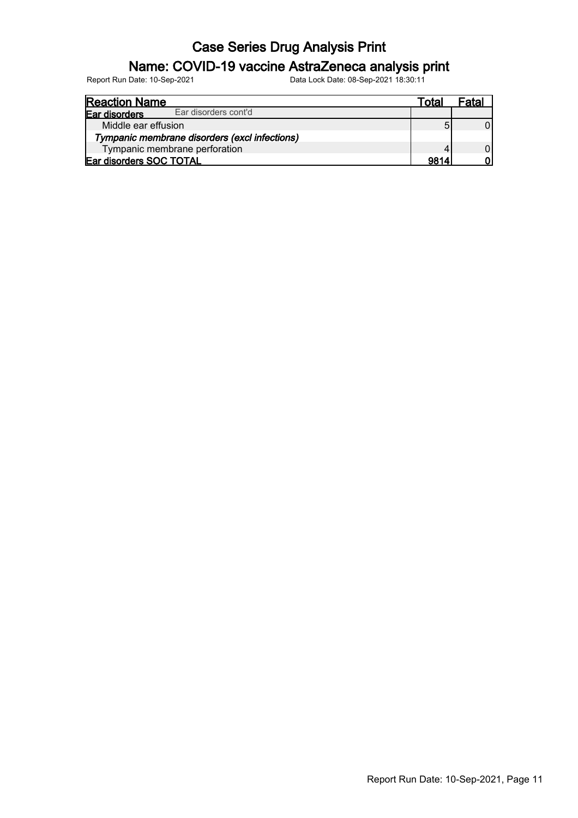### Name: COVID-19 vaccine AstraZeneca analysis print

| <b>Reaction Name</b>    |                                               | Total | Fatal |
|-------------------------|-----------------------------------------------|-------|-------|
| Ear disorders           | Ear disorders cont'd                          |       |       |
| Middle ear effusion     |                                               |       |       |
|                         | Tympanic membrane disorders (excl infections) |       |       |
|                         | Tympanic membrane perforation                 |       |       |
| Ear disorders SOC TOTAL |                                               | 9814  |       |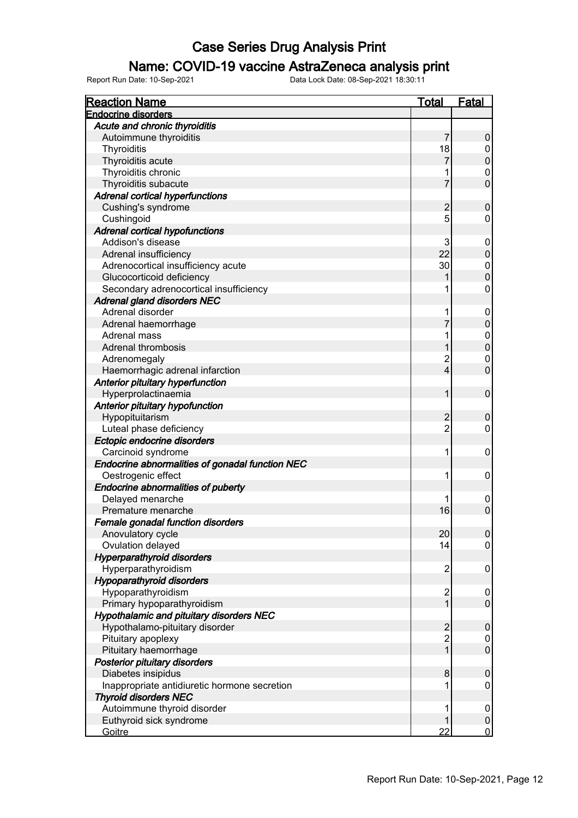### Name: COVID-19 vaccine AstraZeneca analysis print

| <b>Reaction Name</b>                            | <b>Total</b>   | <b>Fatal</b>     |
|-------------------------------------------------|----------------|------------------|
| <b>Endocrine disorders</b>                      |                |                  |
| Acute and chronic thyroiditis                   |                |                  |
| Autoimmune thyroiditis                          | $\overline{7}$ | 0                |
| Thyroiditis                                     | 18             | 0                |
| Thyroiditis acute                               | 7              | $\pmb{0}$        |
| Thyroiditis chronic                             |                | 0                |
| Thyroiditis subacute                            | 7              | $\mathbf 0$      |
| <b>Adrenal cortical hyperfunctions</b>          |                |                  |
| Cushing's syndrome                              | $\overline{2}$ | $\mathbf 0$      |
| Cushingoid                                      | 5              | 0                |
| <b>Adrenal cortical hypofunctions</b>           |                |                  |
| Addison's disease                               | 3              | 0                |
| Adrenal insufficiency                           | 22             | $\pmb{0}$        |
| Adrenocortical insufficiency acute              | 30             | 0                |
| Glucocorticoid deficiency                       |                | $\pmb{0}$        |
| Secondary adrenocortical insufficiency          |                | 0                |
| <b>Adrenal gland disorders NEC</b>              |                |                  |
| Adrenal disorder                                | 1              | 0                |
| Adrenal haemorrhage                             | 7              | $\pmb{0}$        |
| Adrenal mass                                    |                | 0                |
| <b>Adrenal thrombosis</b>                       |                | $\pmb{0}$        |
| Adrenomegaly                                    | 2              | 0                |
| Haemorrhagic adrenal infarction                 | $\overline{4}$ | $\mathbf 0$      |
|                                                 |                |                  |
| Anterior pituitary hyperfunction                | 1              | 0                |
| Hyperprolactinaemia                             |                |                  |
| Anterior pituitary hypofunction                 |                |                  |
| Hypopituitarism                                 | $\overline{2}$ | $\pmb{0}$        |
| Luteal phase deficiency                         | $\overline{2}$ | 0                |
| Ectopic endocrine disorders                     |                |                  |
| Carcinoid syndrome                              | 1              | 0                |
| Endocrine abnormalities of gonadal function NEC |                |                  |
| Oestrogenic effect                              | 1              | 0                |
| Endocrine abnormalities of puberty              |                |                  |
| Delayed menarche                                |                | 0                |
| Premature menarche                              | 16             | $\mathbf 0$      |
| Female gonadal function disorders               |                |                  |
| Anovulatory cycle                               | 20             | $\boldsymbol{0}$ |
| Ovulation delayed                               | 14             | $\boldsymbol{0}$ |
| <b>Hyperparathyroid disorders</b>               |                |                  |
| Hyperparathyroidism                             | $\overline{2}$ | 0                |
| <b>Hypoparathyroid disorders</b>                |                |                  |
| Hypoparathyroidism                              | $\overline{c}$ | 0                |
| Primary hypoparathyroidism                      | 1              | $\mathsf 0$      |
| Hypothalamic and pituitary disorders NEC        |                |                  |
| Hypothalamo-pituitary disorder                  | $\overline{2}$ | $\pmb{0}$        |
| Pituitary apoplexy                              | $\overline{c}$ | 0                |
| Pituitary haemorrhage                           | 1              | $\pmb{0}$        |
| Posterior pituitary disorders                   |                |                  |
| Diabetes insipidus                              | 8              | $\boldsymbol{0}$ |
| Inappropriate antidiuretic hormone secretion    |                | 0                |
| <b>Thyroid disorders NEC</b>                    |                |                  |
| Autoimmune thyroid disorder                     | 1              | 0                |
| Euthyroid sick syndrome                         |                | $\pmb{0}$        |
| Goitre                                          | 22             | $\overline{0}$   |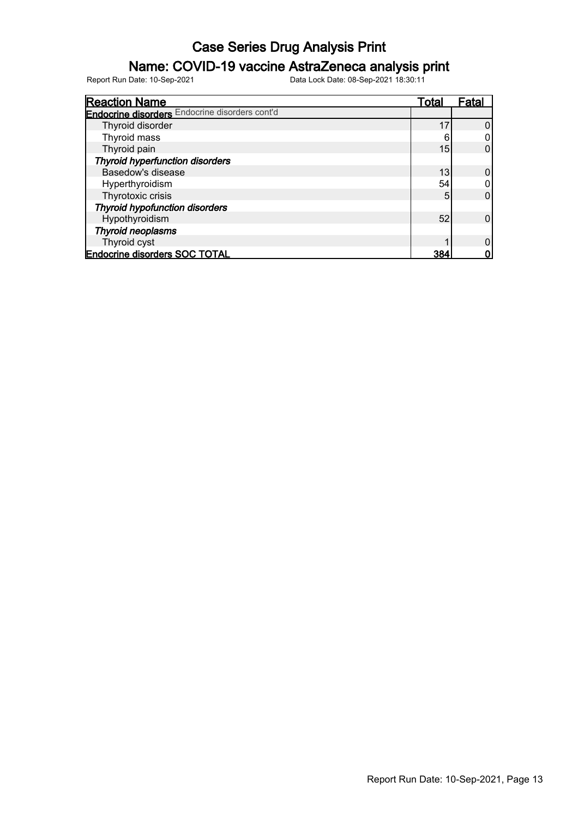### Name: COVID-19 vaccine AstraZeneca analysis print

| <b>Reaction Name</b>                                  | Total | Fatal |
|-------------------------------------------------------|-------|-------|
| <b>Endocrine disorders</b> Endocrine disorders cont'd |       |       |
| Thyroid disorder                                      | 17    |       |
| Thyroid mass                                          | 6     |       |
| Thyroid pain                                          | 15    | 0     |
| <b>Thyroid hyperfunction disorders</b>                |       |       |
| Basedow's disease                                     | 13    | 0     |
| Hyperthyroidism                                       | 54    |       |
| Thyrotoxic crisis                                     | 5     |       |
| <b>Thyroid hypofunction disorders</b>                 |       |       |
| Hypothyroidism                                        | 52    |       |
| <b>Thyroid neoplasms</b>                              |       |       |
| Thyroid cyst                                          |       |       |
| <b>Endocrine disorders SOC TOTAL</b>                  | 384   |       |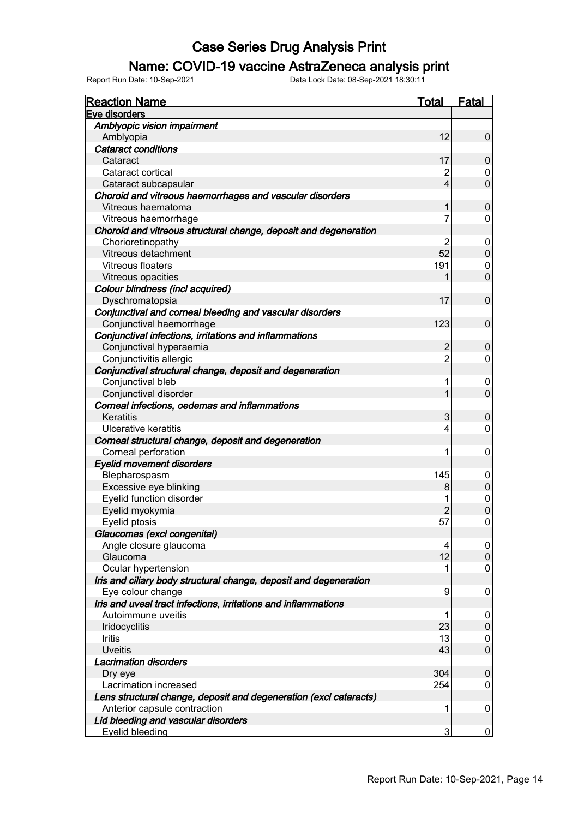### Name: COVID-19 vaccine AstraZeneca analysis print

| <b>Reaction Name</b>                                              | <b>Total</b>    | Fatal            |
|-------------------------------------------------------------------|-----------------|------------------|
| Eye disorders                                                     |                 |                  |
| Amblyopic vision impairment                                       |                 |                  |
| Amblyopia                                                         | 12              | $\pmb{0}$        |
| <b>Cataract conditions</b>                                        |                 |                  |
| Cataract                                                          | 17              | $\pmb{0}$        |
| Cataract cortical                                                 | $\overline{2}$  | 0                |
| Cataract subcapsular                                              | $\vert 4 \vert$ | $\mathbf 0$      |
| Choroid and vitreous haemorrhages and vascular disorders          |                 |                  |
| Vitreous haematoma                                                | 1               | $\mathbf 0$      |
| Vitreous haemorrhage                                              | 7               | 0                |
| Choroid and vitreous structural change, deposit and degeneration  |                 |                  |
| Chorioretinopathy                                                 | 2               | 0                |
| Vitreous detachment                                               | 52              | $\pmb{0}$        |
| <b>Vitreous floaters</b>                                          | 191             | 0                |
| Vitreous opacities                                                | 1               | $\mathbf 0$      |
| Colour blindness (incl acquired)                                  |                 |                  |
| Dyschromatopsia                                                   | 17              | $\mathbf 0$      |
| Conjunctival and corneal bleeding and vascular disorders          |                 |                  |
| Conjunctival haemorrhage                                          | 123             | $\mathbf 0$      |
| Conjunctival infections, irritations and inflammations            |                 |                  |
| Conjunctival hyperaemia                                           | $\overline{c}$  | $\mathbf 0$      |
| Conjunctivitis allergic                                           | $\overline{2}$  | 0                |
| Conjunctival structural change, deposit and degeneration          |                 |                  |
| Conjunctival bleb                                                 | 1               | 0                |
| Conjunctival disorder                                             | 1               | $\mathbf 0$      |
| Corneal infections, oedemas and inflammations                     |                 |                  |
| Keratitis                                                         | 3               | $\mathbf 0$      |
| Ulcerative keratitis                                              | 4               | 0                |
| Corneal structural change, deposit and degeneration               |                 |                  |
| Corneal perforation                                               | 1               | $\mathbf 0$      |
| <b>Eyelid movement disorders</b>                                  |                 |                  |
| Blepharospasm                                                     | 145             | 0                |
| Excessive eye blinking                                            | 8               | $\boldsymbol{0}$ |
| Eyelid function disorder                                          | 1               | $\pmb{0}$        |
| Eyelid myokymia                                                   | $\overline{2}$  | $\pmb{0}$        |
| Eyelid ptosis                                                     | 57              | 0                |
| Glaucomas (excl congenital)                                       |                 |                  |
| Angle closure glaucoma                                            | 4               | 0                |
| Glaucoma                                                          | 12              | $\pmb{0}$        |
| Ocular hypertension                                               |                 | 0                |
| Iris and ciliary body structural change, deposit and degeneration |                 |                  |
| Eye colour change                                                 | 9               | $\mathbf 0$      |
| Iris and uveal tract infections, irritations and inflammations    |                 |                  |
| Autoimmune uveitis                                                | 1               | 0                |
| Iridocyclitis                                                     | 23              | $\pmb{0}$        |
| Iritis                                                            | 13              | 0                |
| <b>Uveitis</b>                                                    | 43              | $\boldsymbol{0}$ |
| <b>Lacrimation disorders</b>                                      |                 |                  |
| Dry eye                                                           | 304             | $\mathbf 0$      |
| Lacrimation increased                                             | 254             | 0                |
| Lens structural change, deposit and degeneration (excl cataracts) |                 |                  |
| Anterior capsule contraction                                      | 1               | 0                |
| Lid bleeding and vascular disorders                               |                 |                  |
| <b>Eyelid bleeding</b>                                            | $\overline{3}$  | $\mathbf 0$      |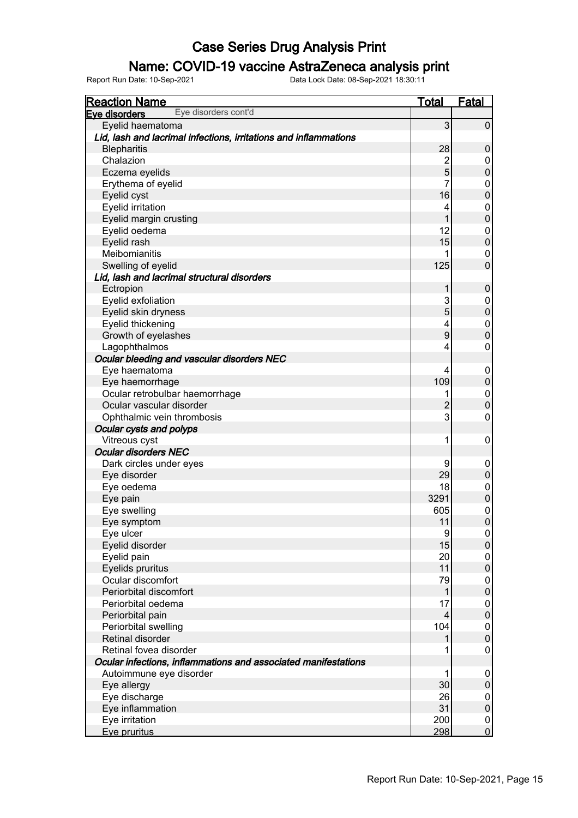### Name: COVID-19 vaccine AstraZeneca analysis print

| <b>Reaction Name</b>                                             | <b>Total</b>   | <b>Fatal</b>                     |
|------------------------------------------------------------------|----------------|----------------------------------|
| Eye disorders cont'd<br>Eye disorders                            |                |                                  |
| Eyelid haematoma                                                 | 3              | $\pmb{0}$                        |
| Lid, lash and lacrimal infections, irritations and inflammations |                |                                  |
| <b>Blepharitis</b>                                               | 28             | $\pmb{0}$                        |
| Chalazion                                                        | $\overline{2}$ | 0                                |
| Eczema eyelids                                                   | 5              | $\mathbf 0$                      |
| Erythema of eyelid                                               | 7              | 0                                |
| Eyelid cyst                                                      | 16             | $\mathbf 0$                      |
| Eyelid irritation                                                | 4              | $\pmb{0}$                        |
| Eyelid margin crusting                                           |                | $\overline{0}$                   |
| Eyelid oedema                                                    | 12             | $\pmb{0}$                        |
| Eyelid rash                                                      | 15             | $\overline{0}$                   |
| Meibomianitis                                                    |                | 0                                |
| Swelling of eyelid                                               | 125            | $\overline{0}$                   |
| Lid, lash and lacrimal structural disorders                      |                |                                  |
| Ectropion                                                        | 1              | $\pmb{0}$                        |
| Eyelid exfoliation                                               | 3              | 0                                |
| Eyelid skin dryness                                              | 5              | $\overline{0}$                   |
| Eyelid thickening                                                | 4              | $\pmb{0}$                        |
| Growth of eyelashes                                              | 9              | $\overline{0}$                   |
| Lagophthalmos                                                    | 4              | 0                                |
| Ocular bleeding and vascular disorders NEC                       |                |                                  |
| Eye haematoma                                                    | 4              | 0                                |
| Eye haemorrhage                                                  | 109            | $\pmb{0}$                        |
| Ocular retrobulbar haemorrhage                                   |                | $\pmb{0}$                        |
| Ocular vascular disorder                                         | $\overline{2}$ | $\overline{0}$                   |
| Ophthalmic vein thrombosis                                       | 3              | $\mathbf 0$                      |
| Ocular cysts and polyps                                          |                |                                  |
| Vitreous cyst                                                    | 1              | $\mathbf 0$                      |
| <b>Ocular disorders NEC</b>                                      |                |                                  |
| Dark circles under eyes                                          | 9              | 0                                |
| Eye disorder                                                     | 29             | $\pmb{0}$                        |
| Eye oedema                                                       | 18             | $\pmb{0}$                        |
| Eye pain                                                         | 3291           | $\overline{0}$                   |
| Eye swelling                                                     | 605            |                                  |
| Eye symptom                                                      | 11             | $\begin{matrix}0\\0\end{matrix}$ |
| Eye ulcer                                                        | 9              | $\overline{0}$                   |
| Eyelid disorder                                                  | 15             | $\pmb{0}$                        |
| Eyelid pain                                                      | 20             | 0                                |
| Eyelids pruritus                                                 | 11             | $\pmb{0}$                        |
| Ocular discomfort                                                | 79             | $\pmb{0}$                        |
| Periorbital discomfort                                           |                | $\pmb{0}$                        |
| Periorbital oedema                                               | 17             | $\pmb{0}$                        |
| Periorbital pain                                                 | 4              | $\pmb{0}$                        |
| Periorbital swelling                                             | 104            | $\pmb{0}$                        |
| Retinal disorder                                                 |                | $\pmb{0}$                        |
| Retinal fovea disorder                                           | 1              | 0                                |
| Ocular infections, inflammations and associated manifestations   |                |                                  |
| Autoimmune eye disorder                                          | 1              | 0                                |
| Eye allergy                                                      | 30             | $\pmb{0}$                        |
| Eye discharge                                                    | 26             | $\pmb{0}$                        |
| Eye inflammation                                                 | 31             | $\pmb{0}$                        |
| Eye irritation                                                   | 200            | $\boldsymbol{0}$                 |
| Eye pruritus                                                     | 298            | $\overline{0}$                   |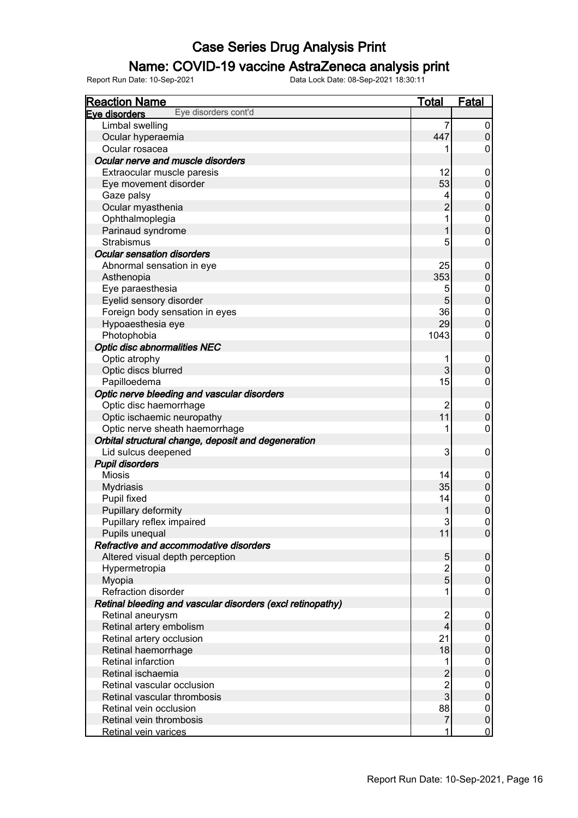### Name: COVID-19 vaccine AstraZeneca analysis print

| <b>Reaction Name</b>                                       | <b>Total</b>   | <b>Fatal</b>     |
|------------------------------------------------------------|----------------|------------------|
| Eye disorders cont'd<br>Eye disorders                      |                |                  |
| Limbal swelling                                            | 7              | 0                |
| Ocular hyperaemia                                          | 447            | $\pmb{0}$        |
| Ocular rosacea                                             |                | 0                |
| Ocular nerve and muscle disorders                          |                |                  |
| Extraocular muscle paresis                                 | 12             | 0                |
| Eye movement disorder                                      | 53             | $\mathsf 0$      |
| Gaze palsy                                                 | 4              | 0                |
| Ocular myasthenia                                          | $\overline{2}$ | $\mathbf 0$      |
| Ophthalmoplegia                                            |                | 0                |
| Parinaud syndrome                                          |                | $\mathbf 0$      |
| <b>Strabismus</b>                                          | 5              | 0                |
| <b>Ocular sensation disorders</b>                          |                |                  |
| Abnormal sensation in eye                                  | 25             | 0                |
| Asthenopia                                                 | 353            | $\mathsf 0$      |
| Eye paraesthesia                                           | 5              | 0                |
| Eyelid sensory disorder                                    | 5              | $\mathbf 0$      |
| Foreign body sensation in eyes                             | 36             | 0                |
| Hypoaesthesia eye                                          | 29             | $\mathbf 0$      |
| Photophobia                                                | 1043           | 0                |
| <b>Optic disc abnormalities NEC</b>                        |                |                  |
| Optic atrophy                                              |                | $\boldsymbol{0}$ |
| Optic discs blurred                                        | 3              | $\mathbf 0$      |
| Papilloedema                                               | 15             | 0                |
| Optic nerve bleeding and vascular disorders                |                |                  |
| Optic disc haemorrhage                                     | $\overline{2}$ | 0                |
| Optic ischaemic neuropathy                                 | 11             | $\mathbf 0$      |
| Optic nerve sheath haemorrhage                             |                | 0                |
| Orbital structural change, deposit and degeneration        |                |                  |
| Lid sulcus deepened                                        | 3              | 0                |
| <b>Pupil disorders</b>                                     |                |                  |
| <b>Miosis</b>                                              | 14             | 0                |
| <b>Mydriasis</b>                                           | 35             | $\pmb{0}$        |
| Pupil fixed                                                | 14             | $\pmb{0}$        |
| Pupillary deformity                                        |                | $\overline{0}$   |
| Pupillary reflex impaired                                  | 3              | 0                |
| Pupils unequal                                             | 11             | $\boldsymbol{0}$ |
| Refractive and accommodative disorders                     |                |                  |
| Altered visual depth perception                            | 5              | $\pmb{0}$        |
| Hypermetropia                                              | $\overline{2}$ | 0                |
| Myopia                                                     | 5              | $\pmb{0}$        |
| Refraction disorder                                        |                | 0                |
| Retinal bleeding and vascular disorders (excl retinopathy) |                |                  |
| Retinal aneurysm                                           | $\overline{c}$ | 0                |
| Retinal artery embolism                                    | $\overline{4}$ | $\pmb{0}$        |
| Retinal artery occlusion                                   | 21             | 0                |
| Retinal haemorrhage                                        | 18             | $\boldsymbol{0}$ |
| Retinal infarction                                         |                | 0                |
| Retinal ischaemia                                          | $\overline{2}$ | $\boldsymbol{0}$ |
| Retinal vascular occlusion                                 | $\overline{c}$ | 0                |
| Retinal vascular thrombosis                                | 3              | $\pmb{0}$        |
| Retinal vein occlusion                                     | 88             | 0                |
| Retinal vein thrombosis                                    | 7              | $\pmb{0}$        |
| Retinal vein varices                                       |                | $\mathbf 0$      |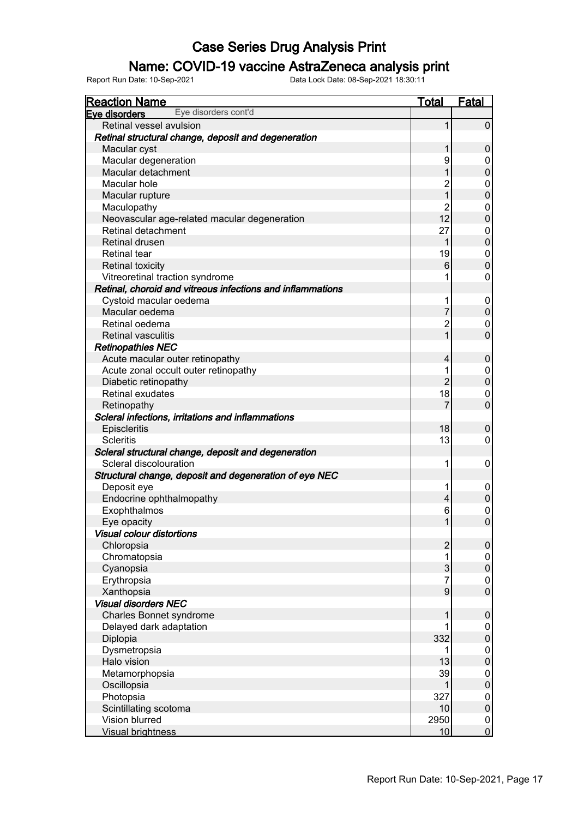#### Name: COVID-19 vaccine AstraZeneca analysis print

| <b>Reaction Name</b>                                       | <b>Total</b>     | <b>Fatal</b>     |
|------------------------------------------------------------|------------------|------------------|
| Eye disorders cont'd<br>Eye disorders                      |                  |                  |
| Retinal vessel avulsion                                    |                  | $\pmb{0}$        |
| Retinal structural change, deposit and degeneration        |                  |                  |
| Macular cyst                                               |                  | $\pmb{0}$        |
| Macular degeneration                                       | 9                | 0                |
| Macular detachment                                         |                  | $\mathbf 0$      |
| Macular hole                                               | $\overline{c}$   | 0                |
| Macular rupture                                            | 1                | $\mathbf 0$      |
| Maculopathy                                                | 2                | 0                |
| Neovascular age-related macular degeneration               | 12               | $\mathbf 0$      |
| Retinal detachment                                         | 27               | 0                |
| Retinal drusen                                             |                  | $\pmb{0}$        |
| <b>Retinal tear</b>                                        | 19               | 0                |
| <b>Retinal toxicity</b>                                    | 6                | $\pmb{0}$        |
| Vitreoretinal traction syndrome                            |                  | 0                |
| Retinal, choroid and vitreous infections and inflammations |                  |                  |
| Cystoid macular oedema                                     | 1                | 0                |
| Macular oedema                                             | 7                | $\mathsf 0$      |
| Retinal oedema                                             | $\overline{c}$   | 0                |
| <b>Retinal vasculitis</b>                                  |                  | $\mathbf 0$      |
| <b>Retinopathies NEC</b>                                   |                  |                  |
| Acute macular outer retinopathy                            | 4                | $\pmb{0}$        |
| Acute zonal occult outer retinopathy                       |                  | 0                |
| Diabetic retinopathy                                       | $\overline{2}$   | $\pmb{0}$        |
| <b>Retinal exudates</b>                                    | 18               | 0                |
| Retinopathy                                                | $\overline{7}$   | $\mathbf 0$      |
| Scleral infections, irritations and inflammations          |                  |                  |
| Episcleritis                                               | 18               | $\pmb{0}$        |
| <b>Scleritis</b>                                           | 13               | 0                |
| Scleral structural change, deposit and degeneration        |                  |                  |
| Scleral discolouration                                     | 1                | 0                |
| Structural change, deposit and degeneration of eye NEC     |                  |                  |
| Deposit eye                                                | 1                | 0                |
| Endocrine ophthalmopathy                                   | $\overline{4}$   | $\pmb{0}$        |
| Exophthalmos                                               | 6                | 0                |
| Eye opacity                                                | 1                | $\pmb{0}$        |
| <b>Visual colour distortions</b>                           |                  |                  |
| Chloropsia                                                 | $\overline{2}$   | $\pmb{0}$        |
| Chromatopsia                                               |                  | 0                |
| Cyanopsia                                                  | 3                | $\pmb{0}$        |
| Erythropsia                                                | 7                | 0                |
| Xanthopsia                                                 | $\boldsymbol{9}$ | $\mathbf 0$      |
| <b>Visual disorders NEC</b>                                |                  |                  |
| <b>Charles Bonnet syndrome</b>                             |                  | $\pmb{0}$        |
| Delayed dark adaptation                                    |                  | 0                |
| Diplopia                                                   | 332              | $\boldsymbol{0}$ |
| Dysmetropsia                                               |                  | 0                |
| Halo vision                                                | 13               | $\mathbf 0$      |
| Metamorphopsia                                             | 39               | 0                |
| Oscillopsia                                                |                  | $\mathbf 0$      |
| Photopsia                                                  | 327              | 0                |
| Scintillating scotoma                                      | 10               | $\boldsymbol{0}$ |
| Vision blurred                                             | 2950             | 0                |
| <b>Visual brightness</b>                                   | 10               | $\overline{0}$   |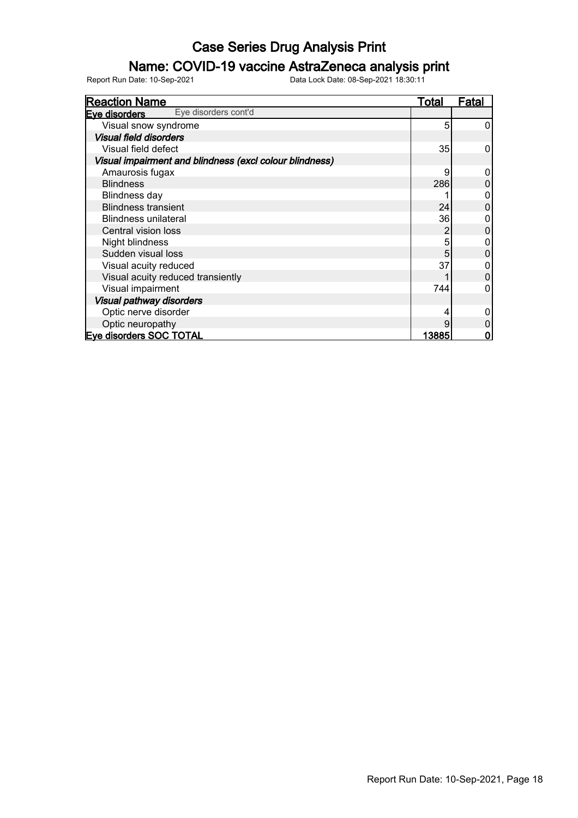### Name: COVID-19 vaccine AstraZeneca analysis print

| <b>Reaction Name</b>                                    | <b>Total</b> | <b>Fatal</b> |
|---------------------------------------------------------|--------------|--------------|
| Eye disorders cont'd<br>Eye disorders                   |              |              |
| Visual snow syndrome                                    | 5            | 0            |
| <b>Visual field disorders</b>                           |              |              |
| Visual field defect                                     | 35           | 0            |
| Visual impairment and blindness (excl colour blindness) |              |              |
| Amaurosis fugax                                         | 9            |              |
| <b>Blindness</b>                                        | 286          |              |
| <b>Blindness day</b>                                    |              |              |
| <b>Blindness transient</b>                              | 24           | 0            |
| <b>Blindness unilateral</b>                             | 36           |              |
| Central vision loss                                     | 2            | 0            |
| Night blindness                                         | 5            |              |
| Sudden visual loss                                      | 5            |              |
| Visual acuity reduced                                   | 37           |              |
| Visual acuity reduced transiently                       |              | 0            |
| Visual impairment                                       | 744          |              |
| Visual pathway disorders                                |              |              |
| Optic nerve disorder                                    | 4            |              |
| Optic neuropathy                                        | g            |              |
| Eye disorders SOC TOTAL                                 | 13885        |              |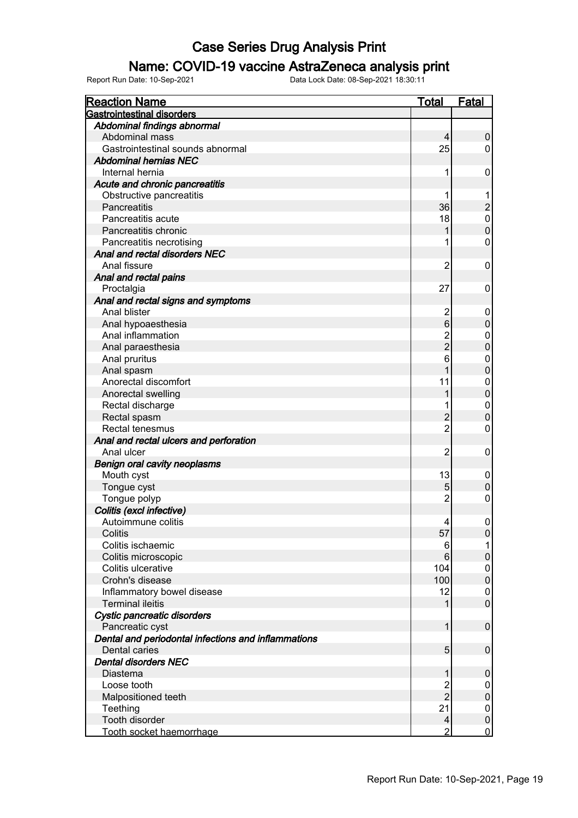### Name: COVID-19 vaccine AstraZeneca analysis print

| <b>Reaction Name</b>                                                 | Total          | <b>Fatal</b>     |
|----------------------------------------------------------------------|----------------|------------------|
| <b>Gastrointestinal disorders</b>                                    |                |                  |
| Abdominal findings abnormal                                          |                |                  |
| Abdominal mass                                                       | 4              | 0                |
| Gastrointestinal sounds abnormal                                     | 25             | 0                |
| <b>Abdominal hernias NEC</b>                                         |                |                  |
| Internal hernia                                                      | 1              | 0                |
| Acute and chronic pancreatitis                                       |                |                  |
| Obstructive pancreatitis                                             |                |                  |
| Pancreatitis                                                         | 36             | $\overline{c}$   |
| Pancreatitis acute                                                   | 18             | 0                |
| Pancreatitis chronic                                                 |                | $\pmb{0}$        |
| Pancreatitis necrotising                                             |                | 0                |
| Anal and rectal disorders NEC                                        |                |                  |
| Anal fissure                                                         | 2              | 0                |
| Anal and rectal pains                                                |                |                  |
| Proctalgia                                                           | 27             | 0                |
| Anal and rectal signs and symptoms                                   |                |                  |
| Anal blister                                                         | $\overline{2}$ | 0                |
| Anal hypoaesthesia                                                   | $\,6$          | $\boldsymbol{0}$ |
| Anal inflammation                                                    |                | 0                |
| Anal paraesthesia                                                    | $\frac{2}{2}$  | $\mathbf 0$      |
| Anal pruritus                                                        | 6              | 0                |
| Anal spasm                                                           |                | $\pmb{0}$        |
| Anorectal discomfort                                                 | 11             | 0                |
| Anorectal swelling                                                   |                | $\boldsymbol{0}$ |
| Rectal discharge                                                     |                | $\mathbf 0$      |
| Rectal spasm                                                         | $\overline{c}$ | $\boldsymbol{0}$ |
| Rectal tenesmus                                                      | $\overline{c}$ | 0                |
| Anal and rectal ulcers and perforation                               |                |                  |
| Anal ulcer                                                           | $\overline{2}$ | $\mathbf 0$      |
| <b>Benign oral cavity neoplasms</b>                                  |                |                  |
| Mouth cyst                                                           | 13             | 0                |
| Tongue cyst                                                          | 5              | $\mathbf 0$      |
| Tongue polyp                                                         | $\overline{c}$ | 0                |
| Colitis (excl infective)                                             |                |                  |
| Autoimmune colitis                                                   | 4              | 0                |
| Colitis                                                              | 57             | $\boldsymbol{0}$ |
| Colitis ischaemic                                                    | 6              |                  |
| Colitis microscopic                                                  | 6              | $\mathbf 0$      |
| Colitis ulcerative                                                   | 104            | 0                |
| Crohn's disease                                                      | 100            | $\mathbf 0$      |
| Inflammatory bowel disease                                           | 12             | 0                |
| <b>Terminal ileitis</b>                                              |                | $\mathbf 0$      |
| Cystic pancreatic disorders                                          |                |                  |
| Pancreatic cyst                                                      | 1              | $\pmb{0}$        |
| Dental and periodontal infections and inflammations<br>Dental caries | 5              | $\boldsymbol{0}$ |
| <b>Dental disorders NEC</b>                                          |                |                  |
| Diastema                                                             | 1              | $\boldsymbol{0}$ |
| Loose tooth                                                          | $\overline{c}$ | 0                |
| Malpositioned teeth                                                  | $\overline{2}$ | $\boldsymbol{0}$ |
| Teething                                                             | 21             | 0                |
| Tooth disorder                                                       | 4              | $\pmb{0}$        |
| Tooth socket haemorrhage                                             | $\overline{2}$ | $\overline{0}$   |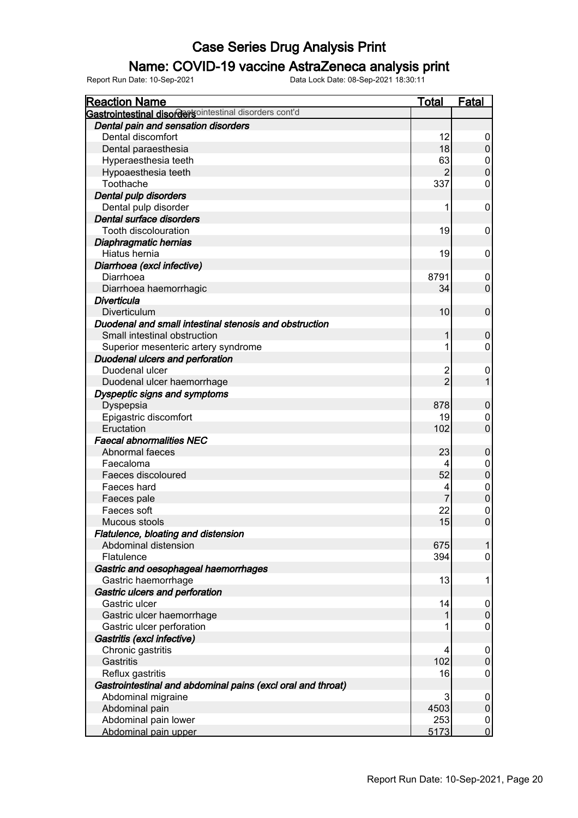### Name: COVID-19 vaccine AstraZeneca analysis print

| <b>Reaction Name</b>                                        | Total          | Fatal            |
|-------------------------------------------------------------|----------------|------------------|
| Gastrointestinal disordertsointestinal disorders cont'd     |                |                  |
| Dental pain and sensation disorders                         |                |                  |
| Dental discomfort                                           | 12             | 0                |
| Dental paraesthesia                                         | 18             | $\mathbf 0$      |
| Hyperaesthesia teeth                                        | 63             | 0                |
| Hypoaesthesia teeth                                         | $\overline{2}$ | $\overline{0}$   |
| Toothache                                                   | 337            | $\mathbf 0$      |
| Dental pulp disorders                                       |                |                  |
| Dental pulp disorder                                        | 1              | 0                |
| Dental surface disorders                                    |                |                  |
| <b>Tooth discolouration</b>                                 | 19             | 0                |
| Diaphragmatic hernias                                       |                |                  |
| Hiatus hernia                                               | 19             | 0                |
| Diarrhoea (excl infective)                                  |                |                  |
| Diarrhoea                                                   | 8791           | 0                |
| Diarrhoea haemorrhagic                                      | 34             | $\mathbf 0$      |
| <b>Diverticula</b>                                          |                |                  |
| Diverticulum                                                | 10             | $\mathbf 0$      |
| Duodenal and small intestinal stenosis and obstruction      |                |                  |
| Small intestinal obstruction                                | 1              | $\mathbf 0$      |
| Superior mesenteric artery syndrome                         | 1              | $\pmb{0}$        |
| Duodenal ulcers and perforation                             |                |                  |
| Duodenal ulcer                                              | $\overline{2}$ | $\mathbf 0$      |
| Duodenal ulcer haemorrhage                                  | $\overline{2}$ | $\mathbf{1}$     |
| Dyspeptic signs and symptoms                                |                |                  |
| Dyspepsia                                                   | 878            | $\mathbf 0$      |
| Epigastric discomfort                                       | 19             | 0                |
| Eructation                                                  | 102            | $\mathbf 0$      |
| <b>Faecal abnormalities NEC</b>                             |                |                  |
| Abnormal faeces                                             | 23             | $\mathbf 0$      |
| Faecaloma                                                   | 4              | $\boldsymbol{0}$ |
| Faeces discoloured                                          | 52             | $\boldsymbol{0}$ |
| Faeces hard                                                 | 4              | $\mathbf 0$      |
| Faeces pale                                                 | $\overline{7}$ | $\pmb{0}$        |
| Faeces soft                                                 | 22             | $\mathbf{0}$     |
| Mucous stools                                               | 15             | $\mathbf 0$      |
| Flatulence, bloating and distension                         |                |                  |
| Abdominal distension                                        | 675            | $\mathbf{1}$     |
| Flatulence                                                  | 394            | 0                |
| Gastric and oesophageal haemorrhages                        |                |                  |
| Gastric haemorrhage                                         | 13             | 1                |
| Gastric ulcers and perforation                              |                |                  |
| Gastric ulcer                                               | 14             | 0                |
| Gastric ulcer haemorrhage                                   |                | $\pmb{0}$        |
| Gastric ulcer perforation                                   | 1              | $\pmb{0}$        |
| Gastritis (excl infective)                                  |                |                  |
| Chronic gastritis                                           | 4              | 0                |
| Gastritis                                                   | 102            | $\boldsymbol{0}$ |
| Reflux gastritis                                            | 16             | $\pmb{0}$        |
| Gastrointestinal and abdominal pains (excl oral and throat) |                |                  |
| Abdominal migraine                                          | 3              | 0                |
| Abdominal pain                                              | 4503           | $\pmb{0}$        |
| Abdominal pain lower                                        | 253            | $\boldsymbol{0}$ |
| Abdominal pain upper                                        | 5173           | $\overline{0}$   |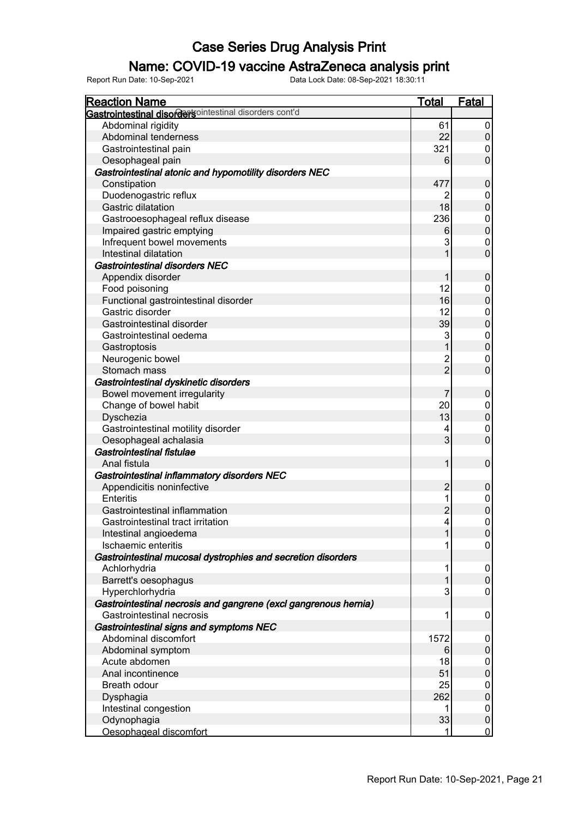### Name: COVID-19 vaccine AstraZeneca analysis print

| <b>Reaction Name</b>                                            | Total          | <b>Fatal</b>   |
|-----------------------------------------------------------------|----------------|----------------|
| <b>Gastrointestinal disordersointestinal disorders cont'd</b>   |                |                |
| Abdominal rigidity                                              | 61             | 0              |
| Abdominal tenderness                                            | 22             | $\pmb{0}$      |
| Gastrointestinal pain                                           | 321            | 0              |
| Oesophageal pain                                                | 6              | $\mathbf 0$    |
| Gastrointestinal atonic and hypomotility disorders NEC          |                |                |
| Constipation                                                    | 477            | $\pmb{0}$      |
| Duodenogastric reflux                                           | 2              | 0              |
| <b>Gastric dilatation</b>                                       | 18             | $\mathbf 0$    |
| Gastrooesophageal reflux disease                                | 236            | 0              |
| Impaired gastric emptying                                       | 6              | $\mathbf 0$    |
| Infrequent bowel movements                                      | 3              | 0              |
| Intestinal dilatation                                           |                | $\mathbf 0$    |
| <b>Gastrointestinal disorders NEC</b>                           |                |                |
| Appendix disorder                                               |                | $\pmb{0}$      |
| Food poisoning                                                  | 12             | 0              |
| Functional gastrointestinal disorder                            | 16             | $\mathbf 0$    |
| Gastric disorder                                                | 12             | 0              |
| Gastrointestinal disorder                                       | 39             | $\mathbf 0$    |
| Gastrointestinal oedema                                         | 3              | 0              |
| Gastroptosis                                                    |                | $\pmb{0}$      |
| Neurogenic bowel                                                | 2              | 0              |
| Stomach mass                                                    | $\overline{2}$ | $\mathbf 0$    |
| Gastrointestinal dyskinetic disorders                           |                |                |
| Bowel movement irregularity                                     | 7              | $\pmb{0}$      |
| Change of bowel habit                                           | 20             | 0              |
| Dyschezia                                                       | 13             | $\pmb{0}$      |
| Gastrointestinal motility disorder                              | 4              | 0              |
| Oesophageal achalasia                                           | 3              | $\mathbf 0$    |
| Gastrointestinal fistulae                                       |                |                |
| Anal fistula                                                    | 1              | $\pmb{0}$      |
| Gastrointestinal inflammatory disorders NEC                     |                |                |
| Appendicitis noninfective                                       | $\overline{2}$ | $\pmb{0}$      |
| <b>Enteritis</b>                                                |                | 0              |
| Gastrointestinal inflammation                                   | $\overline{c}$ | $\overline{0}$ |
| Gastrointestinal tract irritation                               | 4              | 0              |
| Intestinal angioedema                                           | 1              | $\overline{0}$ |
| Ischaemic enteritis                                             |                | $\overline{0}$ |
| Gastrointestinal mucosal dystrophies and secretion disorders    |                |                |
| Achlorhydria                                                    | 1              | 0              |
| Barrett's oesophagus                                            |                | $\mathbf 0$    |
| Hyperchlorhydria                                                | 3              | 0              |
| Gastrointestinal necrosis and gangrene (excl gangrenous hernia) |                |                |
| Gastrointestinal necrosis                                       | 1              | 0              |
| Gastrointestinal signs and symptoms NEC                         |                |                |
| Abdominal discomfort                                            | 1572           | 0              |
| Abdominal symptom                                               | 6              | $\mathbf 0$    |
| Acute abdomen                                                   | 18             | 0              |
| Anal incontinence                                               | 51             | $\mathbf 0$    |
| Breath odour                                                    | 25             | 0              |
|                                                                 | 262            | $\mathbf 0$    |
| Dysphagia                                                       | 1              |                |
| Intestinal congestion<br>Odynophagia                            | 33             | 0<br>$\pmb{0}$ |
| Oesophageal discomfort                                          |                | $\overline{0}$ |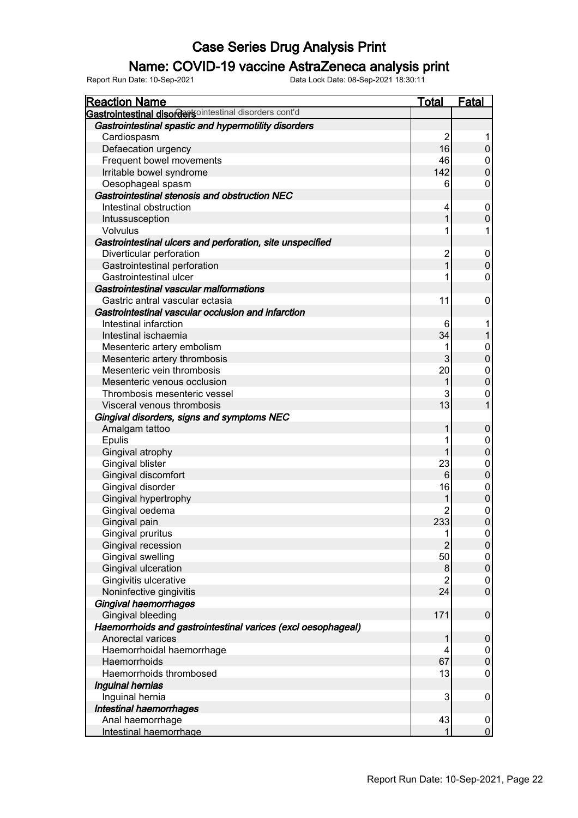### Name: COVID-19 vaccine AstraZeneca analysis print

| <b>Reaction Name</b>                                         | <b>Total</b>   | <b>Fatal</b>     |
|--------------------------------------------------------------|----------------|------------------|
| Gastrointestinal disordertsointestinal disorders cont'd      |                |                  |
| Gastrointestinal spastic and hypermotility disorders         |                |                  |
| Cardiospasm                                                  | 2              |                  |
| Defaecation urgency                                          | 16             | $\pmb{0}$        |
| Frequent bowel movements                                     | 46             | 0                |
| Irritable bowel syndrome                                     | 142            | $\pmb{0}$        |
| Oesophageal spasm                                            | 6              | 0                |
| Gastrointestinal stenosis and obstruction NEC                |                |                  |
| Intestinal obstruction                                       | 4              | 0                |
| Intussusception                                              | 1              | $\pmb{0}$        |
| <b>Volvulus</b>                                              |                | 1                |
| Gastrointestinal ulcers and perforation, site unspecified    |                |                  |
| Diverticular perforation                                     | $\overline{c}$ | 0                |
| Gastrointestinal perforation                                 |                | $\mathsf 0$      |
| Gastrointestinal ulcer                                       |                | 0                |
| Gastrointestinal vascular malformations                      |                |                  |
| Gastric antral vascular ectasia                              | 11             | 0                |
| Gastrointestinal vascular occlusion and infarction           |                |                  |
| Intestinal infarction                                        | 6              |                  |
| Intestinal ischaemia                                         | 34             | $\mathbf{1}$     |
| Mesenteric artery embolism                                   |                | 0                |
| Mesenteric artery thrombosis                                 | 3              | $\mathbf 0$      |
| Mesenteric vein thrombosis                                   | 20             | 0                |
| Mesenteric venous occlusion                                  |                | $\pmb{0}$        |
| Thrombosis mesenteric vessel                                 | 3              | 0                |
| Visceral venous thrombosis                                   | 13             | $\mathbf{1}$     |
| Gingival disorders, signs and symptoms NEC                   |                |                  |
| Amalgam tattoo                                               | 1              | 0                |
| <b>Epulis</b>                                                |                | 0                |
| Gingival atrophy                                             |                | $\boldsymbol{0}$ |
| Gingival blister                                             | 23             | 0                |
| Gingival discomfort                                          | $\,6$          | $\pmb{0}$        |
| Gingival disorder                                            | 16             | 0                |
| Gingival hypertrophy                                         |                | $\pmb{0}$        |
| Gingival oedema                                              | 2              | 0                |
| Gingival pain                                                | 233            | $\mathbf 0$      |
| Gingival pruritus                                            | 1              | $\overline{0}$   |
| Gingival recession                                           | $\overline{2}$ | $\pmb{0}$        |
| Gingival swelling                                            | 50             | $\pmb{0}$        |
| Gingival ulceration                                          | 8              | $\pmb{0}$        |
| Gingivitis ulcerative                                        | $\overline{2}$ | 0                |
| Noninfective gingivitis                                      | 24             | $\mathsf 0$      |
| <b>Gingival haemorrhages</b>                                 |                |                  |
| <b>Gingival bleeding</b>                                     | 171            | $\pmb{0}$        |
| Haemorrhoids and gastrointestinal varices (excl oesophageal) |                |                  |
| Anorectal varices                                            | 1              | $\pmb{0}$        |
| Haemorrhoidal haemorrhage                                    | 4              | 0                |
| Haemorrhoids                                                 | 67             | $\boldsymbol{0}$ |
| Haemorrhoids thrombosed                                      | 13             | 0                |
| Inguinal hernias                                             |                |                  |
| Inguinal hernia                                              | 3              | 0                |
| Intestinal haemorrhages                                      |                |                  |
| Anal haemorrhage                                             | 43             | 0                |
| Intestinal haemorrhage                                       |                | $\overline{0}$   |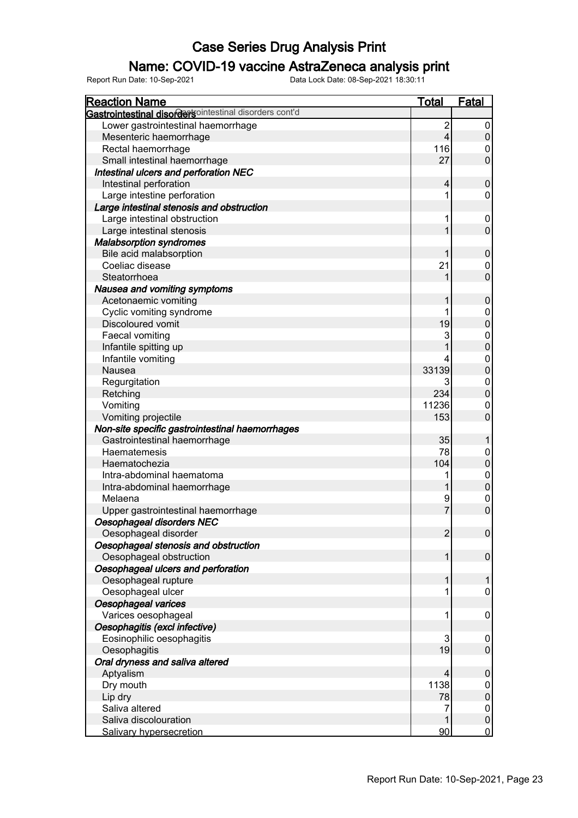### Name: COVID-19 vaccine AstraZeneca analysis print

| <b>Reaction Name</b>                                          | <b>Total</b>            | <b>Fatal</b>        |
|---------------------------------------------------------------|-------------------------|---------------------|
| <b>Gastrointestinal disordersointestinal disorders cont'd</b> |                         |                     |
| Lower gastrointestinal haemorrhage                            | $\overline{\mathbf{c}}$ | 0                   |
| Mesenteric haemorrhage                                        | $\overline{4}$          | $\mathbf 0$         |
| Rectal haemorrhage                                            | 116                     | 0                   |
| Small intestinal haemorrhage                                  | 27                      | $\overline{0}$      |
| Intestinal ulcers and perforation NEC                         |                         |                     |
| Intestinal perforation                                        | 4                       | $\pmb{0}$           |
| Large intestine perforation                                   |                         | 0                   |
| Large intestinal stenosis and obstruction                     |                         |                     |
| Large intestinal obstruction                                  |                         | 0                   |
| Large intestinal stenosis                                     |                         | $\mathbf 0$         |
| <b>Malabsorption syndromes</b>                                |                         |                     |
| Bile acid malabsorption                                       |                         | $\pmb{0}$           |
| Coeliac disease                                               | 21                      | 0                   |
| Steatorrhoea                                                  |                         | $\overline{0}$      |
| Nausea and vomiting symptoms                                  |                         |                     |
| Acetonaemic vomiting                                          |                         | $\pmb{0}$           |
| Cyclic vomiting syndrome                                      |                         | 0                   |
| <b>Discoloured vomit</b>                                      | 19                      | $\pmb{0}$           |
| Faecal vomiting                                               | 3                       | $\boldsymbol{0}$    |
| Infantile spitting up                                         |                         | $\pmb{0}$           |
| Infantile vomiting                                            |                         | 0                   |
| <b>Nausea</b>                                                 | 33139                   | $\pmb{0}$           |
| Regurgitation                                                 | 3                       | 0                   |
| Retching                                                      | 234                     | $\boldsymbol{0}$    |
| Vomiting                                                      | 11236                   | 0                   |
| Vomiting projectile                                           | 153                     | $\overline{0}$      |
| Non-site specific gastrointestinal haemorrhages               |                         |                     |
| Gastrointestinal haemorrhage                                  | 35                      |                     |
| Haematemesis                                                  | 78                      | 0                   |
| Haematochezia                                                 | 104                     | $\boldsymbol{0}$    |
| Intra-abdominal haematoma                                     |                         | $\boldsymbol{0}$    |
| Intra-abdominal haemorrhage                                   |                         | $\boldsymbol{0}$    |
| Melaena                                                       | 9                       | $\mathbf 0$         |
| Upper gastrointestinal haemorrhage                            | 7                       | $\overline{0}$      |
| Oesophageal disorders NEC                                     |                         |                     |
| Oesophageal disorder                                          | $\overline{2}$          | $\boldsymbol{0}$    |
| Oesophageal stenosis and obstruction                          |                         |                     |
| Oesophageal obstruction                                       |                         | 0                   |
| Oesophageal ulcers and perforation                            |                         |                     |
| Oesophageal rupture                                           |                         |                     |
| Oesophageal ulcer                                             |                         | 0                   |
| Oesophageal varices                                           |                         |                     |
| Varices oesophageal                                           |                         | 0                   |
| Oesophagitis (excl infective)                                 |                         |                     |
| Eosinophilic oesophagitis                                     | 3                       |                     |
| Oesophagitis                                                  | 19                      | 0<br>$\overline{0}$ |
|                                                               |                         |                     |
| Oral dryness and saliva altered                               | 4                       |                     |
| Aptyalism                                                     |                         | $\pmb{0}$           |
| Dry mouth                                                     | 1138                    | 0                   |
| Lip dry                                                       | 78                      | $\mathbf 0$         |
| Saliva altered                                                | 7                       | 0                   |
| Saliva discolouration                                         |                         | $\pmb{0}$           |
| <b>Salivary hypersecretion</b>                                | 90                      | $\overline{0}$      |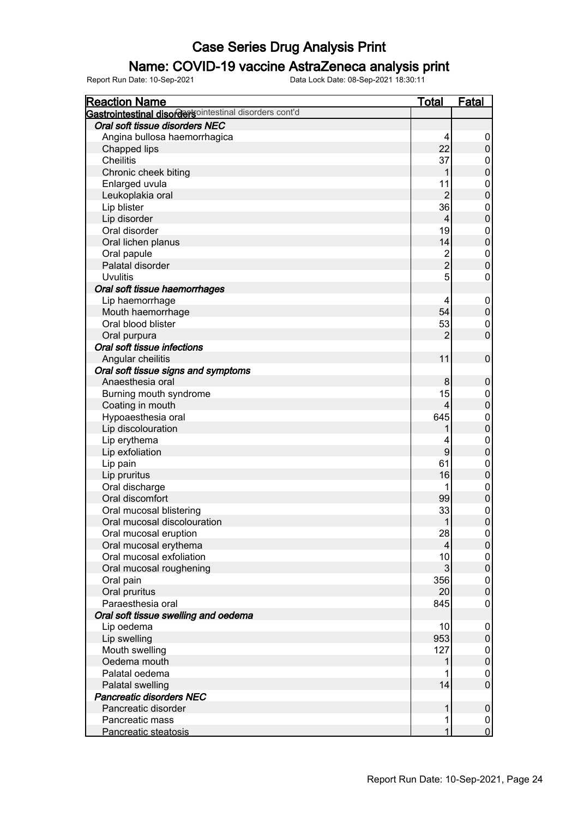### Name: COVID-19 vaccine AstraZeneca analysis print

| <u>Reaction Name</u>                                    | <u>Total</u>   | <b>Fatal</b>     |
|---------------------------------------------------------|----------------|------------------|
| Gastrointestinal disordertsointestinal disorders cont'd |                |                  |
| Oral soft tissue disorders NEC                          |                |                  |
| Angina bullosa haemorrhagica                            | 4              | 0                |
| Chapped lips                                            | 22             | $\pmb{0}$        |
| <b>Cheilitis</b>                                        | 37             | 0                |
| Chronic cheek biting                                    |                | $\mathbf 0$      |
| Enlarged uvula                                          | 11             | $\boldsymbol{0}$ |
| Leukoplakia oral                                        | $\overline{2}$ | $\overline{0}$   |
| Lip blister                                             | 36             | $\boldsymbol{0}$ |
| Lip disorder                                            | 4              | $\mathbf 0$      |
| Oral disorder                                           | 19             | $\boldsymbol{0}$ |
| Oral lichen planus                                      | 14             | $\mathbf 0$      |
| Oral papule                                             | $\overline{c}$ | $\boldsymbol{0}$ |
| Palatal disorder                                        | $\overline{c}$ | $\mathbf 0$      |
| <b>Uvulitis</b>                                         | 5              | 0                |
| Oral soft tissue haemorrhages                           |                |                  |
| Lip haemorrhage                                         | 4              | $\boldsymbol{0}$ |
| Mouth haemorrhage                                       | 54             | $\pmb{0}$        |
| Oral blood blister                                      | 53             | $\boldsymbol{0}$ |
| Oral purpura                                            | 2              | $\overline{0}$   |
| Oral soft tissue infections                             |                |                  |
| Angular cheilitis                                       | 11             | $\pmb{0}$        |
| Oral soft tissue signs and symptoms                     |                |                  |
| Anaesthesia oral                                        | 8              | $\pmb{0}$        |
| Burning mouth syndrome                                  | 15             | 0                |
| Coating in mouth                                        | 4              | $\pmb{0}$        |
| Hypoaesthesia oral                                      | 645            | $\boldsymbol{0}$ |
| Lip discolouration                                      |                | $\overline{0}$   |
| Lip erythema                                            | 4              | $\boldsymbol{0}$ |
| Lip exfoliation                                         | 9              | $\mathbf 0$      |
| Lip pain                                                | 61             | $\boldsymbol{0}$ |
| Lip pruritus                                            | 16             | $\pmb{0}$        |
| Oral discharge                                          |                | $\boldsymbol{0}$ |
| Oral discomfort                                         | 99             | $\overline{0}$   |
| Oral mucosal blistering                                 | 33             | $\mathbf 0$      |
| Oral mucosal discolouration                             | 1              | $\overline{0}$   |
| Oral mucosal eruption                                   | 28             | $\vert 0 \vert$  |
| Oral mucosal erythema                                   | $\overline{4}$ | $\boldsymbol{0}$ |
| Oral mucosal exfoliation                                | 10             | 0                |
| Oral mucosal roughening                                 | 3              | $\mathbf 0$      |
| Oral pain                                               | 356            | 0                |
| Oral pruritus                                           | 20             | $\mathbf 0$      |
| Paraesthesia oral                                       | 845            | 0                |
| Oral soft tissue swelling and oedema                    |                |                  |
| Lip oedema                                              | 10             | $\mathbf 0$      |
| Lip swelling                                            | 953            | 0                |
| Mouth swelling                                          | 127            | 0                |
| Oedema mouth                                            |                | $\pmb{0}$        |
| Palatal oedema                                          |                | 0                |
| Palatal swelling                                        | 14             | $\mathbf 0$      |
| <b>Pancreatic disorders NEC</b>                         |                |                  |
| Pancreatic disorder                                     |                | $\boldsymbol{0}$ |
| Pancreatic mass                                         | 1              | $\boldsymbol{0}$ |
| Pancreatic steatosis                                    | 1              | $\overline{0}$   |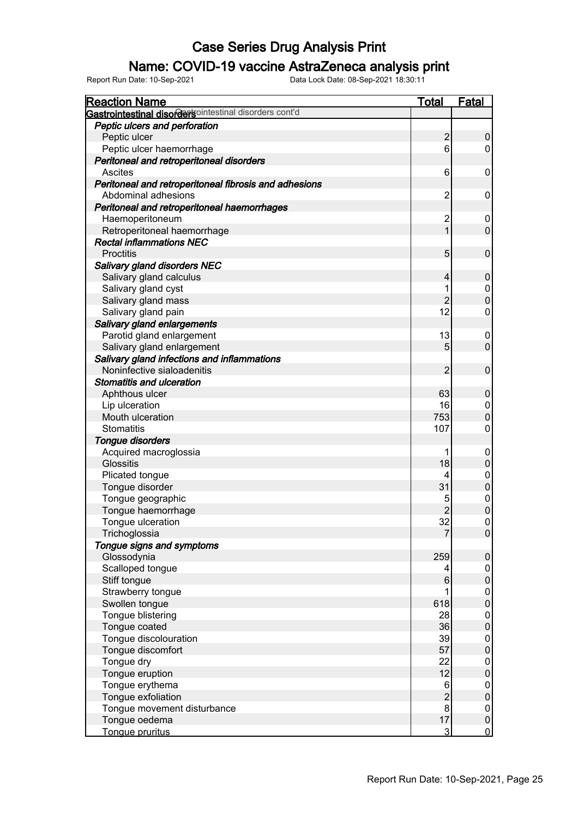### Name: COVID-19 vaccine AstraZeneca analysis print

| <b>Gastrointestinal disorders</b> ointestinal disorders cont'd<br>Peptic ulcers and perforation<br>$\overline{2}$<br>Peptic ulcer<br>0<br>Peptic ulcer haemorrhage<br>6<br>0<br>Peritoneal and retroperitoneal disorders<br>Ascites<br>6<br>0<br>Peritoneal and retroperitoneal fibrosis and adhesions<br>$\overline{2}$<br>Abdominal adhesions<br>0<br>Peritoneal and retroperitoneal haemorrhages<br>$\overline{c}$<br>Haemoperitoneum<br>0<br>$\mathbf 0$<br>Retroperitoneal haemorrhage<br>1<br><b>Rectal inflammations NEC</b><br><b>Proctitis</b><br>5<br>$\mathbf 0$<br>Salivary gland disorders NEC<br>Salivary gland calculus<br>4<br>$\pmb{0}$<br>Salivary gland cyst<br>0<br>$\mathbf 0$<br>$\overline{2}$<br>Salivary gland mass<br>12<br>Salivary gland pain<br>0<br>Salivary gland enlargements<br>13<br>Parotid gland enlargement<br>0<br>$\mathbf 0$<br>5<br>Salivary gland enlargement<br>Salivary gland infections and inflammations<br>Noninfective sialoadenitis<br>$\overline{2}$<br>$\mathbf 0$<br>Stomatitis and ulceration<br>63<br>$\pmb{0}$<br>Aphthous ulcer<br>Lip ulceration<br>16<br>0<br>$\mathsf 0$<br>753<br>Mouth ulceration<br>107<br>0<br><b>Stomatitis</b><br><b>Tongue disorders</b><br>Acquired macroglossia<br>0<br>$\pmb{0}$<br>18<br><b>Glossitis</b><br>Plicated tongue<br>0<br>4<br>$\pmb{0}$<br>31<br>Tongue disorder<br>Tongue geographic<br>$\pmb{0}$<br>5<br>$\overline{0}$<br>$\overline{2}$<br>Tongue haemorrhage<br>32<br>Tongue ulceration<br>0<br>Trichoglossia<br>$\boldsymbol{0}$<br>7<br>Tongue signs and symptoms<br>Glossodynia<br>259<br>$\pmb{0}$<br>Scalloped tongue<br>0<br>4<br>$\pmb{0}$<br>Stiff tongue<br>$6\phantom{1}6$<br>Strawberry tongue<br>0<br>$\boldsymbol{0}$<br>Swollen tongue<br>618<br>Tongue blistering<br>28<br>0<br>36<br>$\boldsymbol{0}$<br>Tongue coated<br>Tongue discolouration<br>39<br>0<br>57<br>$\boldsymbol{0}$<br>Tongue discomfort<br>Tongue dry<br>22<br>0<br>12<br>$\boldsymbol{0}$<br>Tongue eruption<br>Tongue erythema<br>6<br>0<br>$\overline{c}$<br>$\pmb{0}$<br>Tongue exfoliation<br>8<br>Tongue movement disturbance<br>0<br>17<br>Tongue oedema<br>$\pmb{0}$ | <b>Reaction Name</b> | <b>Total</b>   | <b>Fatal</b>   |
|-----------------------------------------------------------------------------------------------------------------------------------------------------------------------------------------------------------------------------------------------------------------------------------------------------------------------------------------------------------------------------------------------------------------------------------------------------------------------------------------------------------------------------------------------------------------------------------------------------------------------------------------------------------------------------------------------------------------------------------------------------------------------------------------------------------------------------------------------------------------------------------------------------------------------------------------------------------------------------------------------------------------------------------------------------------------------------------------------------------------------------------------------------------------------------------------------------------------------------------------------------------------------------------------------------------------------------------------------------------------------------------------------------------------------------------------------------------------------------------------------------------------------------------------------------------------------------------------------------------------------------------------------------------------------------------------------------------------------------------------------------------------------------------------------------------------------------------------------------------------------------------------------------------------------------------------------------------------------------------------------------------------------------------------------------------------------------------------------------------------------------------------------------------------------|----------------------|----------------|----------------|
|                                                                                                                                                                                                                                                                                                                                                                                                                                                                                                                                                                                                                                                                                                                                                                                                                                                                                                                                                                                                                                                                                                                                                                                                                                                                                                                                                                                                                                                                                                                                                                                                                                                                                                                                                                                                                                                                                                                                                                                                                                                                                                                                                                       |                      |                |                |
|                                                                                                                                                                                                                                                                                                                                                                                                                                                                                                                                                                                                                                                                                                                                                                                                                                                                                                                                                                                                                                                                                                                                                                                                                                                                                                                                                                                                                                                                                                                                                                                                                                                                                                                                                                                                                                                                                                                                                                                                                                                                                                                                                                       |                      |                |                |
|                                                                                                                                                                                                                                                                                                                                                                                                                                                                                                                                                                                                                                                                                                                                                                                                                                                                                                                                                                                                                                                                                                                                                                                                                                                                                                                                                                                                                                                                                                                                                                                                                                                                                                                                                                                                                                                                                                                                                                                                                                                                                                                                                                       |                      |                |                |
|                                                                                                                                                                                                                                                                                                                                                                                                                                                                                                                                                                                                                                                                                                                                                                                                                                                                                                                                                                                                                                                                                                                                                                                                                                                                                                                                                                                                                                                                                                                                                                                                                                                                                                                                                                                                                                                                                                                                                                                                                                                                                                                                                                       |                      |                |                |
|                                                                                                                                                                                                                                                                                                                                                                                                                                                                                                                                                                                                                                                                                                                                                                                                                                                                                                                                                                                                                                                                                                                                                                                                                                                                                                                                                                                                                                                                                                                                                                                                                                                                                                                                                                                                                                                                                                                                                                                                                                                                                                                                                                       |                      |                |                |
|                                                                                                                                                                                                                                                                                                                                                                                                                                                                                                                                                                                                                                                                                                                                                                                                                                                                                                                                                                                                                                                                                                                                                                                                                                                                                                                                                                                                                                                                                                                                                                                                                                                                                                                                                                                                                                                                                                                                                                                                                                                                                                                                                                       |                      |                |                |
|                                                                                                                                                                                                                                                                                                                                                                                                                                                                                                                                                                                                                                                                                                                                                                                                                                                                                                                                                                                                                                                                                                                                                                                                                                                                                                                                                                                                                                                                                                                                                                                                                                                                                                                                                                                                                                                                                                                                                                                                                                                                                                                                                                       |                      |                |                |
|                                                                                                                                                                                                                                                                                                                                                                                                                                                                                                                                                                                                                                                                                                                                                                                                                                                                                                                                                                                                                                                                                                                                                                                                                                                                                                                                                                                                                                                                                                                                                                                                                                                                                                                                                                                                                                                                                                                                                                                                                                                                                                                                                                       |                      |                |                |
|                                                                                                                                                                                                                                                                                                                                                                                                                                                                                                                                                                                                                                                                                                                                                                                                                                                                                                                                                                                                                                                                                                                                                                                                                                                                                                                                                                                                                                                                                                                                                                                                                                                                                                                                                                                                                                                                                                                                                                                                                                                                                                                                                                       |                      |                |                |
|                                                                                                                                                                                                                                                                                                                                                                                                                                                                                                                                                                                                                                                                                                                                                                                                                                                                                                                                                                                                                                                                                                                                                                                                                                                                                                                                                                                                                                                                                                                                                                                                                                                                                                                                                                                                                                                                                                                                                                                                                                                                                                                                                                       |                      |                |                |
|                                                                                                                                                                                                                                                                                                                                                                                                                                                                                                                                                                                                                                                                                                                                                                                                                                                                                                                                                                                                                                                                                                                                                                                                                                                                                                                                                                                                                                                                                                                                                                                                                                                                                                                                                                                                                                                                                                                                                                                                                                                                                                                                                                       |                      |                |                |
|                                                                                                                                                                                                                                                                                                                                                                                                                                                                                                                                                                                                                                                                                                                                                                                                                                                                                                                                                                                                                                                                                                                                                                                                                                                                                                                                                                                                                                                                                                                                                                                                                                                                                                                                                                                                                                                                                                                                                                                                                                                                                                                                                                       |                      |                |                |
|                                                                                                                                                                                                                                                                                                                                                                                                                                                                                                                                                                                                                                                                                                                                                                                                                                                                                                                                                                                                                                                                                                                                                                                                                                                                                                                                                                                                                                                                                                                                                                                                                                                                                                                                                                                                                                                                                                                                                                                                                                                                                                                                                                       |                      |                |                |
|                                                                                                                                                                                                                                                                                                                                                                                                                                                                                                                                                                                                                                                                                                                                                                                                                                                                                                                                                                                                                                                                                                                                                                                                                                                                                                                                                                                                                                                                                                                                                                                                                                                                                                                                                                                                                                                                                                                                                                                                                                                                                                                                                                       |                      |                |                |
|                                                                                                                                                                                                                                                                                                                                                                                                                                                                                                                                                                                                                                                                                                                                                                                                                                                                                                                                                                                                                                                                                                                                                                                                                                                                                                                                                                                                                                                                                                                                                                                                                                                                                                                                                                                                                                                                                                                                                                                                                                                                                                                                                                       |                      |                |                |
|                                                                                                                                                                                                                                                                                                                                                                                                                                                                                                                                                                                                                                                                                                                                                                                                                                                                                                                                                                                                                                                                                                                                                                                                                                                                                                                                                                                                                                                                                                                                                                                                                                                                                                                                                                                                                                                                                                                                                                                                                                                                                                                                                                       |                      |                |                |
|                                                                                                                                                                                                                                                                                                                                                                                                                                                                                                                                                                                                                                                                                                                                                                                                                                                                                                                                                                                                                                                                                                                                                                                                                                                                                                                                                                                                                                                                                                                                                                                                                                                                                                                                                                                                                                                                                                                                                                                                                                                                                                                                                                       |                      |                |                |
|                                                                                                                                                                                                                                                                                                                                                                                                                                                                                                                                                                                                                                                                                                                                                                                                                                                                                                                                                                                                                                                                                                                                                                                                                                                                                                                                                                                                                                                                                                                                                                                                                                                                                                                                                                                                                                                                                                                                                                                                                                                                                                                                                                       |                      |                |                |
|                                                                                                                                                                                                                                                                                                                                                                                                                                                                                                                                                                                                                                                                                                                                                                                                                                                                                                                                                                                                                                                                                                                                                                                                                                                                                                                                                                                                                                                                                                                                                                                                                                                                                                                                                                                                                                                                                                                                                                                                                                                                                                                                                                       |                      |                |                |
|                                                                                                                                                                                                                                                                                                                                                                                                                                                                                                                                                                                                                                                                                                                                                                                                                                                                                                                                                                                                                                                                                                                                                                                                                                                                                                                                                                                                                                                                                                                                                                                                                                                                                                                                                                                                                                                                                                                                                                                                                                                                                                                                                                       |                      |                |                |
|                                                                                                                                                                                                                                                                                                                                                                                                                                                                                                                                                                                                                                                                                                                                                                                                                                                                                                                                                                                                                                                                                                                                                                                                                                                                                                                                                                                                                                                                                                                                                                                                                                                                                                                                                                                                                                                                                                                                                                                                                                                                                                                                                                       |                      |                |                |
|                                                                                                                                                                                                                                                                                                                                                                                                                                                                                                                                                                                                                                                                                                                                                                                                                                                                                                                                                                                                                                                                                                                                                                                                                                                                                                                                                                                                                                                                                                                                                                                                                                                                                                                                                                                                                                                                                                                                                                                                                                                                                                                                                                       |                      |                |                |
|                                                                                                                                                                                                                                                                                                                                                                                                                                                                                                                                                                                                                                                                                                                                                                                                                                                                                                                                                                                                                                                                                                                                                                                                                                                                                                                                                                                                                                                                                                                                                                                                                                                                                                                                                                                                                                                                                                                                                                                                                                                                                                                                                                       |                      |                |                |
|                                                                                                                                                                                                                                                                                                                                                                                                                                                                                                                                                                                                                                                                                                                                                                                                                                                                                                                                                                                                                                                                                                                                                                                                                                                                                                                                                                                                                                                                                                                                                                                                                                                                                                                                                                                                                                                                                                                                                                                                                                                                                                                                                                       |                      |                |                |
|                                                                                                                                                                                                                                                                                                                                                                                                                                                                                                                                                                                                                                                                                                                                                                                                                                                                                                                                                                                                                                                                                                                                                                                                                                                                                                                                                                                                                                                                                                                                                                                                                                                                                                                                                                                                                                                                                                                                                                                                                                                                                                                                                                       |                      |                |                |
|                                                                                                                                                                                                                                                                                                                                                                                                                                                                                                                                                                                                                                                                                                                                                                                                                                                                                                                                                                                                                                                                                                                                                                                                                                                                                                                                                                                                                                                                                                                                                                                                                                                                                                                                                                                                                                                                                                                                                                                                                                                                                                                                                                       |                      |                |                |
|                                                                                                                                                                                                                                                                                                                                                                                                                                                                                                                                                                                                                                                                                                                                                                                                                                                                                                                                                                                                                                                                                                                                                                                                                                                                                                                                                                                                                                                                                                                                                                                                                                                                                                                                                                                                                                                                                                                                                                                                                                                                                                                                                                       |                      |                |                |
|                                                                                                                                                                                                                                                                                                                                                                                                                                                                                                                                                                                                                                                                                                                                                                                                                                                                                                                                                                                                                                                                                                                                                                                                                                                                                                                                                                                                                                                                                                                                                                                                                                                                                                                                                                                                                                                                                                                                                                                                                                                                                                                                                                       |                      |                |                |
|                                                                                                                                                                                                                                                                                                                                                                                                                                                                                                                                                                                                                                                                                                                                                                                                                                                                                                                                                                                                                                                                                                                                                                                                                                                                                                                                                                                                                                                                                                                                                                                                                                                                                                                                                                                                                                                                                                                                                                                                                                                                                                                                                                       |                      |                |                |
|                                                                                                                                                                                                                                                                                                                                                                                                                                                                                                                                                                                                                                                                                                                                                                                                                                                                                                                                                                                                                                                                                                                                                                                                                                                                                                                                                                                                                                                                                                                                                                                                                                                                                                                                                                                                                                                                                                                                                                                                                                                                                                                                                                       |                      |                |                |
|                                                                                                                                                                                                                                                                                                                                                                                                                                                                                                                                                                                                                                                                                                                                                                                                                                                                                                                                                                                                                                                                                                                                                                                                                                                                                                                                                                                                                                                                                                                                                                                                                                                                                                                                                                                                                                                                                                                                                                                                                                                                                                                                                                       |                      |                |                |
|                                                                                                                                                                                                                                                                                                                                                                                                                                                                                                                                                                                                                                                                                                                                                                                                                                                                                                                                                                                                                                                                                                                                                                                                                                                                                                                                                                                                                                                                                                                                                                                                                                                                                                                                                                                                                                                                                                                                                                                                                                                                                                                                                                       |                      |                |                |
|                                                                                                                                                                                                                                                                                                                                                                                                                                                                                                                                                                                                                                                                                                                                                                                                                                                                                                                                                                                                                                                                                                                                                                                                                                                                                                                                                                                                                                                                                                                                                                                                                                                                                                                                                                                                                                                                                                                                                                                                                                                                                                                                                                       |                      |                |                |
|                                                                                                                                                                                                                                                                                                                                                                                                                                                                                                                                                                                                                                                                                                                                                                                                                                                                                                                                                                                                                                                                                                                                                                                                                                                                                                                                                                                                                                                                                                                                                                                                                                                                                                                                                                                                                                                                                                                                                                                                                                                                                                                                                                       |                      |                |                |
|                                                                                                                                                                                                                                                                                                                                                                                                                                                                                                                                                                                                                                                                                                                                                                                                                                                                                                                                                                                                                                                                                                                                                                                                                                                                                                                                                                                                                                                                                                                                                                                                                                                                                                                                                                                                                                                                                                                                                                                                                                                                                                                                                                       |                      |                |                |
|                                                                                                                                                                                                                                                                                                                                                                                                                                                                                                                                                                                                                                                                                                                                                                                                                                                                                                                                                                                                                                                                                                                                                                                                                                                                                                                                                                                                                                                                                                                                                                                                                                                                                                                                                                                                                                                                                                                                                                                                                                                                                                                                                                       |                      |                |                |
|                                                                                                                                                                                                                                                                                                                                                                                                                                                                                                                                                                                                                                                                                                                                                                                                                                                                                                                                                                                                                                                                                                                                                                                                                                                                                                                                                                                                                                                                                                                                                                                                                                                                                                                                                                                                                                                                                                                                                                                                                                                                                                                                                                       |                      |                |                |
|                                                                                                                                                                                                                                                                                                                                                                                                                                                                                                                                                                                                                                                                                                                                                                                                                                                                                                                                                                                                                                                                                                                                                                                                                                                                                                                                                                                                                                                                                                                                                                                                                                                                                                                                                                                                                                                                                                                                                                                                                                                                                                                                                                       |                      |                |                |
|                                                                                                                                                                                                                                                                                                                                                                                                                                                                                                                                                                                                                                                                                                                                                                                                                                                                                                                                                                                                                                                                                                                                                                                                                                                                                                                                                                                                                                                                                                                                                                                                                                                                                                                                                                                                                                                                                                                                                                                                                                                                                                                                                                       |                      |                |                |
|                                                                                                                                                                                                                                                                                                                                                                                                                                                                                                                                                                                                                                                                                                                                                                                                                                                                                                                                                                                                                                                                                                                                                                                                                                                                                                                                                                                                                                                                                                                                                                                                                                                                                                                                                                                                                                                                                                                                                                                                                                                                                                                                                                       |                      |                |                |
|                                                                                                                                                                                                                                                                                                                                                                                                                                                                                                                                                                                                                                                                                                                                                                                                                                                                                                                                                                                                                                                                                                                                                                                                                                                                                                                                                                                                                                                                                                                                                                                                                                                                                                                                                                                                                                                                                                                                                                                                                                                                                                                                                                       |                      |                |                |
|                                                                                                                                                                                                                                                                                                                                                                                                                                                                                                                                                                                                                                                                                                                                                                                                                                                                                                                                                                                                                                                                                                                                                                                                                                                                                                                                                                                                                                                                                                                                                                                                                                                                                                                                                                                                                                                                                                                                                                                                                                                                                                                                                                       |                      |                |                |
|                                                                                                                                                                                                                                                                                                                                                                                                                                                                                                                                                                                                                                                                                                                                                                                                                                                                                                                                                                                                                                                                                                                                                                                                                                                                                                                                                                                                                                                                                                                                                                                                                                                                                                                                                                                                                                                                                                                                                                                                                                                                                                                                                                       |                      |                |                |
|                                                                                                                                                                                                                                                                                                                                                                                                                                                                                                                                                                                                                                                                                                                                                                                                                                                                                                                                                                                                                                                                                                                                                                                                                                                                                                                                                                                                                                                                                                                                                                                                                                                                                                                                                                                                                                                                                                                                                                                                                                                                                                                                                                       |                      |                |                |
|                                                                                                                                                                                                                                                                                                                                                                                                                                                                                                                                                                                                                                                                                                                                                                                                                                                                                                                                                                                                                                                                                                                                                                                                                                                                                                                                                                                                                                                                                                                                                                                                                                                                                                                                                                                                                                                                                                                                                                                                                                                                                                                                                                       |                      |                |                |
|                                                                                                                                                                                                                                                                                                                                                                                                                                                                                                                                                                                                                                                                                                                                                                                                                                                                                                                                                                                                                                                                                                                                                                                                                                                                                                                                                                                                                                                                                                                                                                                                                                                                                                                                                                                                                                                                                                                                                                                                                                                                                                                                                                       |                      |                |                |
|                                                                                                                                                                                                                                                                                                                                                                                                                                                                                                                                                                                                                                                                                                                                                                                                                                                                                                                                                                                                                                                                                                                                                                                                                                                                                                                                                                                                                                                                                                                                                                                                                                                                                                                                                                                                                                                                                                                                                                                                                                                                                                                                                                       |                      |                |                |
|                                                                                                                                                                                                                                                                                                                                                                                                                                                                                                                                                                                                                                                                                                                                                                                                                                                                                                                                                                                                                                                                                                                                                                                                                                                                                                                                                                                                                                                                                                                                                                                                                                                                                                                                                                                                                                                                                                                                                                                                                                                                                                                                                                       |                      |                |                |
|                                                                                                                                                                                                                                                                                                                                                                                                                                                                                                                                                                                                                                                                                                                                                                                                                                                                                                                                                                                                                                                                                                                                                                                                                                                                                                                                                                                                                                                                                                                                                                                                                                                                                                                                                                                                                                                                                                                                                                                                                                                                                                                                                                       |                      |                |                |
|                                                                                                                                                                                                                                                                                                                                                                                                                                                                                                                                                                                                                                                                                                                                                                                                                                                                                                                                                                                                                                                                                                                                                                                                                                                                                                                                                                                                                                                                                                                                                                                                                                                                                                                                                                                                                                                                                                                                                                                                                                                                                                                                                                       |                      |                |                |
|                                                                                                                                                                                                                                                                                                                                                                                                                                                                                                                                                                                                                                                                                                                                                                                                                                                                                                                                                                                                                                                                                                                                                                                                                                                                                                                                                                                                                                                                                                                                                                                                                                                                                                                                                                                                                                                                                                                                                                                                                                                                                                                                                                       |                      |                |                |
|                                                                                                                                                                                                                                                                                                                                                                                                                                                                                                                                                                                                                                                                                                                                                                                                                                                                                                                                                                                                                                                                                                                                                                                                                                                                                                                                                                                                                                                                                                                                                                                                                                                                                                                                                                                                                                                                                                                                                                                                                                                                                                                                                                       |                      |                |                |
|                                                                                                                                                                                                                                                                                                                                                                                                                                                                                                                                                                                                                                                                                                                                                                                                                                                                                                                                                                                                                                                                                                                                                                                                                                                                                                                                                                                                                                                                                                                                                                                                                                                                                                                                                                                                                                                                                                                                                                                                                                                                                                                                                                       | Tongue pruritus      | $\overline{3}$ | $\overline{0}$ |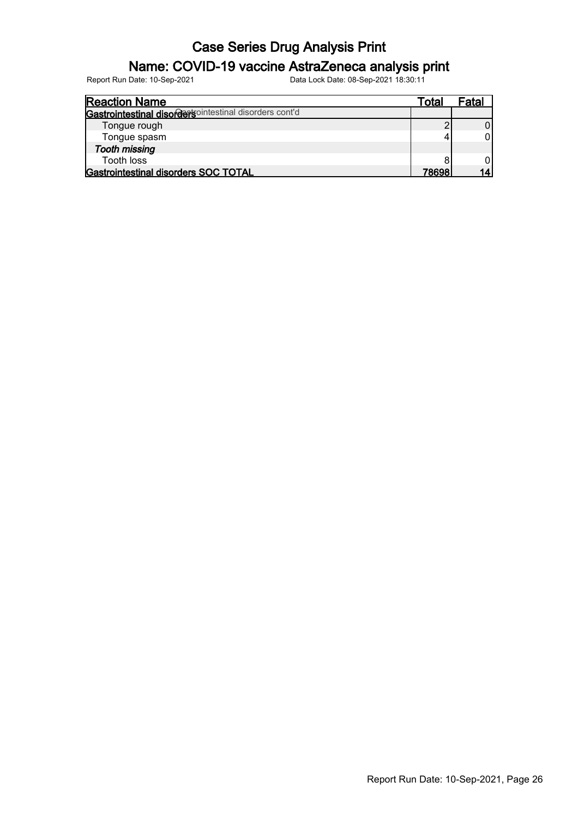### Name: COVID-19 vaccine AstraZeneca analysis print

| <b>Reaction Name</b>                                     | Total | Fatal |
|----------------------------------------------------------|-------|-------|
| Gastrointestinal disorder solitiestinal disorders cont'd |       |       |
| Tongue rough                                             |       |       |
| Tongue spasm                                             |       |       |
| <b>Tooth missing</b>                                     |       |       |
| Tooth loss                                               |       |       |
| Gastrointestinal disorders SOC TOTAL                     | 78698 |       |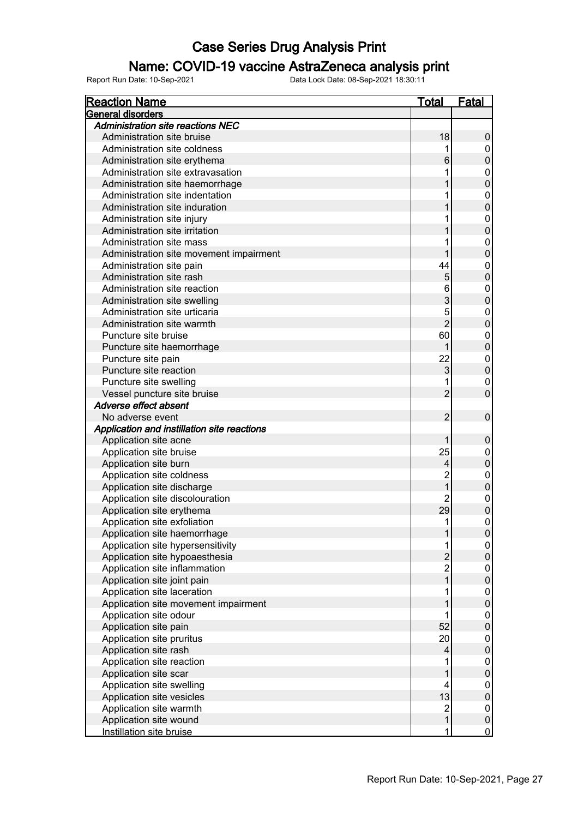### Name: COVID-19 vaccine AstraZeneca analysis print

| <b>Reaction Name</b>                        | <b>Total</b>            | <b>Fatal</b>     |
|---------------------------------------------|-------------------------|------------------|
| General disorders                           |                         |                  |
| Administration site reactions NEC           |                         |                  |
| Administration site bruise                  | 18                      | 0                |
| Administration site coldness                |                         | 0                |
| Administration site erythema                | 6                       | $\pmb{0}$        |
| Administration site extravasation           |                         | 0                |
| Administration site haemorrhage             |                         | $\overline{0}$   |
| Administration site indentation             |                         | $\boldsymbol{0}$ |
| Administration site induration              |                         | $\overline{0}$   |
| Administration site injury                  |                         | $\boldsymbol{0}$ |
| Administration site irritation              |                         | $\overline{0}$   |
| Administration site mass                    |                         | $\boldsymbol{0}$ |
| Administration site movement impairment     |                         | $\overline{0}$   |
| Administration site pain                    | 44                      | 0                |
| Administration site rash                    | 5                       | $\overline{0}$   |
| Administration site reaction                | 6                       | 0                |
| Administration site swelling                | 3                       | $\overline{0}$   |
| Administration site urticaria               | 5                       | 0                |
| Administration site warmth                  | $\overline{2}$          | $\mathbf 0$      |
| Puncture site bruise                        | 60                      | $\mathbf 0$      |
| Puncture site haemorrhage                   |                         | $\overline{0}$   |
| Puncture site pain                          | 22                      | $\overline{0}$   |
| Puncture site reaction                      | 3                       | $\overline{0}$   |
|                                             |                         |                  |
| Puncture site swelling                      |                         | 0                |
| Vessel puncture site bruise                 | $\overline{2}$          | $\overline{0}$   |
| Adverse effect absent                       |                         |                  |
| No adverse event                            | $\overline{2}$          | $\mathbf 0$      |
| Application and instillation site reactions |                         |                  |
| Application site acne                       |                         | $\pmb{0}$        |
| Application site bruise                     | 25                      | 0                |
| Application site burn                       | 4                       | $\pmb{0}$        |
| Application site coldness                   | $\overline{c}$          | 0                |
| Application site discharge                  | 1                       | $\overline{0}$   |
| Application site discolouration             | 2                       | $\mathbf 0$      |
| Application site erythema                   | 29                      | $\mathbf 0$      |
| Application site exfoliation                | 1                       | $\mathbf 0$      |
| Application site haemorrhage                | 1                       | $\boldsymbol{0}$ |
| Application site hypersensitivity           | 1                       | $\overline{0}$   |
| Application site hypoaesthesia              | $\overline{2}$          | $\pmb{0}$        |
| Application site inflammation               | $\overline{c}$          | $\pmb{0}$        |
| Application site joint pain                 |                         | $\pmb{0}$        |
| Application site laceration                 |                         | $\pmb{0}$        |
| Application site movement impairment        |                         | $\pmb{0}$        |
| Application site odour                      |                         | $\pmb{0}$        |
| Application site pain                       | 52                      | $\pmb{0}$        |
| Application site pruritus                   | 20                      | $\pmb{0}$        |
| Application site rash                       | 4                       | $\pmb{0}$        |
| Application site reaction                   |                         | $\pmb{0}$        |
| Application site scar                       |                         | $\pmb{0}$        |
| Application site swelling                   | 4                       | 0                |
| Application site vesicles                   | 13                      | $\pmb{0}$        |
| Application site warmth                     | $\overline{\mathbf{c}}$ | 0                |
| Application site wound                      | 1                       | $\mathbf 0$      |
| Instillation site bruise                    | 1                       | $\overline{0}$   |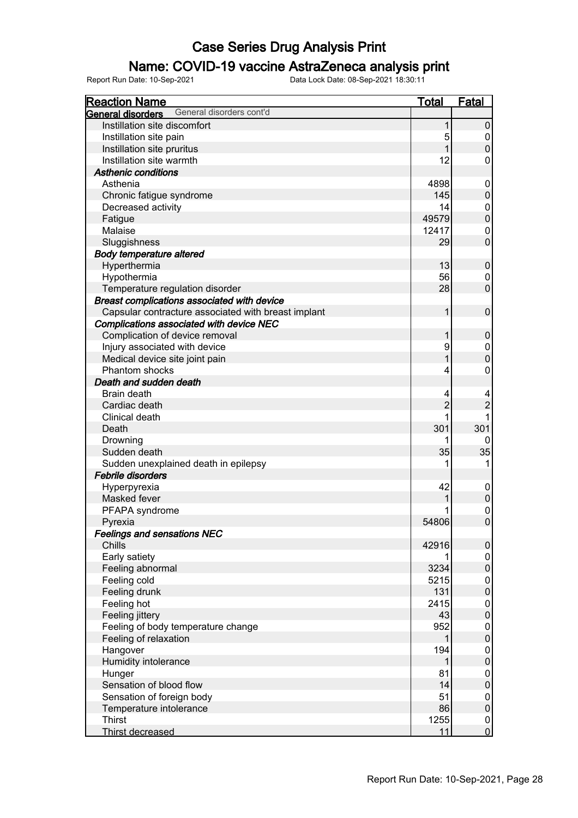### Name: COVID-19 vaccine AstraZeneca analysis print

| <b>Reaction Name</b>                                | <b>Total</b>   | <b>Fatal</b>     |
|-----------------------------------------------------|----------------|------------------|
| General disorders cont'd<br>General disorders       |                |                  |
| Instillation site discomfort                        |                | 0                |
| Instillation site pain                              | 5              | $\pmb{0}$        |
| Instillation site pruritus                          |                | $\overline{0}$   |
| Instillation site warmth                            | 12             | 0                |
| <b>Asthenic conditions</b>                          |                |                  |
| Asthenia                                            | 4898           | 0                |
| Chronic fatigue syndrome                            | 145            | $\pmb{0}$        |
| Decreased activity                                  | 14             | $\boldsymbol{0}$ |
| Fatigue                                             | 49579          | $\overline{0}$   |
| Malaise                                             | 12417          | 0                |
| Sluggishness                                        | 29             | $\overline{0}$   |
| <b>Body temperature altered</b>                     |                |                  |
| Hyperthermia                                        | 13             | $\pmb{0}$        |
| Hypothermia                                         | 56             | 0                |
| Temperature regulation disorder                     | 28             | $\overline{0}$   |
| Breast complications associated with device         |                |                  |
| Capsular contracture associated with breast implant | 1              | $\mathbf 0$      |
| <b>Complications associated with device NEC</b>     |                |                  |
| Complication of device removal                      |                | $\pmb{0}$        |
| Injury associated with device                       | 9              | $\overline{0}$   |
| Medical device site joint pain                      |                | $\overline{0}$   |
| Phantom shocks                                      | 4              | $\mathbf 0$      |
|                                                     |                |                  |
| Death and sudden death                              |                |                  |
| Brain death                                         | 4              | 4                |
| Cardiac death                                       | $\overline{c}$ | $\overline{2}$   |
| Clinical death                                      |                |                  |
| Death                                               | 301            | 301              |
| Drowning                                            |                | 0                |
| Sudden death                                        | 35             | 35               |
| Sudden unexplained death in epilepsy                |                | 1                |
| <b>Febrile disorders</b>                            |                |                  |
| Hyperpyrexia                                        | 42             | $\boldsymbol{0}$ |
| Masked fever                                        |                | $\pmb{0}$        |
| PFAPA syndrome                                      |                | $\mathbf{0}$     |
| Pyrexia                                             | 54806          | $\overline{0}$   |
| <b>Feelings and sensations NEC</b>                  |                |                  |
| Chills                                              | 42916          | $\pmb{0}$        |
| Early satiety                                       |                | $\pmb{0}$        |
| Feeling abnormal                                    | 3234           | $\pmb{0}$        |
| Feeling cold                                        | 5215           | 0                |
| Feeling drunk                                       | 131            | $\pmb{0}$        |
| Feeling hot                                         | 2415           | $\overline{0}$   |
| Feeling jittery                                     | 43             | $\pmb{0}$        |
| Feeling of body temperature change                  | 952            | $\overline{0}$   |
| Feeling of relaxation                               |                | $\boldsymbol{0}$ |
| Hangover                                            | 194            | $\pmb{0}$        |
| Humidity intolerance                                |                | $\pmb{0}$        |
| Hunger                                              | 81             | $\pmb{0}$        |
| Sensation of blood flow                             | 14             | $\pmb{0}$        |
| Sensation of foreign body                           | 51             | $\pmb{0}$        |
| Temperature intolerance                             | 86             | $\pmb{0}$        |
| <b>Thirst</b>                                       | 1255           | $\pmb{0}$        |
| Thirst decreased                                    | 11             | $\overline{0}$   |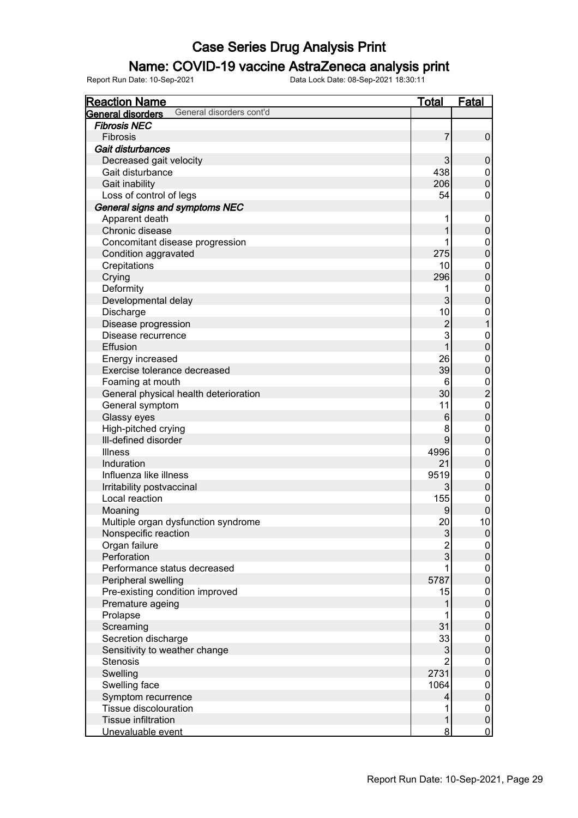### Name: COVID-19 vaccine AstraZeneca analysis print

| <b>Reaction Name</b>                          | <u>Total</u>   | <b>Fatal</b>             |
|-----------------------------------------------|----------------|--------------------------|
| General disorders cont'd<br>General disorders |                |                          |
| <b>Fibrosis NEC</b>                           |                |                          |
| Fibrosis                                      | 7              | $\pmb{0}$                |
| Gait disturbances                             |                |                          |
| Decreased gait velocity                       | 3              | $\pmb{0}$                |
| Gait disturbance                              | 438            | $\boldsymbol{0}$         |
| Gait inability                                | 206            | $\mathbf 0$              |
| Loss of control of legs                       | 54             | $\pmb{0}$                |
| General signs and symptoms NEC                |                |                          |
| Apparent death                                | 1              | $\mathbf 0$              |
| Chronic disease                               |                | $\pmb{0}$                |
| Concomitant disease progression               | 1              | $\mathbf 0$              |
| Condition aggravated                          | 275            | $\mathbf 0$              |
| Crepitations                                  | 10             | $\overline{0}$           |
| Crying                                        | 296            | $\mathbf 0$              |
| Deformity                                     | 1              | $\overline{0}$           |
| Developmental delay                           | 3              | $\mathbf 0$              |
| Discharge                                     | 10             | $\mathbf 0$              |
| Disease progression                           | $\overline{2}$ | $\mathbf{1}$             |
| Disease recurrence                            | 3              | $\overline{0}$           |
| Effusion                                      | 1              | $\mathbf 0$              |
| Energy increased                              | 26             | $\overline{0}$           |
| Exercise tolerance decreased                  | 39             | $\mathbf 0$              |
| Foaming at mouth                              | 6              |                          |
| General physical health deterioration         | 30             | $\frac{0}{2}$            |
| General symptom                               | 11             | $\mathbf{0}$             |
| Glassy eyes                                   | 6              | $\overline{0}$           |
| High-pitched crying                           | 8              | $\mathbf{0}$             |
| Ill-defined disorder                          | 9              | $\pmb{0}$                |
| <b>Illness</b>                                | 4996           | $\mathbf 0$              |
| Induration                                    | 21             | $\overline{0}$           |
| Influenza like illness                        | 9519           | $\mathbf 0$              |
| Irritability postvaccinal                     | 3              | $\pmb{0}$                |
| Local reaction                                | 155            | $\mathbf 0$              |
| Moaning                                       | 9              | $\mathbf 0$              |
| Multiple organ dysfunction syndrome           | 20             | 10                       |
| Nonspecific reaction                          | 3              |                          |
| Organ failure                                 | $\overline{2}$ | $\overline{0}$           |
| Perforation                                   | 3              | $\overline{0}$<br>0      |
| Performance status decreased                  |                |                          |
|                                               | 5787           | $\mathbf 0$<br>$\pmb{0}$ |
| Peripheral swelling                           |                |                          |
| Pre-existing condition improved               | 15             | $\mathbf 0$              |
| Premature ageing                              |                | $\mathsf 0$              |
| Prolapse                                      | 31             | $\mathbf 0$              |
| Screaming                                     |                | $\pmb{0}$                |
| Secretion discharge                           | 33             | $\mathbf 0$              |
| Sensitivity to weather change                 | 3              | $\mathsf 0$              |
| <b>Stenosis</b>                               |                | $\mathbf 0$              |
| Swelling                                      | 2731           | $\mathsf 0$              |
| Swelling face                                 | 1064           | $\mathbf 0$              |
| Symptom recurrence                            | 4              | $\pmb{0}$                |
| Tissue discolouration                         | 1              | $\mathbf 0$              |
| <b>Tissue infiltration</b>                    | 1              | $\pmb{0}$                |
| Unevaluable event                             | 8              | $\mathbf 0$              |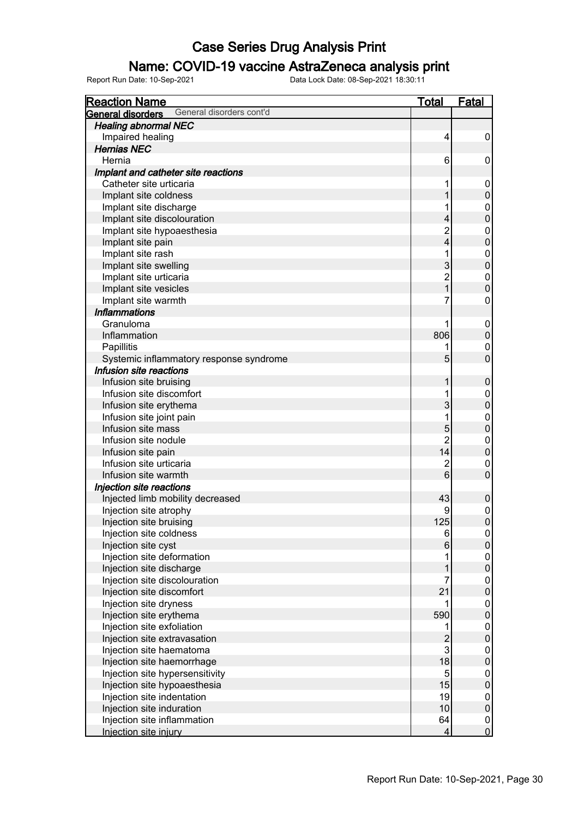### Name: COVID-19 vaccine AstraZeneca analysis print

| <b>Reaction Name</b>                          | <u>otal</u>    | <u>Fatal</u>                         |
|-----------------------------------------------|----------------|--------------------------------------|
| General disorders cont'd<br>General disorders |                |                                      |
| <b>Healing abnormal NEC</b>                   |                |                                      |
| Impaired healing                              | 4              | 0                                    |
| <b>Hernias NEC</b>                            |                |                                      |
| Hernia                                        | 6              | 0                                    |
| Implant and catheter site reactions           |                |                                      |
| Catheter site urticaria                       | 1              | 0                                    |
| Implant site coldness                         |                | $\mathsf 0$                          |
| Implant site discharge                        |                | 0                                    |
| Implant site discolouration                   | 4              | $\mathbf 0$                          |
| Implant site hypoaesthesia                    | $\overline{c}$ | $\boldsymbol{0}$                     |
| Implant site pain                             | 4              | $\mathbf 0$                          |
| Implant site rash                             |                | $\boldsymbol{0}$                     |
| Implant site swelling                         | 3              | $\mathbf 0$                          |
| Implant site urticaria                        | $\overline{2}$ | $\boldsymbol{0}$                     |
| Implant site vesicles                         |                | $\overline{0}$                       |
| Implant site warmth                           | 7              | 0                                    |
| <b>Inflammations</b>                          |                |                                      |
| Granuloma                                     |                |                                      |
| Inflammation                                  | 806            | 0<br>$\pmb{0}$                       |
|                                               |                |                                      |
| Papillitis                                    |                | 0                                    |
| Systemic inflammatory response syndrome       | 5              | $\overline{0}$                       |
| Infusion site reactions                       |                |                                      |
| Infusion site bruising                        |                | 0                                    |
| Infusion site discomfort                      |                | 0                                    |
| Infusion site erythema                        | 3              | $\overline{0}$                       |
| Infusion site joint pain                      |                | 0                                    |
| Infusion site mass                            | 5              | $\overline{0}$                       |
| Infusion site nodule                          | 2              | $\boldsymbol{0}$                     |
| Infusion site pain                            | 14             | $\overline{0}$                       |
| Infusion site urticaria                       | $\overline{2}$ | $\boldsymbol{0}$                     |
| Infusion site warmth                          | 6              | $\overline{0}$                       |
| Injection site reactions                      |                |                                      |
| Injected limb mobility decreased              | 43             | $\pmb{0}$                            |
| Injection site atrophy                        | 9              | $\begin{matrix} 0 \\ 0 \end{matrix}$ |
| Injection site bruising                       | 125            |                                      |
| Injection site coldness                       | 6              | $\overline{0}$                       |
| Injection site cyst                           | $6\phantom{1}$ | $\mathsf{O}\xspace$                  |
| Injection site deformation                    |                | $\mathbf 0$                          |
| Injection site discharge                      |                | $\overline{0}$                       |
| Injection site discolouration                 | 7              | $\pmb{0}$                            |
| Injection site discomfort                     | 21             | $\overline{0}$                       |
| Injection site dryness                        |                | 0                                    |
| Injection site erythema                       | 590            | $\mathbf 0$                          |
| Injection site exfoliation                    |                | 0                                    |
| Injection site extravasation                  | $\overline{2}$ | $\mathbf 0$                          |
| Injection site haematoma                      | 3              | 0                                    |
| Injection site haemorrhage                    | 18             | $\mathbf 0$                          |
| Injection site hypersensitivity               | 5              | 0                                    |
| Injection site hypoaesthesia                  | 15             | $\overline{0}$                       |
| Injection site indentation                    | 19             | $\pmb{0}$                            |
| Injection site induration                     | 10             | $\overline{0}$                       |
| Injection site inflammation                   | 64             |                                      |
| Injection site injury                         | 4              | $\begin{matrix} 0 \\ 0 \end{matrix}$ |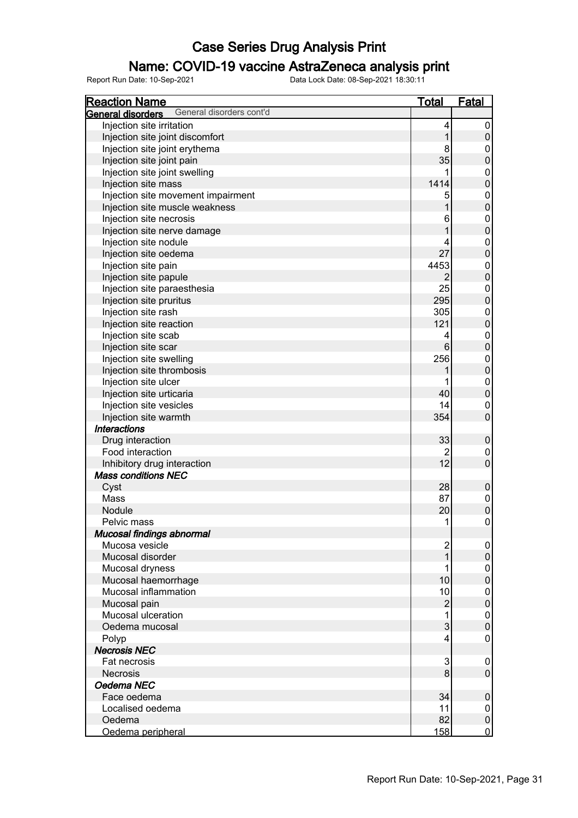### Name: COVID-19 vaccine AstraZeneca analysis print

| <b>Reaction Name</b>                                      | <b>Total</b>   | <b>Fatal</b>     |
|-----------------------------------------------------------|----------------|------------------|
| General disorders cont'd<br>General disorders             |                |                  |
| Injection site irritation                                 | 4              | 0                |
| Injection site joint discomfort                           | 1              | $\boldsymbol{0}$ |
| Injection site joint erythema                             | 8              | 0                |
| Injection site joint pain                                 | 35             | $\mathbf 0$      |
| Injection site joint swelling                             | 1              | 0                |
| Injection site mass                                       | 1414           | $\mathbf 0$      |
| Injection site movement impairment                        | 5              | $\boldsymbol{0}$ |
| Injection site muscle weakness                            | 1              | $\mathbf 0$      |
| Injection site necrosis                                   | 6              | $\boldsymbol{0}$ |
| Injection site nerve damage                               | 1              | $\mathbf 0$      |
| Injection site nodule                                     | 4              | 0                |
| Injection site oedema                                     | 27             | $\mathbf 0$      |
| Injection site pain                                       | 4453           | $\boldsymbol{0}$ |
| Injection site papule                                     | $\overline{2}$ | $\mathbf 0$      |
| Injection site paraesthesia                               | 25             | $\boldsymbol{0}$ |
| Injection site pruritus                                   | 295            | $\mathbf 0$      |
| Injection site rash                                       | 305            | $\boldsymbol{0}$ |
| Injection site reaction                                   | 121            | $\mathbf 0$      |
| Injection site scab                                       | 4              | 0                |
| Injection site scar                                       | $6\phantom{1}$ | $\mathbf 0$      |
| Injection site swelling                                   | 256            | $\boldsymbol{0}$ |
| Injection site thrombosis                                 |                | $\mathbf 0$      |
| Injection site ulcer                                      |                | 0                |
| Injection site urticaria                                  | 40             | $\boldsymbol{0}$ |
| Injection site vesicles                                   | 14             | 0                |
| Injection site warmth                                     | 354            | $\mathbf 0$      |
| <b>Interactions</b>                                       |                |                  |
|                                                           | 33             |                  |
| Drug interaction<br>Food interaction                      |                | $\boldsymbol{0}$ |
|                                                           | 2<br>12        | 0<br>$\mathbf 0$ |
| Inhibitory drug interaction<br><b>Mass conditions NEC</b> |                |                  |
|                                                           |                |                  |
| Cyst                                                      | 28             | $\pmb{0}$        |
| Mass                                                      | 87             | $\boldsymbol{0}$ |
| Nodule                                                    | 20             | $\boldsymbol{0}$ |
| Pelvic mass                                               | 1              | 0                |
| Mucosal findings abnormal                                 |                |                  |
| Mucosa vesicle                                            | $\overline{c}$ | 0                |
| Mucosal disorder                                          | 1              | $\pmb{0}$        |
| Mucosal dryness                                           |                | 0                |
| Mucosal haemorrhage                                       | 10             | $\boldsymbol{0}$ |
| Mucosal inflammation                                      | 10             | 0                |
| Mucosal pain                                              | $\overline{c}$ | $\boldsymbol{0}$ |
| Mucosal ulceration                                        | 1              | 0                |
| Oedema mucosal                                            | 3              | $\boldsymbol{0}$ |
| Polyp                                                     | 4              | 0                |
| <b>Necrosis NEC</b>                                       |                |                  |
| Fat necrosis                                              | 3              | 0                |
| <b>Necrosis</b>                                           | 8              | $\pmb{0}$        |
| Oedema NEC                                                |                |                  |
| Face oedema                                               | 34             | $\pmb{0}$        |
| Localised oedema                                          | 11             | 0                |
| Oedema                                                    | 82             | $\pmb{0}$        |
| Oedema peripheral                                         | 158            | $\overline{0}$   |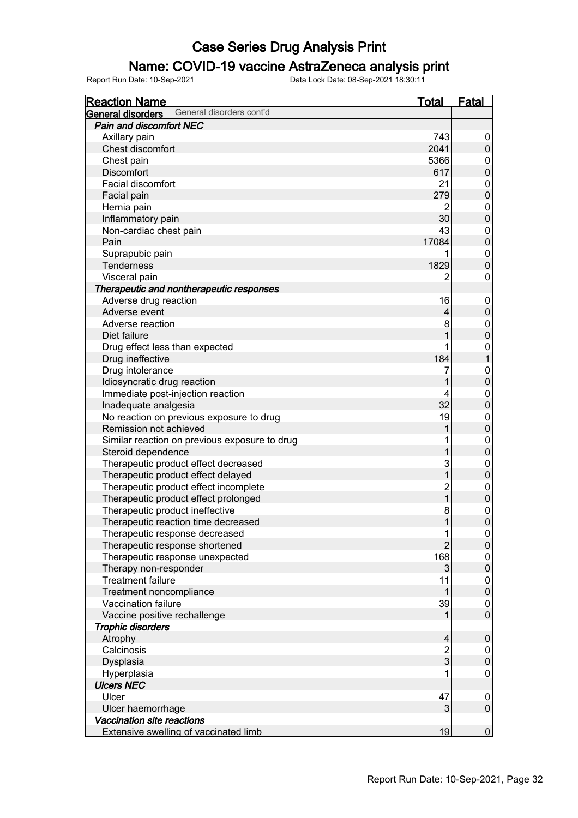### Name: COVID-19 vaccine AstraZeneca analysis print

| <b>Reaction Name</b>                          | <b>Total</b>            | <b>Fatal</b>                         |
|-----------------------------------------------|-------------------------|--------------------------------------|
| General disorders cont'd<br>General disorders |                         |                                      |
| Pain and discomfort NEC                       |                         |                                      |
| Axillary pain                                 | 743                     | 0                                    |
| Chest discomfort                              | 2041                    | $\pmb{0}$                            |
| Chest pain                                    | 5366                    | $\mathbf 0$                          |
| <b>Discomfort</b>                             | 617                     | $\overline{0}$                       |
| Facial discomfort                             | 21                      |                                      |
| Facial pain                                   | 279                     | $\begin{matrix} 0 \\ 0 \end{matrix}$ |
| Hernia pain                                   | 2                       | $\overline{0}$                       |
| Inflammatory pain                             | 30                      | $\overline{0}$                       |
| Non-cardiac chest pain                        | 43                      |                                      |
| Pain                                          | 17084                   | $\begin{matrix} 0 \\ 0 \end{matrix}$ |
| Suprapubic pain                               |                         | $\overline{0}$                       |
| Tenderness                                    | 1829                    | $\overline{0}$                       |
| Visceral pain                                 | 2                       | 0                                    |
| Therapeutic and nontherapeutic responses      |                         |                                      |
| Adverse drug reaction                         | 16                      | $\boldsymbol{0}$                     |
| Adverse event                                 | 4                       | $\pmb{0}$                            |
| Adverse reaction                              | 8                       | $\overline{0}$                       |
| Diet failure                                  |                         | $\overline{0}$                       |
| Drug effect less than expected                |                         | $\mathbf{0}$                         |
| Drug ineffective                              | 184                     | $\mathbf{1}$                         |
| Drug intolerance                              | 7                       | $\mathbf 0$                          |
| Idiosyncratic drug reaction                   |                         | $\overline{0}$                       |
| Immediate post-injection reaction             | 4                       | $\pmb{0}$                            |
| Inadequate analgesia                          | 32                      | $\overline{0}$                       |
| No reaction on previous exposure to drug      | 19                      | $\mathbf 0$                          |
| Remission not achieved                        |                         | $\overline{0}$                       |
| Similar reaction on previous exposure to drug |                         | $\mathbf 0$                          |
| Steroid dependence                            |                         | $\overline{0}$                       |
| Therapeutic product effect decreased          | 3                       | $\mathbf 0$                          |
| Therapeutic product effect delayed            | 1                       | $\mathbf 0$                          |
| Therapeutic product effect incomplete         | $\overline{c}$          | $\mathbf 0$                          |
| Therapeutic product effect prolonged          | 1                       | $\mathbf 0$                          |
| Therapeutic product ineffective               | 8                       | $\mathbf{0}$                         |
| Therapeutic reaction time decreased           | 1                       | $\overline{0}$                       |
| Therapeutic response decreased                | 1                       | $\overline{0}$                       |
| Therapeutic response shortened                | $\overline{2}$          | $\boldsymbol{0}$                     |
| Therapeutic response unexpected               | 168                     | 0                                    |
| Therapy non-responder                         | 3                       | $\pmb{0}$                            |
| <b>Treatment failure</b>                      | 11                      | $\overline{0}$                       |
| Treatment noncompliance                       |                         | $\boldsymbol{0}$                     |
| Vaccination failure                           | 39                      | 0                                    |
| Vaccine positive rechallenge                  |                         | $\overline{0}$                       |
| <b>Trophic disorders</b>                      |                         |                                      |
| Atrophy                                       | 4                       | $\pmb{0}$                            |
| Calcinosis                                    | $\overline{\mathbf{c}}$ | $\pmb{0}$                            |
| Dysplasia                                     | 3                       | $\boldsymbol{0}$                     |
| Hyperplasia                                   |                         | 0                                    |
| <b>Ulcers NEC</b>                             |                         |                                      |
| Ulcer                                         | 47                      | 0                                    |
| Ulcer haemorrhage                             | 3                       | $\mathsf 0$                          |
| Vaccination site reactions                    |                         |                                      |
| <b>Extensive swelling of vaccinated limb</b>  | 19                      | $\overline{0}$                       |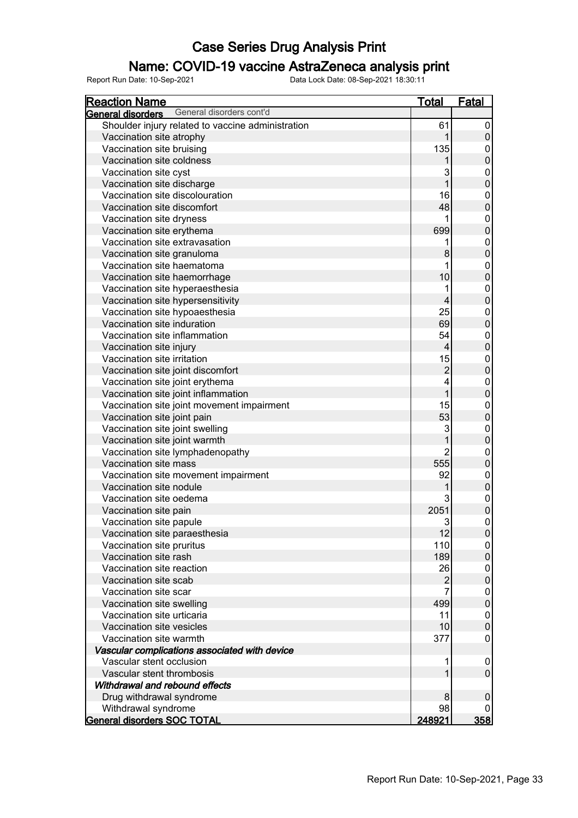### Name: COVID-19 vaccine AstraZeneca analysis print

| <b>Reaction Name</b>                                 | <b>Total</b>            | <b>Fatal</b>     |
|------------------------------------------------------|-------------------------|------------------|
| General disorders cont'd<br><b>General disorders</b> |                         |                  |
| Shoulder injury related to vaccine administration    | 61                      | 0                |
| Vaccination site atrophy                             | 1                       | $\boldsymbol{0}$ |
| Vaccination site bruising                            | 135                     | $\boldsymbol{0}$ |
| Vaccination site coldness                            |                         | $\mathbf 0$      |
| Vaccination site cyst                                | 3                       | $\mathbf 0$      |
| Vaccination site discharge                           | 1                       | $\mathbf 0$      |
| Vaccination site discolouration                      | 16                      | $\mathbf 0$      |
| Vaccination site discomfort                          | 48                      | $\mathbf 0$      |
| Vaccination site dryness                             | 1                       | $\mathbf 0$      |
| Vaccination site erythema                            | 699                     | $\mathbf 0$      |
| Vaccination site extravasation                       | 1                       | $\mathbf 0$      |
| Vaccination site granuloma                           | 8                       | $\mathbf 0$      |
| Vaccination site haematoma                           | 1                       | $\mathbf 0$      |
| Vaccination site haemorrhage                         | 10                      | $\mathbf 0$      |
| Vaccination site hyperaesthesia                      | 1                       | $\mathbf 0$      |
| Vaccination site hypersensitivity                    | 4                       | $\mathbf 0$      |
| Vaccination site hypoaesthesia                       | 25                      | $\mathbf 0$      |
| Vaccination site induration                          | 69                      | $\mathbf 0$      |
| Vaccination site inflammation                        | 54                      | $\mathbf 0$      |
| Vaccination site injury                              | $\overline{\mathbf{4}}$ | $\mathbf 0$      |
| Vaccination site irritation                          | 15                      | $\mathbf 0$      |
| Vaccination site joint discomfort                    | $\overline{c}$          | $\mathbf 0$      |
| Vaccination site joint erythema                      | 4                       | $\mathbf 0$      |
| Vaccination site joint inflammation                  | $\overline{1}$          | $\mathbf 0$      |
| Vaccination site joint movement impairment           | 15                      | $\mathbf 0$      |
| Vaccination site joint pain                          | 53                      | $\mathbf 0$      |
| Vaccination site joint swelling                      | 3                       | $\mathbf 0$      |
| Vaccination site joint warmth                        | 1                       | $\mathbf 0$      |
| Vaccination site lymphadenopathy                     | $\overline{2}$          | $\mathbf 0$      |
| Vaccination site mass                                | 555                     | $\mathbf 0$      |
| Vaccination site movement impairment                 | 92                      | $\mathbf 0$      |
| Vaccination site nodule                              | 1                       | $\mathbf 0$      |
| Vaccination site oedema                              | 3                       | $\boldsymbol{0}$ |
| Vaccination site pain                                | 2051                    | $\mathbf 0$      |
| Vaccination site papule                              | 3                       | $\boldsymbol{0}$ |
| Vaccination site paraesthesia                        | 12                      | $\boldsymbol{0}$ |
| Vaccination site pruritus                            | 110                     | 0                |
| Vaccination site rash                                | 189                     | $\pmb{0}$        |
| Vaccination site reaction                            | 26                      | 0                |
| Vaccination site scab                                | $\overline{c}$          | $\boldsymbol{0}$ |
| Vaccination site scar                                | $\overline{7}$          | $\boldsymbol{0}$ |
| Vaccination site swelling                            | 499                     | $\boldsymbol{0}$ |
| Vaccination site urticaria                           | 11                      | 0                |
| Vaccination site vesicles                            | 10                      | $\boldsymbol{0}$ |
| Vaccination site warmth                              | 377                     | 0                |
| Vascular complications associated with device        |                         |                  |
| Vascular stent occlusion                             | 1                       | 0                |
| Vascular stent thrombosis                            | 1                       | $\mathbf 0$      |
| Withdrawal and rebound effects                       |                         |                  |
| Drug withdrawal syndrome                             | 8                       | $\mathbf 0$      |
| Withdrawal syndrome                                  | 98                      | 0                |
| <b>General disorders SOC TOTAL</b>                   | 248921                  | <u>358</u>       |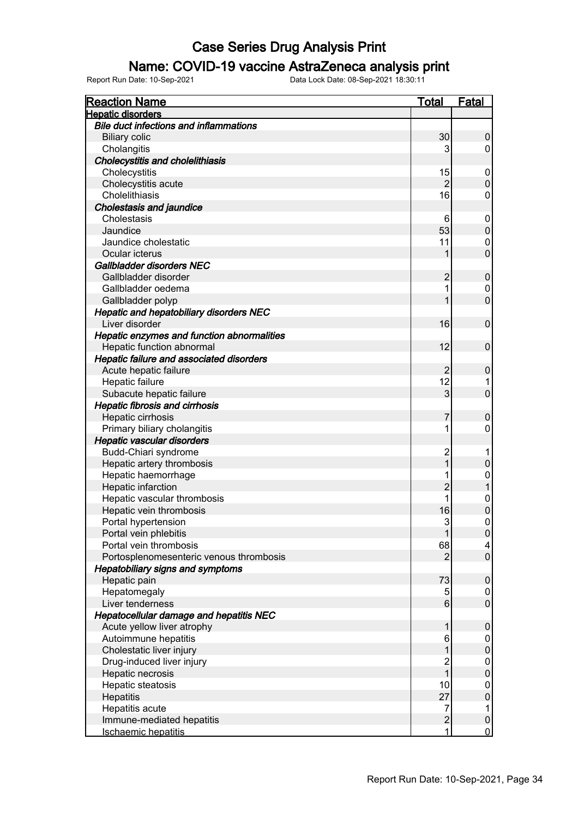### Name: COVID-19 vaccine AstraZeneca analysis print

| <u>Reaction Name</u>                           | <u>Total</u>   | <u>Fatal</u>        |
|------------------------------------------------|----------------|---------------------|
| <b>Hepatic disorders</b>                       |                |                     |
| <b>Bile duct infections and inflammations</b>  |                |                     |
| <b>Biliary colic</b>                           | 30             | 0                   |
| Cholangitis                                    | 3              | 0                   |
| <b>Cholecystitis and cholelithiasis</b>        |                |                     |
| Cholecystitis                                  | 15             | 0                   |
| Cholecystitis acute                            | $\overline{2}$ | $\mathbf 0$         |
| Cholelithiasis                                 | 16             | 0                   |
| <b>Cholestasis and jaundice</b>                |                |                     |
| Cholestasis                                    | 6              | 0                   |
| Jaundice                                       | 53             | $\pmb{0}$           |
| Jaundice cholestatic                           | 11             | 0                   |
| Ocular icterus                                 |                | $\overline{0}$      |
| Gallbladder disorders NEC                      |                |                     |
| Gallbladder disorder                           | $\overline{2}$ | $\pmb{0}$           |
| Gallbladder oedema                             | 1              | 0                   |
| Gallbladder polyp                              |                | $\overline{0}$      |
| <b>Hepatic and hepatobiliary disorders NEC</b> |                |                     |
| Liver disorder                                 | 16             | $\mathbf 0$         |
| Hepatic enzymes and function abnormalities     |                |                     |
| Hepatic function abnormal                      | 12             | 0                   |
| Hepatic failure and associated disorders       |                |                     |
| Acute hepatic failure                          | $\overline{2}$ | 0                   |
| Hepatic failure                                | 12             |                     |
|                                                |                | 1<br>$\overline{0}$ |
| Subacute hepatic failure                       | 3              |                     |
| <b>Hepatic fibrosis and cirrhosis</b>          |                |                     |
| Hepatic cirrhosis                              | 7              | $\pmb{0}$           |
| Primary biliary cholangitis                    | 1              | 0                   |
| Hepatic vascular disorders                     |                |                     |
| Budd-Chiari syndrome                           | $\overline{c}$ | 1                   |
| Hepatic artery thrombosis                      |                | 0                   |
| Hepatic haemorrhage                            | 1              | 0                   |
| Hepatic infarction                             | $\overline{c}$ | $\mathbf{1}$        |
| Hepatic vascular thrombosis                    | 1              | 0                   |
| Hepatic vein thrombosis                        | 16             | $\overline{0}$      |
| Portal hypertension                            | 3              | $\mathbf 0$         |
| Portal vein phlebitis                          | 1              | $\overline{0}$      |
| Portal vein thrombosis                         | 68             | $\overline{4}$      |
| Portosplenomesenteric venous thrombosis        | 2              | $\boldsymbol{0}$    |
| <b>Hepatobiliary signs and symptoms</b>        |                |                     |
| Hepatic pain                                   | 73             | $\pmb{0}$           |
| Hepatomegaly                                   | 5              | 0                   |
| Liver tenderness                               | 6              | $\pmb{0}$           |
| <b>Hepatocellular damage and hepatitis NEC</b> |                |                     |
| Acute yellow liver atrophy                     | 1              | $\pmb{0}$           |
| Autoimmune hepatitis                           | 6              | 0                   |
| Cholestatic liver injury                       |                | $\mathsf 0$         |
| Drug-induced liver injury                      | $\overline{c}$ | 0                   |
| Hepatic necrosis                               | 1              | $\pmb{0}$           |
| Hepatic steatosis                              | 10             | 0                   |
| Hepatitis                                      | 27             | $\mathbf 0$         |
| Hepatitis acute                                | $\overline{7}$ | 1                   |
| Immune-mediated hepatitis                      | $\overline{c}$ | $\pmb{0}$           |
| Ischaemic hepatitis                            | 1              | $\overline{0}$      |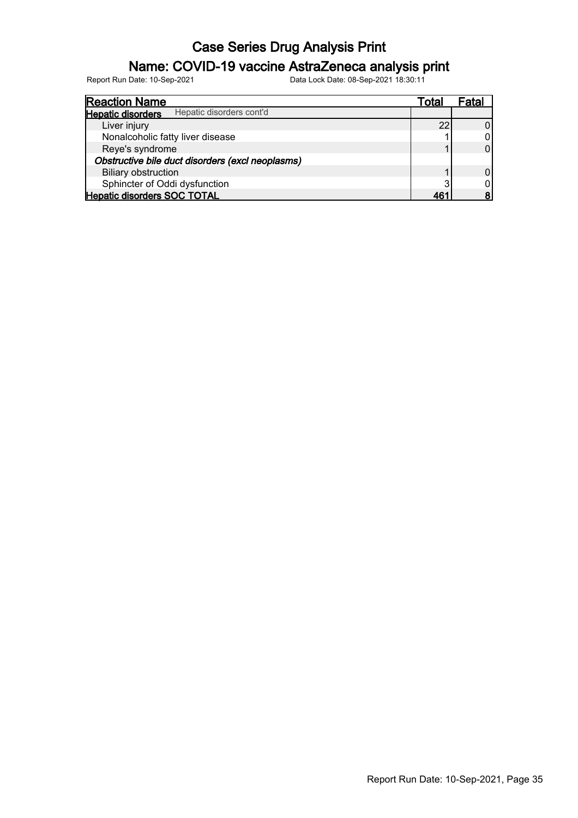### Name: COVID-19 vaccine AstraZeneca analysis print

| <b>Reaction Name</b>                                 | Total | Fatal |
|------------------------------------------------------|-------|-------|
| Hepatic disorders cont'd<br><b>Hepatic disorders</b> |       |       |
| Liver injury                                         | 22    |       |
| Nonalcoholic fatty liver disease                     |       |       |
| Reye's syndrome                                      |       |       |
| Obstructive bile duct disorders (excl neoplasms)     |       |       |
| <b>Biliary obstruction</b>                           |       |       |
| Sphincter of Oddi dysfunction                        | ◠     |       |
| <b>Hepatic disorders SOC TOTAL</b>                   | '46   |       |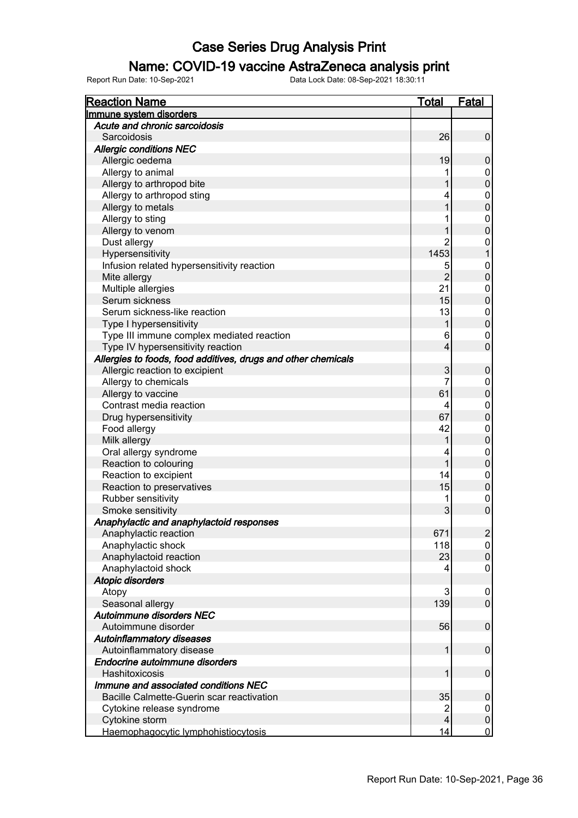### Name: COVID-19 vaccine AstraZeneca analysis print

| <b>Reaction Name</b>                                          | <b>Total</b>   | <b>Fatal</b>        |
|---------------------------------------------------------------|----------------|---------------------|
| Immune system disorders                                       |                |                     |
| Acute and chronic sarcoidosis                                 |                |                     |
| Sarcoidosis                                                   | 26             | $\pmb{0}$           |
| <b>Allergic conditions NEC</b>                                |                |                     |
| Allergic oedema                                               | 19             | $\pmb{0}$           |
| Allergy to animal                                             |                | 0                   |
| Allergy to arthropod bite                                     |                | $\overline{0}$      |
| Allergy to arthropod sting                                    |                | 0                   |
| Allergy to metals                                             |                | $\overline{0}$      |
| Allergy to sting                                              |                | $\boldsymbol{0}$    |
| Allergy to venom                                              |                | $\mathbf 0$         |
| Dust allergy                                                  |                | 0                   |
| Hypersensitivity                                              | 1453           | $\mathbf{1}$        |
| Infusion related hypersensitivity reaction                    | 5              | 0                   |
| Mite allergy                                                  | $\overline{2}$ | $\pmb{0}$           |
| Multiple allergies                                            | 21             | $\boldsymbol{0}$    |
| Serum sickness                                                | 15             | $\mathbf 0$         |
| Serum sickness-like reaction                                  | 13             | $\overline{0}$      |
|                                                               |                | $\overline{0}$      |
| Type I hypersensitivity                                       |                |                     |
| Type III immune complex mediated reaction                     | 6              | 0<br>$\overline{0}$ |
| Type IV hypersensitivity reaction                             | 4              |                     |
| Allergies to foods, food additives, drugs and other chemicals |                |                     |
| Allergic reaction to excipient                                | 3              | $\pmb{0}$           |
| Allergy to chemicals                                          | 7              | 0                   |
| Allergy to vaccine                                            | 61             | $\mathbf 0$         |
| Contrast media reaction                                       | 4              | 0                   |
| Drug hypersensitivity                                         | 67             | $\boldsymbol{0}$    |
| Food allergy                                                  | 42             | 0                   |
| Milk allergy                                                  |                | $\boldsymbol{0}$    |
| Oral allergy syndrome                                         | 4              | $\pmb{0}$           |
| Reaction to colouring                                         |                | $\boldsymbol{0}$    |
| Reaction to excipient                                         | 14             | 0                   |
| Reaction to preservatives                                     | 15             | $\pmb{0}$           |
| Rubber sensitivity                                            |                | 0                   |
| Smoke sensitivity                                             | 3              | $\mathbf 0$         |
| Anaphylactic and anaphylactoid responses                      |                |                     |
| Anaphylactic reaction                                         | 671            | $\overline{2}$      |
| Anaphylactic shock                                            | 118            | $\pmb{0}$           |
| Anaphylactoid reaction                                        | 23             | $\pmb{0}$           |
| Anaphylactoid shock                                           | 4              | 0                   |
| <b>Atopic disorders</b>                                       |                |                     |
| Atopy                                                         | 3              | 0                   |
| Seasonal allergy                                              | 139            | $\mathsf 0$         |
| Autoimmune disorders NEC                                      |                |                     |
| Autoimmune disorder                                           | 56             | $\pmb{0}$           |
| <b>Autoinflammatory diseases</b>                              |                |                     |
| Autoinflammatory disease                                      | 1              | $\pmb{0}$           |
| Endocrine autoimmune disorders                                |                |                     |
| Hashitoxicosis                                                | 1              | 0                   |
| Immune and associated conditions NEC                          |                |                     |
| Bacille Calmette-Guerin scar reactivation                     | 35             | $\pmb{0}$           |
| Cytokine release syndrome                                     | 2              | 0                   |
| Cytokine storm                                                | 4              | $\pmb{0}$           |
| Haemophagocytic lymphohistiocytosis                           | 14             | $\overline{0}$      |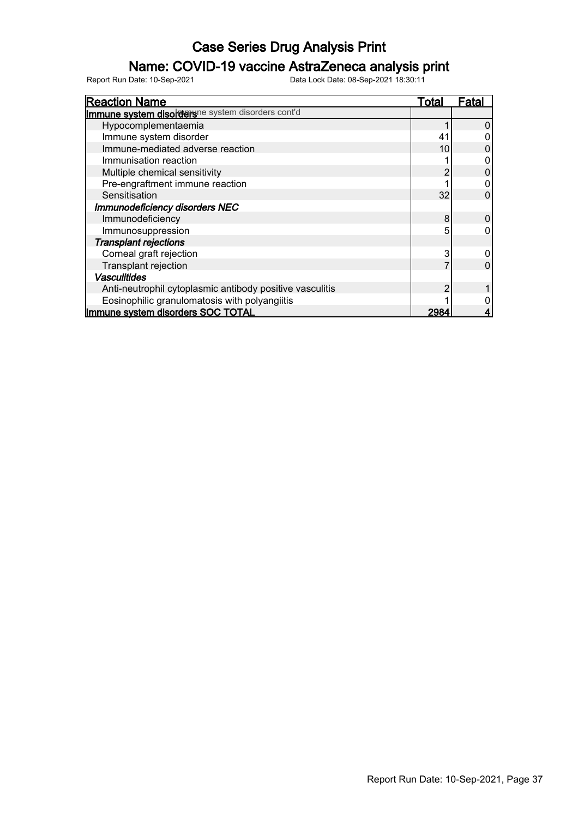### Name: COVID-19 vaccine AstraZeneca analysis print

| <b>Reaction Name</b>                                     | Total | Fatal |
|----------------------------------------------------------|-------|-------|
| Immune system disordershe system disorders cont'd        |       |       |
| Hypocomplementaemia                                      |       |       |
| Immune system disorder                                   | 41    |       |
| Immune-mediated adverse reaction                         | 10    |       |
| Immunisation reaction                                    |       |       |
| Multiple chemical sensitivity                            | 2     |       |
| Pre-engraftment immune reaction                          |       |       |
| Sensitisation                                            | 32    |       |
| Immunodeficiency disorders NEC                           |       |       |
| Immunodeficiency                                         | 8     |       |
| Immunosuppression                                        | 5     |       |
| <b>Transplant rejections</b>                             |       |       |
| Corneal graft rejection                                  | 3     |       |
| Transplant rejection                                     |       |       |
| <b>Vasculitides</b>                                      |       |       |
| Anti-neutrophil cytoplasmic antibody positive vasculitis | 2     |       |
| Eosinophilic granulomatosis with polyangiitis            |       |       |
| Immune system disorders SOC TOTAL                        | 2984  |       |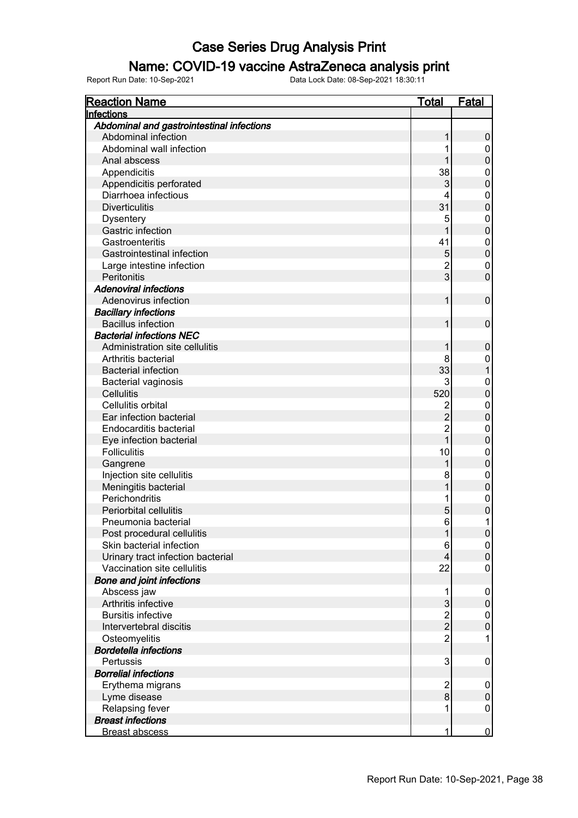### Name: COVID-19 vaccine AstraZeneca analysis print

| <b>Reaction Name</b>                      | <u>Total</u>              | <b>Fatal</b>     |
|-------------------------------------------|---------------------------|------------------|
| Infections                                |                           |                  |
| Abdominal and gastrointestinal infections |                           |                  |
| Abdominal infection                       | 1                         | $\pmb{0}$        |
| Abdominal wall infection                  | 1                         | 0                |
| Anal abscess                              |                           | $\boldsymbol{0}$ |
| Appendicitis                              | 38                        | 0                |
| Appendicitis perforated                   | $\ensuremath{\mathsf{3}}$ | $\mathbf 0$      |
| Diarrhoea infectious                      | 4                         | 0                |
| <b>Diverticulitis</b>                     | 31                        | $\mathbf 0$      |
| <b>Dysentery</b>                          | 5                         | 0                |
| Gastric infection                         |                           | $\mathbf 0$      |
| Gastroenteritis                           | 41                        | $\pmb{0}$        |
| Gastrointestinal infection                | $\mathbf 5$               | $\mathbf 0$      |
| Large intestine infection                 | $\overline{c}$            | 0                |
| Peritonitis                               | 3                         | $\overline{0}$   |
| <b>Adenoviral infections</b>              |                           |                  |
| Adenovirus infection                      | 1                         | $\mathbf 0$      |
| <b>Bacillary infections</b>               |                           |                  |
| <b>Bacillus infection</b>                 | 1                         | $\mathbf 0$      |
| <b>Bacterial infections NEC</b>           |                           |                  |
| Administration site cellulitis            | 1                         | $\mathbf 0$      |
| Arthritis bacterial                       | 8                         | 0                |
| <b>Bacterial infection</b>                | 33                        | 1                |
| Bacterial vaginosis                       | 3                         | 0                |
| Cellulitis                                | 520                       | $\mathbf 0$      |
| Cellulitis orbital                        | $\overline{2}$            | $\boldsymbol{0}$ |
| Ear infection bacterial                   | $\overline{2}$            | $\mathbf 0$      |
| Endocarditis bacterial                    | $\overline{2}$            | $\mathbf 0$      |
| Eye infection bacterial                   | $\overline{1}$            | $\mathbf 0$      |
| <b>Folliculitis</b>                       | 10                        | $\mathbf 0$      |
| Gangrene                                  | 1                         | $\mathbf 0$      |
| Injection site cellulitis                 | 8                         | $\mathbf 0$      |
| Meningitis bacterial                      | 1                         | $\mathbf 0$      |
| Perichondritis                            | 1                         | $\mathbf 0$      |
| Periorbital cellulitis                    | 5                         | $\overline{0}$   |
| Pneumonia bacterial                       | 6                         | 1                |
| Post procedural cellulitis                | 1                         | $\boldsymbol{0}$ |
| Skin bacterial infection                  | 6                         | $\pmb{0}$        |
| Urinary tract infection bacterial         | 4                         | $\pmb{0}$        |
| Vaccination site cellulitis               | 22                        | $\pmb{0}$        |
| <b>Bone and joint infections</b>          |                           |                  |
| Abscess jaw                               | 1                         | 0                |
| Arthritis infective                       | 3                         | $\pmb{0}$        |
| <b>Bursitis infective</b>                 |                           | $\pmb{0}$        |
| Intervertebral discitis                   | $\frac{2}{2}$             | $\mathbf 0$      |
| Osteomyelitis                             | $\overline{2}$            | 1                |
| <b>Bordetella infections</b>              |                           |                  |
| Pertussis                                 | 3                         | $\pmb{0}$        |
| <b>Borrelial infections</b>               |                           |                  |
| Erythema migrans                          | $\overline{2}$            | 0                |
| Lyme disease                              | $\bf{8}$                  | $\boldsymbol{0}$ |
| Relapsing fever                           | 1                         | $\pmb{0}$        |
| <b>Breast infections</b>                  |                           |                  |
| <b>Breast abscess</b>                     | 1                         | $\overline{0}$   |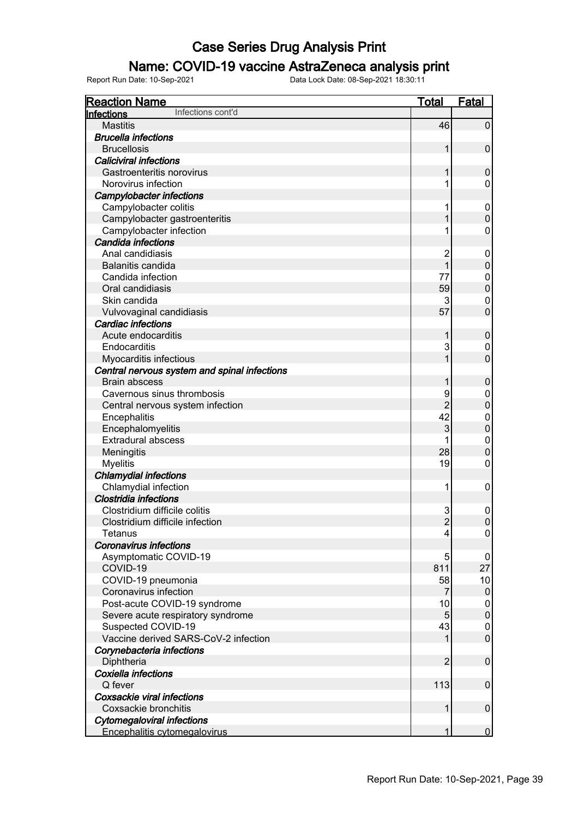### Name: COVID-19 vaccine AstraZeneca analysis print

| <b>Reaction Name</b>                                       | <b>Total</b>    | <b>Fatal</b>               |
|------------------------------------------------------------|-----------------|----------------------------|
| Infections cont'd<br>Infections                            |                 |                            |
| <b>Mastitis</b>                                            | 46              | $\pmb{0}$                  |
| <b>Brucella infections</b>                                 |                 |                            |
| <b>Brucellosis</b>                                         | 1               | $\mathbf 0$                |
| <b>Caliciviral infections</b>                              |                 |                            |
| Gastroenteritis norovirus                                  | 1               | $\mathbf 0$                |
| Norovirus infection                                        | 1               | 0                          |
| <b>Campylobacter infections</b>                            |                 |                            |
| Campylobacter colitis                                      | 1               | 0                          |
| Campylobacter gastroenteritis                              |                 | $\boldsymbol{0}$           |
| Campylobacter infection                                    | 1               | $\mathbf 0$                |
| Candida infections                                         |                 |                            |
| Anal candidiasis                                           | $\overline{c}$  | 0                          |
| Balanitis candida                                          | 1               | $\mathbf 0$                |
| Candida infection                                          | 77              | $\pmb{0}$                  |
| Oral candidiasis                                           | 59              | $\mathbf 0$                |
| Skin candida                                               | 3               | $\mathbf 0$                |
| Vulvovaginal candidiasis                                   | 57              | $\mathbf 0$                |
| <b>Cardiac infections</b>                                  |                 |                            |
| Acute endocarditis                                         | 1               | $\mathbf 0$                |
| Endocarditis                                               | 3               | $\mathbf 0$                |
| Myocarditis infectious                                     |                 | $\mathbf 0$                |
| Central nervous system and spinal infections               |                 |                            |
| <b>Brain abscess</b>                                       | 1               | $\mathbf 0$                |
| Cavernous sinus thrombosis                                 | 9               | $\boldsymbol{0}$           |
| Central nervous system infection                           | $\overline{2}$  | $\mathbf 0$                |
| Encephalitis                                               | 42              | $\mathbf 0$                |
| Encephalomyelitis                                          | 3               | $\boldsymbol{0}$           |
| <b>Extradural abscess</b>                                  |                 | $\boldsymbol{0}$           |
| Meningitis                                                 | 28              | $\mathbf 0$                |
| <b>Myelitis</b>                                            | 19              | $\mathbf 0$                |
| <b>Chlamydial infections</b>                               |                 |                            |
| Chlamydial infection                                       | 1               | $\mathbf 0$                |
| Clostridia infections                                      |                 |                            |
| Clostridium difficile colitis                              | 3               | $\mathbf 0$                |
| Clostridium difficile infection                            | $\overline{2}$  | $\pmb{0}$                  |
| Tetanus                                                    | $\vert 4 \vert$ | 0                          |
| <b>Coronavirus infections</b>                              |                 |                            |
| Asymptomatic COVID-19                                      | 5               | 0                          |
| COVID-19                                                   | 811             | 27                         |
|                                                            | 58              |                            |
| COVID-19 pneumonia<br>Coronavirus infection                | 7               | 10<br>$\boldsymbol{0}$     |
|                                                            | 10              |                            |
| Post-acute COVID-19 syndrome                               | 5               | 0                          |
| Severe acute respiratory syndrome                          |                 | $\pmb{0}$                  |
| Suspected COVID-19<br>Vaccine derived SARS-CoV-2 infection | 43              | $\mathbf 0$<br>$\mathbf 0$ |
|                                                            |                 |                            |
| Corynebacteria infections                                  |                 |                            |
| Diphtheria                                                 | $\overline{2}$  | $\boldsymbol{0}$           |
| Coxiella infections                                        |                 |                            |
| Q fever                                                    | 113             | $\boldsymbol{0}$           |
| Coxsackie viral infections                                 |                 |                            |
| Coxsackie bronchitis                                       | 1               | $\boldsymbol{0}$           |
| <b>Cytomegaloviral infections</b>                          |                 |                            |
| Encephalitis cytomegalovirus                               | 1               | $\mathbf 0$                |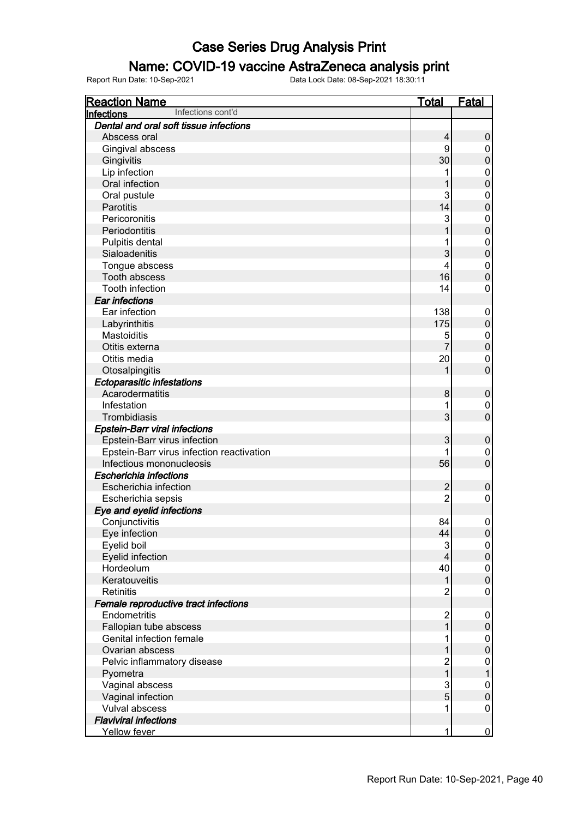### Name: COVID-19 vaccine AstraZeneca analysis print

| <b>Reaction Name</b>                      | <u>Total</u>             | <b>Fatal</b>                |
|-------------------------------------------|--------------------------|-----------------------------|
| Infections cont'd<br>Infections           |                          |                             |
| Dental and oral soft tissue infections    |                          |                             |
| Abscess oral                              | 4                        | 0                           |
| Gingival abscess                          | 9                        | 0                           |
| Gingivitis                                | 30                       | $\boldsymbol{0}$            |
| Lip infection                             |                          | $\pmb{0}$                   |
| Oral infection                            |                          | $\mathbf 0$                 |
| Oral pustule                              | 3                        | $\pmb{0}$                   |
| Parotitis                                 | 14                       | $\mathbf 0$                 |
| Pericoronitis                             | 3                        | $\mathbf 0$                 |
| Periodontitis                             |                          | $\mathbf 0$                 |
| Pulpitis dental                           | 1                        | $\mathbf 0$                 |
| Sialoadenitis                             | 3                        | $\mathbf 0$                 |
| Tongue abscess                            | 4                        | $\pmb{0}$                   |
| Tooth abscess                             | 16                       | $\mathbf 0$                 |
| Tooth infection                           | 14                       | $\mathbf 0$                 |
| <b>Ear infections</b>                     |                          |                             |
| Ear infection                             | 138                      | 0                           |
|                                           | 175                      | $\boldsymbol{0}$            |
| Labyrinthitis<br><b>Mastoiditis</b>       | 5                        | $\pmb{0}$                   |
|                                           | $\overline{7}$           | $\mathbf 0$                 |
| Otitis externa                            |                          |                             |
| Otitis media                              | 20                       | $\pmb{0}$<br>$\overline{0}$ |
| Otosalpingitis                            | 1                        |                             |
| <b>Ectoparasitic infestations</b>         |                          |                             |
| Acarodermatitis                           | 8                        | $\mathbf 0$                 |
| Infestation                               | 1                        | $\mathbf 0$                 |
| Trombidiasis                              | 3                        | $\mathbf 0$                 |
| <b>Epstein-Barr viral infections</b>      |                          |                             |
| Epstein-Barr virus infection              | 3                        | $\mathbf 0$                 |
| Epstein-Barr virus infection reactivation |                          | $\mathbf 0$                 |
| Infectious mononucleosis                  | 56                       | $\mathbf 0$                 |
| Escherichia infections                    |                          |                             |
| Escherichia infection                     | $\overline{2}$           | $\mathbf 0$                 |
| Escherichia sepsis                        | $\overline{2}$           | $\pmb{0}$                   |
| Eye and eyelid infections                 |                          |                             |
| Conjunctivitis                            | 84                       | $\pmb{0}$                   |
| Eye infection                             | 44                       | $\boldsymbol{0}$            |
| Eyelid boil                               | 3                        | $\mathbf 0$                 |
| Eyelid infection                          | $\overline{\mathcal{L}}$ | $\pmb{0}$                   |
| Hordeolum                                 | 40                       | $\pmb{0}$                   |
| Keratouveitis                             | 1                        | $\pmb{0}$                   |
| Retinitis                                 | $\overline{2}$           | $\pmb{0}$                   |
| Female reproductive tract infections      |                          |                             |
| Endometritis                              | $\overline{\mathbf{c}}$  | 0                           |
| Fallopian tube abscess                    | $\overline{1}$           | $\pmb{0}$                   |
| Genital infection female                  | 1                        | 0                           |
| Ovarian abscess                           |                          | $\boldsymbol{0}$            |
| Pelvic inflammatory disease               | $\overline{c}$           | $\mathbf 0$                 |
| Pyometra                                  | $\overline{1}$           | $\mathbf{1}$                |
| Vaginal abscess                           | 3                        | $\mathbf 0$                 |
| Vaginal infection                         | 5                        | $\boldsymbol{0}$            |
| <b>Vulval abscess</b>                     | 1                        | $\pmb{0}$                   |
| <b>Flaviviral infections</b>              |                          |                             |
| Yellow fever                              | 1                        | $\overline{0}$              |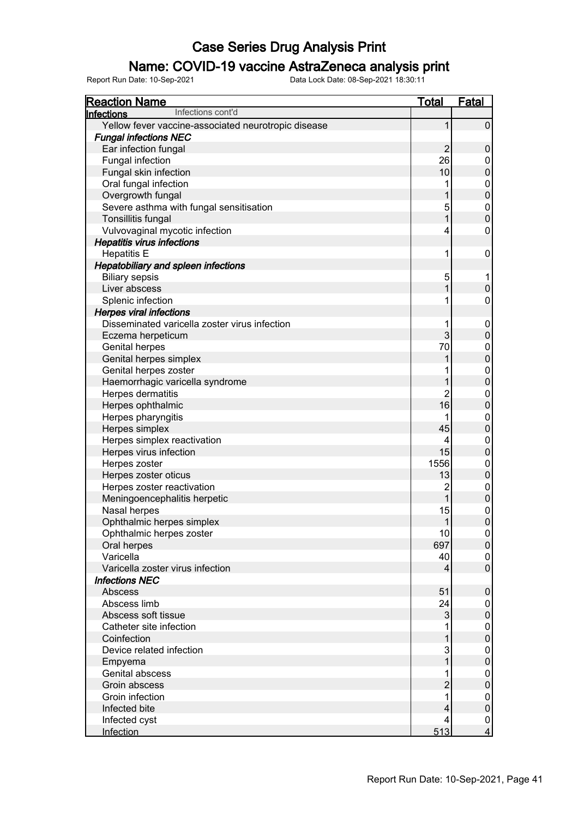### Name: COVID-19 vaccine AstraZeneca analysis print

| <b>Reaction Name</b>                                | <b>Total</b>   | <b>Fatal</b>     |
|-----------------------------------------------------|----------------|------------------|
| Infections cont'd<br><b>Infections</b>              |                |                  |
| Yellow fever vaccine-associated neurotropic disease | 1              | $\pmb{0}$        |
| <b>Fungal infections NEC</b>                        |                |                  |
| Ear infection fungal                                | $\overline{2}$ | $\pmb{0}$        |
| Fungal infection                                    | 26             | 0                |
| Fungal skin infection                               | 10             | $\overline{0}$   |
| Oral fungal infection                               |                | $\overline{0}$   |
| Overgrowth fungal                                   |                | $\overline{0}$   |
| Severe asthma with fungal sensitisation             | 5              | $\overline{0}$   |
| Tonsillitis fungal                                  |                | $\overline{0}$   |
| Vulvovaginal mycotic infection                      | 4              | 0                |
| <b>Hepatitis virus infections</b>                   |                |                  |
| <b>Hepatitis E</b>                                  | 1              | 0                |
| <b>Hepatobiliary and spleen infections</b>          |                |                  |
| <b>Biliary sepsis</b>                               | 5              | 1                |
| Liver abscess                                       |                | $\boldsymbol{0}$ |
| Splenic infection                                   | 1              | 0                |
| <b>Herpes viral infections</b>                      |                |                  |
| Disseminated varicella zoster virus infection       | 1              | 0                |
| Eczema herpeticum                                   | 3              | $\mathsf 0$      |
| <b>Genital herpes</b>                               | 70             | $\overline{0}$   |
| Genital herpes simplex                              |                | $\overline{0}$   |
| Genital herpes zoster                               |                | $\overline{0}$   |
| Haemorrhagic varicella syndrome                     |                | $\overline{0}$   |
| Herpes dermatitis                                   | 2              | $\mathbf 0$      |
| Herpes ophthalmic                                   | 16             | $\pmb{0}$        |
| Herpes pharyngitis                                  |                | $\mathbf 0$      |
| Herpes simplex                                      | 45             | $\pmb{0}$        |
| Herpes simplex reactivation                         | 4              | $\overline{0}$   |
| Herpes virus infection                              | 15             | $\overline{0}$   |
| Herpes zoster                                       | 1556           | $\mathbf 0$      |
| Herpes zoster oticus                                | 13             | $\pmb{0}$        |
| Herpes zoster reactivation                          | $\overline{c}$ | $\mathbf 0$      |
| Meningoencephalitis herpetic                        | 1              | $\mathbf 0$      |
| Nasal herpes                                        | 15             | $\mathbf{0}$     |
| Ophthalmic herpes simplex                           | 1              | $\overline{0}$   |
| Ophthalmic herpes zoster                            | 10             | $\overline{0}$   |
| Oral herpes                                         | 697            | $\pmb{0}$        |
| Varicella                                           | 40             | 0                |
| Varicella zoster virus infection                    | 4              | $\pmb{0}$        |
| <b>Infections NEC</b>                               |                |                  |
| Abscess                                             | 51             | $\pmb{0}$        |
| Abscess limb                                        | 24             | 0                |
| Abscess soft tissue                                 | 3              | $\pmb{0}$        |
| Catheter site infection                             |                | 0                |
| Coinfection                                         |                | $\boldsymbol{0}$ |
| Device related infection                            | 3              | 0                |
| Empyema                                             |                | $\boldsymbol{0}$ |
| Genital abscess                                     |                | 0                |
| Groin abscess                                       | $\overline{c}$ | $\boldsymbol{0}$ |
| Groin infection                                     | 1              | 0                |
| Infected bite                                       | 4              | $\boldsymbol{0}$ |
| Infected cyst                                       | 4              | 0                |
| <b>Infection</b>                                    | 513            | $\overline{4}$   |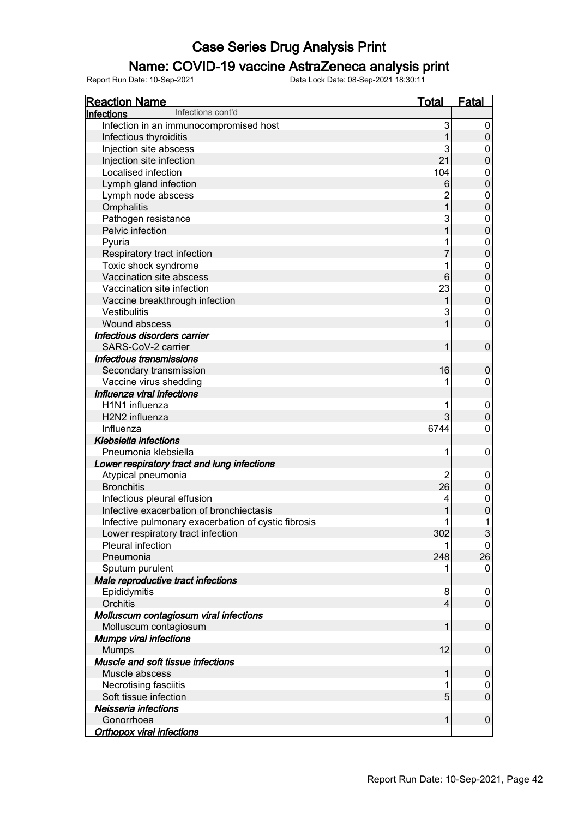### Name: COVID-19 vaccine AstraZeneca analysis print

| <b>Reaction Name</b>                                | <u>Total</u>   | <b>Fatal</b>     |
|-----------------------------------------------------|----------------|------------------|
| Infections cont'd<br>Infections                     |                |                  |
| Infection in an immunocompromised host              | 3              | 0                |
| Infectious thyroiditis                              | 1              | $\pmb{0}$        |
| Injection site abscess                              | 3              | 0                |
| Injection site infection                            | 21             | $\mathbf 0$      |
| Localised infection                                 | 104            | $\pmb{0}$        |
| Lymph gland infection                               | 6              | $\overline{0}$   |
| Lymph node abscess                                  | $\overline{c}$ | $\pmb{0}$        |
| Omphalitis                                          | $\overline{1}$ | $\overline{0}$   |
| Pathogen resistance                                 | 3              | $\pmb{0}$        |
| Pelvic infection                                    | 1              | $\overline{0}$   |
| Pyuria                                              | 1              | $\pmb{0}$        |
| Respiratory tract infection                         | 7              | $\overline{0}$   |
| Toxic shock syndrome                                | 1              | $\pmb{0}$        |
| Vaccination site abscess                            | $6\phantom{1}$ | $\overline{0}$   |
| Vaccination site infection                          | 23             | 0                |
| Vaccine breakthrough infection                      | 1              | $\boldsymbol{0}$ |
| Vestibulitis                                        | 3              | $\pmb{0}$        |
| Wound abscess                                       | 1              | $\overline{0}$   |
| Infectious disorders carrier                        |                |                  |
| SARS-CoV-2 carrier                                  | 1              | $\mathbf 0$      |
| Infectious transmissions                            |                |                  |
| Secondary transmission                              | 16             | $\mathbf 0$      |
| Vaccine virus shedding                              | 1              | 0                |
| Influenza viral infections                          |                |                  |
| H1N1 influenza                                      | 1              | $\mathbf 0$      |
| H2N2 influenza                                      | 3              | $\pmb{0}$        |
| Influenza                                           | 6744           | $\mathbf 0$      |
| Klebsiella infections                               |                |                  |
| Pneumonia klebsiella                                | 1              | 0                |
| Lower respiratory tract and lung infections         |                |                  |
| Atypical pneumonia                                  | 2              | 0                |
| <b>Bronchitis</b>                                   | 26             | $\boldsymbol{0}$ |
| Infectious pleural effusion                         | 4              | $\mathbf 0$      |
| Infective exacerbation of bronchiectasis            | 1              | $\overline{0}$   |
| Infective pulmonary exacerbation of cystic fibrosis | 1              | 1                |
| Lower respiratory tract infection                   | 302            | 3                |
| <b>Pleural infection</b>                            | 1              | 0                |
| Pneumonia                                           | 248            | 26               |
| Sputum purulent                                     |                | $\mathbf 0$      |
| Male reproductive tract infections                  |                |                  |
| Epididymitis                                        | 8              | 0                |
| Orchitis                                            | 4              | $\pmb{0}$        |
| Molluscum contagiosum viral infections              |                |                  |
| Molluscum contagiosum                               | 1              | $\pmb{0}$        |
| <b>Mumps viral infections</b>                       |                |                  |
| <b>Mumps</b>                                        | 12             | $\pmb{0}$        |
| Muscle and soft tissue infections                   |                |                  |
| Muscle abscess                                      | 1              | $\pmb{0}$        |
| Necrotising fasciitis                               | 1              | 0                |
| Soft tissue infection                               | 5              | $\boldsymbol{0}$ |
| Neisseria infections                                |                |                  |
| Gonorrhoea                                          | $\mathbf{1}$   | $\pmb{0}$        |
| <b>Orthopox viral infections</b>                    |                |                  |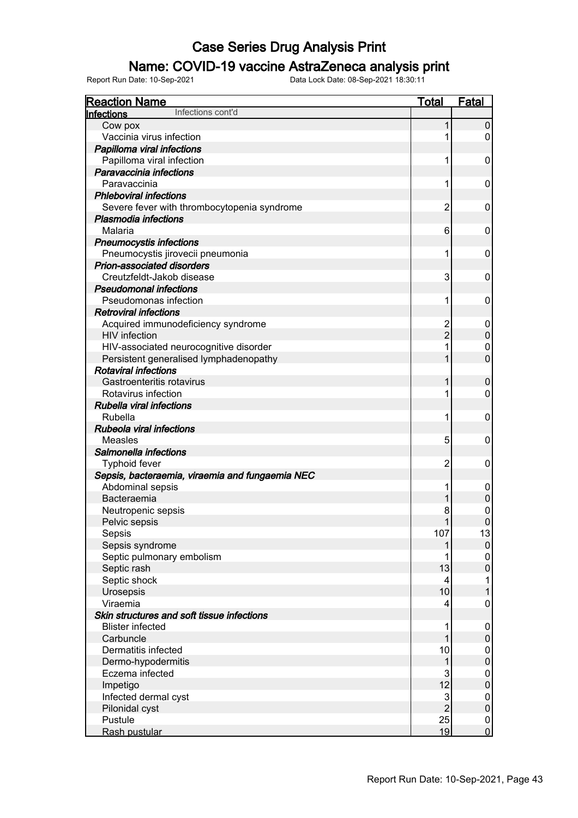### Name: COVID-19 vaccine AstraZeneca analysis print

| <b>Reaction Name</b>                            | Total                   | <b>Fatal</b>     |
|-------------------------------------------------|-------------------------|------------------|
| Infections cont'd<br>Infections                 |                         |                  |
| Cow pox                                         | 1                       | $\pmb{0}$        |
| Vaccinia virus infection                        | 1                       | 0                |
| Papilloma viral infections                      |                         |                  |
| Papilloma viral infection                       | 1                       | 0                |
| Paravaccinia infections                         |                         |                  |
| Paravaccinia                                    | 1                       | 0                |
| <b>Phleboviral infections</b>                   |                         |                  |
| Severe fever with thrombocytopenia syndrome     | $\overline{2}$          | 0                |
| Plasmodia infections                            |                         |                  |
| Malaria                                         | 6                       | 0                |
| <b>Pneumocystis infections</b>                  |                         |                  |
| Pneumocystis jirovecii pneumonia                | 1                       | 0                |
| Prion-associated disorders                      |                         |                  |
| Creutzfeldt-Jakob disease                       | 3                       | 0                |
| <b>Pseudomonal infections</b>                   |                         |                  |
| Pseudomonas infection                           | 1                       | 0                |
| <b>Retroviral infections</b>                    |                         |                  |
| Acquired immunodeficiency syndrome              | 2                       | 0                |
| <b>HIV</b> infection                            | $\overline{2}$          | $\pmb{0}$        |
| HIV-associated neurocognitive disorder          | 1                       | 0                |
| Persistent generalised lymphadenopathy          | 1                       | $\overline{0}$   |
| <b>Rotaviral infections</b>                     |                         |                  |
| Gastroenteritis rotavirus                       | 1                       | $\boldsymbol{0}$ |
| Rotavirus infection                             | 1                       | 0                |
| <b>Rubella viral infections</b>                 |                         |                  |
| Rubella                                         | 1                       | $\mathbf 0$      |
| Rubeola viral infections                        |                         |                  |
| Measles                                         | 5                       | $\mathbf 0$      |
| Salmonella infections                           |                         |                  |
| <b>Typhoid fever</b>                            | 2                       | $\mathbf 0$      |
| Sepsis, bacteraemia, viraemia and fungaemia NEC |                         |                  |
| Abdominal sepsis                                | 1                       | $\mathbf 0$      |
| Bacteraemia                                     | 1                       | $\pmb{0}$        |
| Neutropenic sepsis                              | 8                       | $\mathbf{0}$     |
| Pelvic sepsis                                   | 1                       | $\mathbf 0$      |
| Sepsis                                          | 107                     | 13               |
| Sepsis syndrome                                 | 1                       | $\pmb{0}$        |
| Septic pulmonary embolism                       |                         | 0                |
| Septic rash                                     | 13                      | $\boldsymbol{0}$ |
| Septic shock                                    | 4                       | 1                |
| Urosepsis                                       | 10                      | 1                |
| Viraemia                                        | 4                       | $\mathbf 0$      |
| Skin structures and soft tissue infections      |                         |                  |
| <b>Blister infected</b>                         | 1                       | 0                |
| Carbuncle                                       |                         | $\pmb{0}$        |
| Dermatitis infected                             | 10                      | $\boldsymbol{0}$ |
| Dermo-hypodermitis                              | 1                       | $\boldsymbol{0}$ |
| Eczema infected                                 | 3                       | $\boldsymbol{0}$ |
| Impetigo                                        | 12                      | $\boldsymbol{0}$ |
| Infected dermal cyst                            | $\overline{\mathbf{3}}$ | $\boldsymbol{0}$ |
| Pilonidal cyst                                  | $\overline{2}$          | $\pmb{0}$        |
| Pustule                                         | 25                      | $\boldsymbol{0}$ |
| Rash pustular                                   | 19                      | $\overline{0}$   |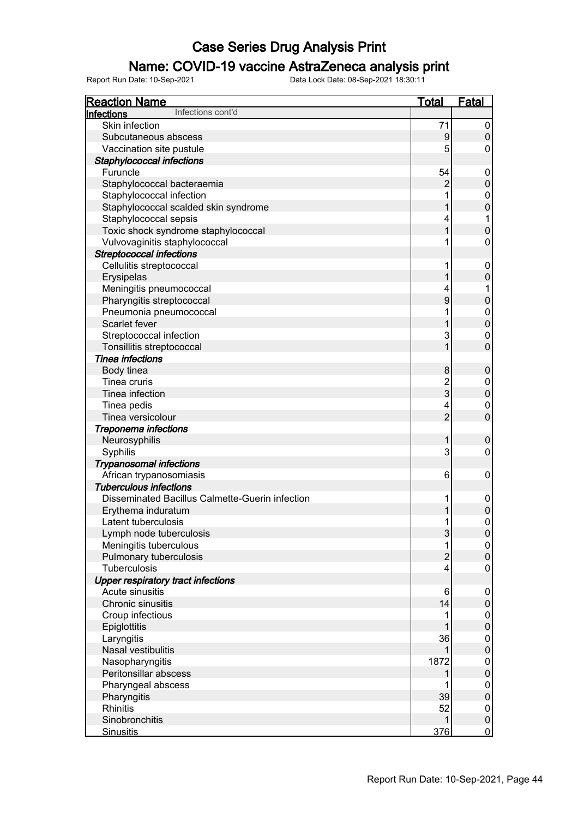### Name: COVID-19 vaccine AstraZeneca analysis print

| <b>Reaction Name</b>                            | <b>Total</b>   | <b>Fatal</b>        |
|-------------------------------------------------|----------------|---------------------|
| Infections cont'd<br>Infections                 |                |                     |
| Skin infection                                  | 71             | 0                   |
| Subcutaneous abscess                            | 9              | $\mathbf 0$         |
| Vaccination site pustule                        | 5              | 0                   |
| Staphylococcal infections                       |                |                     |
| Furuncle                                        | 54             | 0                   |
| Staphylococcal bacteraemia                      | $\overline{2}$ | $\mathbf 0$         |
| Staphylococcal infection                        |                | 0                   |
| Staphylococcal scalded skin syndrome            |                | $\overline{0}$      |
| Staphylococcal sepsis                           | 4              |                     |
| Toxic shock syndrome staphylococcal             |                | $\mathbf 0$         |
| Vulvovaginitis staphylococcal                   |                | 0                   |
| <b>Streptococcal infections</b>                 |                |                     |
| Cellulitis streptococcal                        |                | 0                   |
|                                                 |                | $\overline{0}$      |
| Erysipelas                                      |                |                     |
| Meningitis pneumococcal                         | 4              |                     |
| Pharyngitis streptococcal                       | 9              | $\mathbf 0$         |
| Pneumonia pneumococcal                          |                | 0                   |
| Scarlet fever                                   |                | $\mathbf 0$         |
| Streptococcal infection                         | 3              | 0                   |
| Tonsillitis streptococcal                       |                | $\overline{0}$      |
| <b>Tinea infections</b>                         |                |                     |
| Body tinea                                      | 8              | $\pmb{0}$           |
| Tinea cruris                                    | $\overline{c}$ | 0                   |
| Tinea infection                                 | 3              | $\mathbf 0$         |
| Tinea pedis                                     | 4              | 0                   |
| Tinea versicolour                               | $\overline{2}$ | $\overline{0}$      |
| Treponema infections                            |                |                     |
| Neurosyphilis                                   |                | $\mathbf 0$         |
| Syphilis                                        | 3              | 0                   |
| <b>Trypanosomal infections</b>                  |                |                     |
| African trypanosomiasis                         | 6              | $\mathbf 0$         |
| <b>Tuberculous infections</b>                   |                |                     |
| Disseminated Bacillus Calmette-Guerin infection | 1              | 0                   |
| Erythema induratum                              |                | $\mathbf 0$         |
| Latent tuberculosis                             | 1              | 0                   |
| Lymph node tuberculosis                         | 3              | $\pmb{0}$           |
| Meningitis tuberculous                          |                | 0                   |
| Pulmonary tuberculosis                          | $\overline{c}$ | $\mathbf 0$         |
| Tuberculosis                                    | $\overline{4}$ | 0                   |
| <b>Upper respiratory tract infections</b>       |                |                     |
| Acute sinusitis                                 | 6              | 0                   |
| Chronic sinusitis                               | 14             | $\mathsf{O}\xspace$ |
| Croup infectious                                |                | 0                   |
| Epiglottitis                                    |                | $\mathbf 0$         |
| Laryngitis                                      | 36             | 0                   |
| Nasal vestibulitis                              |                | $\mathbf 0$         |
| Nasopharyngitis                                 | 1872           | 0                   |
| Peritonsillar abscess                           |                | $\mathbf 0$         |
| Pharyngeal abscess                              |                | 0                   |
| Pharyngitis                                     | 39             | $\mathbf 0$         |
| Rhinitis                                        | 52             | 0                   |
| Sinobronchitis                                  | 1              | $\pmb{0}$           |
| <b>Sinusitis</b>                                | 376            | $\overline{0}$      |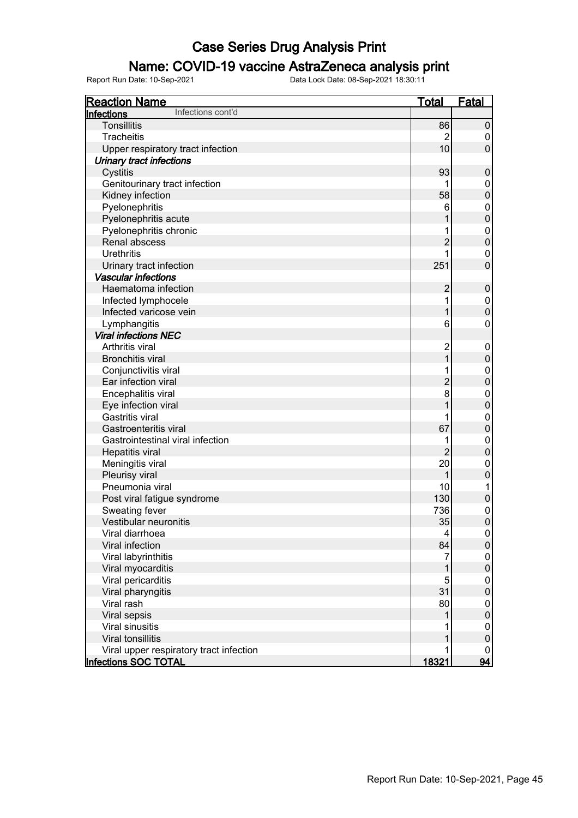### Name: COVID-19 vaccine AstraZeneca analysis print

| <b>Reaction Name</b>                    | <b>Total</b>    | <b>Fatal</b>     |
|-----------------------------------------|-----------------|------------------|
| Infections cont'd<br>Infections         |                 |                  |
| <b>Tonsillitis</b>                      | 86              | $\pmb{0}$        |
| <b>Tracheitis</b>                       | $\overline{2}$  | 0                |
| Upper respiratory tract infection       | 10              | $\mathbf 0$      |
| <b>Urinary tract infections</b>         |                 |                  |
| Cystitis                                | 93              | $\boldsymbol{0}$ |
| Genitourinary tract infection           | 1               | 0                |
| Kidney infection                        | 58              | $\mathbf 0$      |
| Pyelonephritis                          | 6               | $\mathbf 0$      |
| Pyelonephritis acute                    | 1               | $\mathbf 0$      |
| Pyelonephritis chronic                  | 1               | $\boldsymbol{0}$ |
| Renal abscess                           | $\overline{c}$  | $\mathbf 0$      |
| <b>Urethritis</b>                       | 1               | 0                |
| Urinary tract infection                 | 251             | $\mathbf 0$      |
| <b>Vascular infections</b>              |                 |                  |
| Haematoma infection                     | $\overline{c}$  | $\boldsymbol{0}$ |
| Infected lymphocele                     | 1               | $\boldsymbol{0}$ |
| Infected varicose vein                  | 1               | $\mathbf 0$      |
| Lymphangitis                            | 6               | $\mathbf 0$      |
| <b>Viral infections NEC</b>             |                 |                  |
| Arthritis viral                         | $\overline{c}$  | $\mathbf 0$      |
| <b>Bronchitis viral</b>                 | 1               | $\mathbf 0$      |
| Conjunctivitis viral                    | 1               | $\boldsymbol{0}$ |
| Ear infection viral                     | $\overline{c}$  | $\mathbf 0$      |
| Encephalitis viral                      | 8               | $\mathbf 0$      |
| Eye infection viral                     | 1               | $\mathbf 0$      |
| Gastritis viral                         | 1               | $\mathbf 0$      |
| Gastroenteritis viral                   | 67              | $\mathbf 0$      |
| Gastrointestinal viral infection        | 1               | $\mathbf 0$      |
| <b>Hepatitis viral</b>                  | $\overline{2}$  | $\mathbf 0$      |
| Meningitis viral                        | 20              | $\mathbf 0$      |
| Pleurisy viral                          | 1               | $\mathbf 0$      |
| Pneumonia viral                         | 10              | 1                |
| Post viral fatigue syndrome             | 130             | $\pmb{0}$        |
| Sweating fever                          | 736             | $\mathbf 0$      |
| Vestibular neuronitis                   | 35              | $\mathbf 0$      |
| Viral diarrhoea                         | $\vert 4 \vert$ | $\boldsymbol{0}$ |
| Viral infection                         | 84              | $\pmb{0}$        |
| Viral labyrinthitis                     | 7               | $\boldsymbol{0}$ |
| Viral myocarditis                       | 1               | $\mathbf 0$      |
| Viral pericarditis                      | 5               | $\mathbf 0$      |
| Viral pharyngitis                       | 31              | $\mathbf 0$      |
| Viral rash                              | 80              | $\mathbf 0$      |
| Viral sepsis                            | 1               | $\mathbf 0$      |
| Viral sinusitis                         |                 | $\mathbf 0$      |
| <b>Viral tonsillitis</b>                |                 | $\boldsymbol{0}$ |
| Viral upper respiratory tract infection |                 | 0                |
| <b>Infections SOC TOTAL</b>             | 18321           | 94               |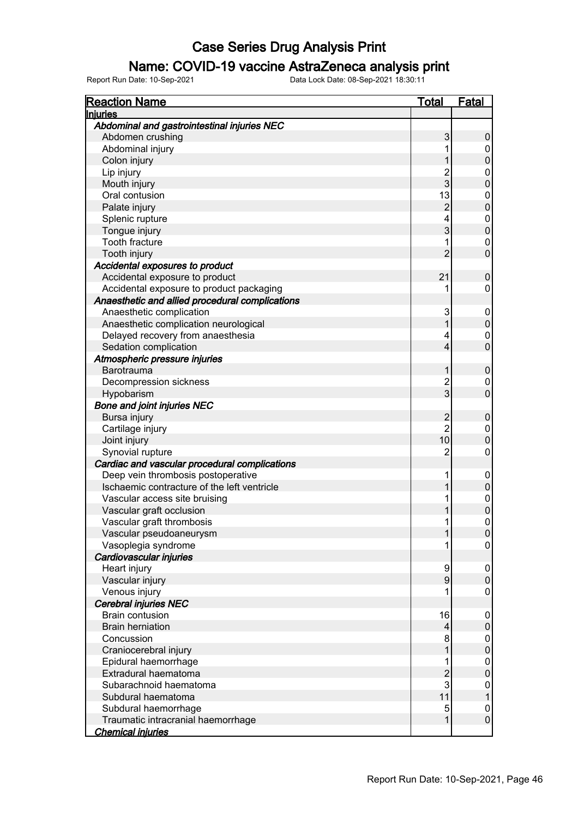### Name: COVID-19 vaccine AstraZeneca analysis print

| <b>Reaction Name</b>                            | <b>Total</b>   | <b>Fatal</b>                     |
|-------------------------------------------------|----------------|----------------------------------|
| <b>Injuries</b>                                 |                |                                  |
| Abdominal and gastrointestinal injuries NEC     |                |                                  |
| Abdomen crushing                                | 3              | 0                                |
| Abdominal injury                                |                | $\pmb{0}$                        |
| Colon injury                                    |                | $\overline{0}$                   |
| Lip injury                                      | $\overline{c}$ | $\pmb{0}$                        |
| Mouth injury                                    | 3              | $\overline{0}$                   |
| Oral contusion                                  | 13             | $\pmb{0}$                        |
| Palate injury                                   | $\overline{2}$ | $\overline{0}$                   |
| Splenic rupture                                 | 4              | $\pmb{0}$                        |
| Tongue injury                                   | 3              | $\overline{0}$                   |
| Tooth fracture                                  | 1              | $\pmb{0}$                        |
| Tooth injury                                    | $\overline{2}$ | $\overline{0}$                   |
| Accidental exposures to product                 |                |                                  |
| Accidental exposure to product                  | 21             | $\pmb{0}$                        |
| Accidental exposure to product packaging        |                | 0                                |
| Anaesthetic and allied procedural complications |                |                                  |
| Anaesthetic complication                        | 3              | 0                                |
| Anaesthetic complication neurological           |                | $\pmb{0}$                        |
| Delayed recovery from anaesthesia               | 4              | 0                                |
| Sedation complication                           | 4              | $\overline{0}$                   |
| Atmospheric pressure injuries                   |                |                                  |
| <b>Barotrauma</b>                               | 1              | $\pmb{0}$                        |
| Decompression sickness                          | $\overline{c}$ | 0                                |
| Hypobarism                                      | 3              | $\overline{0}$                   |
| <b>Bone and joint injuries NEC</b>              |                |                                  |
| Bursa injury                                    | $\overline{c}$ | $\pmb{0}$                        |
|                                                 | $\overline{2}$ |                                  |
| Cartilage injury                                | 10             | $\pmb{0}$<br>$\overline{0}$      |
| Joint injury                                    | $\overline{2}$ | $\mathbf 0$                      |
| Synovial rupture                                |                |                                  |
| Cardiac and vascular procedural complications   |                |                                  |
| Deep vein thrombosis postoperative              | 1              | $\mathbf 0$                      |
| Ischaemic contracture of the left ventricle     |                | $\overline{0}$                   |
| Vascular access site bruising                   | 1              | $\begin{matrix}0\\0\end{matrix}$ |
| Vascular graft occlusion                        |                |                                  |
| Vascular graft thrombosis                       | 1              | $\overline{0}$                   |
| Vascular pseudoaneurysm                         | 1              | $\boldsymbol{0}$                 |
| Vasoplegia syndrome                             | 1              | $\pmb{0}$                        |
| Cardiovascular injuries                         |                |                                  |
| Heart injury                                    | 9              | 0                                |
| Vascular injury                                 | 9              | $\pmb{0}$                        |
| Venous injury                                   |                | 0                                |
| Cerebral injuries NEC                           |                |                                  |
| <b>Brain contusion</b>                          | 16             | 0                                |
| <b>Brain herniation</b>                         | 4              | $\pmb{0}$                        |
| Concussion                                      | 8              | $\pmb{0}$                        |
| Craniocerebral injury                           |                | $\pmb{0}$                        |
| Epidural haemorrhage                            | 1              | 0                                |
| Extradural haematoma                            | $\overline{c}$ | $\mathbf 0$                      |
| Subarachnoid haematoma                          | 3              | 0                                |
| Subdural haematoma                              | 11             | $\mathbf 1$                      |
| Subdural haemorrhage                            | 5              | $\boldsymbol{0}$                 |
| Traumatic intracranial haemorrhage              | 1              | $\pmb{0}$                        |
| <b>Chemical injuries</b>                        |                |                                  |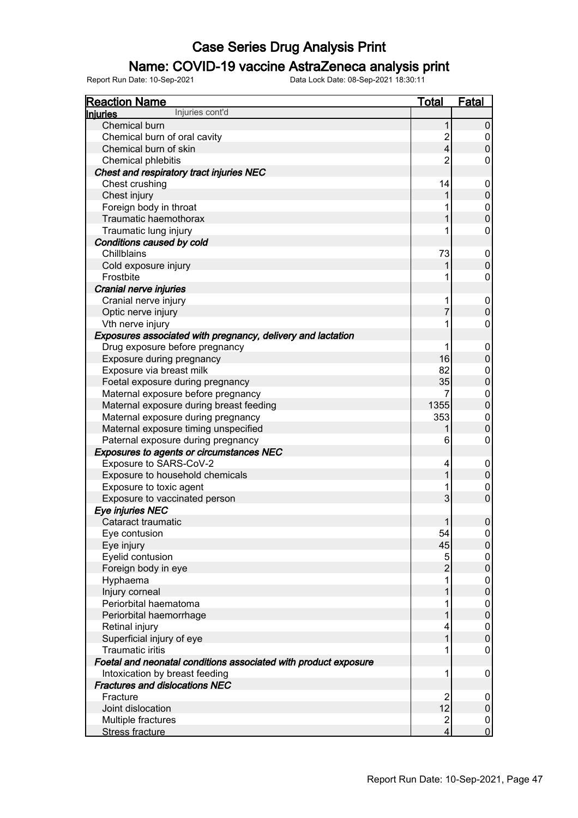### Name: COVID-19 vaccine AstraZeneca analysis print

| <b>Reaction Name</b>                                            | Total                   | <b>Fatal</b>     |
|-----------------------------------------------------------------|-------------------------|------------------|
| Injuries cont'd<br><u>Injuries</u>                              |                         |                  |
| <b>Chemical burn</b>                                            | 1                       | $\pmb{0}$        |
| Chemical burn of oral cavity                                    | $\overline{c}$          | 0                |
| Chemical burn of skin                                           | $\overline{\mathbf{4}}$ | $\pmb{0}$        |
| Chemical phlebitis                                              | $\overline{2}$          | 0                |
| Chest and respiratory tract injuries NEC                        |                         |                  |
| Chest crushing                                                  | 14                      | 0                |
| Chest injury                                                    |                         | $\mathsf 0$      |
| Foreign body in throat                                          |                         | 0                |
| Traumatic haemothorax                                           |                         | $\pmb{0}$        |
| Traumatic lung injury                                           | 1                       | 0                |
| Conditions caused by cold                                       |                         |                  |
| <b>Chillblains</b>                                              | 73                      | 0                |
| Cold exposure injury                                            |                         | $\mathbf 0$      |
| Frostbite                                                       |                         | 0                |
| Cranial nerve injuries                                          |                         |                  |
| Cranial nerve injury                                            | 1                       | 0                |
| Optic nerve injury                                              | 7                       | $\mathbf 0$      |
| Vth nerve injury                                                |                         | 0                |
| Exposures associated with pregnancy, delivery and lactation     |                         |                  |
| Drug exposure before pregnancy                                  | 1                       | 0                |
| Exposure during pregnancy                                       | 16                      | $\boldsymbol{0}$ |
| Exposure via breast milk                                        | 82                      | 0                |
| Foetal exposure during pregnancy                                | 35                      | $\pmb{0}$        |
| Maternal exposure before pregnancy                              |                         | 0                |
| Maternal exposure during breast feeding                         | 1355                    | $\pmb{0}$        |
| Maternal exposure during pregnancy                              | 353                     | 0                |
| Maternal exposure timing unspecified                            |                         | $\pmb{0}$        |
| Paternal exposure during pregnancy                              | 6                       | 0                |
| <b>Exposures to agents or circumstances NEC</b>                 |                         |                  |
| Exposure to SARS-CoV-2                                          | 4                       | 0                |
| Exposure to household chemicals                                 |                         | $\mathbf 0$      |
| Exposure to toxic agent                                         |                         | 0                |
| Exposure to vaccinated person                                   | 3                       | $\mathbf 0$      |
| Eye injuries NEC                                                |                         |                  |
| Cataract traumatic                                              | 1                       | 0                |
| Eye contusion                                                   | 54                      | $\overline{0}$   |
| Eye injury                                                      | 45                      | $\boldsymbol{0}$ |
| Eyelid contusion                                                | 5                       | 0                |
| Foreign body in eye                                             | $\overline{2}$          | $\pmb{0}$        |
| Hyphaema                                                        |                         | 0                |
| Injury corneal                                                  |                         | $\pmb{0}$        |
| Periorbital haematoma                                           |                         | 0                |
| Periorbital haemorrhage                                         |                         | $\pmb{0}$        |
| Retinal injury                                                  |                         | 0                |
| Superficial injury of eye                                       |                         | $\mathbf 0$      |
| <b>Traumatic iritis</b>                                         |                         | 0                |
| Foetal and neonatal conditions associated with product exposure |                         |                  |
| Intoxication by breast feeding                                  | 1                       | 0                |
| <b>Fractures and dislocations NEC</b>                           |                         |                  |
| Fracture                                                        | $\overline{2}$          | 0                |
| Joint dislocation                                               | 12                      | $\pmb{0}$        |
| Multiple fractures                                              | $\overline{2}$          | 0                |
| Stress fracture                                                 | 4                       | $\overline{0}$   |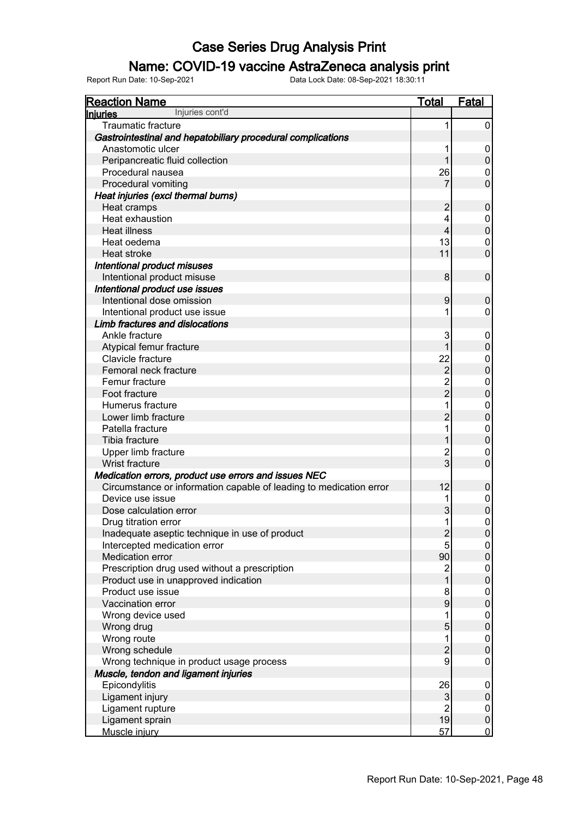### Name: COVID-19 vaccine AstraZeneca analysis print

| <b>Reaction Name</b>                                               | <b>Total</b>                 | <b>Fatal</b>           |
|--------------------------------------------------------------------|------------------------------|------------------------|
| Injuries cont'd<br><b>Injuries</b>                                 |                              |                        |
| <b>Traumatic fracture</b>                                          | 1                            | 0                      |
| Gastrointestinal and hepatobiliary procedural complications        |                              |                        |
| Anastomotic ulcer                                                  |                              | 0                      |
| Peripancreatic fluid collection                                    |                              | $\pmb{0}$              |
| Procedural nausea                                                  | 26                           | 0                      |
| Procedural vomiting                                                |                              | $\mathbf 0$            |
| Heat injuries (excl thermal burns)                                 |                              |                        |
| Heat cramps                                                        | 2                            | $\mathbf 0$            |
| Heat exhaustion                                                    | 4                            | 0                      |
| <b>Heat illness</b>                                                | $\overline{4}$               | $\mathbf 0$            |
| Heat oedema                                                        | 13                           | 0                      |
| Heat stroke                                                        | 11                           | $\mathbf 0$            |
| Intentional product misuses                                        |                              |                        |
| Intentional product misuse                                         | 8                            | $\mathbf 0$            |
| Intentional product use issues                                     |                              |                        |
| Intentional dose omission                                          | 9                            | $\mathbf 0$            |
| Intentional product use issue                                      |                              | 0                      |
| Limb fractures and dislocations                                    |                              |                        |
| Ankle fracture                                                     | 3                            | 0                      |
| Atypical femur fracture                                            |                              | $\mathsf 0$            |
| Clavicle fracture                                                  | 22                           | 0                      |
| Femoral neck fracture                                              | $\overline{2}$               | $\mathbf 0$            |
| Femur fracture                                                     | $\overline{2}$               | 0                      |
| Foot fracture                                                      | $\overline{2}$               | $\overline{0}$         |
| Humerus fracture                                                   |                              | $\overline{0}$         |
| Lower limb fracture                                                | $\overline{2}$               | $\boldsymbol{0}$       |
| Patella fracture                                                   |                              | $\overline{0}$         |
| Tibia fracture                                                     |                              | $\pmb{0}$              |
| Upper limb fracture                                                | $\overline{c}$               | 0                      |
| Wrist fracture                                                     | 3                            | $\overline{0}$         |
| Medication errors, product use errors and issues NEC               |                              |                        |
| Circumstance or information capable of leading to medication error | 12                           | $\pmb{0}$              |
| Device use issue                                                   |                              | $\pmb{0}$              |
| Dose calculation error                                             | 3                            | $\mathbf 0$            |
| Drug titration error                                               | 1                            | $\mathbf 0$            |
| Inadequate aseptic technique in use of product                     | $\overline{\mathbf{c}}$      | $\boldsymbol{0}$       |
| Intercepted medication error                                       | 5                            | $\overline{0}$         |
| Medication error                                                   | 90                           | $\pmb{0}$              |
| Prescription drug used without a prescription                      | $\overline{\mathbf{c}}$      | $\pmb{0}$              |
| Product use in unapproved indication                               | 1                            | $\pmb{0}$              |
| Product use issue                                                  | 8                            | $\pmb{0}$              |
| Vaccination error                                                  | 9                            | $\pmb{0}$              |
| Wrong device used                                                  | 1                            | $\pmb{0}$              |
| Wrong drug                                                         | 5                            | $\pmb{0}$              |
| Wrong route                                                        | 1                            | $\pmb{0}$<br>$\pmb{0}$ |
| Wrong schedule                                                     | $\overline{c}$               |                        |
| Wrong technique in product usage process                           | 9                            | $\pmb{0}$              |
| Muscle, tendon and ligament injuries                               |                              |                        |
| Epicondylitis                                                      | 26                           | $\boldsymbol{0}$       |
| Ligament injury                                                    | $\sqrt{3}$<br>$\overline{2}$ | $\pmb{0}$              |
| Ligament rupture<br>Ligament sprain                                | 19                           | $\pmb{0}$<br>$\pmb{0}$ |
| Muscle injury                                                      | 57                           | $\overline{0}$         |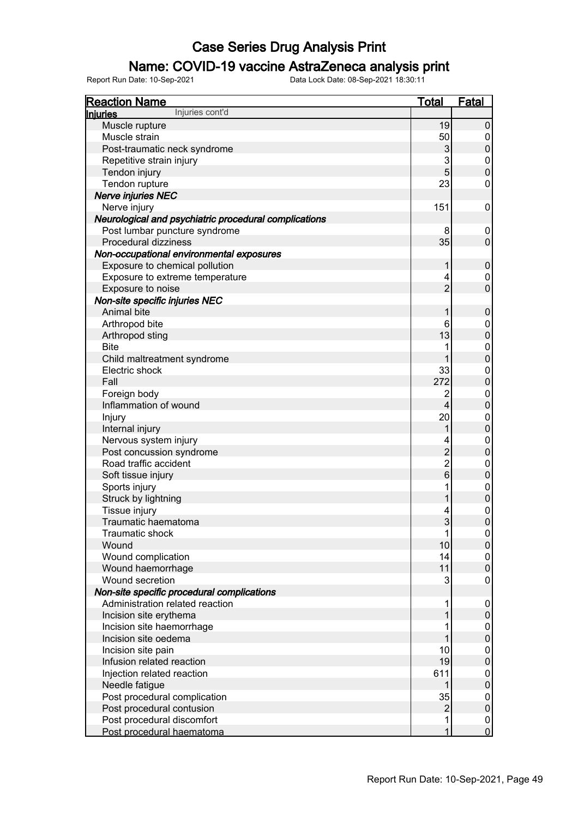### Name: COVID-19 vaccine AstraZeneca analysis print

| <b>Reaction Name</b>                                  | <b>Total</b>   | <b>Fatal</b>                         |
|-------------------------------------------------------|----------------|--------------------------------------|
| Injuries cont'd<br><b>Injuries</b>                    |                |                                      |
| Muscle rupture                                        | 19             | 0                                    |
| Muscle strain                                         | 50             | $\mathbf 0$                          |
| Post-traumatic neck syndrome                          | 3              | $\overline{0}$                       |
| Repetitive strain injury                              | 3              | $\begin{matrix} 0 \\ 0 \end{matrix}$ |
| Tendon injury                                         | 5              |                                      |
| Tendon rupture                                        | 23             | 0                                    |
| <b>Nerve injuries NEC</b>                             |                |                                      |
| Nerve injury                                          | 151            | 0                                    |
| Neurological and psychiatric procedural complications |                |                                      |
| Post lumbar puncture syndrome                         | 8              | 0                                    |
| Procedural dizziness                                  | 35             | $\pmb{0}$                            |
| Non-occupational environmental exposures              |                |                                      |
| Exposure to chemical pollution                        | 1              | $\pmb{0}$                            |
| Exposure to extreme temperature                       | 4              | 0                                    |
| Exposure to noise                                     | $\overline{2}$ | $\overline{0}$                       |
| Non-site specific injuries NEC                        |                |                                      |
| Animal bite                                           | 1              | $\pmb{0}$                            |
| Arthropod bite                                        | 6              | $0 \\ 0$                             |
| Arthropod sting                                       | 13             |                                      |
| <b>Bite</b>                                           |                | $\begin{matrix} 0 \\ 0 \end{matrix}$ |
| Child maltreatment syndrome                           |                |                                      |
| Electric shock                                        | 33             | $\begin{matrix} 0 \\ 0 \end{matrix}$ |
| Fall                                                  | 272            |                                      |
| Foreign body                                          | $\overline{2}$ | $\mathbf{0}$                         |
| Inflammation of wound                                 | $\overline{4}$ | $\overline{0}$                       |
| Injury                                                | 20             | $\mathbf{0}$                         |
| Internal injury                                       | 1              | $\overline{0}$                       |
| Nervous system injury                                 | 4              | $\mathbf{0}$                         |
| Post concussion syndrome                              | $\overline{c}$ | $\overline{0}$                       |
| Road traffic accident                                 | $\overline{c}$ | $\mathbf 0$                          |
| Soft tissue injury                                    | 6              | $\overline{0}$                       |
| Sports injury                                         | 1              | $\mathbf{0}$                         |
| Struck by lightning                                   |                | $\mathbf 0$                          |
| Tissue injury                                         | 4              | $\begin{matrix}0\\0\end{matrix}$     |
| Traumatic haematoma                                   | 3              |                                      |
| Traumatic shock                                       | 1              | $\overline{0}$                       |
| Wound                                                 | 10             | $\boldsymbol{0}$                     |
| Wound complication                                    | 14             | 0                                    |
| Wound haemorrhage                                     | 11             | $\overline{0}$                       |
| Wound secretion                                       | 3              | 0                                    |
| Non-site specific procedural complications            |                |                                      |
| Administration related reaction                       | 1              | $\mathbf 0$                          |
| Incision site erythema                                |                | $\mathbf 0$                          |
| Incision site haemorrhage                             |                | 0                                    |
| Incision site oedema                                  |                | $\boldsymbol{0}$                     |
| Incision site pain                                    | 10             | 0                                    |
| Infusion related reaction                             | 19             | $\mathbf 0$                          |
| Injection related reaction                            | 611            | 0                                    |
| Needle fatigue                                        |                | $\mathbf 0$                          |
| Post procedural complication                          | 35             | 0                                    |
| Post procedural contusion                             | $\overline{c}$ | $\mathbf 0$                          |
| Post procedural discomfort                            | 1              | $\mathbf 0$                          |
| Post procedural haematoma                             | 1              | $\overline{0}$                       |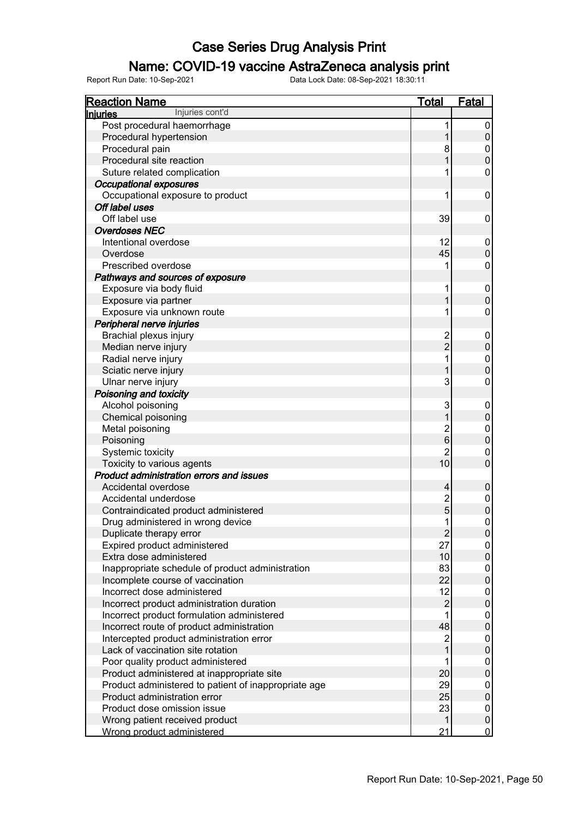### Name: COVID-19 vaccine AstraZeneca analysis print

| <b>Reaction Name</b>                                 | Total                   | <b>Fatal</b>     |
|------------------------------------------------------|-------------------------|------------------|
| Injuries cont'd<br>Injuries                          |                         |                  |
| Post procedural haemorrhage                          | 1                       | 0                |
| Procedural hypertension                              | 1                       | $\boldsymbol{0}$ |
| Procedural pain                                      | 8                       | 0                |
| Procedural site reaction                             | 1                       | $\mathbf 0$      |
| Suture related complication                          |                         | 0                |
| <b>Occupational exposures</b>                        |                         |                  |
| Occupational exposure to product                     | 1                       | 0                |
| Off label uses                                       |                         |                  |
| Off label use                                        | 39                      | 0                |
| <b>Overdoses NEC</b>                                 |                         |                  |
| Intentional overdose                                 | 12                      | $\mathbf 0$      |
| Overdose                                             | 45                      | $\mathbf 0$      |
| Prescribed overdose                                  |                         | 0                |
| Pathways and sources of exposure                     |                         |                  |
| Exposure via body fluid                              | 1                       | $\mathbf 0$      |
| Exposure via partner                                 | 1                       | $\mathbf 0$      |
| Exposure via unknown route                           | 1                       | 0                |
| Peripheral nerve injuries                            |                         |                  |
| Brachial plexus injury                               | $\overline{2}$          | $\mathbf 0$      |
| Median nerve injury                                  | $\overline{2}$          | $\pmb{0}$        |
| Radial nerve injury                                  | 1                       | $\mathbf 0$      |
| Sciatic nerve injury                                 | 1                       | $\mathbf 0$      |
| Ulnar nerve injury                                   | 3                       | 0                |
| Poisoning and toxicity                               |                         |                  |
| Alcohol poisoning                                    | 3                       | $\boldsymbol{0}$ |
| Chemical poisoning                                   | 1                       | $\boldsymbol{0}$ |
| Metal poisoning                                      | $\overline{\mathbf{c}}$ | 0                |
| Poisoning                                            | $6\phantom{1}6$         | $\boldsymbol{0}$ |
| Systemic toxicity                                    | $\overline{c}$          | 0                |
| Toxicity to various agents                           | 10                      | $\mathbf 0$      |
| <b>Product administration errors and issues</b>      |                         |                  |
| Accidental overdose                                  | 4                       | $\pmb{0}$        |
| Accidental underdose                                 | $\overline{c}$          | $\boldsymbol{0}$ |
| Contraindicated product administered                 | $\overline{5}$          | $\mathbf 0$      |
| Drug administered in wrong device                    | 1                       | 0                |
| Duplicate therapy error                              | $\overline{2}$          | $\overline{0}$   |
| Expired product administered                         | 27                      | 0                |
| Extra dose administered                              | 10                      | $\overline{0}$   |
| Inappropriate schedule of product administration     | 83                      | 0                |
| Incomplete course of vaccination                     | 22                      | $\pmb{0}$        |
| Incorrect dose administered                          | 12                      | 0                |
| Incorrect product administration duration            | $\overline{2}$          | $\pmb{0}$        |
| Incorrect product formulation administered           | 1                       | 0                |
| Incorrect route of product administration            | 48                      | $\pmb{0}$        |
| Intercepted product administration error             | $\overline{c}$          | 0                |
| Lack of vaccination site rotation                    | $\overline{1}$          | $\pmb{0}$        |
| Poor quality product administered                    |                         | 0                |
| Product administered at inappropriate site           | 20                      | $\pmb{0}$        |
| Product administered to patient of inappropriate age | 29                      | 0                |
| Product administration error                         | 25                      | $\pmb{0}$        |
| Product dose omission issue                          | 23                      | 0                |
| Wrong patient received product                       | 1                       | $\pmb{0}$        |
| Wrong product administered                           | 21                      | $\overline{0}$   |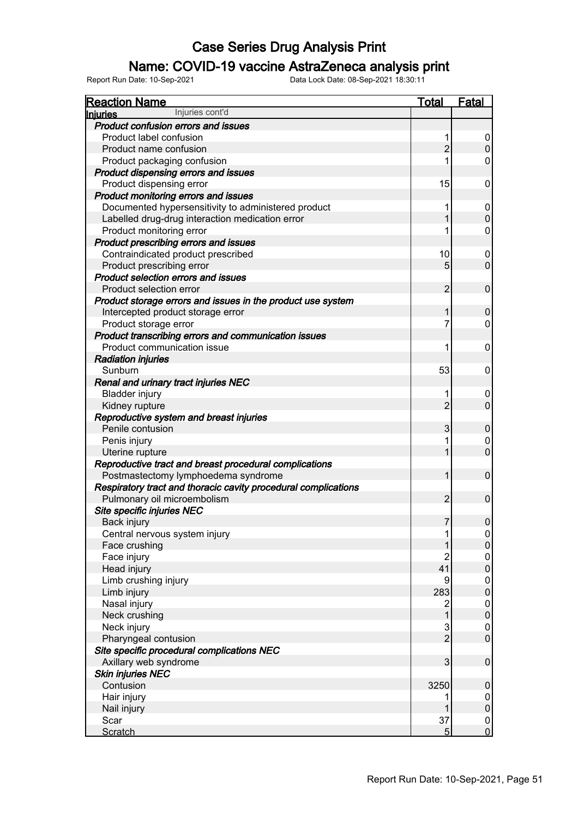### Name: COVID-19 vaccine AstraZeneca analysis print

| <b>Reaction Name</b>                                           | <b>Total</b>   | <b>Fatal</b>     |
|----------------------------------------------------------------|----------------|------------------|
| Injuries cont'd<br><b>Injuries</b>                             |                |                  |
| Product confusion errors and issues                            |                |                  |
| Product label confusion                                        | 1              | 0                |
| Product name confusion                                         | $\overline{2}$ | $\mathbf 0$      |
| Product packaging confusion                                    |                | 0                |
| Product dispensing errors and issues                           |                |                  |
| Product dispensing error                                       | 15             | 0                |
| Product monitoring errors and issues                           |                |                  |
| Documented hypersensitivity to administered product            | 1              | 0                |
| Labelled drug-drug interaction medication error                |                | $\pmb{0}$        |
| Product monitoring error                                       |                | 0                |
| Product prescribing errors and issues                          |                |                  |
| Contraindicated product prescribed                             | 10             | 0                |
| Product prescribing error                                      | 5              | $\overline{0}$   |
| <b>Product selection errors and issues</b>                     |                |                  |
| Product selection error                                        | $\overline{2}$ | $\mathbf 0$      |
| Product storage errors and issues in the product use system    |                |                  |
| Intercepted product storage error                              | 1              | 0                |
| Product storage error                                          | 7              | 0                |
| Product transcribing errors and communication issues           |                |                  |
| Product communication issue                                    | 1              | $\mathbf 0$      |
| <b>Radiation injuries</b>                                      |                |                  |
| Sunburn                                                        | 53             | 0                |
| Renal and urinary tract injuries NEC                           |                |                  |
| <b>Bladder injury</b>                                          |                | 0                |
| Kidney rupture                                                 | $\overline{2}$ | $\overline{0}$   |
| Reproductive system and breast injuries                        |                |                  |
| Penile contusion                                               | 3              | $\pmb{0}$        |
| Penis injury                                                   |                | 0                |
| Uterine rupture                                                |                | $\overline{0}$   |
| Reproductive tract and breast procedural complications         |                |                  |
| Postmastectomy lymphoedema syndrome                            | 1              | $\mathbf 0$      |
| Respiratory tract and thoracic cavity procedural complications |                |                  |
| Pulmonary oil microembolism                                    | $\overline{2}$ | 0                |
| Site specific injuries NEC                                     |                |                  |
| Back injury                                                    | 7              | 0                |
| Central nervous system injury                                  | 1              | 0                |
| Face crushing                                                  |                | $\boldsymbol{0}$ |
| Face injury                                                    | 2              | 0                |
| Head injury                                                    | 41             | $\pmb{0}$        |
| Limb crushing injury                                           | 9              | 0                |
| Limb injury                                                    | 283            | $\mathbf 0$      |
| Nasal injury                                                   | 2              | 0                |
| Neck crushing                                                  | 1              | $\mathbf 0$      |
| Neck injury                                                    | $\sqrt{3}$     | 0                |
| Pharyngeal contusion                                           | $\overline{2}$ | $\mathbf 0$      |
| Site specific procedural complications NEC                     |                |                  |
| Axillary web syndrome                                          | 3              | $\pmb{0}$        |
| <b>Skin injuries NEC</b>                                       |                |                  |
| Contusion                                                      | 3250           | $\mathbf 0$      |
| Hair injury                                                    |                | 0                |
| Nail injury                                                    |                | $\pmb{0}$        |
| Scar                                                           | 37             | $\mathbf 0$      |
| <b>Scratch</b>                                                 | 5 <sup>5</sup> | $\overline{0}$   |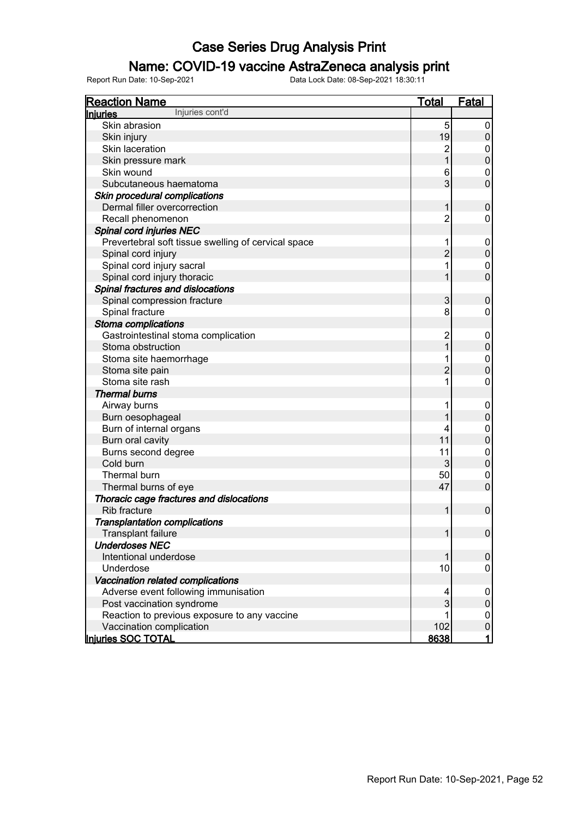### Name: COVID-19 vaccine AstraZeneca analysis print

| <b>Reaction Name</b>                                | <u>Total</u>   | Fatal            |
|-----------------------------------------------------|----------------|------------------|
| Injuries cont'd<br><b>Injuries</b>                  |                |                  |
| Skin abrasion                                       | 5              | 0                |
| Skin injury                                         | 19             | $\pmb{0}$        |
| Skin laceration                                     | $\overline{c}$ | $\mathbf 0$      |
| Skin pressure mark                                  | $\overline{1}$ | $\pmb{0}$        |
| Skin wound                                          | 6              | $\boldsymbol{0}$ |
| Subcutaneous haematoma                              | 3              | $\mathbf 0$      |
| Skin procedural complications                       |                |                  |
| Dermal filler overcorrection                        | 1              | $\boldsymbol{0}$ |
| Recall phenomenon                                   | $\overline{2}$ | $\mathbf 0$      |
| Spinal cord injuries NEC                            |                |                  |
| Prevertebral soft tissue swelling of cervical space | 1              | $\boldsymbol{0}$ |
| Spinal cord injury                                  | $\overline{2}$ | $\pmb{0}$        |
| Spinal cord injury sacral                           | 1              | $\boldsymbol{0}$ |
| Spinal cord injury thoracic                         | 1              | $\mathbf 0$      |
| Spinal fractures and dislocations                   |                |                  |
| Spinal compression fracture                         | 3              | $\boldsymbol{0}$ |
| Spinal fracture                                     | 8              | $\mathbf 0$      |
| Stoma complications                                 |                |                  |
| Gastrointestinal stoma complication                 | $\overline{c}$ | $\boldsymbol{0}$ |
| Stoma obstruction                                   | 1              | $\pmb{0}$        |
| Stoma site haemorrhage                              | 1              | $\overline{0}$   |
| Stoma site pain                                     | $\overline{2}$ | $\mathbf 0$      |
| Stoma site rash                                     | 1              | $\mathbf 0$      |
| <b>Thermal burns</b>                                |                |                  |
| Airway burns                                        | 1              | $\boldsymbol{0}$ |
| Burn oesophageal                                    |                | $\pmb{0}$        |
| Burn of internal organs                             | 4              | $\mathbf 0$      |
| Burn oral cavity                                    | 11             | $\mathbf 0$      |
| Burns second degree                                 | 11             | $\mathbf 0$      |
| Cold burn                                           | 3              | $\mathbf 0$      |
| Thermal burn                                        | 50             | $\mathbf 0$      |
| Thermal burns of eye                                | 47             | $\mathbf 0$      |
| Thoracic cage fractures and dislocations            |                |                  |
| Rib fracture                                        | 1              | $\mathbf 0$      |
| <b>Transplantation complications</b>                |                |                  |
| Transplant failure                                  | 1              | $\overline{0}$   |
| <b>Underdoses NEC</b>                               |                |                  |
| Intentional underdose                               | 1              | $\pmb{0}$        |
| Underdose                                           | 10             | 0                |
| Vaccination related complications                   |                |                  |
| Adverse event following immunisation                | 4              | $\boldsymbol{0}$ |
| Post vaccination syndrome                           | 3              | $\pmb{0}$        |
| Reaction to previous exposure to any vaccine        |                | 0                |
| Vaccination complication                            | 102            | $\pmb{0}$        |
| Injuries SOC TOTAL                                  | 8638           | $\mathbf{1}$     |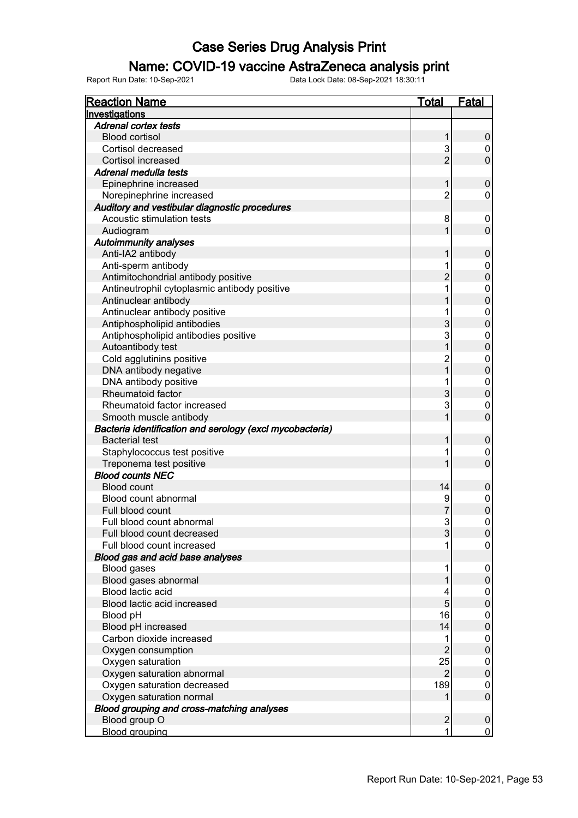### Name: COVID-19 vaccine AstraZeneca analysis print

| <b>Reaction Name</b>                                     | <b>Total</b>         | <b>Fatal</b>        |
|----------------------------------------------------------|----------------------|---------------------|
| Investigations                                           |                      |                     |
| <b>Adrenal cortex tests</b>                              |                      |                     |
| <b>Blood cortisol</b>                                    | 1                    | 0                   |
| Cortisol decreased                                       | 3                    | 0                   |
| Cortisol increased                                       | $\overline{2}$       | $\mathbf 0$         |
| Adrenal medulla tests                                    |                      |                     |
| Epinephrine increased                                    | 1                    | $\pmb{0}$           |
| Norepinephrine increased                                 | $\overline{c}$       | 0                   |
| Auditory and vestibular diagnostic procedures            |                      |                     |
| Acoustic stimulation tests                               | 8                    | 0                   |
| Audiogram                                                |                      | $\mathbf 0$         |
| <b>Autoimmunity analyses</b>                             |                      |                     |
| Anti-IA2 antibody                                        |                      | $\boldsymbol{0}$    |
| Anti-sperm antibody                                      |                      | 0                   |
| Antimitochondrial antibody positive                      | $\overline{c}$       | $\mathbf 0$         |
| Antineutrophil cytoplasmic antibody positive             |                      | $\boldsymbol{0}$    |
| Antinuclear antibody                                     |                      | $\mathbf 0$         |
| Antinuclear antibody positive                            |                      | $\boldsymbol{0}$    |
| Antiphospholipid antibodies                              | 3                    | $\mathbf 0$         |
| Antiphospholipid antibodies positive                     | 3                    | $\boldsymbol{0}$    |
| Autoantibody test                                        |                      | $\mathbf 0$         |
| Cold agglutinins positive                                | $\overline{c}$       | 0                   |
| DNA antibody negative                                    | $\overline{1}$       | $\mathbf 0$         |
| DNA antibody positive                                    |                      | $\mathbf{0}$        |
| Rheumatoid factor                                        | 3                    | $\overline{0}$      |
| Rheumatoid factor increased                              | 3                    | 0                   |
| Smooth muscle antibody                                   |                      | $\overline{0}$      |
| Bacteria identification and serology (excl mycobacteria) |                      |                     |
| <b>Bacterial test</b>                                    |                      | $\boldsymbol{0}$    |
| Staphylococcus test positive                             |                      | 0                   |
| Treponema test positive                                  |                      | $\overline{0}$      |
| <b>Blood counts NEC</b>                                  |                      |                     |
| <b>Blood count</b>                                       | 14                   | $\pmb{0}$           |
| Blood count abnormal                                     | 9                    | $\boldsymbol{0}$    |
| Full blood count                                         | 7                    | $\overline{0}$      |
| Full blood count abnormal                                | 3                    | $\mathbf{0}$        |
| Full blood count decreased                               | 3                    | $\boldsymbol{0}$    |
| Full blood count increased                               |                      | 0                   |
| Blood gas and acid base analyses                         |                      |                     |
| <b>Blood gases</b>                                       |                      | 0                   |
| Blood gases abnormal                                     |                      | $\pmb{0}$           |
| <b>Blood lactic acid</b>                                 | 4                    | 0                   |
| Blood lactic acid increased                              | 5                    | $\mathbf 0$         |
| Blood pH                                                 | 16                   | 0                   |
| Blood pH increased                                       | 14                   | $\mathbf 0$         |
| Carbon dioxide increased                                 | $\overline{2}$       | 0                   |
| Oxygen consumption                                       |                      | $\mathbf 0$         |
| Oxygen saturation                                        | 25<br>$\overline{2}$ | 0                   |
| Oxygen saturation abnormal                               |                      | $\mathbf 0$         |
| Oxygen saturation decreased                              | 189                  | 0<br>$\pmb{0}$      |
| Oxygen saturation normal                                 |                      |                     |
| Blood grouping and cross-matching analyses               |                      |                     |
| Blood group O                                            | $\overline{2}$<br>1  | 0<br>$\overline{0}$ |
| <b>Blood grouping</b>                                    |                      |                     |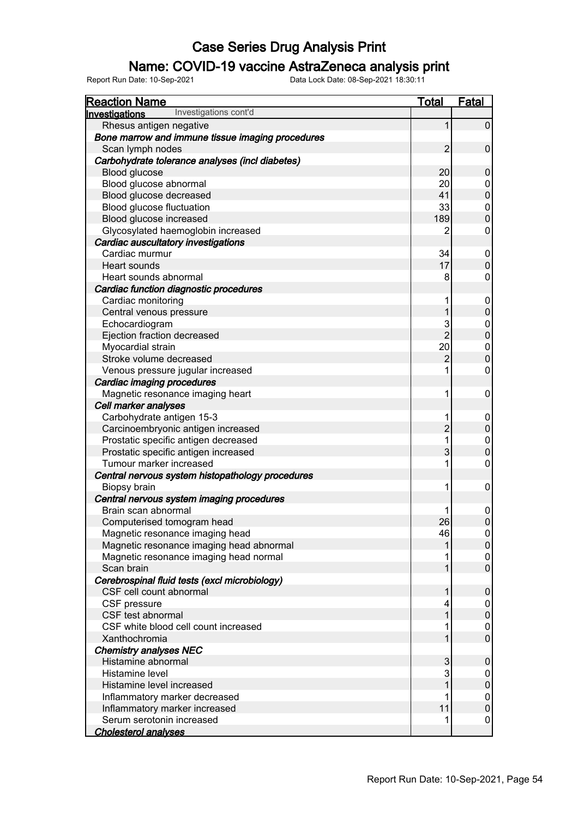### Name: COVID-19 vaccine AstraZeneca analysis print

| <b>Reaction Name</b>                                             | <b>Total</b>   | <b>Fatal</b>                     |
|------------------------------------------------------------------|----------------|----------------------------------|
| Investigations cont'd<br><u>Investigations</u>                   |                |                                  |
| Rhesus antigen negative                                          |                | $\pmb{0}$                        |
| Bone marrow and immune tissue imaging procedures                 |                |                                  |
| Scan lymph nodes                                                 | $\overline{2}$ | $\pmb{0}$                        |
| Carbohydrate tolerance analyses (incl diabetes)                  |                |                                  |
| <b>Blood glucose</b>                                             | 20             | $\pmb{0}$                        |
| Blood glucose abnormal                                           | 20             | 0                                |
| Blood glucose decreased                                          | 41             | $\mathbf 0$                      |
| Blood glucose fluctuation                                        | 33             | $\boldsymbol{0}$                 |
| Blood glucose increased                                          | 189            | $\pmb{0}$                        |
| Glycosylated haemoglobin increased                               | 2              | 0                                |
| Cardiac auscultatory investigations                              |                |                                  |
| Cardiac murmur                                                   | 34             | 0                                |
| Heart sounds                                                     | 17             | $\mathsf 0$                      |
| Heart sounds abnormal                                            | 8              | 0                                |
| Cardiac function diagnostic procedures                           |                |                                  |
| Cardiac monitoring                                               | 1              | $\boldsymbol{0}$                 |
| Central venous pressure                                          |                | $\pmb{0}$                        |
| Echocardiogram                                                   | 3              | $\boldsymbol{0}$                 |
| Ejection fraction decreased                                      | $\overline{2}$ | $\mathbf 0$                      |
| Myocardial strain                                                | 20             | $\mathbf 0$                      |
| Stroke volume decreased                                          | $\overline{c}$ | $\mathbf 0$                      |
| Venous pressure jugular increased                                |                | 0                                |
|                                                                  |                |                                  |
| Cardiac imaging procedures<br>Magnetic resonance imaging heart   | 1              | $\boldsymbol{0}$                 |
| Cell marker analyses                                             |                |                                  |
|                                                                  | 1              |                                  |
| Carbohydrate antigen 15-3                                        | $\overline{c}$ | 0                                |
| Carcinoembryonic antigen increased                               | 1              | $\pmb{0}$                        |
| Prostatic specific antigen decreased                             | 3              | $\overline{0}$<br>$\overline{0}$ |
| Prostatic specific antigen increased<br>Tumour marker increased  |                | $\mathbf 0$                      |
|                                                                  |                |                                  |
| Central nervous system histopathology procedures                 | 1              |                                  |
| Biopsy brain                                                     |                | $\boldsymbol{0}$                 |
| Central nervous system imaging procedures<br>Brain scan abnormal |                |                                  |
|                                                                  | 26             | $\boldsymbol{0}$<br>$\pmb{0}$    |
| Computerised tomogram head<br>Magnetic resonance imaging head    |                |                                  |
|                                                                  | 46             | $\overline{0}$                   |
| Magnetic resonance imaging head abnormal                         |                | $\boldsymbol{0}$                 |
| Magnetic resonance imaging head normal                           |                | 0<br>$\mathsf 0$                 |
| Scan brain                                                       |                |                                  |
| Cerebrospinal fluid tests (excl microbiology)                    |                |                                  |
| CSF cell count abnormal                                          |                | 0                                |
| CSF pressure                                                     |                | 0                                |
| CSF test abnormal<br>CSF white blood cell count increased        |                | $\pmb{0}$                        |
|                                                                  |                | 0                                |
| Xanthochromia                                                    |                | $\mathbf 0$                      |
| <b>Chemistry analyses NEC</b>                                    |                |                                  |
| Histamine abnormal                                               | 3              | 0                                |
| Histamine level                                                  | 3              | 0                                |
| Histamine level increased                                        |                | $\pmb{0}$                        |
| Inflammatory marker decreased                                    |                | 0                                |
| Inflammatory marker increased                                    | 11             | $\pmb{0}$                        |
| Serum serotonin increased                                        |                | 0                                |
| <b>Cholesterol analyses</b>                                      |                |                                  |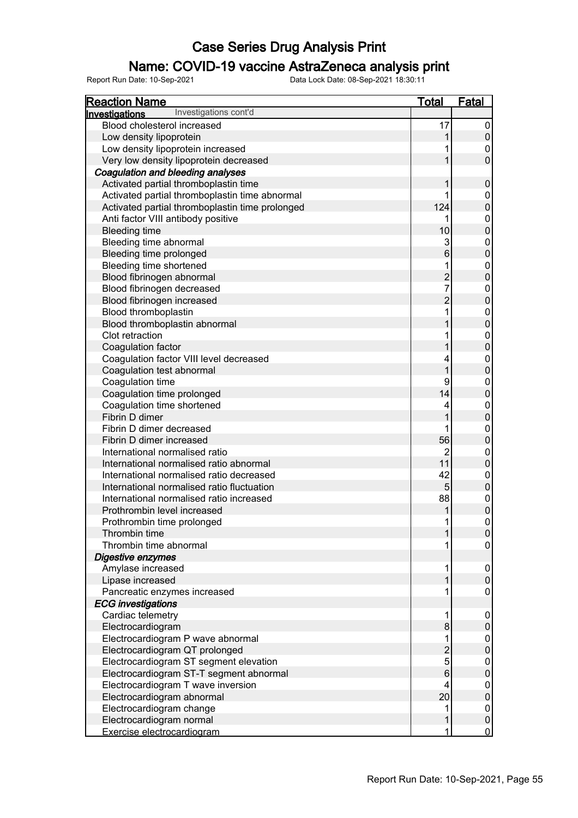### Name: COVID-19 vaccine AstraZeneca analysis print

| <b>Reaction Name</b>                            | <b>Total</b>   | <b>Fatal</b>     |
|-------------------------------------------------|----------------|------------------|
| Investigations cont'd<br><b>Investigations</b>  |                |                  |
| Blood cholesterol increased                     | 17             | 0                |
| Low density lipoprotein                         | 1              | $\mathbf 0$      |
| Low density lipoprotein increased               |                | 0                |
| Very low density lipoprotein decreased          |                | 0                |
| Coagulation and bleeding analyses               |                |                  |
| Activated partial thromboplastin time           |                | $\mathbf 0$      |
| Activated partial thromboplastin time abnormal  |                | 0                |
| Activated partial thromboplastin time prolonged | 124            | 0                |
| Anti factor VIII antibody positive              |                | 0                |
| <b>Bleeding time</b>                            | 10             | 0                |
| Bleeding time abnormal                          | 3              | 0                |
| Bleeding time prolonged                         | $\,6$          | 0                |
| Bleeding time shortened                         |                | 0                |
| Blood fibrinogen abnormal                       | $\overline{2}$ | 0                |
| Blood fibrinogen decreased                      | 7              | 0                |
| Blood fibrinogen increased                      | $\overline{2}$ | 0                |
| Blood thromboplastin                            | 1              | 0                |
| Blood thromboplastin abnormal                   |                | $\mathbf 0$      |
| Clot retraction                                 |                | 0                |
| Coagulation factor                              |                | 0                |
| Coagulation factor VIII level decreased         | 4              | 0                |
| Coagulation test abnormal                       | 1              | $\mathbf 0$      |
| Coagulation time                                | 9              | 0                |
| Coagulation time prolonged                      | 14             | $\mathbf 0$      |
| Coagulation time shortened                      | 4              | 0                |
| Fibrin D dimer                                  |                | $\mathbf 0$      |
| Fibrin D dimer decreased                        |                | 0                |
| Fibrin D dimer increased                        | 56             | $\mathbf 0$      |
| International normalised ratio                  | $\overline{2}$ | 0                |
| International normalised ratio abnormal         | 11             | $\mathbf 0$      |
| International normalised ratio decreased        | 42             | 0                |
| International normalised ratio fluctuation      | 5 <sup>1</sup> | $\mathbf 0$      |
| International normalised ratio increased        | 88             | 0                |
| Prothrombin level increased                     |                | 0                |
| Prothrombin time prolonged                      | 1              | 0                |
| Thrombin time                                   | 1              |                  |
| Thrombin time abnormal                          |                |                  |
| Digestive enzymes                               |                |                  |
| Amylase increased                               |                | $\boldsymbol{0}$ |
| Lipase increased                                |                | $\overline{0}$   |
| Pancreatic enzymes increased                    |                | 0                |
| <b>ECG</b> investigations                       |                |                  |
| Cardiac telemetry                               |                | 0                |
| Electrocardiogram                               | 8              |                  |
| Electrocardiogram P wave abnormal               |                |                  |
| Electrocardiogram QT prolonged                  | $\overline{2}$ |                  |
| Electrocardiogram ST segment elevation          | 5              |                  |
| Electrocardiogram ST-T segment abnormal         | 6              |                  |
| Electrocardiogram T wave inversion              | 4              |                  |
| Electrocardiogram abnormal                      | 20             | 0                |
| Electrocardiogram change                        |                | 0                |
| Electrocardiogram normal                        |                | 0                |
| Exercise electrocardiogram                      |                | 0                |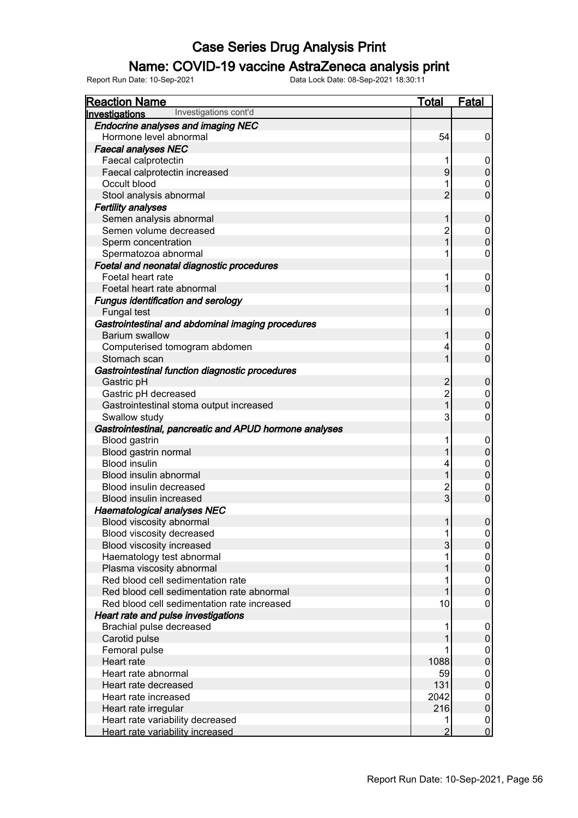### Name: COVID-19 vaccine AstraZeneca analysis print

| <b>Reaction Name</b>                                   | <b>Total</b>   | <b>Fatal</b>     |
|--------------------------------------------------------|----------------|------------------|
| Investigations cont'd<br><b>Investigations</b>         |                |                  |
| <b>Endocrine analyses and imaging NEC</b>              |                |                  |
| Hormone level abnormal                                 | 54             | 0                |
| <b>Faecal analyses NEC</b>                             |                |                  |
| Faecal calprotectin                                    | 1              | 0                |
| Faecal calprotectin increased                          | 9              | $\boldsymbol{0}$ |
| Occult blood                                           |                | 0                |
| Stool analysis abnormal                                | $\overline{2}$ | $\mathbf{0}$     |
| <b>Fertility analyses</b>                              |                |                  |
| Semen analysis abnormal                                | 1              | $\mathbf 0$      |
| Semen volume decreased                                 | $\overline{c}$ | 0                |
| Sperm concentration                                    | $\mathbf{1}$   | $\mathbf{0}$     |
| Spermatozoa abnormal                                   | 1              | 0                |
| Foetal and neonatal diagnostic procedures              |                |                  |
| Foetal heart rate                                      | 1              | 0                |
| Foetal heart rate abnormal                             | 1              | $\mathbf 0$      |
| <b>Fungus identification and serology</b>              |                |                  |
| Fungal test                                            | 1              | $\mathbf 0$      |
| Gastrointestinal and abdominal imaging procedures      |                |                  |
| <b>Barium swallow</b>                                  | 1              | $\boldsymbol{0}$ |
| Computerised tomogram abdomen                          | 4              | 0                |
| Stomach scan                                           | 1              | $\overline{0}$   |
| Gastrointestinal function diagnostic procedures        |                |                  |
| Gastric pH                                             | $\overline{2}$ | $\boldsymbol{0}$ |
| Gastric pH decreased                                   | $\overline{2}$ | 0                |
| Gastrointestinal stoma output increased                | $\mathbf{1}$   | $\boldsymbol{0}$ |
| Swallow study                                          | 3              | 0                |
| Gastrointestinal, pancreatic and APUD hormone analyses |                |                  |
| Blood gastrin                                          | 1              | $\mathbf 0$      |
| Blood gastrin normal                                   | 1              | $\boldsymbol{0}$ |
| <b>Blood insulin</b>                                   | 4              | 0                |
| Blood insulin abnormal                                 | 1              | $\boldsymbol{0}$ |
| Blood insulin decreased                                | $\overline{c}$ | $\mathbf 0$      |
| <b>Blood insulin increased</b>                         | 3              | $\mathbf 0$      |
| <b>Haematological analyses NEC</b>                     |                |                  |
| Blood viscosity abnormal                               | 1              | $\pmb{0}$        |
| Blood viscosity decreased                              | 1              | $\boldsymbol{0}$ |
| Blood viscosity increased                              | 3              | 0                |
| Haematology test abnormal                              |                | 0                |
| Plasma viscosity abnormal                              |                | $\boldsymbol{0}$ |
| Red blood cell sedimentation rate                      |                | 0                |
| Red blood cell sedimentation rate abnormal             |                | $\mathbf 0$      |
| Red blood cell sedimentation rate increased            | 10             | 0                |
| Heart rate and pulse investigations                    |                |                  |
| Brachial pulse decreased                               |                | $\overline{0}$   |
| Carotid pulse                                          |                | $\mathbf 0$      |
| Femoral pulse                                          |                | 0                |
| Heart rate                                             | 1088           | $\mathbf{0}$     |
| Heart rate abnormal                                    | 59             | 0                |
| Heart rate decreased                                   | 131            | $\boldsymbol{0}$ |
| Heart rate increased                                   | 2042           | 0                |
| Heart rate irregular                                   | 216            | $\mathbf 0$      |
| Heart rate variability decreased                       | 1              | $\boldsymbol{0}$ |
| Heart rate variability increased                       | $\overline{2}$ | $\overline{0}$   |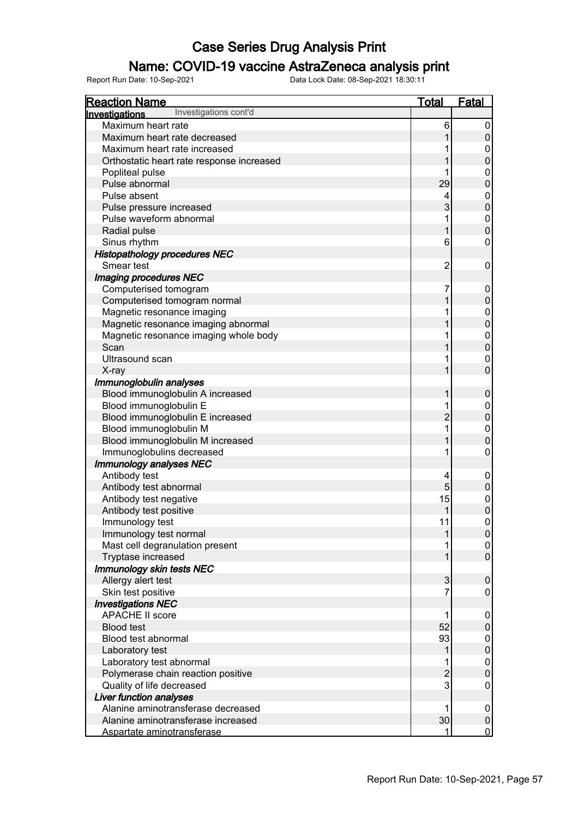### Name: COVID-19 vaccine AstraZeneca analysis print

| <b>Reaction Name</b>                           | <b>Total</b>   | <b>Fatal</b>          |
|------------------------------------------------|----------------|-----------------------|
| Investigations cont'd<br><b>Investigations</b> |                |                       |
| Maximum heart rate                             | 6              | 0                     |
| Maximum heart rate decreased                   |                | 0                     |
| Maximum heart rate increased                   |                | 0                     |
| Orthostatic heart rate response increased      |                | $\pmb{0}$             |
| Popliteal pulse                                |                | 0                     |
| Pulse abnormal                                 | 29             | $\mathbf 0$           |
| Pulse absent                                   | 4              | 0                     |
| Pulse pressure increased                       | 3              | $\overline{0}$        |
| Pulse waveform abnormal                        |                | 0                     |
| Radial pulse                                   |                | $\overline{0}$        |
| Sinus rhythm                                   | 6              | 0                     |
| <b>Histopathology procedures NEC</b>           |                |                       |
| Smear test                                     | $\overline{2}$ | $\mathbf 0$           |
| Imaging procedures NEC                         |                |                       |
| Computerised tomogram                          | 7              | 0                     |
| Computerised tomogram normal                   |                | $\pmb{0}$             |
| Magnetic resonance imaging                     |                | 0                     |
| Magnetic resonance imaging abnormal            |                | $\overline{0}$        |
| Magnetic resonance imaging whole body          |                | $\mathbf 0$           |
| Scan                                           |                | $\overline{0}$        |
| Ultrasound scan                                |                | 0                     |
| X-ray                                          |                | $\overline{0}$        |
| Immunoglobulin analyses                        |                |                       |
| Blood immunoglobulin A increased               |                | $\mathbf 0$           |
| Blood immunoglobulin E                         |                | 0                     |
| Blood immunoglobulin E increased               | $\overline{c}$ | $\overline{0}$        |
| Blood immunoglobulin M                         |                | $\mathbf 0$           |
| Blood immunoglobulin M increased               |                | $\mathbf 0$           |
| Immunoglobulins decreased                      |                | 0                     |
| Immunology analyses NEC                        |                |                       |
| Antibody test                                  | 4              | 0                     |
| Antibody test abnormal                         | 5              | $\pmb{0}$             |
| Antibody test negative                         | 15             | 0                     |
| Antibody test positive                         |                | $\overline{0}$        |
| Immunology test                                | 11             | $\mathbf 0$           |
| Immunology test normal                         |                |                       |
| Mast cell degranulation present                |                | $\boldsymbol{0}$<br>0 |
| Tryptase increased                             |                | $\mathsf 0$           |
| Immunology skin tests NEC                      |                |                       |
| Allergy alert test                             | $\mathfrak{S}$ | 0                     |
| Skin test positive                             | 7              | 0                     |
| <b>Investigations NEC</b>                      |                |                       |
| <b>APACHE II score</b>                         |                |                       |
| <b>Blood test</b>                              | 52             | 0<br>$\pmb{0}$        |
| Blood test abnormal                            |                |                       |
|                                                | 93             | 0                     |
| Laboratory test                                |                | $\mathbf 0$           |
| Laboratory test abnormal                       |                | 0                     |
| Polymerase chain reaction positive             | $\overline{c}$ | $\pmb{0}$             |
| Quality of life decreased                      | 3              | 0                     |
| <b>Liver function analyses</b>                 |                |                       |
| Alanine aminotransferase decreased             |                | 0                     |
| Alanine aminotransferase increased             | 30             | $\pmb{0}$             |
| Aspartate aminotransferase                     |                | $\overline{0}$        |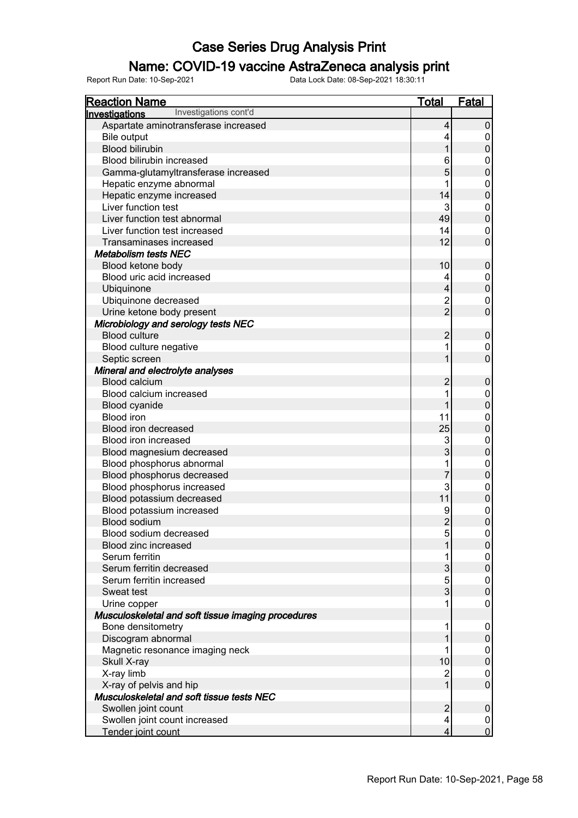### Name: COVID-19 vaccine AstraZeneca analysis print

| <b>Reaction Name</b>                                  | <b>Total</b>   | <b>Fatal</b>     |
|-------------------------------------------------------|----------------|------------------|
| Investigations cont'd<br><b>Investigations</b>        |                |                  |
| Aspartate aminotransferase increased                  | 4              | $\pmb{0}$        |
| Bile output                                           | 4              | 0                |
| <b>Blood bilirubin</b>                                | 1              | $\mathbf 0$      |
| Blood bilirubin increased                             | 6              | 0                |
| Gamma-glutamyltransferase increased                   | 5              | $\mathbf 0$      |
| Hepatic enzyme abnormal                               |                | $\mathbf 0$      |
| Hepatic enzyme increased                              | 14             | $\mathbf 0$      |
| Liver function test                                   | 3              | $\mathbf 0$      |
| Liver function test abnormal                          | 49             | $\mathbf 0$      |
| Liver function test increased                         | 14             | 0                |
| Transaminases increased                               | 12             | $\mathbf 0$      |
| <b>Metabolism tests NEC</b>                           |                |                  |
| Blood ketone body                                     | 10             | $\boldsymbol{0}$ |
| Blood uric acid increased                             | 4              | 0                |
| Ubiquinone                                            | 4              | $\mathbf 0$      |
| Ubiquinone decreased                                  | 2              | 0                |
| Urine ketone body present                             | $\overline{2}$ | $\mathbf 0$      |
| Microbiology and serology tests NEC                   |                |                  |
| <b>Blood culture</b>                                  | $\overline{c}$ | $\boldsymbol{0}$ |
| Blood culture negative                                | 1              | 0                |
| Septic screen                                         | 1              | $\mathbf 0$      |
| Mineral and electrolyte analyses                      |                |                  |
| <b>Blood calcium</b>                                  | $\overline{c}$ | $\boldsymbol{0}$ |
| Blood calcium increased                               | 1              | $\mathbf 0$      |
| Blood cyanide                                         | 1              | $\mathbf 0$      |
| <b>Blood</b> iron                                     | 11             | $\mathbf 0$      |
| Blood iron decreased                                  | 25             | $\mathbf 0$      |
| Blood iron increased                                  | 3              | $\mathbf 0$      |
| Blood magnesium decreased                             | 3              | $\mathbf 0$      |
| Blood phosphorus abnormal                             | 1              | $\mathbf 0$      |
| Blood phosphorus decreased                            | $\overline{7}$ | $\mathbf 0$      |
| Blood phosphorus increased                            | 3              | $\mathbf 0$      |
| Blood potassium decreased                             | 11             | $\pmb{0}$        |
| Blood potassium increased                             | 9              | $\mathbf{0}$     |
| <b>Blood sodium</b>                                   | $\overline{2}$ | $\mathbf 0$      |
| Blood sodium decreased                                | 5              | $\mathbf 0$      |
| <b>Blood zinc increased</b>                           |                | $\pmb{0}$        |
| Serum ferritin                                        |                | 0                |
| Serum ferritin decreased                              | 3              | $\boldsymbol{0}$ |
| Serum ferritin increased                              | 5              | 0                |
| Sweat test                                            | 3              | $\boldsymbol{0}$ |
| Urine copper                                          | 1              | 0                |
| Musculoskeletal and soft tissue imaging procedures    |                |                  |
| Bone densitometry                                     | 1              | 0                |
| Discogram abnormal<br>Magnetic resonance imaging neck | 1              | $\pmb{0}$<br>0   |
|                                                       | 10             | $\boldsymbol{0}$ |
| Skull X-ray<br>X-ray limb                             | $\overline{c}$ | 0                |
| X-ray of pelvis and hip                               | 1              | $\pmb{0}$        |
| Musculoskeletal and soft tissue tests NEC             |                |                  |
| Swollen joint count                                   | $\overline{c}$ | $\mathbf 0$      |
| Swollen joint count increased                         | 4              | 0                |
| Tender joint count                                    | 4              | $\mathbf 0$      |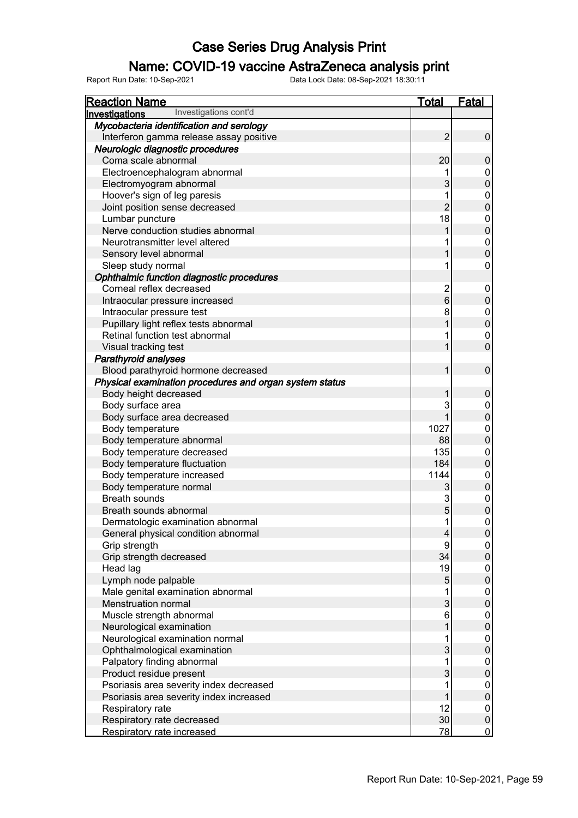### Name: COVID-19 vaccine AstraZeneca analysis print

| <b>Reaction Name</b>                                    | <b>Total</b>   | <b>Fatal</b>   |
|---------------------------------------------------------|----------------|----------------|
| Investigations cont'd<br><b>Investigations</b>          |                |                |
| Mycobacteria identification and serology                |                |                |
| Interferon gamma release assay positive                 | $\overline{2}$ | $\pmb{0}$      |
| Neurologic diagnostic procedures                        |                |                |
| Coma scale abnormal                                     | 20             | 0              |
| Electroencephalogram abnormal                           |                | 0              |
| Electromyogram abnormal                                 | 3              | 0              |
| Hoover's sign of leg paresis                            | 1              | 0              |
| Joint position sense decreased                          | $\overline{2}$ | 0              |
| Lumbar puncture                                         | 18             | 0              |
| Nerve conduction studies abnormal                       |                | $\mathbf 0$    |
| Neurotransmitter level altered                          |                | 0              |
| Sensory level abnormal                                  |                | $\mathbf 0$    |
| Sleep study normal                                      | 1              | 0              |
| Ophthalmic function diagnostic procedures               |                |                |
| Corneal reflex decreased                                | $\overline{2}$ | 0              |
| Intraocular pressure increased                          | 6              | 0              |
| Intraocular pressure test                               | 8              | 0              |
| Pupillary light reflex tests abnormal                   |                | $\mathbf 0$    |
| Retinal function test abnormal                          |                | 0              |
| Visual tracking test                                    |                | $\mathbf 0$    |
| Parathyroid analyses                                    |                |                |
| Blood parathyroid hormone decreased                     | 1              | 0              |
| Physical examination procedures and organ system status |                |                |
| Body height decreased                                   |                | $\mathbf 0$    |
| Body surface area                                       | 3              | 0              |
| Body surface area decreased                             |                | 0              |
| Body temperature                                        | 1027           | 0              |
| Body temperature abnormal                               | 88             | 0              |
| Body temperature decreased                              | 135            | 0              |
| Body temperature fluctuation                            | 184            | 0              |
| Body temperature increased                              | 1144           | 0              |
| Body temperature normal                                 | 3              | $\mathbf 0$    |
| <b>Breath sounds</b>                                    | 3              | 0              |
| Breath sounds abnormal                                  | 5              | 0              |
| Dermatologic examination abnormal                       | 1              | $\mathbf 0$    |
| General physical condition abnormal                     | 4              | 0              |
| Grip strength                                           | 9              | 0              |
| Grip strength decreased                                 | 34             | 0              |
| Head lag                                                | 19             | 0              |
| Lymph node palpable                                     | 5              | $\mathbf 0$    |
| Male genital examination abnormal                       |                | 0              |
| Menstruation normal                                     | 3              | $\mathbf 0$    |
| Muscle strength abnormal                                | 6              | 0              |
| Neurological examination                                |                | $\mathbf 0$    |
| Neurological examination normal                         |                | 0              |
| Ophthalmological examination                            | 3              | $\mathbf 0$    |
| Palpatory finding abnormal                              |                | 0              |
| Product residue present                                 | 3              | $\mathbf 0$    |
| Psoriasis area severity index decreased                 |                | 0              |
| Psoriasis area severity index increased                 |                | $\mathbf 0$    |
| Respiratory rate                                        | 12             | 0              |
| Respiratory rate decreased                              | 30             | $\pmb{0}$      |
| Respiratory rate increased                              | 78             | $\overline{0}$ |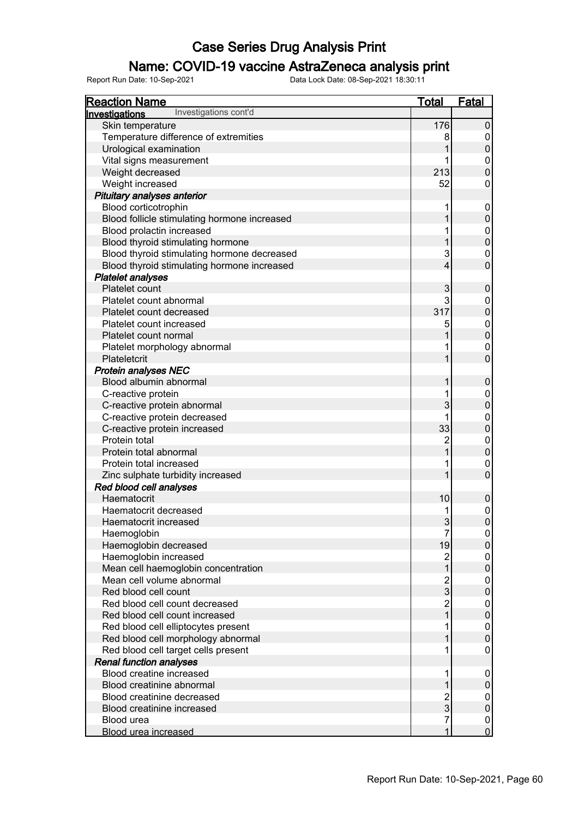### Name: COVID-19 vaccine AstraZeneca analysis print

| <b>Reaction Name</b>                           | <b>Total</b>        | <b>Fatal</b>                  |
|------------------------------------------------|---------------------|-------------------------------|
| Investigations cont'd<br><b>Investigations</b> |                     |                               |
| Skin temperature                               | 176                 | $\pmb{0}$                     |
| Temperature difference of extremities          | 8                   | 0                             |
| Urological examination                         |                     | $\pmb{0}$                     |
| Vital signs measurement                        |                     | 0                             |
| Weight decreased                               | 213                 | $\mathbf 0$                   |
| Weight increased                               | 52                  | 0                             |
| Pituitary analyses anterior                    |                     |                               |
| Blood corticotrophin                           |                     | 0                             |
| Blood follicle stimulating hormone increased   |                     | $\pmb{0}$                     |
| Blood prolactin increased                      |                     |                               |
|                                                |                     | $\boldsymbol{0}$<br>$\pmb{0}$ |
| Blood thyroid stimulating hormone              |                     |                               |
| Blood thyroid stimulating hormone decreased    | 3                   | 0                             |
| Blood thyroid stimulating hormone increased    | 4                   | $\overline{0}$                |
| <b>Platelet analyses</b>                       |                     |                               |
| Platelet count                                 | 3                   | $\pmb{0}$                     |
| Platelet count abnormal                        | 3                   | 0                             |
| Platelet count decreased                       | 317                 | $\pmb{0}$                     |
| Platelet count increased                       | 5                   | $\boldsymbol{0}$              |
| Platelet count normal                          |                     | $\pmb{0}$                     |
| Platelet morphology abnormal                   |                     | 0                             |
| Plateletcrit                                   |                     | $\overline{0}$                |
| <b>Protein analyses NEC</b>                    |                     |                               |
| Blood albumin abnormal                         |                     | $\pmb{0}$                     |
| C-reactive protein                             |                     | 0                             |
| C-reactive protein abnormal                    | 3                   | $\boldsymbol{0}$              |
| C-reactive protein decreased                   |                     | 0                             |
| C-reactive protein increased                   | 33                  | $\boldsymbol{0}$              |
| Protein total                                  | $\overline{c}$      | $\mathbf 0$                   |
| Protein total abnormal                         |                     | $\boldsymbol{0}$              |
| Protein total increased                        |                     | $\mathbf 0$                   |
| Zinc sulphate turbidity increased              |                     | $\overline{0}$                |
| Red blood cell analyses                        |                     |                               |
| Haematocrit                                    | 10                  | $\pmb{0}$                     |
| Haematocrit decreased                          |                     | $\mathbf 0$                   |
| Haematocrit increased                          | 3                   | $\overline{0}$                |
| Haemoglobin                                    | 7                   | 0                             |
| Haemoglobin decreased                          | 19                  | $\pmb{0}$                     |
| Haemoglobin increased                          |                     | 0                             |
| Mean cell haemoglobin concentration            |                     | $\mathbf 0$                   |
| Mean cell volume abnormal                      |                     |                               |
| Red blood cell count                           | $\overline{c}$<br>3 | 0<br>$\mathbf 0$              |
| Red blood cell count decreased                 |                     |                               |
|                                                | $\overline{c}$      | 0<br>$\mathbf 0$              |
| Red blood cell count increased                 |                     |                               |
| Red blood cell elliptocytes present            |                     | 0                             |
| Red blood cell morphology abnormal             |                     | $\mathbf 0$                   |
| Red blood cell target cells present            |                     | 0                             |
| <b>Renal function analyses</b>                 |                     |                               |
| Blood creatine increased                       |                     | 0                             |
| Blood creatinine abnormal                      |                     | 0                             |
| Blood creatinine decreased                     | $\overline{c}$      | 0                             |
| Blood creatinine increased                     | 3                   | $\pmb{0}$                     |
| Blood urea                                     | 7                   | 0                             |
| <b>Blood urea increased</b>                    | 1                   | $\overline{0}$                |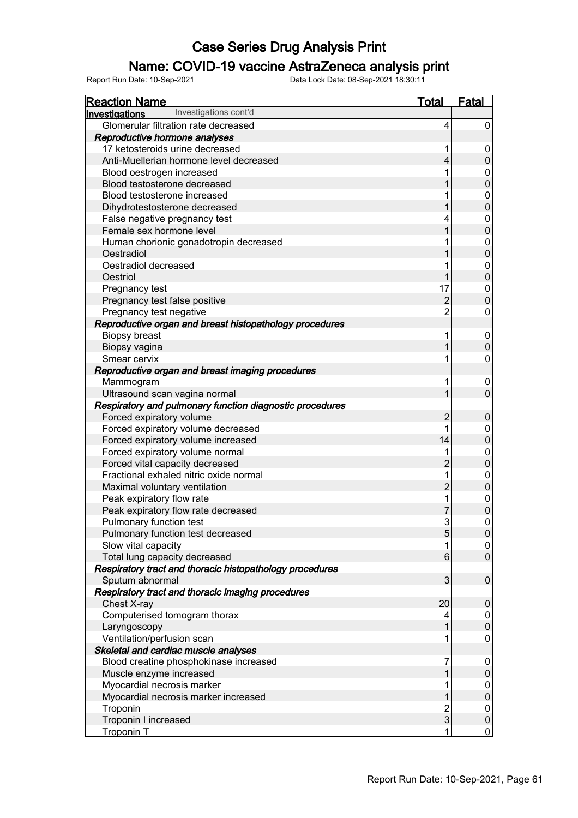### Name: COVID-19 vaccine AstraZeneca analysis print

| <b>Reaction Name</b>                                     | <b>Total</b>   | <b>Fatal</b>     |
|----------------------------------------------------------|----------------|------------------|
| Investigations cont'd<br><b>Investigations</b>           |                |                  |
| Glomerular filtration rate decreased                     | 4              | 0                |
| Reproductive hormone analyses                            |                |                  |
| 17 ketosteroids urine decreased                          |                | 0                |
| Anti-Muellerian hormone level decreased                  | 4              | 0                |
| Blood oestrogen increased                                |                | 0                |
| Blood testosterone decreased                             |                | 0                |
| Blood testosterone increased                             |                | 0                |
| Dihydrotestosterone decreased                            |                | 0                |
| False negative pregnancy test                            |                | 0                |
| Female sex hormone level                                 |                | 0                |
| Human chorionic gonadotropin decreased                   |                | 0                |
| Oestradiol                                               |                | 0                |
| Oestradiol decreased                                     |                | 0                |
| Oestriol                                                 |                | 0                |
| Pregnancy test                                           | 17             | 0                |
| Pregnancy test false positive                            | $\overline{2}$ | 0                |
| Pregnancy test negative                                  | $\overline{2}$ | 0                |
| Reproductive organ and breast histopathology procedures  |                |                  |
| <b>Biopsy breast</b>                                     |                | 0                |
| Biopsy vagina                                            |                | 0                |
| Smear cervix                                             |                | 0                |
| Reproductive organ and breast imaging procedures         |                |                  |
| Mammogram                                                |                | 0                |
| Ultrasound scan vagina normal                            |                | $\overline{0}$   |
| Respiratory and pulmonary function diagnostic procedures |                |                  |
| Forced expiratory volume                                 | $\overline{2}$ | 0                |
| Forced expiratory volume decreased                       |                | 0                |
| Forced expiratory volume increased                       | 14             | 0                |
| Forced expiratory volume normal                          |                | 0                |
| Forced vital capacity decreased                          | $\overline{2}$ | 0                |
| Fractional exhaled nitric oxide normal                   | 1              | 0                |
| Maximal voluntary ventilation                            | $\overline{2}$ | 0                |
| Peak expiratory flow rate                                | 1              | 0                |
| Peak expiratory flow rate decreased                      |                | 0                |
| Pulmonary function test                                  | 3              | 0                |
| Pulmonary function test decreased                        | 5 <sub>5</sub> | 0                |
| Slow vital capacity                                      | 1              | 0                |
| Total lung capacity decreased                            | 6              | 0                |
| Respiratory tract and thoracic histopathology procedures |                |                  |
| Sputum abnormal                                          | 3              | $\mathbf 0$      |
| Respiratory tract and thoracic imaging procedures        |                |                  |
| Chest X-ray                                              | 20             | $\mathbf 0$      |
| Computerised tomogram thorax                             | 4              | 0                |
| Laryngoscopy                                             |                | $\mathbf 0$      |
| Ventilation/perfusion scan                               | 1              | 0                |
| Skeletal and cardiac muscle analyses                     |                |                  |
| Blood creatine phosphokinase increased                   | 7              | $\boldsymbol{0}$ |
| Muscle enzyme increased                                  |                | $\mathbf 0$      |
| Myocardial necrosis marker                               |                | 0                |
| Myocardial necrosis marker increased                     |                | $\mathbf 0$      |
| Troponin                                                 | $\overline{c}$ | 0                |
| Troponin I increased                                     | 3              | $\pmb{0}$        |
| <b>Troponin T</b>                                        |                | $\overline{0}$   |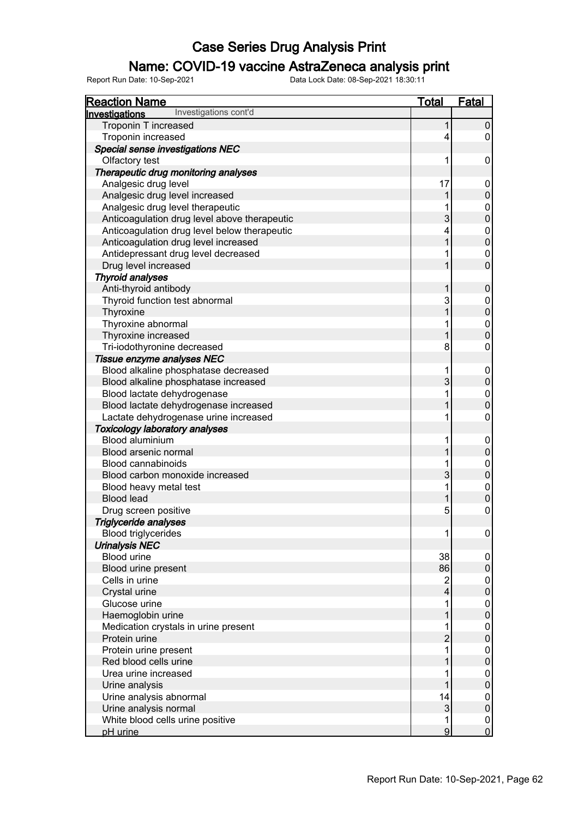### Name: COVID-19 vaccine AstraZeneca analysis print

| <b>Reaction Name</b>                           | <b>Total</b>             | <b>Fatal</b>     |
|------------------------------------------------|--------------------------|------------------|
| Investigations cont'd<br><b>Investigations</b> |                          |                  |
| Troponin T increased                           | 1                        | $\pmb{0}$        |
| Troponin increased                             | 4                        | 0                |
| Special sense investigations NEC               |                          |                  |
| Olfactory test                                 | 1                        | 0                |
| Therapeutic drug monitoring analyses           |                          |                  |
| Analgesic drug level                           | 17                       | 0                |
| Analgesic drug level increased                 |                          | $\pmb{0}$        |
| Analgesic drug level therapeutic               |                          | $\boldsymbol{0}$ |
| Anticoagulation drug level above therapeutic   | 3                        | $\overline{0}$   |
| Anticoagulation drug level below therapeutic   | 4                        | $\boldsymbol{0}$ |
| Anticoagulation drug level increased           |                          | $\overline{0}$   |
| Antidepressant drug level decreased            |                          | 0                |
| Drug level increased                           |                          | $\overline{0}$   |
| <b>Thyroid analyses</b>                        |                          |                  |
| Anti-thyroid antibody                          |                          | $\pmb{0}$        |
| Thyroid function test abnormal                 | 3                        | 0                |
| Thyroxine                                      |                          | $\overline{0}$   |
| Thyroxine abnormal                             |                          | $\boldsymbol{0}$ |
| Thyroxine increased                            |                          | $\overline{0}$   |
| Tri-iodothyronine decreased                    | 8                        | $\mathbf 0$      |
| Tissue enzyme analyses NEC                     |                          |                  |
| Blood alkaline phosphatase decreased           | 1                        | $\mathbf 0$      |
| Blood alkaline phosphatase increased           | 3                        | $\pmb{0}$        |
| Blood lactate dehydrogenase                    |                          | $\mathbf 0$      |
| Blood lactate dehydrogenase increased          |                          | $\overline{0}$   |
| Lactate dehydrogenase urine increased          |                          | $\mathbf 0$      |
| <b>Toxicology laboratory analyses</b>          |                          |                  |
| <b>Blood aluminium</b>                         |                          | 0                |
| Blood arsenic normal                           |                          | $\overline{0}$   |
| <b>Blood cannabinoids</b>                      |                          | $\mathbf 0$      |
| Blood carbon monoxide increased                | 3                        | $\overline{0}$   |
| Blood heavy metal test                         |                          | $\mathbf 0$      |
| <b>Blood lead</b>                              |                          | $\overline{0}$   |
| Drug screen positive                           | 5                        | $\overline{0}$   |
| Triglyceride analyses                          |                          |                  |
| <b>Blood triglycerides</b>                     | 1                        | $\boldsymbol{0}$ |
| <b>Urinalysis NEC</b>                          |                          |                  |
| <b>Blood urine</b>                             | 38                       | 0                |
| Blood urine present                            | 86                       | $\pmb{0}$        |
| Cells in urine                                 | $\overline{2}$           | 0                |
| Crystal urine                                  | $\overline{\mathcal{L}}$ | $\overline{0}$   |
| Glucose urine                                  |                          | 0                |
| Haemoglobin urine                              |                          | $\overline{0}$   |
| Medication crystals in urine present           |                          | 0                |
| Protein urine                                  | $\overline{2}$           | $\overline{0}$   |
| Protein urine present                          |                          | 0                |
| Red blood cells urine                          |                          | $\overline{0}$   |
| Urea urine increased                           |                          | 0                |
| Urine analysis                                 |                          | $\overline{0}$   |
| Urine analysis abnormal                        | 14                       | 0                |
| Urine analysis normal                          | $\mathfrak{S}$           | $\pmb{0}$        |
| White blood cells urine positive               | 1                        | $\mathbf 0$      |
| pH urine                                       | $\overline{9}$           | $\overline{0}$   |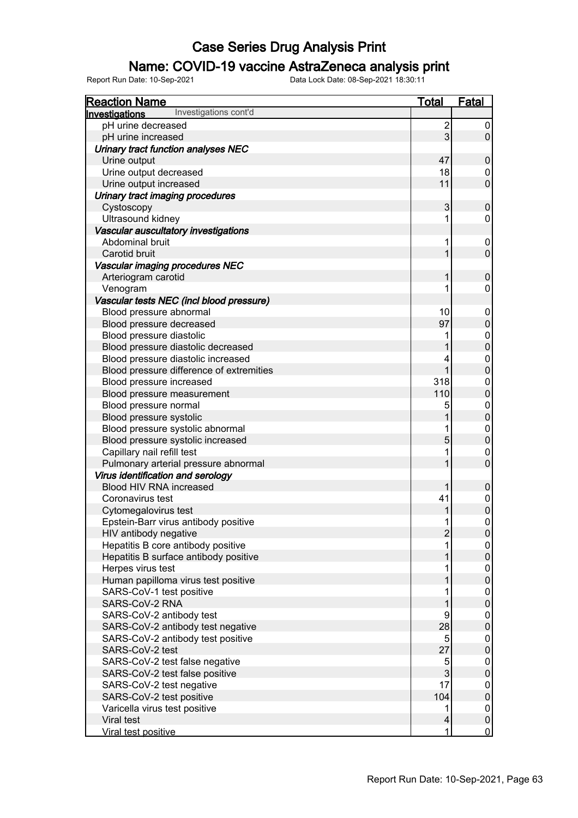### Name: COVID-19 vaccine AstraZeneca analysis print

| Investigations cont'd<br><u>Investigations</u><br>pH urine decreased<br>$\overline{2}$<br>0<br>3<br>$\overline{0}$<br>pH urine increased<br>Urinary tract function analyses NEC<br>47<br>Urine output<br>$\pmb{0}$<br>Urine output decreased<br>18<br>0<br>$\overline{0}$<br>Urine output increased<br>11<br>Urinary tract imaging procedures<br>3<br>Cystoscopy<br>$\pmb{0}$<br>Ultrasound kidney<br>0<br>Vascular auscultatory investigations<br>Abdominal bruit<br>0<br>$\overline{0}$<br>Carotid bruit<br>Vascular imaging procedures NEC<br>Arteriogram carotid<br>$\pmb{0}$<br>Venogram<br>0<br>Vascular tests NEC (incl blood pressure)<br>Blood pressure abnormal<br>10<br>0<br>97<br>$\mathsf 0$<br>Blood pressure decreased<br>Blood pressure diastolic<br>0<br>$\pmb{0}$<br>Blood pressure diastolic decreased<br>Blood pressure diastolic increased<br>0<br>$\pmb{0}$<br>Blood pressure difference of extremities<br>Blood pressure increased<br>318<br>0<br>$\mathbf 0$<br>110<br>Blood pressure measurement<br>Blood pressure normal<br>5<br>0<br>$\mathbf 0$<br>Blood pressure systolic<br>Blood pressure systolic abnormal<br>0<br>$\mathbf 0$<br>Blood pressure systolic increased<br>5<br>Capillary nail refill test<br>0<br>$\mathbf 0$<br>Pulmonary arterial pressure abnormal<br>Virus identification and serology<br>Blood HIV RNA increased<br>$\boldsymbol{0}$<br>41<br>Coronavirus test<br>0<br>$\pmb{0}$<br>Cytomegalovirus test<br>Epstein-Barr virus antibody positive<br>0<br>1<br>$\overline{c}$<br>HIV antibody negative<br>$\overline{0}$<br>Hepatitis B core antibody positive<br>$\boldsymbol{0}$<br>$\mathsf{O}\xspace$<br>Hepatitis B surface antibody positive<br>Herpes virus test<br>0<br>$\pmb{0}$<br>Human papilloma virus test positive<br>SARS-CoV-1 test positive<br>0<br>$\mathbf 0$<br>SARS-CoV-2 RNA<br>SARS-CoV-2 antibody test<br>9<br>0<br>$\mathbf 0$<br>28<br>SARS-CoV-2 antibody test negative<br>SARS-CoV-2 antibody test positive<br>5<br>0<br>27<br>$\pmb{0}$<br>SARS-CoV-2 test<br>SARS-CoV-2 test false negative<br>5<br>0<br>$\mathbf{3}$<br>$\mathbf 0$<br>SARS-CoV-2 test false positive<br>SARS-CoV-2 test negative<br>17<br>0<br>$\pmb{0}$<br>104<br>SARS-CoV-2 test positive<br>Varicella virus test positive<br>0<br>$\pmb{0}$<br>Viral test<br>4 | <b>Reaction Name</b> | <b>Total</b> | <b>Fatal</b>   |
|--------------------------------------------------------------------------------------------------------------------------------------------------------------------------------------------------------------------------------------------------------------------------------------------------------------------------------------------------------------------------------------------------------------------------------------------------------------------------------------------------------------------------------------------------------------------------------------------------------------------------------------------------------------------------------------------------------------------------------------------------------------------------------------------------------------------------------------------------------------------------------------------------------------------------------------------------------------------------------------------------------------------------------------------------------------------------------------------------------------------------------------------------------------------------------------------------------------------------------------------------------------------------------------------------------------------------------------------------------------------------------------------------------------------------------------------------------------------------------------------------------------------------------------------------------------------------------------------------------------------------------------------------------------------------------------------------------------------------------------------------------------------------------------------------------------------------------------------------------------------------------------------------------------------------------------------------------------------------------------------------------------------------------------------------------------------------------------------------------------------------------------------------------------------------------------------------------------------------------------------------------------------------------------------------------------------|----------------------|--------------|----------------|
|                                                                                                                                                                                                                                                                                                                                                                                                                                                                                                                                                                                                                                                                                                                                                                                                                                                                                                                                                                                                                                                                                                                                                                                                                                                                                                                                                                                                                                                                                                                                                                                                                                                                                                                                                                                                                                                                                                                                                                                                                                                                                                                                                                                                                                                                                                                    |                      |              |                |
|                                                                                                                                                                                                                                                                                                                                                                                                                                                                                                                                                                                                                                                                                                                                                                                                                                                                                                                                                                                                                                                                                                                                                                                                                                                                                                                                                                                                                                                                                                                                                                                                                                                                                                                                                                                                                                                                                                                                                                                                                                                                                                                                                                                                                                                                                                                    |                      |              |                |
|                                                                                                                                                                                                                                                                                                                                                                                                                                                                                                                                                                                                                                                                                                                                                                                                                                                                                                                                                                                                                                                                                                                                                                                                                                                                                                                                                                                                                                                                                                                                                                                                                                                                                                                                                                                                                                                                                                                                                                                                                                                                                                                                                                                                                                                                                                                    |                      |              |                |
|                                                                                                                                                                                                                                                                                                                                                                                                                                                                                                                                                                                                                                                                                                                                                                                                                                                                                                                                                                                                                                                                                                                                                                                                                                                                                                                                                                                                                                                                                                                                                                                                                                                                                                                                                                                                                                                                                                                                                                                                                                                                                                                                                                                                                                                                                                                    |                      |              |                |
|                                                                                                                                                                                                                                                                                                                                                                                                                                                                                                                                                                                                                                                                                                                                                                                                                                                                                                                                                                                                                                                                                                                                                                                                                                                                                                                                                                                                                                                                                                                                                                                                                                                                                                                                                                                                                                                                                                                                                                                                                                                                                                                                                                                                                                                                                                                    |                      |              |                |
|                                                                                                                                                                                                                                                                                                                                                                                                                                                                                                                                                                                                                                                                                                                                                                                                                                                                                                                                                                                                                                                                                                                                                                                                                                                                                                                                                                                                                                                                                                                                                                                                                                                                                                                                                                                                                                                                                                                                                                                                                                                                                                                                                                                                                                                                                                                    |                      |              |                |
|                                                                                                                                                                                                                                                                                                                                                                                                                                                                                                                                                                                                                                                                                                                                                                                                                                                                                                                                                                                                                                                                                                                                                                                                                                                                                                                                                                                                                                                                                                                                                                                                                                                                                                                                                                                                                                                                                                                                                                                                                                                                                                                                                                                                                                                                                                                    |                      |              |                |
|                                                                                                                                                                                                                                                                                                                                                                                                                                                                                                                                                                                                                                                                                                                                                                                                                                                                                                                                                                                                                                                                                                                                                                                                                                                                                                                                                                                                                                                                                                                                                                                                                                                                                                                                                                                                                                                                                                                                                                                                                                                                                                                                                                                                                                                                                                                    |                      |              |                |
|                                                                                                                                                                                                                                                                                                                                                                                                                                                                                                                                                                                                                                                                                                                                                                                                                                                                                                                                                                                                                                                                                                                                                                                                                                                                                                                                                                                                                                                                                                                                                                                                                                                                                                                                                                                                                                                                                                                                                                                                                                                                                                                                                                                                                                                                                                                    |                      |              |                |
|                                                                                                                                                                                                                                                                                                                                                                                                                                                                                                                                                                                                                                                                                                                                                                                                                                                                                                                                                                                                                                                                                                                                                                                                                                                                                                                                                                                                                                                                                                                                                                                                                                                                                                                                                                                                                                                                                                                                                                                                                                                                                                                                                                                                                                                                                                                    |                      |              |                |
|                                                                                                                                                                                                                                                                                                                                                                                                                                                                                                                                                                                                                                                                                                                                                                                                                                                                                                                                                                                                                                                                                                                                                                                                                                                                                                                                                                                                                                                                                                                                                                                                                                                                                                                                                                                                                                                                                                                                                                                                                                                                                                                                                                                                                                                                                                                    |                      |              |                |
|                                                                                                                                                                                                                                                                                                                                                                                                                                                                                                                                                                                                                                                                                                                                                                                                                                                                                                                                                                                                                                                                                                                                                                                                                                                                                                                                                                                                                                                                                                                                                                                                                                                                                                                                                                                                                                                                                                                                                                                                                                                                                                                                                                                                                                                                                                                    |                      |              |                |
|                                                                                                                                                                                                                                                                                                                                                                                                                                                                                                                                                                                                                                                                                                                                                                                                                                                                                                                                                                                                                                                                                                                                                                                                                                                                                                                                                                                                                                                                                                                                                                                                                                                                                                                                                                                                                                                                                                                                                                                                                                                                                                                                                                                                                                                                                                                    |                      |              |                |
|                                                                                                                                                                                                                                                                                                                                                                                                                                                                                                                                                                                                                                                                                                                                                                                                                                                                                                                                                                                                                                                                                                                                                                                                                                                                                                                                                                                                                                                                                                                                                                                                                                                                                                                                                                                                                                                                                                                                                                                                                                                                                                                                                                                                                                                                                                                    |                      |              |                |
|                                                                                                                                                                                                                                                                                                                                                                                                                                                                                                                                                                                                                                                                                                                                                                                                                                                                                                                                                                                                                                                                                                                                                                                                                                                                                                                                                                                                                                                                                                                                                                                                                                                                                                                                                                                                                                                                                                                                                                                                                                                                                                                                                                                                                                                                                                                    |                      |              |                |
|                                                                                                                                                                                                                                                                                                                                                                                                                                                                                                                                                                                                                                                                                                                                                                                                                                                                                                                                                                                                                                                                                                                                                                                                                                                                                                                                                                                                                                                                                                                                                                                                                                                                                                                                                                                                                                                                                                                                                                                                                                                                                                                                                                                                                                                                                                                    |                      |              |                |
|                                                                                                                                                                                                                                                                                                                                                                                                                                                                                                                                                                                                                                                                                                                                                                                                                                                                                                                                                                                                                                                                                                                                                                                                                                                                                                                                                                                                                                                                                                                                                                                                                                                                                                                                                                                                                                                                                                                                                                                                                                                                                                                                                                                                                                                                                                                    |                      |              |                |
|                                                                                                                                                                                                                                                                                                                                                                                                                                                                                                                                                                                                                                                                                                                                                                                                                                                                                                                                                                                                                                                                                                                                                                                                                                                                                                                                                                                                                                                                                                                                                                                                                                                                                                                                                                                                                                                                                                                                                                                                                                                                                                                                                                                                                                                                                                                    |                      |              |                |
|                                                                                                                                                                                                                                                                                                                                                                                                                                                                                                                                                                                                                                                                                                                                                                                                                                                                                                                                                                                                                                                                                                                                                                                                                                                                                                                                                                                                                                                                                                                                                                                                                                                                                                                                                                                                                                                                                                                                                                                                                                                                                                                                                                                                                                                                                                                    |                      |              |                |
|                                                                                                                                                                                                                                                                                                                                                                                                                                                                                                                                                                                                                                                                                                                                                                                                                                                                                                                                                                                                                                                                                                                                                                                                                                                                                                                                                                                                                                                                                                                                                                                                                                                                                                                                                                                                                                                                                                                                                                                                                                                                                                                                                                                                                                                                                                                    |                      |              |                |
|                                                                                                                                                                                                                                                                                                                                                                                                                                                                                                                                                                                                                                                                                                                                                                                                                                                                                                                                                                                                                                                                                                                                                                                                                                                                                                                                                                                                                                                                                                                                                                                                                                                                                                                                                                                                                                                                                                                                                                                                                                                                                                                                                                                                                                                                                                                    |                      |              |                |
|                                                                                                                                                                                                                                                                                                                                                                                                                                                                                                                                                                                                                                                                                                                                                                                                                                                                                                                                                                                                                                                                                                                                                                                                                                                                                                                                                                                                                                                                                                                                                                                                                                                                                                                                                                                                                                                                                                                                                                                                                                                                                                                                                                                                                                                                                                                    |                      |              |                |
|                                                                                                                                                                                                                                                                                                                                                                                                                                                                                                                                                                                                                                                                                                                                                                                                                                                                                                                                                                                                                                                                                                                                                                                                                                                                                                                                                                                                                                                                                                                                                                                                                                                                                                                                                                                                                                                                                                                                                                                                                                                                                                                                                                                                                                                                                                                    |                      |              |                |
|                                                                                                                                                                                                                                                                                                                                                                                                                                                                                                                                                                                                                                                                                                                                                                                                                                                                                                                                                                                                                                                                                                                                                                                                                                                                                                                                                                                                                                                                                                                                                                                                                                                                                                                                                                                                                                                                                                                                                                                                                                                                                                                                                                                                                                                                                                                    |                      |              |                |
|                                                                                                                                                                                                                                                                                                                                                                                                                                                                                                                                                                                                                                                                                                                                                                                                                                                                                                                                                                                                                                                                                                                                                                                                                                                                                                                                                                                                                                                                                                                                                                                                                                                                                                                                                                                                                                                                                                                                                                                                                                                                                                                                                                                                                                                                                                                    |                      |              |                |
|                                                                                                                                                                                                                                                                                                                                                                                                                                                                                                                                                                                                                                                                                                                                                                                                                                                                                                                                                                                                                                                                                                                                                                                                                                                                                                                                                                                                                                                                                                                                                                                                                                                                                                                                                                                                                                                                                                                                                                                                                                                                                                                                                                                                                                                                                                                    |                      |              |                |
|                                                                                                                                                                                                                                                                                                                                                                                                                                                                                                                                                                                                                                                                                                                                                                                                                                                                                                                                                                                                                                                                                                                                                                                                                                                                                                                                                                                                                                                                                                                                                                                                                                                                                                                                                                                                                                                                                                                                                                                                                                                                                                                                                                                                                                                                                                                    |                      |              |                |
|                                                                                                                                                                                                                                                                                                                                                                                                                                                                                                                                                                                                                                                                                                                                                                                                                                                                                                                                                                                                                                                                                                                                                                                                                                                                                                                                                                                                                                                                                                                                                                                                                                                                                                                                                                                                                                                                                                                                                                                                                                                                                                                                                                                                                                                                                                                    |                      |              |                |
|                                                                                                                                                                                                                                                                                                                                                                                                                                                                                                                                                                                                                                                                                                                                                                                                                                                                                                                                                                                                                                                                                                                                                                                                                                                                                                                                                                                                                                                                                                                                                                                                                                                                                                                                                                                                                                                                                                                                                                                                                                                                                                                                                                                                                                                                                                                    |                      |              |                |
|                                                                                                                                                                                                                                                                                                                                                                                                                                                                                                                                                                                                                                                                                                                                                                                                                                                                                                                                                                                                                                                                                                                                                                                                                                                                                                                                                                                                                                                                                                                                                                                                                                                                                                                                                                                                                                                                                                                                                                                                                                                                                                                                                                                                                                                                                                                    |                      |              |                |
|                                                                                                                                                                                                                                                                                                                                                                                                                                                                                                                                                                                                                                                                                                                                                                                                                                                                                                                                                                                                                                                                                                                                                                                                                                                                                                                                                                                                                                                                                                                                                                                                                                                                                                                                                                                                                                                                                                                                                                                                                                                                                                                                                                                                                                                                                                                    |                      |              |                |
|                                                                                                                                                                                                                                                                                                                                                                                                                                                                                                                                                                                                                                                                                                                                                                                                                                                                                                                                                                                                                                                                                                                                                                                                                                                                                                                                                                                                                                                                                                                                                                                                                                                                                                                                                                                                                                                                                                                                                                                                                                                                                                                                                                                                                                                                                                                    |                      |              |                |
|                                                                                                                                                                                                                                                                                                                                                                                                                                                                                                                                                                                                                                                                                                                                                                                                                                                                                                                                                                                                                                                                                                                                                                                                                                                                                                                                                                                                                                                                                                                                                                                                                                                                                                                                                                                                                                                                                                                                                                                                                                                                                                                                                                                                                                                                                                                    |                      |              |                |
|                                                                                                                                                                                                                                                                                                                                                                                                                                                                                                                                                                                                                                                                                                                                                                                                                                                                                                                                                                                                                                                                                                                                                                                                                                                                                                                                                                                                                                                                                                                                                                                                                                                                                                                                                                                                                                                                                                                                                                                                                                                                                                                                                                                                                                                                                                                    |                      |              |                |
|                                                                                                                                                                                                                                                                                                                                                                                                                                                                                                                                                                                                                                                                                                                                                                                                                                                                                                                                                                                                                                                                                                                                                                                                                                                                                                                                                                                                                                                                                                                                                                                                                                                                                                                                                                                                                                                                                                                                                                                                                                                                                                                                                                                                                                                                                                                    |                      |              |                |
|                                                                                                                                                                                                                                                                                                                                                                                                                                                                                                                                                                                                                                                                                                                                                                                                                                                                                                                                                                                                                                                                                                                                                                                                                                                                                                                                                                                                                                                                                                                                                                                                                                                                                                                                                                                                                                                                                                                                                                                                                                                                                                                                                                                                                                                                                                                    |                      |              |                |
|                                                                                                                                                                                                                                                                                                                                                                                                                                                                                                                                                                                                                                                                                                                                                                                                                                                                                                                                                                                                                                                                                                                                                                                                                                                                                                                                                                                                                                                                                                                                                                                                                                                                                                                                                                                                                                                                                                                                                                                                                                                                                                                                                                                                                                                                                                                    |                      |              |                |
|                                                                                                                                                                                                                                                                                                                                                                                                                                                                                                                                                                                                                                                                                                                                                                                                                                                                                                                                                                                                                                                                                                                                                                                                                                                                                                                                                                                                                                                                                                                                                                                                                                                                                                                                                                                                                                                                                                                                                                                                                                                                                                                                                                                                                                                                                                                    |                      |              |                |
|                                                                                                                                                                                                                                                                                                                                                                                                                                                                                                                                                                                                                                                                                                                                                                                                                                                                                                                                                                                                                                                                                                                                                                                                                                                                                                                                                                                                                                                                                                                                                                                                                                                                                                                                                                                                                                                                                                                                                                                                                                                                                                                                                                                                                                                                                                                    |                      |              |                |
|                                                                                                                                                                                                                                                                                                                                                                                                                                                                                                                                                                                                                                                                                                                                                                                                                                                                                                                                                                                                                                                                                                                                                                                                                                                                                                                                                                                                                                                                                                                                                                                                                                                                                                                                                                                                                                                                                                                                                                                                                                                                                                                                                                                                                                                                                                                    |                      |              |                |
|                                                                                                                                                                                                                                                                                                                                                                                                                                                                                                                                                                                                                                                                                                                                                                                                                                                                                                                                                                                                                                                                                                                                                                                                                                                                                                                                                                                                                                                                                                                                                                                                                                                                                                                                                                                                                                                                                                                                                                                                                                                                                                                                                                                                                                                                                                                    |                      |              |                |
|                                                                                                                                                                                                                                                                                                                                                                                                                                                                                                                                                                                                                                                                                                                                                                                                                                                                                                                                                                                                                                                                                                                                                                                                                                                                                                                                                                                                                                                                                                                                                                                                                                                                                                                                                                                                                                                                                                                                                                                                                                                                                                                                                                                                                                                                                                                    |                      |              |                |
|                                                                                                                                                                                                                                                                                                                                                                                                                                                                                                                                                                                                                                                                                                                                                                                                                                                                                                                                                                                                                                                                                                                                                                                                                                                                                                                                                                                                                                                                                                                                                                                                                                                                                                                                                                                                                                                                                                                                                                                                                                                                                                                                                                                                                                                                                                                    |                      |              |                |
|                                                                                                                                                                                                                                                                                                                                                                                                                                                                                                                                                                                                                                                                                                                                                                                                                                                                                                                                                                                                                                                                                                                                                                                                                                                                                                                                                                                                                                                                                                                                                                                                                                                                                                                                                                                                                                                                                                                                                                                                                                                                                                                                                                                                                                                                                                                    |                      |              |                |
|                                                                                                                                                                                                                                                                                                                                                                                                                                                                                                                                                                                                                                                                                                                                                                                                                                                                                                                                                                                                                                                                                                                                                                                                                                                                                                                                                                                                                                                                                                                                                                                                                                                                                                                                                                                                                                                                                                                                                                                                                                                                                                                                                                                                                                                                                                                    |                      |              |                |
|                                                                                                                                                                                                                                                                                                                                                                                                                                                                                                                                                                                                                                                                                                                                                                                                                                                                                                                                                                                                                                                                                                                                                                                                                                                                                                                                                                                                                                                                                                                                                                                                                                                                                                                                                                                                                                                                                                                                                                                                                                                                                                                                                                                                                                                                                                                    |                      |              |                |
|                                                                                                                                                                                                                                                                                                                                                                                                                                                                                                                                                                                                                                                                                                                                                                                                                                                                                                                                                                                                                                                                                                                                                                                                                                                                                                                                                                                                                                                                                                                                                                                                                                                                                                                                                                                                                                                                                                                                                                                                                                                                                                                                                                                                                                                                                                                    |                      |              |                |
|                                                                                                                                                                                                                                                                                                                                                                                                                                                                                                                                                                                                                                                                                                                                                                                                                                                                                                                                                                                                                                                                                                                                                                                                                                                                                                                                                                                                                                                                                                                                                                                                                                                                                                                                                                                                                                                                                                                                                                                                                                                                                                                                                                                                                                                                                                                    |                      |              |                |
|                                                                                                                                                                                                                                                                                                                                                                                                                                                                                                                                                                                                                                                                                                                                                                                                                                                                                                                                                                                                                                                                                                                                                                                                                                                                                                                                                                                                                                                                                                                                                                                                                                                                                                                                                                                                                                                                                                                                                                                                                                                                                                                                                                                                                                                                                                                    |                      |              |                |
|                                                                                                                                                                                                                                                                                                                                                                                                                                                                                                                                                                                                                                                                                                                                                                                                                                                                                                                                                                                                                                                                                                                                                                                                                                                                                                                                                                                                                                                                                                                                                                                                                                                                                                                                                                                                                                                                                                                                                                                                                                                                                                                                                                                                                                                                                                                    |                      |              |                |
|                                                                                                                                                                                                                                                                                                                                                                                                                                                                                                                                                                                                                                                                                                                                                                                                                                                                                                                                                                                                                                                                                                                                                                                                                                                                                                                                                                                                                                                                                                                                                                                                                                                                                                                                                                                                                                                                                                                                                                                                                                                                                                                                                                                                                                                                                                                    |                      |              |                |
|                                                                                                                                                                                                                                                                                                                                                                                                                                                                                                                                                                                                                                                                                                                                                                                                                                                                                                                                                                                                                                                                                                                                                                                                                                                                                                                                                                                                                                                                                                                                                                                                                                                                                                                                                                                                                                                                                                                                                                                                                                                                                                                                                                                                                                                                                                                    |                      |              |                |
|                                                                                                                                                                                                                                                                                                                                                                                                                                                                                                                                                                                                                                                                                                                                                                                                                                                                                                                                                                                                                                                                                                                                                                                                                                                                                                                                                                                                                                                                                                                                                                                                                                                                                                                                                                                                                                                                                                                                                                                                                                                                                                                                                                                                                                                                                                                    | Viral test positive  | 1            | $\overline{0}$ |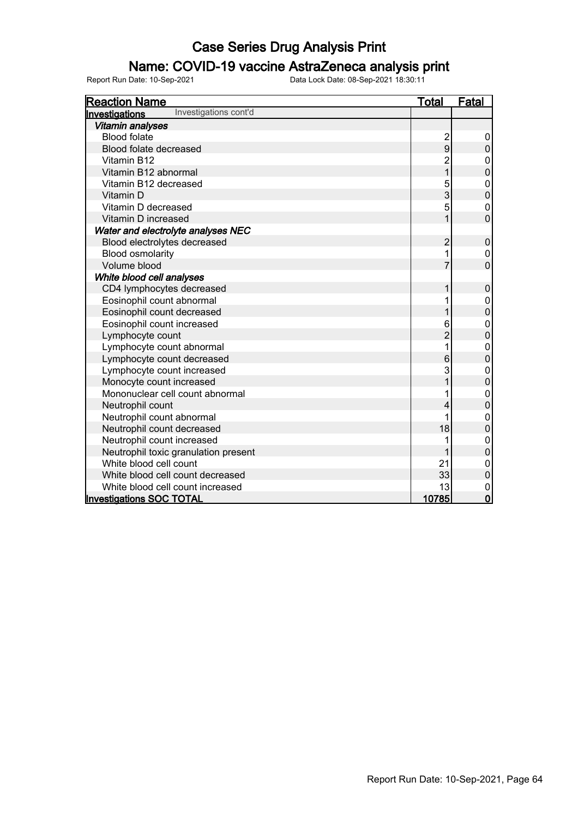### Name: COVID-19 vaccine AstraZeneca analysis print

| <b>Reaction Name</b>                    | <u>Total</u>   | <b>Fatal</b>     |
|-----------------------------------------|----------------|------------------|
| Investigations cont'd<br>Investigations |                |                  |
| Vitamin analyses                        |                |                  |
| <b>Blood folate</b>                     | 2<br>9         | 0                |
| Blood folate decreased                  |                | $\mathbf 0$      |
| Vitamin B12                             | $\overline{2}$ | 0                |
| Vitamin B12 abnormal                    | $\overline{1}$ | $\overline{0}$   |
| Vitamin B12 decreased                   | 5              | $\mathbf 0$      |
| Vitamin D                               | 3              | $\mathbf 0$      |
| Vitamin D decreased                     | 5              | $\mathbf 0$      |
| Vitamin D increased                     | 1              | $\overline{0}$   |
| Water and electrolyte analyses NEC      |                |                  |
| Blood electrolytes decreased            | $\overline{2}$ | $\pmb{0}$        |
| <b>Blood osmolarity</b>                 | 1              | 0                |
| Volume blood                            | 7              | $\overline{0}$   |
| White blood cell analyses               |                |                  |
| CD4 lymphocytes decreased               | 1              | $\pmb{0}$        |
| Eosinophil count abnormal               | 1              | $\boldsymbol{0}$ |
| Eosinophil count decreased              | 1              | $\mathbf 0$      |
| Eosinophil count increased              | 6              | $\mathbf 0$      |
| Lymphocyte count                        | $\overline{2}$ | $\mathbf 0$      |
| Lymphocyte count abnormal               | 1              | $\pmb{0}$        |
| Lymphocyte count decreased              | 6              | $\overline{0}$   |
| Lymphocyte count increased              | 3              | $\mathbf{0}$     |
| Monocyte count increased                |                | $\mathbf 0$      |
| Mononuclear cell count abnormal         | 1              | $\mathbf 0$      |
| Neutrophil count                        | 4              | $\mathbf 0$      |
| Neutrophil count abnormal               |                | $\mathbf 0$      |
| Neutrophil count decreased              | 18             | $\mathbf 0$      |
| Neutrophil count increased              | 1              | $\pmb{0}$        |
| Neutrophil toxic granulation present    |                | $\overline{0}$   |
| White blood cell count                  | 21             | $\mathbf 0$      |
| White blood cell count decreased        | 33             | $\mathbf 0$      |
| White blood cell count increased        | 13             | $\mathbf{0}$     |
| <b>Investigations SOC TOTAL</b>         | 10785          | $\mathbf 0$      |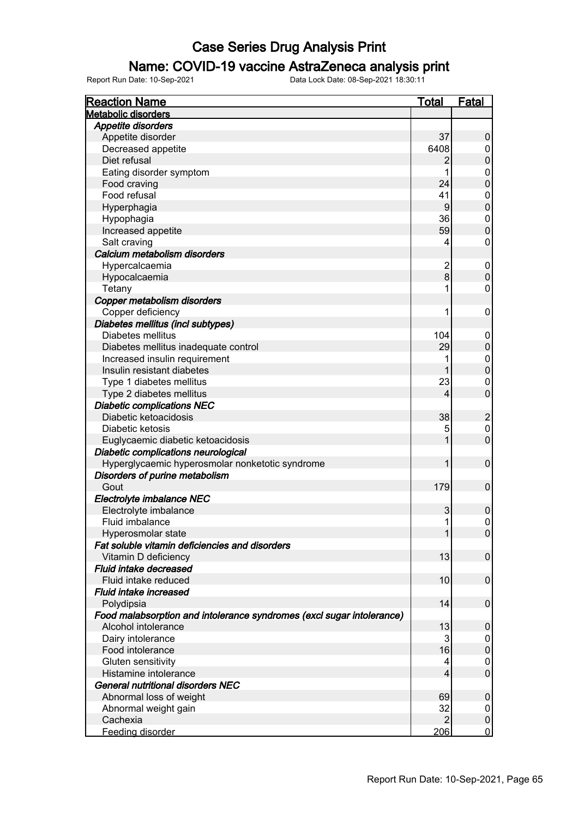### Name: COVID-19 vaccine AstraZeneca analysis print

| <b>Reaction Name</b>                                                  | <b>Total</b>   | <b>Fatal</b>     |
|-----------------------------------------------------------------------|----------------|------------------|
| <b>Metabolic disorders</b>                                            |                |                  |
| <b>Appetite disorders</b>                                             |                |                  |
| Appetite disorder                                                     | 37             | 0                |
| Decreased appetite                                                    | 6408           | 0                |
| Diet refusal                                                          | $\overline{2}$ | $\boldsymbol{0}$ |
| Eating disorder symptom                                               | 1              | 0                |
| Food craving                                                          | 24             | $\pmb{0}$        |
| Food refusal                                                          | 41             | 0                |
| Hyperphagia                                                           | 9              | $\pmb{0}$        |
| Hypophagia                                                            | 36             | 0                |
| Increased appetite                                                    | 59             | $\pmb{0}$        |
| Salt craving                                                          | 4              | 0                |
| Calcium metabolism disorders                                          |                |                  |
| Hypercalcaemia                                                        | $\overline{2}$ | 0                |
| Hypocalcaemia                                                         | 8              | $\mathbf 0$      |
| Tetany                                                                |                | 0                |
| Copper metabolism disorders                                           |                |                  |
| Copper deficiency                                                     | 1              | $\pmb{0}$        |
| Diabetes mellitus (incl subtypes)                                     |                |                  |
| Diabetes mellitus                                                     | 104            | 0                |
| Diabetes mellitus inadequate control                                  | 29             | $\pmb{0}$        |
|                                                                       | 1              |                  |
| Increased insulin requirement                                         | 1              | 0                |
| Insulin resistant diabetes                                            |                | $\boldsymbol{0}$ |
| Type 1 diabetes mellitus                                              | 23             | 0                |
| Type 2 diabetes mellitus                                              | $\overline{4}$ | $\overline{0}$   |
| <b>Diabetic complications NEC</b>                                     |                |                  |
| Diabetic ketoacidosis                                                 | 38             | $\overline{c}$   |
| Diabetic ketosis                                                      | 5              | $\mathsf 0$      |
| Euglycaemic diabetic ketoacidosis                                     |                | $\mathbf 0$      |
| Diabetic complications neurological                                   |                |                  |
| Hyperglycaemic hyperosmolar nonketotic syndrome                       | 1              | $\mathbf 0$      |
| Disorders of purine metabolism                                        |                |                  |
| Gout                                                                  | 179            | $\boldsymbol{0}$ |
| Electrolyte imbalance NEC                                             |                |                  |
| Electrolyte imbalance                                                 | 3              | $\boldsymbol{0}$ |
| Fluid imbalance                                                       | 1              | $\mathsf 0$      |
| Hyperosmolar state                                                    | 1              | $\overline{0}$   |
| Fat soluble vitamin deficiencies and disorders                        |                |                  |
| Vitamin D deficiency                                                  | 13             | $\boldsymbol{0}$ |
| Fluid intake decreased                                                |                |                  |
| Fluid intake reduced                                                  | 10             | $\pmb{0}$        |
| Fluid intake increased                                                |                |                  |
| Polydipsia                                                            | 14             | $\pmb{0}$        |
| Food malabsorption and intolerance syndromes (excl sugar intolerance) |                |                  |
| Alcohol intolerance                                                   | 13             | $\pmb{0}$        |
| Dairy intolerance                                                     | 3              | 0                |
| Food intolerance                                                      | 16             | $\pmb{0}$        |
| Gluten sensitivity                                                    | 4              | 0                |
| Histamine intolerance                                                 | $\overline{4}$ | $\mathbf 0$      |
| <b>General nutritional disorders NEC</b>                              |                |                  |
| Abnormal loss of weight                                               | 69             | $\pmb{0}$        |
| Abnormal weight gain                                                  | 32             | 0                |
| Cachexia                                                              | $\overline{2}$ | $\pmb{0}$        |
| Feeding disorder                                                      | 206            | $\mathbf 0$      |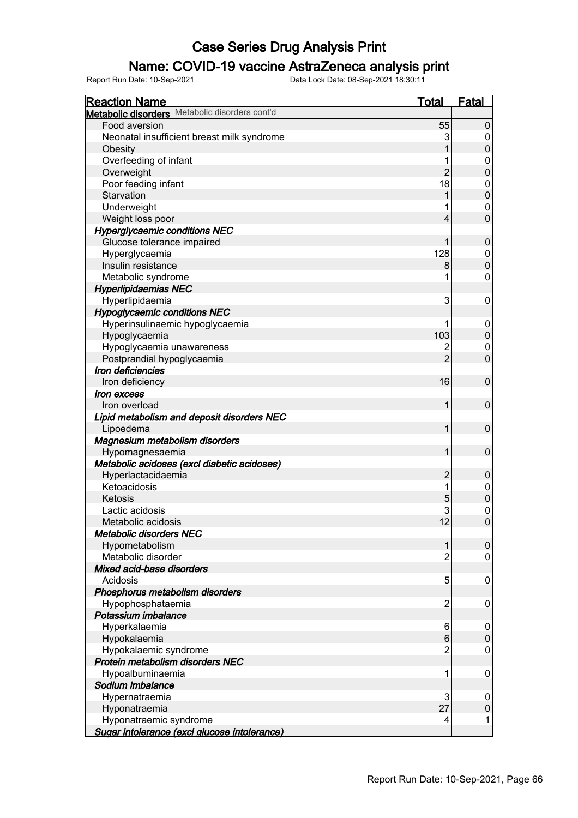### Name: COVID-19 vaccine AstraZeneca analysis print

| <b>Reaction Name</b>                           | <b>Total</b>   | Fatal            |
|------------------------------------------------|----------------|------------------|
| Metabolic disorders Metabolic disorders cont'd |                |                  |
| Food aversion                                  | 55             | $\pmb{0}$        |
| Neonatal insufficient breast milk syndrome     | 3              | 0                |
| Obesity                                        |                | $\mathbf 0$      |
| Overfeeding of infant                          |                | 0                |
| Overweight                                     | $\overline{2}$ | $\mathbf 0$      |
| Poor feeding infant                            | 18             | 0                |
| Starvation                                     |                | $\pmb{0}$        |
| Underweight                                    |                | 0                |
| Weight loss poor                               | 4              | $\overline{0}$   |
| <b>Hyperglycaemic conditions NEC</b>           |                |                  |
| Glucose tolerance impaired                     |                | $\boldsymbol{0}$ |
| Hyperglycaemia                                 | 128            | 0                |
| Insulin resistance                             | 8              | $\pmb{0}$        |
| Metabolic syndrome                             |                | $\mathbf 0$      |
| <b>Hyperlipidaemias NEC</b>                    |                |                  |
| Hyperlipidaemia                                | 3              | 0                |
| <b>Hypoglycaemic conditions NEC</b>            |                |                  |
| Hyperinsulinaemic hypoglycaemia                |                | 0                |
| Hypoglycaemia                                  | 103            | $\mathsf 0$      |
| Hypoglycaemia unawareness                      | 2              | 0                |
| Postprandial hypoglycaemia                     | $\overline{2}$ | $\overline{0}$   |
| Iron deficiencies                              |                |                  |
| Iron deficiency                                | 16             | $\pmb{0}$        |
| Iron excess                                    |                |                  |
| Iron overload                                  | 1              | $\mathbf 0$      |
| Lipid metabolism and deposit disorders NEC     |                |                  |
| Lipoedema                                      | 1              | $\mathbf 0$      |
| Magnesium metabolism disorders                 |                |                  |
| Hypomagnesaemia                                | 1              | $\mathbf 0$      |
| Metabolic acidoses (excl diabetic acidoses)    |                |                  |
| Hyperlactacidaemia                             | $\overline{c}$ | 0                |
| Ketoacidosis                                   | 1              | 0                |
| Ketosis                                        | 5              | $\overline{0}$   |
| Lactic acidosis                                | 3              | $\mathbf 0$      |
| Metabolic acidosis                             | 12             | $\mathbf 0$      |
| Metabolic disorders NEC                        |                |                  |
| Hypometabolism                                 | 1              | 0                |
| Metabolic disorder                             | $\overline{2}$ | 0                |
| Mixed acid-base disorders                      |                |                  |
| Acidosis                                       | 5              | 0                |
| Phosphorus metabolism disorders                |                |                  |
| Hypophosphataemia                              | $\overline{2}$ | 0                |
| Potassium imbalance                            |                |                  |
| Hyperkalaemia                                  | 6              | 0                |
| Hypokalaemia                                   | 6              | $\pmb{0}$        |
| Hypokalaemic syndrome                          | 2              | 0                |
| Protein metabolism disorders NEC               |                |                  |
| Hypoalbuminaemia                               | 1              | 0                |
| Sodium imbalance                               |                |                  |
| Hypernatraemia                                 | 3              | 0                |
| Hyponatraemia                                  | 27             | $\pmb{0}$        |
| Hyponatraemic syndrome                         | 4              | 1                |
| Sugar intolerance (excl glucose intolerance)   |                |                  |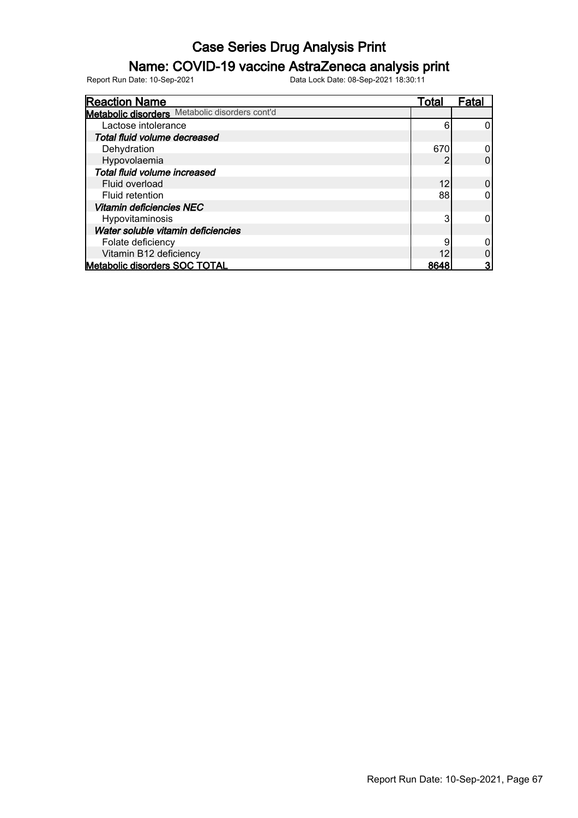### Name: COVID-19 vaccine AstraZeneca analysis print

| <b>Reaction Name</b>                           | Total | Fatal |
|------------------------------------------------|-------|-------|
| Metabolic disorders Metabolic disorders cont'd |       |       |
| Lactose intolerance                            | 6     |       |
| Total fluid volume decreased                   |       |       |
| Dehydration                                    | 670   |       |
| Hypovolaemia                                   |       |       |
| Total fluid volume increased                   |       |       |
| Fluid overload                                 | 12    |       |
| Fluid retention                                | 88    |       |
| <b>Vitamin deficiencies NEC</b>                |       |       |
| Hypovitaminosis                                | 3     |       |
| Water soluble vitamin deficiencies             |       |       |
| Folate deficiency                              | 9     |       |
| Vitamin B12 deficiency                         | 12    |       |
| <b>Metabolic disorders SOC TOTAL</b>           | 8648  | 3     |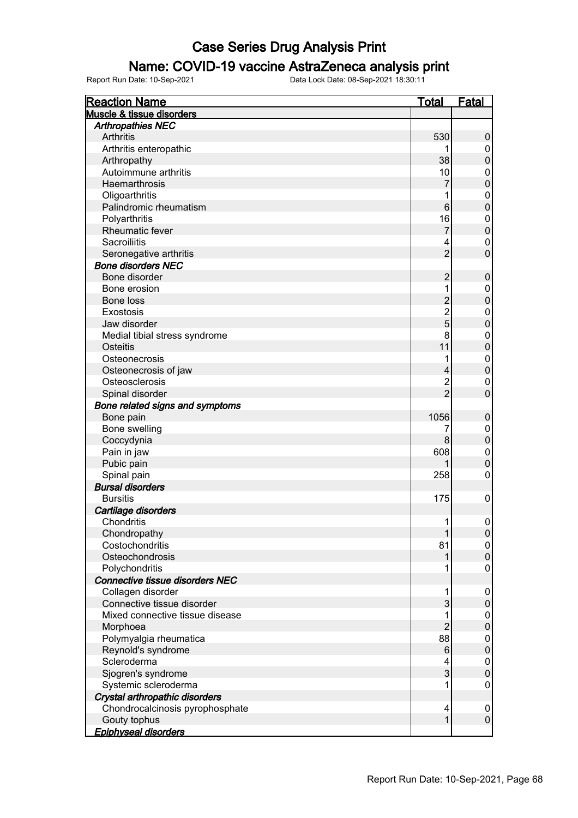### Name: COVID-19 vaccine AstraZeneca analysis print

| <b>Reaction Name</b>                        | <b>Total</b>    | <u>Fatal</u>     |
|---------------------------------------------|-----------------|------------------|
| Muscle & tissue disorders                   |                 |                  |
| <b>Arthropathies NEC</b>                    |                 |                  |
| <b>Arthritis</b>                            | 530             | 0                |
| Arthritis enteropathic                      |                 | 0                |
| Arthropathy                                 | 38              | $\mathbf 0$      |
| Autoimmune arthritis                        | 10              | 0                |
| Haemarthrosis                               | 7               | $\mathbf 0$      |
| Oligoarthritis                              | 1               | 0                |
| Palindromic rheumatism                      | $6\phantom{1}6$ | $\mathbf 0$      |
| Polyarthritis                               | 16              | 0                |
| Rheumatic fever                             | 7               | $\mathbf 0$      |
| <b>Sacroiliitis</b>                         | 4               | 0                |
| Seronegative arthritis                      | $\overline{2}$  | $\overline{0}$   |
| <b>Bone disorders NEC</b>                   |                 |                  |
| Bone disorder                               | $\overline{c}$  | $\mathbf 0$      |
| Bone erosion                                | 1               | 0                |
| <b>Bone loss</b>                            | $\overline{c}$  | $\mathbf 0$      |
| Exostosis                                   |                 |                  |
| Jaw disorder                                | $\frac{2}{5}$   | 0<br>$\mathbf 0$ |
|                                             |                 |                  |
| Medial tibial stress syndrome               | 8               | 0                |
| <b>Osteitis</b>                             | 11              | $\mathbf 0$      |
| Osteonecrosis                               | 1               | 0                |
| Osteonecrosis of jaw                        | 4               | $\mathbf 0$      |
| Osteosclerosis                              | $\overline{c}$  | 0                |
| Spinal disorder                             | $\overline{2}$  | $\overline{0}$   |
| Bone related signs and symptoms             |                 |                  |
| Bone pain                                   | 1056            | $\mathbf 0$      |
| Bone swelling                               | 7               | 0                |
| Coccydynia                                  | 8               | $\mathbf 0$      |
| Pain in jaw                                 | 608             | $\mathbf 0$      |
| Pubic pain                                  |                 | $\mathbf 0$      |
| Spinal pain                                 | 258             | $\mathbf 0$      |
| <b>Bursal disorders</b>                     |                 |                  |
| <b>Bursitis</b>                             | 175             | $\mathbf 0$      |
| Cartilage disorders                         |                 |                  |
| Chondritis                                  | 1               | $\mathbf 0$      |
| Chondropathy                                | 1               | 0                |
| Costochondritis                             | 81              | 0                |
| Osteochondrosis                             |                 | $\pmb{0}$        |
| Polychondritis                              | 1               | 0                |
| Connective tissue disorders NEC             |                 |                  |
| Collagen disorder                           | 1               | $\boldsymbol{0}$ |
| Connective tissue disorder                  | 3               | $\mathbf 0$      |
| Mixed connective tissue disease             | 1               | $\boldsymbol{0}$ |
| Morphoea                                    | $\overline{2}$  | $\mathbf 0$      |
| Polymyalgia rheumatica                      | 88              | 0                |
| Reynold's syndrome                          | 6               | $\mathbf 0$      |
| Scleroderma                                 | 4               | 0                |
| Sjogren's syndrome                          | 3               | $\mathbf 0$      |
| Systemic scleroderma                        | 1               | 0                |
| Crystal arthropathic disorders              |                 |                  |
|                                             |                 |                  |
| Chondrocalcinosis pyrophosphate             | 4               | $\boldsymbol{0}$ |
|                                             |                 |                  |
| Gouty tophus<br><b>Epiphyseal disorders</b> | $\mathbf{1}$    | $\pmb{0}$        |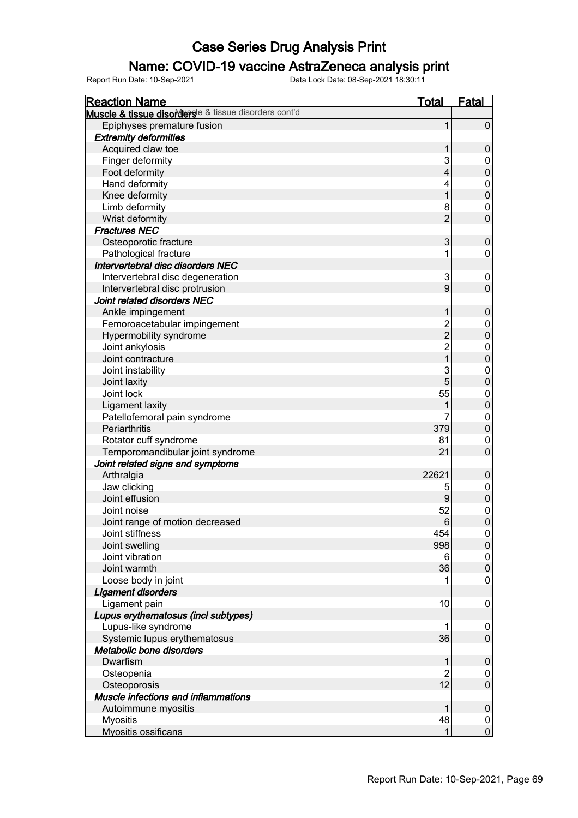### Name: COVID-19 vaccine AstraZeneca analysis print

| <b>Reaction Name</b>                                 | <b>Total</b>            | <b>Fatal</b>     |
|------------------------------------------------------|-------------------------|------------------|
| Muscle & tissue disorderse & tissue disorders cont'd |                         |                  |
| Epiphyses premature fusion                           | 1                       | $\mathbf 0$      |
| <b>Extremity deformities</b>                         |                         |                  |
| Acquired claw toe                                    | 1                       | $\mathbf 0$      |
| Finger deformity                                     | 3                       | 0                |
| Foot deformity                                       | $\overline{\mathbf{4}}$ | $\mathbf 0$      |
| Hand deformity                                       | 4                       | $\mathbf 0$      |
| Knee deformity                                       | 1                       | $\mathbf 0$      |
| Limb deformity                                       | 8                       | $\pmb{0}$        |
| Wrist deformity                                      | $\overline{2}$          | $\mathbf 0$      |
| <b>Fractures NEC</b>                                 |                         |                  |
| Osteoporotic fracture                                | 3                       | $\mathbf 0$      |
| Pathological fracture                                | 1                       | $\mathbf 0$      |
| Intervertebral disc disorders NEC                    |                         |                  |
| Intervertebral disc degeneration                     | 3                       | 0                |
| Intervertebral disc protrusion                       | 9                       | $\mathbf 0$      |
| Joint related disorders NEC                          |                         |                  |
| Ankle impingement                                    | 1                       | $\mathbf 0$      |
| Femoroacetabular impingement                         |                         | $\pmb{0}$        |
| Hypermobility syndrome                               | $\frac{2}{2}$           | $\mathbf 0$      |
| Joint ankylosis                                      |                         | $\boldsymbol{0}$ |
| Joint contracture                                    | $\frac{2}{1}$           | $\mathbf 0$      |
| Joint instability                                    | 3                       | $\boldsymbol{0}$ |
| Joint laxity                                         | 5                       | $\mathbf 0$      |
| Joint lock                                           | 55                      | $\mathbf 0$      |
| <b>Ligament laxity</b>                               |                         | $\mathbf 0$      |
| Patellofemoral pain syndrome                         |                         | $\mathbf 0$      |
| Periarthritis                                        | 379                     | $\mathbf 0$      |
| Rotator cuff syndrome                                | 81                      | $\mathbf 0$      |
| Temporomandibular joint syndrome                     | 21                      | $\mathbf 0$      |
| Joint related signs and symptoms                     |                         |                  |
| Arthralgia                                           | 22621                   | $\mathbf 0$      |
| Jaw clicking                                         | 5                       | $\boldsymbol{0}$ |
| Joint effusion                                       | 9                       | $\mathbf 0$      |
| Joint noise                                          | 52                      | $\mathbf{0}$     |
| Joint range of motion decreased                      | 6                       | $\mathbf 0$      |
| Joint stiffness                                      | 454                     | $\mathbf 0$      |
| Joint swelling                                       | 998                     | $\pmb{0}$        |
| Joint vibration                                      | 6                       | 0                |
| Joint warmth                                         | 36                      | $\pmb{0}$        |
| Loose body in joint                                  |                         | 0                |
| <b>Ligament disorders</b>                            |                         |                  |
| Ligament pain                                        | 10                      | $\mathbf 0$      |
| Lupus erythematosus (incl subtypes)                  |                         |                  |
| Lupus-like syndrome                                  | 1                       | $\mathbf 0$      |
| Systemic lupus erythematosus                         | 36                      | $\mathbf 0$      |
| Metabolic bone disorders                             |                         |                  |
| Dwarfism                                             | 1                       | $\boldsymbol{0}$ |
| Osteopenia                                           | 2                       | 0                |
| Osteoporosis                                         | 12                      | $\pmb{0}$        |
| Muscle infections and inflammations                  |                         |                  |
| Autoimmune myositis                                  | 1                       | $\boldsymbol{0}$ |
| <b>Myositis</b>                                      | 48                      | $\mathbf 0$      |
| Myositis ossificans                                  | 1                       | $\overline{0}$   |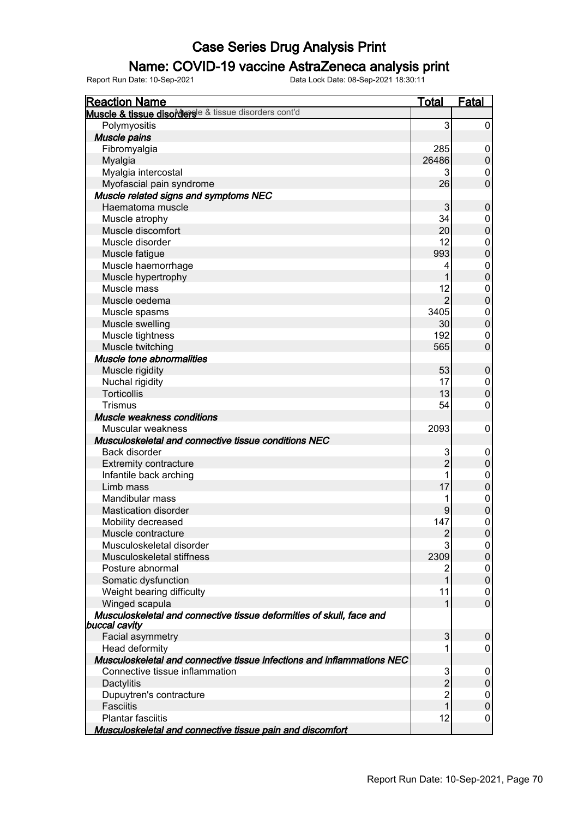### Name: COVID-19 vaccine AstraZeneca analysis print

| <b>Reaction Name</b>                                                   | Total          | <b>Fatal</b>     |
|------------------------------------------------------------------------|----------------|------------------|
| Muscle & tissue disordersle & tissue disorders cont'd                  |                |                  |
| Polymyositis                                                           | 3              | 0                |
| <b>Muscle pains</b>                                                    |                |                  |
| Fibromyalgia                                                           | 285            | 0                |
| Myalgia                                                                | 26486          | $\boldsymbol{0}$ |
| Myalgia intercostal                                                    | 3              | 0                |
| Myofascial pain syndrome                                               | 26             | $\mathbf 0$      |
| Muscle related signs and symptoms NEC                                  |                |                  |
| Haematoma muscle                                                       | 3              | $\pmb{0}$        |
| Muscle atrophy                                                         | 34             | 0                |
| Muscle discomfort                                                      | 20             | $\mathbf 0$      |
| Muscle disorder                                                        | 12             | 0                |
| Muscle fatigue                                                         | 993            | $\mathbf 0$      |
| Muscle haemorrhage                                                     | 4              | 0                |
| Muscle hypertrophy                                                     | 1              | $\mathbf 0$      |
| Muscle mass                                                            | 12             | 0                |
| Muscle oedema                                                          | $\overline{2}$ | $\mathbf 0$      |
| Muscle spasms                                                          | 3405           | 0                |
| Muscle swelling                                                        | 30             | $\mathbf 0$      |
| Muscle tightness                                                       | 192            | 0                |
| Muscle twitching                                                       | 565            | $\mathbf 0$      |
| Muscle tone abnormalities                                              |                |                  |
| Muscle rigidity                                                        | 53             | $\pmb{0}$        |
| Nuchal rigidity                                                        | 17             | 0                |
| <b>Torticollis</b>                                                     | 13             | $\pmb{0}$        |
| <b>Trismus</b>                                                         | 54             | 0                |
| Muscle weakness conditions                                             |                |                  |
| Muscular weakness                                                      | 2093           | $\mathbf 0$      |
| Musculoskeletal and connective tissue conditions NEC                   |                |                  |
| Back disorder                                                          | 3              | 0                |
| <b>Extremity contracture</b>                                           | $\overline{2}$ | $\boldsymbol{0}$ |
| Infantile back arching                                                 | 1              | 0                |
| Limb mass                                                              | 17             | $\boldsymbol{0}$ |
| Mandibular mass                                                        |                | 0                |
| <b>Mastication disorder</b>                                            | 9              | $\boldsymbol{0}$ |
| Mobility decreased                                                     | 147            | 0                |
| Muscle contracture                                                     | $\overline{2}$ | $\overline{0}$   |
| Musculoskeletal disorder                                               | 3              | 0                |
| Musculoskeletal stiffness                                              | 2309           | $\pmb{0}$        |
| Posture abnormal                                                       | 2              | 0                |
| Somatic dysfunction                                                    | 1              | $\mathbf 0$      |
| Weight bearing difficulty                                              | 11             | 0                |
| Winged scapula                                                         | 1              | $\mathbf 0$      |
| Musculoskeletal and connective tissue deformities of skull, face and   |                |                  |
| buccal cavity                                                          |                |                  |
| Facial asymmetry                                                       | 3              | 0                |
| Head deformity                                                         | 1              | 0                |
| Musculoskeletal and connective tissue infections and inflammations NEC |                |                  |
| Connective tissue inflammation                                         | 3              | 0                |
| Dactylitis                                                             | $\overline{2}$ | $\pmb{0}$        |
| Dupuytren's contracture                                                | $\overline{2}$ | 0                |
| <b>Fasciitis</b>                                                       | 1              | $\mathbf 0$      |
| <b>Plantar fasciitis</b>                                               | 12             | 0                |
| Musculoskeletal and connective tissue pain and discomfort              |                |                  |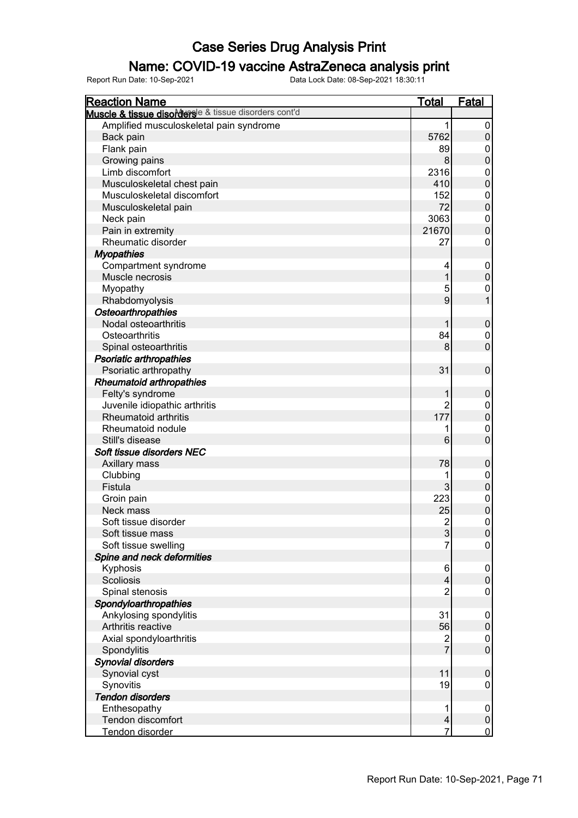#### Name: COVID-19 vaccine AstraZeneca analysis print

| <b>Reaction Name</b>                                  | <b>Total</b>   | <b>Fatal</b>                |
|-------------------------------------------------------|----------------|-----------------------------|
| Muscle & tissue disordersle & tissue disorders cont'd |                |                             |
| Amplified musculoskeletal pain syndrome               | 1              | $\pmb{0}$                   |
| Back pain                                             | 5762           | $\boldsymbol{0}$            |
| Flank pain                                            | 89             | $\mathbf 0$                 |
| Growing pains                                         | 8              | $\mathbf 0$                 |
| Limb discomfort                                       | 2316           | $\mathbf 0$                 |
| Musculoskeletal chest pain                            | 410            | $\mathbf 0$                 |
| Musculoskeletal discomfort                            | 152            | $\mathbf 0$                 |
| Musculoskeletal pain                                  | 72             | $\mathbf 0$                 |
| Neck pain                                             | 3063           | $\mathbf 0$                 |
| Pain in extremity                                     | 21670          | $\mathbf 0$                 |
| Rheumatic disorder                                    | 27             | $\mathbf 0$                 |
| <b>Myopathies</b>                                     |                |                             |
| Compartment syndrome                                  | 4              | $\boldsymbol{0}$            |
| Muscle necrosis                                       | 1              | $\mathbf 0$                 |
| Myopathy                                              | 5              | $\boldsymbol{0}$            |
| Rhabdomyolysis                                        | 9              | $\overline{1}$              |
| Osteoarthropathies                                    |                |                             |
| Nodal osteoarthritis                                  | 1              |                             |
| Osteoarthritis                                        | 84             | $\boldsymbol{0}$            |
|                                                       | 8              | $\pmb{0}$<br>$\overline{0}$ |
| Spinal osteoarthritis                                 |                |                             |
| Psoriatic arthropathies                               |                |                             |
| Psoriatic arthropathy                                 | 31             | $\mathbf 0$                 |
| <b>Rheumatoid arthropathies</b>                       |                |                             |
| Felty's syndrome                                      | 1              | $\boldsymbol{0}$            |
| Juvenile idiopathic arthritis                         | $\overline{2}$ | $\mathbf 0$                 |
| Rheumatoid arthritis                                  | 177            | $\mathbf 0$                 |
| Rheumatoid nodule                                     | 1              | $\overline{0}$              |
| Still's disease                                       | 6              | $\overline{0}$              |
| Soft tissue disorders NEC                             |                |                             |
| Axillary mass                                         | 78             | $\boldsymbol{0}$            |
| Clubbing                                              | 1              | $\mathbf 0$                 |
| Fistula                                               | 3              | $\mathbf 0$                 |
| Groin pain                                            | 223            | $\mathbf{0}$                |
| Neck mass                                             | 25             | $\mathbf 0$                 |
| Soft tissue disorder                                  | $\overline{2}$ | $\mathbf 0$                 |
| Soft tissue mass                                      | 3              | $\boldsymbol{0}$            |
| Soft tissue swelling                                  | $\overline{7}$ | 0                           |
| Spine and neck deformities                            |                |                             |
| Kyphosis                                              | 6              | $\mathbf 0$                 |
| Scoliosis                                             | 4              | $\boldsymbol{0}$            |
| Spinal stenosis                                       | $\overline{2}$ | $\boldsymbol{0}$            |
| Spondyloarthropathies                                 |                |                             |
| Ankylosing spondylitis                                | 31             | $\mathbf 0$                 |
| Arthritis reactive                                    | 56             | $\boldsymbol{0}$            |
| Axial spondyloarthritis                               | 2              | $\mathbf 0$                 |
| Spondylitis                                           | $\overline{7}$ | $\mathbf 0$                 |
| <b>Synovial disorders</b>                             |                |                             |
| Synovial cyst                                         | 11             | $\mathbf 0$                 |
| Synovitis                                             | 19             | $\mathbf 0$                 |
| <b>Tendon disorders</b>                               |                |                             |
| Enthesopathy                                          | 1              | $\mathbf 0$                 |
| Tendon discomfort                                     | 4              | $\pmb{0}$                   |
| Tendon disorder                                       | 7              | $\overline{0}$              |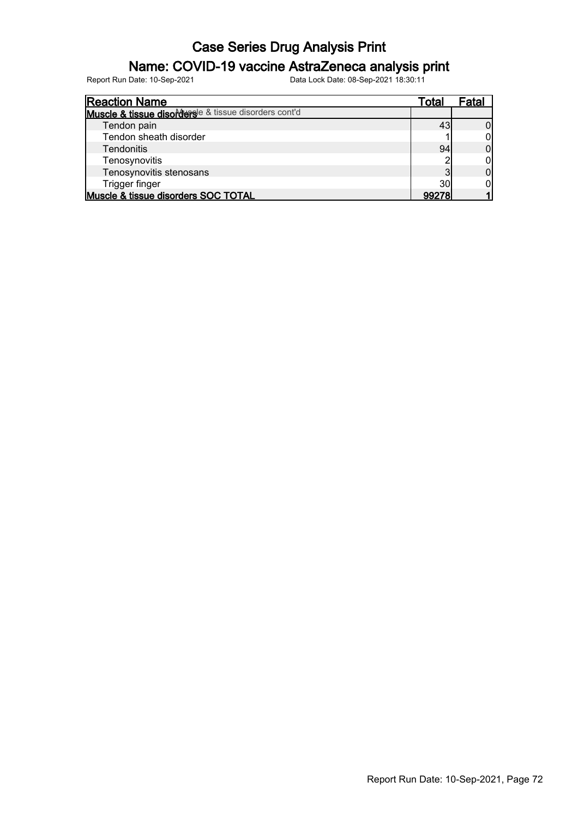### Name: COVID-19 vaccine AstraZeneca analysis print

| <b>Reaction Name</b>                                  | Total | −atal |
|-------------------------------------------------------|-------|-------|
| Muscle & tissue disordersle & tissue disorders cont'd |       |       |
| Tendon pain                                           |       |       |
| Tendon sheath disorder                                |       |       |
| <b>Tendonitis</b>                                     | 94    |       |
| Tenosynovitis                                         |       |       |
| Tenosynovitis stenosans                               | ◠     |       |
| Trigger finger                                        | 30    |       |
| Muscle & tissue disorders SOC TOTAL                   | 99278 |       |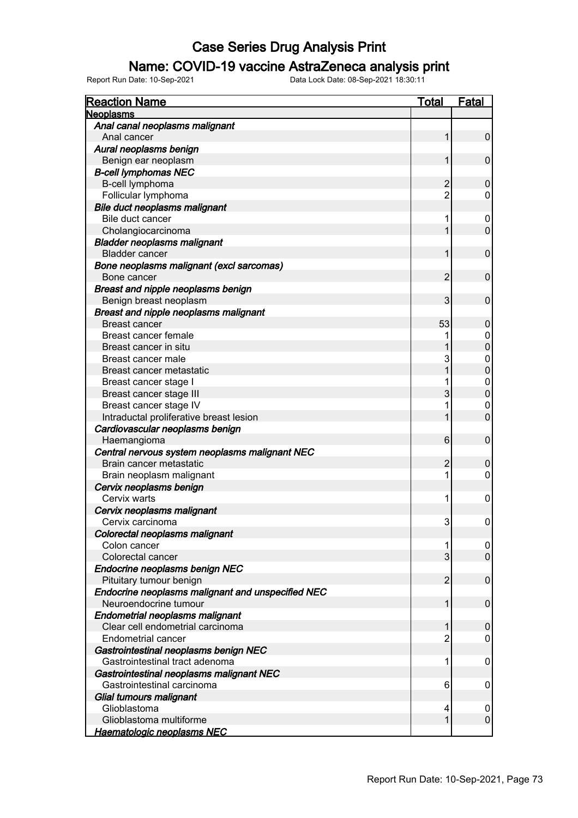### Name: COVID-19 vaccine AstraZeneca analysis print

| <b>Reaction Name</b>                              | <u>Total</u>   | <b>Fatal</b>     |
|---------------------------------------------------|----------------|------------------|
| <b>Neoplasms</b>                                  |                |                  |
| Anal canal neoplasms malignant                    |                |                  |
| Anal cancer                                       | 1              | $\pmb{0}$        |
| Aural neoplasms benign                            |                |                  |
| Benign ear neoplasm                               | 1              | $\mathbf 0$      |
| <b>B-cell lymphomas NEC</b>                       |                |                  |
| B-cell lymphoma                                   | $\overline{c}$ | $\mathbf 0$      |
| Follicular lymphoma                               | $\overline{c}$ | 0                |
| Bile duct neoplasms malignant                     |                |                  |
| Bile duct cancer                                  | 1              | 0                |
| Cholangiocarcinoma                                |                | $\mathbf 0$      |
| <b>Bladder neoplasms malignant</b>                |                |                  |
| <b>Bladder cancer</b>                             | 1              | $\mathbf 0$      |
| Bone neoplasms malignant (excl sarcomas)          |                |                  |
| Bone cancer                                       | $\overline{c}$ | $\mathbf 0$      |
| Breast and nipple neoplasms benign                |                |                  |
| Benign breast neoplasm                            | 3              | $\mathbf 0$      |
| Breast and nipple neoplasms malignant             |                |                  |
| <b>Breast cancer</b>                              | 53             | $\mathbf 0$      |
| Breast cancer female                              |                | 0                |
| Breast cancer in situ                             |                | $\mathbf 0$      |
| Breast cancer male                                | 3              | 0                |
| Breast cancer metastatic                          |                | $\mathbf 0$      |
| Breast cancer stage I                             |                | 0                |
| Breast cancer stage III                           | 3              | $\mathbf 0$      |
| Breast cancer stage IV                            |                | $\mathbf 0$      |
| Intraductal proliferative breast lesion           |                | $\overline{0}$   |
| Cardiovascular neoplasms benign                   |                |                  |
| Haemangioma                                       | 6              | $\mathbf 0$      |
| Central nervous system neoplasms malignant NEC    |                |                  |
| Brain cancer metastatic                           | $\overline{2}$ | 0                |
| Brain neoplasm malignant                          | 1              | 0                |
| Cervix neoplasms benign                           |                |                  |
| Cervix warts                                      | 1              | 0                |
| Cervix neoplasms malignant                        |                |                  |
| Cervix carcinoma                                  | 3              | $\mathbf 0$      |
| Colorectal neoplasms malignant                    |                |                  |
| Colon cancer                                      | 1              | 0                |
| Colorectal cancer                                 | 3              | $\mathbf 0$      |
| Endocrine neoplasms benign NEC                    |                |                  |
| Pituitary tumour benign                           | $\overline{2}$ | $\pmb{0}$        |
| Endocrine neoplasms malignant and unspecified NEC |                |                  |
| Neuroendocrine tumour                             | 1              | $\pmb{0}$        |
| Endometrial neoplasms malignant                   |                |                  |
| Clear cell endometrial carcinoma                  |                | 0                |
| Endometrial cancer                                | 2              | 0                |
| Gastrointestinal neoplasms benign NEC             |                |                  |
| Gastrointestinal tract adenoma                    | 1              | 0                |
| Gastrointestinal neoplasms malignant NEC          |                |                  |
| Gastrointestinal carcinoma                        | 6              | 0                |
| Glial tumours malignant                           |                |                  |
| Glioblastoma                                      | 4              | $\boldsymbol{0}$ |
| Glioblastoma multiforme                           | 1              | $\pmb{0}$        |
| <b>Haematologic neoplasms NEC</b>                 |                |                  |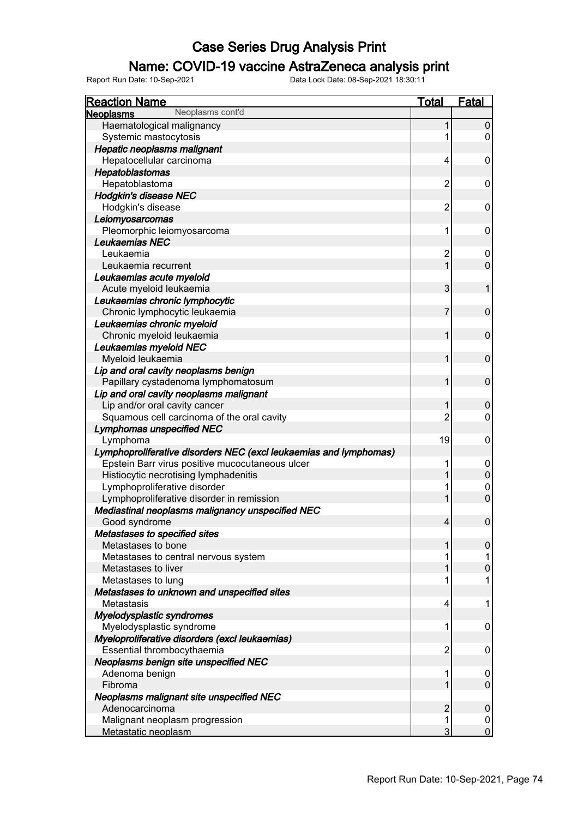### Name: COVID-19 vaccine AstraZeneca analysis print

| <b>Reaction Name</b>                                              | Total          | Fatal          |
|-------------------------------------------------------------------|----------------|----------------|
| Neoplasms cont'd<br><b>Neoplasms</b>                              |                |                |
| Haematological malignancy                                         |                | $\pmb{0}$      |
| Systemic mastocytosis                                             |                | 0              |
| Hepatic neoplasms malignant                                       |                |                |
| Hepatocellular carcinoma                                          | 4              | 0              |
| Hepatoblastomas                                                   |                |                |
| Hepatoblastoma                                                    | $\overline{2}$ | 0              |
| <b>Hodgkin's disease NEC</b>                                      |                |                |
| Hodgkin's disease                                                 | 2              | 0              |
| Leiomyosarcomas                                                   |                |                |
| Pleomorphic leiomyosarcoma                                        | 1              | 0              |
| Leukaemias NEC                                                    |                |                |
| Leukaemia                                                         | $\overline{2}$ | 0              |
| Leukaemia recurrent                                               | 1              | $\overline{0}$ |
| Leukaemias acute myeloid                                          |                |                |
| Acute myeloid leukaemia                                           | 3              | 1              |
| Leukaemias chronic lymphocytic                                    |                |                |
| Chronic lymphocytic leukaemia                                     | 7              | $\pmb{0}$      |
| Leukaemias chronic myeloid                                        |                |                |
| Chronic myeloid leukaemia                                         | 1              | $\mathbf 0$    |
| Leukaemias myeloid NEC                                            |                |                |
| Myeloid leukaemia                                                 | 1              | $\mathbf 0$    |
| Lip and oral cavity neoplasms benign                              |                |                |
| Papillary cystadenoma lymphomatosum                               | 1              | $\pmb{0}$      |
| Lip and oral cavity neoplasms malignant                           |                |                |
| Lip and/or oral cavity cancer                                     |                | $\pmb{0}$      |
| Squamous cell carcinoma of the oral cavity                        | 2              | 0              |
| <b>Lymphomas unspecified NEC</b>                                  |                |                |
| Lymphoma                                                          | 19             | 0              |
| Lymphoproliferative disorders NEC (excl leukaemias and lymphomas) |                |                |
| Epstein Barr virus positive mucocutaneous ulcer                   |                | 0              |
| Histiocytic necrotising lymphadenitis                             |                | $\mathbf 0$    |
| Lymphoproliferative disorder                                      |                | 0              |
| Lymphoproliferative disorder in remission                         |                | $\overline{0}$ |
| Mediastinal neoplasms malignancy unspecified NEC                  |                |                |
| Good syndrome                                                     | 4              | 0              |
| Metastases to specified sites                                     |                |                |
| Metastases to bone                                                |                | 0              |
| Metastases to central nervous system                              |                |                |
| Metastases to liver                                               |                | $\overline{0}$ |
| Metastases to lung                                                |                |                |
| Metastases to unknown and unspecified sites                       |                |                |
| Metastasis                                                        | 4              |                |
| Myelodysplastic syndromes                                         |                |                |
| Myelodysplastic syndrome                                          | 1              | 0              |
| Myeloproliferative disorders (excl leukaemias)                    |                |                |
| Essential thrombocythaemia                                        | $\overline{2}$ | 0              |
| Neoplasms benign site unspecified NEC                             |                |                |
| Adenoma benign                                                    |                | 0              |
| Fibroma                                                           |                | $\overline{0}$ |
| Neoplasms malignant site unspecified NEC                          |                |                |
| Adenocarcinoma                                                    | $\overline{2}$ | 0              |
| Malignant neoplasm progression                                    |                | 0              |
| Metastatic neoplasm                                               | 3              | 0              |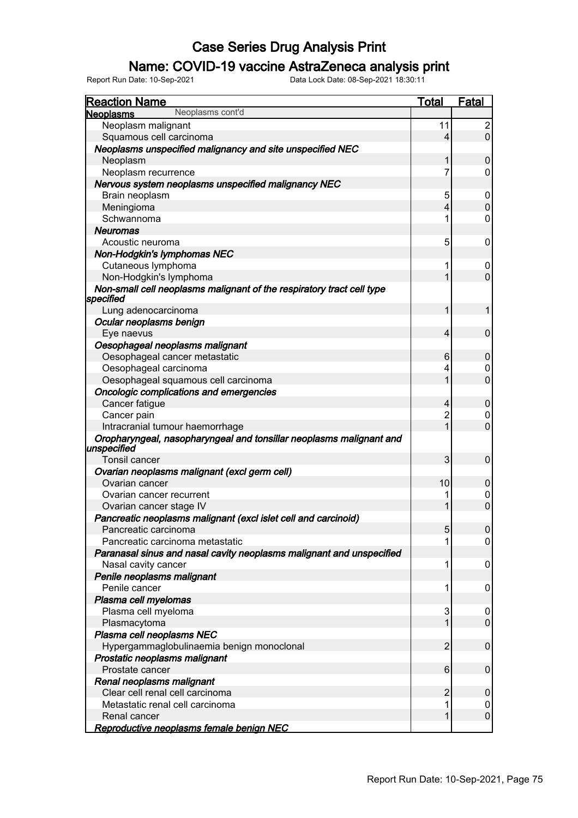### Name: COVID-19 vaccine AstraZeneca analysis print

| <b>Reaction Name</b>                                                               | <b>Total</b> | <b>Fatal</b>     |
|------------------------------------------------------------------------------------|--------------|------------------|
| Neoplasms cont'd<br><b>Neoplasms</b>                                               |              |                  |
| Neoplasm malignant                                                                 | 11           | $\overline{c}$   |
| Squamous cell carcinoma                                                            | 4            | $\mathbf 0$      |
| Neoplasms unspecified malignancy and site unspecified NEC                          |              |                  |
| Neoplasm                                                                           |              | 0                |
| Neoplasm recurrence                                                                | 7            | 0                |
| Nervous system neoplasms unspecified malignancy NEC                                |              |                  |
| Brain neoplasm                                                                     | 5            | 0                |
| Meningioma                                                                         | 4            | $\mathbf 0$      |
| Schwannoma                                                                         |              | 0                |
| <b>Neuromas</b>                                                                    |              |                  |
| Acoustic neuroma                                                                   | 5            | 0                |
| Non-Hodgkin's lymphomas NEC                                                        |              |                  |
| Cutaneous lymphoma                                                                 |              | 0                |
| Non-Hodgkin's lymphoma                                                             |              | $\overline{0}$   |
| Non-small cell neoplasms malignant of the respiratory tract cell type<br>specified |              |                  |
| Lung adenocarcinoma                                                                |              | 1                |
| Ocular neoplasms benign                                                            |              |                  |
| Eye naevus                                                                         | 4            | $\boldsymbol{0}$ |
| Oesophageal neoplasms malignant                                                    |              |                  |
| Oesophageal cancer metastatic                                                      | 6            | 0                |
| Oesophageal carcinoma                                                              | 4            | 0                |
| Oesophageal squamous cell carcinoma                                                |              | $\overline{0}$   |
| Oncologic complications and emergencies                                            |              |                  |
| Cancer fatigue                                                                     | 4            | 0                |
| Cancer pain                                                                        | 2            | 0                |
| Intracranial tumour haemorrhage                                                    |              | $\overline{0}$   |
| Oropharyngeal, nasopharyngeal and tonsillar neoplasms malignant and<br>unspecified |              |                  |
| Tonsil cancer                                                                      | 3            | 0                |
| Ovarian neoplasms malignant (excl germ cell)                                       |              |                  |
| Ovarian cancer                                                                     | 10           | 0                |
| Ovarian cancer recurrent                                                           |              | 0                |
| Ovarian cancer stage IV                                                            |              | $\overline{0}$   |
| Pancreatic neoplasms malignant (excl islet cell and carcinoid)                     |              |                  |
| Pancreatic carcinoma                                                               | ວ            | U                |
| Pancreatic carcinoma metastatic                                                    |              | 0                |
| Paranasal sinus and nasal cavity neoplasms malignant and unspecified               |              |                  |
| Nasal cavity cancer                                                                | 1            | 0                |
| Penile neoplasms malignant                                                         |              |                  |
| Penile cancer                                                                      | 1            | 0                |
| Plasma cell myelomas                                                               |              |                  |
| Plasma cell myeloma                                                                | 3            | 0                |
| Plasmacytoma                                                                       |              | 0                |
| Plasma cell neoplasms NEC                                                          |              |                  |
| Hypergammaglobulinaemia benign monoclonal                                          | 2            | 0                |
| Prostatic neoplasms malignant                                                      |              |                  |
| Prostate cancer                                                                    | 6            | 0                |
| Renal neoplasms malignant                                                          |              |                  |
| Clear cell renal cell carcinoma                                                    | 2            | 0                |
| Metastatic renal cell carcinoma                                                    |              | 0                |
| Renal cancer                                                                       |              | 0                |
| Reproductive neoplasms female benign NEC                                           |              |                  |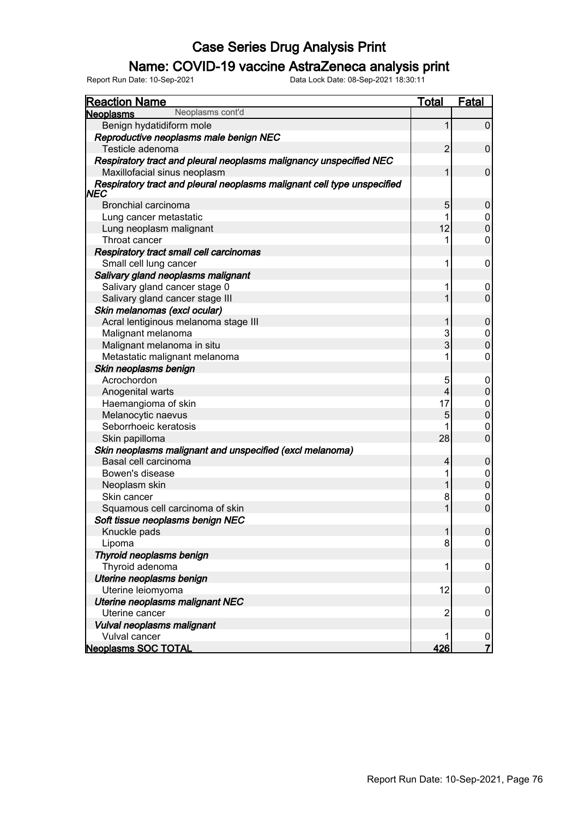### Name: COVID-19 vaccine AstraZeneca analysis print

| <b>Reaction Name</b>                                                                   | Total          | <b>Fatal</b>     |
|----------------------------------------------------------------------------------------|----------------|------------------|
| Neoplasms cont'd<br><b>Neoplasms</b>                                                   |                |                  |
| Benign hydatidiform mole                                                               | 1              | $\boldsymbol{0}$ |
| Reproductive neoplasms male benign NEC                                                 |                |                  |
| Testicle adenoma                                                                       | $\overline{2}$ | $\boldsymbol{0}$ |
| Respiratory tract and pleural neoplasms malignancy unspecified NEC                     |                |                  |
| Maxillofacial sinus neoplasm                                                           | 1              | $\mathbf 0$      |
| Respiratory tract and pleural neoplasms malignant cell type unspecified<br><b>INEC</b> |                |                  |
| Bronchial carcinoma                                                                    | 5              | $\mathbf 0$      |
| Lung cancer metastatic                                                                 | 1              | $\mathbf 0$      |
| Lung neoplasm malignant                                                                | 12             | $\mathbf 0$      |
| Throat cancer                                                                          | 1              | $\mathbf 0$      |
| Respiratory tract small cell carcinomas                                                |                |                  |
| Small cell lung cancer                                                                 | 1              | $\mathbf 0$      |
| Salivary gland neoplasms malignant                                                     |                |                  |
| Salivary gland cancer stage 0                                                          | 1              | 0                |
| Salivary gland cancer stage III                                                        | 1              | $\mathbf 0$      |
| Skin melanomas (excl ocular)                                                           |                |                  |
| Acral lentiginous melanoma stage III                                                   | 1              | $\mathbf 0$      |
| Malignant melanoma                                                                     | 3              | $\boldsymbol{0}$ |
| Malignant melanoma in situ                                                             | 3              | $\mathbf 0$      |
| Metastatic malignant melanoma                                                          | 1              | $\mathbf 0$      |
| Skin neoplasms benign                                                                  |                |                  |
| Acrochordon                                                                            | 5              | $\boldsymbol{0}$ |
| Anogenital warts                                                                       | 4              | $\mathbf 0$      |
| Haemangioma of skin                                                                    | 17             | $\overline{0}$   |
| Melanocytic naevus                                                                     | 5              | $\mathbf 0$      |
| Seborrhoeic keratosis                                                                  | 1              | $\mathbf 0$      |
| Skin papilloma                                                                         | 28             | $\overline{0}$   |
| Skin neoplasms malignant and unspecified (excl melanoma)                               |                |                  |
| Basal cell carcinoma                                                                   | 4              | $\boldsymbol{0}$ |
| Bowen's disease                                                                        | 1              | $\boldsymbol{0}$ |
| Neoplasm skin                                                                          | 1              | $\mathbf 0$      |
| Skin cancer                                                                            | 8              | $\boldsymbol{0}$ |
| Squamous cell carcinoma of skin                                                        | 1              | $\overline{0}$   |
| Soft tissue neoplasms benign NEC                                                       |                |                  |
| Knuckle pads                                                                           | $\mathbf{1}$   | $\boldsymbol{0}$ |
| Lipoma                                                                                 | 8              | 0                |
| Thyroid neoplasms benign                                                               |                |                  |
| Thyroid adenoma                                                                        | 1              | $\boldsymbol{0}$ |
| Uterine neoplasms benign                                                               |                |                  |
| Uterine leiomyoma                                                                      | 12             | $\mathbf 0$      |
| Uterine neoplasms malignant NEC                                                        |                |                  |
| Uterine cancer                                                                         | $\overline{2}$ | $\mathbf 0$      |
| Vulval neoplasms malignant                                                             |                |                  |
| Vulval cancer                                                                          | 1              | $\boldsymbol{0}$ |
| <b>Neoplasms SOC TOTAL</b>                                                             | 426            | $\overline{7}$   |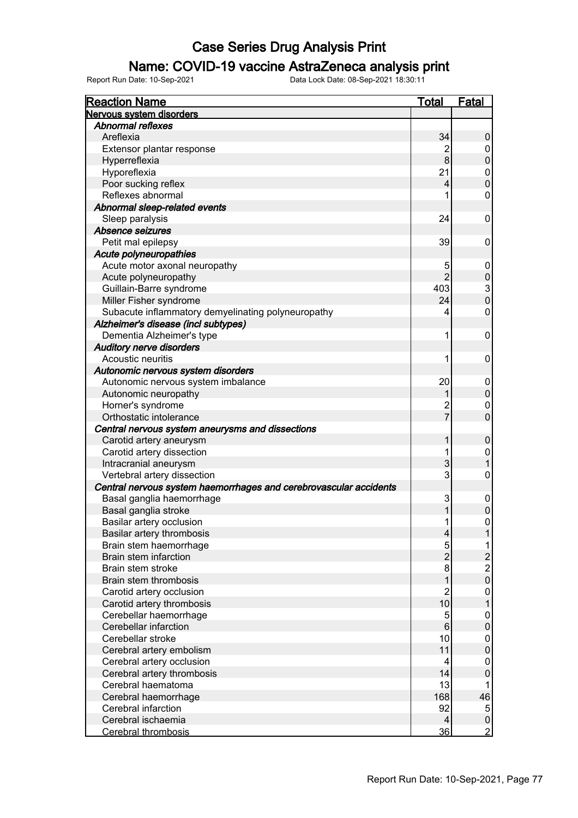### Name: COVID-19 vaccine AstraZeneca analysis print

| <b>Reaction Name</b>                                              | <u>Total</u>             | Fatal                                      |
|-------------------------------------------------------------------|--------------------------|--------------------------------------------|
| Nervous system disorders                                          |                          |                                            |
| <b>Abnormal reflexes</b>                                          |                          |                                            |
| Areflexia                                                         | 34                       | 0                                          |
| Extensor plantar response                                         | $\overline{2}$           | 0                                          |
| Hyperreflexia                                                     | 8                        | $\boldsymbol{0}$                           |
| Hyporeflexia                                                      | 21                       | $\pmb{0}$                                  |
| Poor sucking reflex                                               | $\overline{\mathcal{L}}$ | $\overline{0}$                             |
| Reflexes abnormal                                                 | 1                        | $\mathbf 0$                                |
| Abnormal sleep-related events                                     |                          |                                            |
| Sleep paralysis                                                   | 24                       | 0                                          |
| Absence seizures                                                  |                          |                                            |
| Petit mal epilepsy                                                | 39                       | 0                                          |
| Acute polyneuropathies                                            |                          |                                            |
| Acute motor axonal neuropathy                                     | 5                        | 0                                          |
| Acute polyneuropathy                                              | $\overline{2}$           | $\boldsymbol{0}$                           |
| Guillain-Barre syndrome                                           | 403                      |                                            |
| Miller Fisher syndrome                                            | 24                       | $\frac{3}{0}$                              |
| Subacute inflammatory demyelinating polyneuropathy                | 4                        | $\mathbf 0$                                |
| Alzheimer's disease (incl subtypes)                               |                          |                                            |
| Dementia Alzheimer's type                                         | 1                        | 0                                          |
| <b>Auditory nerve disorders</b>                                   |                          |                                            |
| Acoustic neuritis                                                 | 1                        | 0                                          |
| Autonomic nervous system disorders                                |                          |                                            |
| Autonomic nervous system imbalance                                | 20                       | 0                                          |
| Autonomic neuropathy                                              |                          | $\pmb{0}$                                  |
| Horner's syndrome                                                 | $\overline{c}$           | $\mathbf 0$                                |
| Orthostatic intolerance                                           | $\overline{7}$           | $\overline{0}$                             |
| Central nervous system aneurysms and dissections                  |                          |                                            |
| Carotid artery aneurysm                                           | 1                        | $\mathbf 0$                                |
| Carotid artery dissection                                         | 1                        | $\mathbf 0$                                |
| Intracranial aneurysm                                             | 3                        | $\mathbf{1}$                               |
| Vertebral artery dissection                                       | 3                        | $\mathbf 0$                                |
| Central nervous system haemorrhages and cerebrovascular accidents |                          |                                            |
| Basal ganglia haemorrhage                                         | 3                        | 0                                          |
| Basal ganglia stroke                                              | 1                        | $\mathbf 0$                                |
| Basilar artery occlusion                                          | 1                        | $\mathbf 0$                                |
| Basilar artery thrombosis                                         | $\overline{4}$           | 1                                          |
| Brain stem haemorrhage                                            | 5                        | 1                                          |
| <b>Brain stem infarction</b>                                      | $\overline{2}$           |                                            |
| Brain stem stroke                                                 | $\bf{8}$                 | $\begin{array}{c} 2 \\ 2 \\ 0 \end{array}$ |
| Brain stem thrombosis                                             | 1                        |                                            |
| Carotid artery occlusion                                          | $\overline{2}$           | $\pmb{0}$                                  |
| Carotid artery thrombosis                                         | 10                       | $\mathbf{1}$                               |
| Cerebellar haemorrhage                                            | 5                        | $\pmb{0}$                                  |
| Cerebellar infarction                                             | $\,6\,$                  | $\pmb{0}$                                  |
| Cerebellar stroke                                                 | 10                       | $\pmb{0}$                                  |
| Cerebral artery embolism                                          | 11                       | $\pmb{0}$                                  |
| Cerebral artery occlusion                                         | 4                        | 0                                          |
| Cerebral artery thrombosis                                        | 14                       | $\boldsymbol{0}$                           |
| Cerebral haematoma                                                | 13                       | 1                                          |
| Cerebral haemorrhage                                              | 168                      | 46                                         |
| Cerebral infarction                                               | 92                       | 5                                          |
| Cerebral ischaemia                                                | $\vert 4 \vert$          | $\pmb{0}$                                  |
| <b>Cerebral thrombosis</b>                                        | 36                       | $\overline{2}$                             |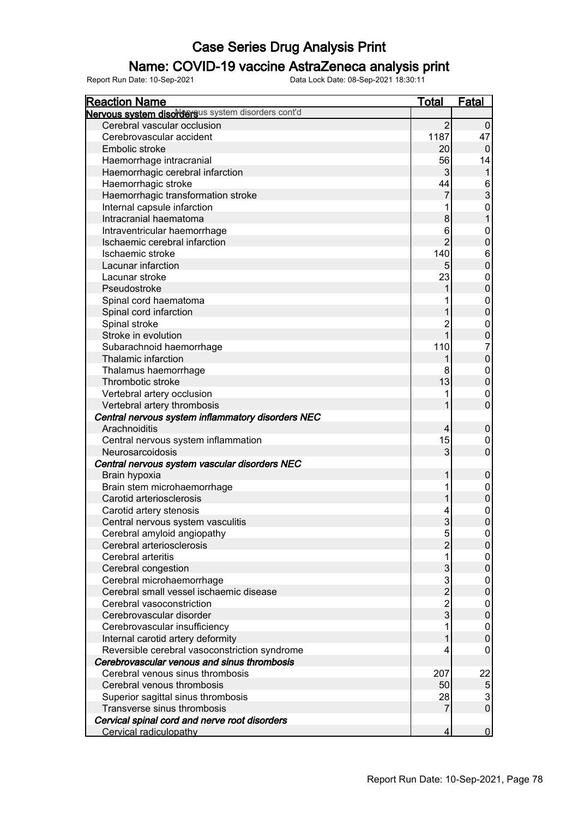### Name: COVID-19 vaccine AstraZeneca analysis print

| <b>Reaction Name</b>                               | <b>Total</b>   | <b>Fatal</b>                               |
|----------------------------------------------------|----------------|--------------------------------------------|
| Nervous system disordersus system disorders cont'd |                |                                            |
| Cerebral vascular occlusion                        | $\overline{2}$ | $\pmb{0}$                                  |
| Cerebrovascular accident                           | 1187           | 47                                         |
| Embolic stroke                                     | 20             | $\pmb{0}$                                  |
| Haemorrhage intracranial                           | 56             | 14                                         |
| Haemorrhagic cerebral infarction                   | 3              | $\mathbf{1}$                               |
| Haemorrhagic stroke                                | 44             |                                            |
| Haemorrhagic transformation stroke                 |                | $\frac{6}{3}$                              |
| Internal capsule infarction                        |                | $\boldsymbol{0}$                           |
| Intracranial haematoma                             | 8              | $\mathbf{1}$                               |
| Intraventricular haemorrhage                       | 6              | $\boldsymbol{0}$                           |
| Ischaemic cerebral infarction                      | $\overline{2}$ | $\mathbf 0$                                |
| Ischaemic stroke                                   | 140            | $\boldsymbol{6}$                           |
| Lacunar infarction                                 |                | $\mathbf 0$                                |
| Lacunar stroke                                     | 23             | $\mathbf 0$                                |
| Pseudostroke                                       |                | $\mathbf 0$                                |
| Spinal cord haematoma                              |                | $\mathbf 0$                                |
| Spinal cord infarction                             |                | $\mathbf 0$                                |
| Spinal stroke                                      | $\overline{2}$ | 0                                          |
| Stroke in evolution                                |                | $\overline{0}$                             |
| Subarachnoid haemorrhage                           | 110            | $\overline{7}$                             |
| Thalamic infarction                                |                | $\mathbf 0$                                |
| Thalamus haemorrhage                               | 8              | $\overline{0}$                             |
| Thrombotic stroke                                  | 13             | $\mathbf 0$                                |
| Vertebral artery occlusion                         |                | 0                                          |
| Vertebral artery thrombosis                        |                | $\mathbf 0$                                |
| Central nervous system inflammatory disorders NEC  |                |                                            |
| Arachnoiditis                                      | 4              | $\pmb{0}$                                  |
| Central nervous system inflammation                | 15             | 0                                          |
| Neurosarcoidosis                                   | 3              | $\overline{0}$                             |
| Central nervous system vascular disorders NEC      |                |                                            |
| Brain hypoxia                                      |                | $\pmb{0}$                                  |
| Brain stem microhaemorrhage                        |                | 0                                          |
| Carotid arteriosclerosis                           |                | $\overline{0}$                             |
| Carotid artery stenosis                            | 4              | $\mathbf{0}$                               |
| Central nervous system vasculitis                  | 3              | $\mathbf 0$                                |
| Cerebral amyloid angiopathy                        | 5              | $\overline{0}$                             |
| Cerebral arteriosclerosis                          | $\overline{2}$ | $\pmb{0}$                                  |
| Cerebral arteritis                                 |                | 0                                          |
| Cerebral congestion                                | 3              | $\pmb{0}$                                  |
| Cerebral microhaemorrhage                          | 3              | 0                                          |
| Cerebral small vessel ischaemic disease            | $\overline{2}$ | $\overline{0}$                             |
| Cerebral vasoconstriction                          | $\overline{2}$ | 0                                          |
| Cerebrovascular disorder                           | 3              | $\overline{0}$                             |
| Cerebrovascular insufficiency                      |                | 0                                          |
| Internal carotid artery deformity                  |                | $\mathsf 0$                                |
| Reversible cerebral vasoconstriction syndrome      | 4              | 0                                          |
| Cerebrovascular venous and sinus thrombosis        |                |                                            |
| Cerebral venous sinus thrombosis                   | 207            | 22                                         |
| Cerebral venous thrombosis                         | 50             |                                            |
| Superior sagittal sinus thrombosis                 | 28             | $\begin{array}{c} 5 \\ 3 \\ 0 \end{array}$ |
| Transverse sinus thrombosis                        | 7              |                                            |
| Cervical spinal cord and nerve root disorders      |                |                                            |
| Cervical radiculopathy                             | 4              | $\overline{0}$                             |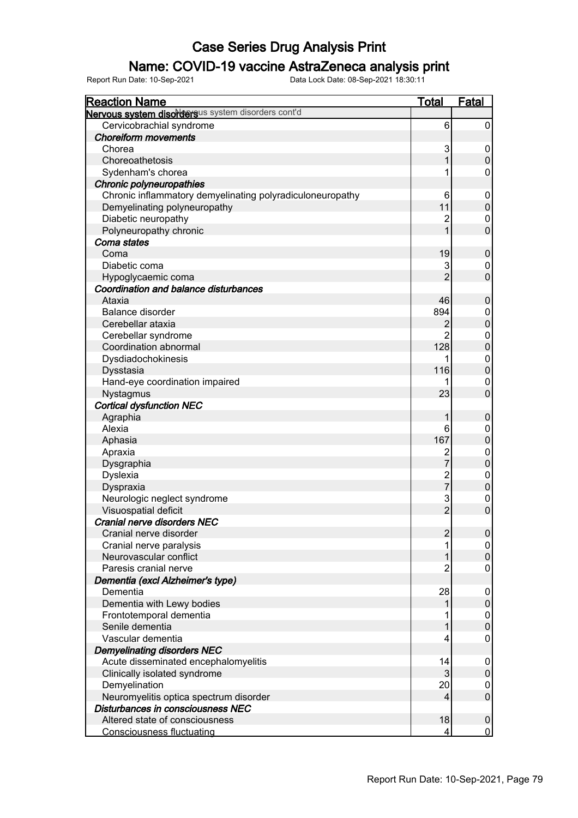### Name: COVID-19 vaccine AstraZeneca analysis print

| <b>Reaction Name</b>                                      | <b>Total</b>        | <b>Fatal</b>          |
|-----------------------------------------------------------|---------------------|-----------------------|
| Nervous system disordersus system disorders cont'd        |                     |                       |
| Cervicobrachial syndrome                                  | 6                   | 0                     |
| <b>Choreiform movements</b>                               |                     |                       |
| Chorea                                                    | 3                   | 0                     |
| Choreoathetosis                                           | 1                   | $\pmb{0}$             |
| Sydenham's chorea                                         | 1                   | 0                     |
| Chronic polyneuropathies                                  |                     |                       |
| Chronic inflammatory demyelinating polyradiculoneuropathy | 6                   | 0                     |
| Demyelinating polyneuropathy                              | 11                  | $\mathbf 0$           |
| Diabetic neuropathy                                       | 2                   | 0                     |
| Polyneuropathy chronic                                    | 1                   | $\mathbf 0$           |
| Coma states                                               |                     |                       |
| Coma                                                      | 19                  | $\boldsymbol{0}$      |
| Diabetic coma                                             | 3                   | 0                     |
| Hypoglycaemic coma                                        | $\overline{2}$      | $\mathbf 0$           |
| Coordination and balance disturbances                     |                     |                       |
| Ataxia                                                    | 46                  | $\mathbf 0$           |
| Balance disorder                                          | 894                 | 0                     |
| Cerebellar ataxia                                         | 2                   | $\boldsymbol{0}$      |
| Cerebellar syndrome                                       | $\overline{2}$      | 0                     |
| Coordination abnormal                                     | 128                 | $\boldsymbol{0}$      |
| Dysdiadochokinesis                                        | 1                   | 0                     |
| Dysstasia                                                 | 116                 | $\boldsymbol{0}$      |
| Hand-eye coordination impaired                            |                     | 0                     |
| Nystagmus                                                 | 23                  | $\mathbf 0$           |
| <b>Cortical dysfunction NEC</b>                           |                     |                       |
| Agraphia                                                  | 1                   | $\boldsymbol{0}$      |
| Alexia                                                    | 6                   |                       |
|                                                           | 167                 | 0<br>$\boldsymbol{0}$ |
| Aphasia                                                   |                     |                       |
| Apraxia                                                   | 2<br>$\overline{7}$ | 0<br>$\boldsymbol{0}$ |
| Dysgraphia                                                |                     |                       |
| Dyslexia                                                  | 2<br>7              | 0<br>$\boldsymbol{0}$ |
| Dyspraxia                                                 |                     |                       |
| Neurologic neglect syndrome                               | 3<br>$\overline{2}$ | 0                     |
| Visuospatial deficit                                      |                     | $\mathbf 0$           |
| <b>Cranial nerve disorders NEC</b>                        |                     |                       |
| Cranial nerve disorder                                    | $\overline{2}$      | $\boldsymbol{0}$      |
| Cranial nerve paralysis                                   |                     | 0                     |
| Neurovascular conflict                                    |                     | $\mathbf 0$           |
| Paresis cranial nerve                                     | 2                   | 0                     |
| Dementia (excl Alzheimer's type)                          |                     |                       |
| Dementia                                                  | 28                  | 0                     |
| Dementia with Lewy bodies                                 |                     | $\pmb{0}$             |
| Frontotemporal dementia                                   |                     | 0                     |
| Senile dementia                                           |                     | $\boldsymbol{0}$      |
| Vascular dementia                                         | 4                   | 0                     |
| <b>Demyelinating disorders NEC</b>                        |                     |                       |
| Acute disseminated encephalomyelitis                      | 14                  | 0                     |
| Clinically isolated syndrome                              | 3                   | $\pmb{0}$             |
| Demyelination                                             | 20                  | 0                     |
| Neuromyelitis optica spectrum disorder                    | 4                   | $\boldsymbol{0}$      |
| Disturbances in consciousness NEC                         |                     |                       |
| Altered state of consciousness                            | 18                  | $\pmb{0}$             |
| <b>Consciousness fluctuating</b>                          | 4                   | $\mathbf 0$           |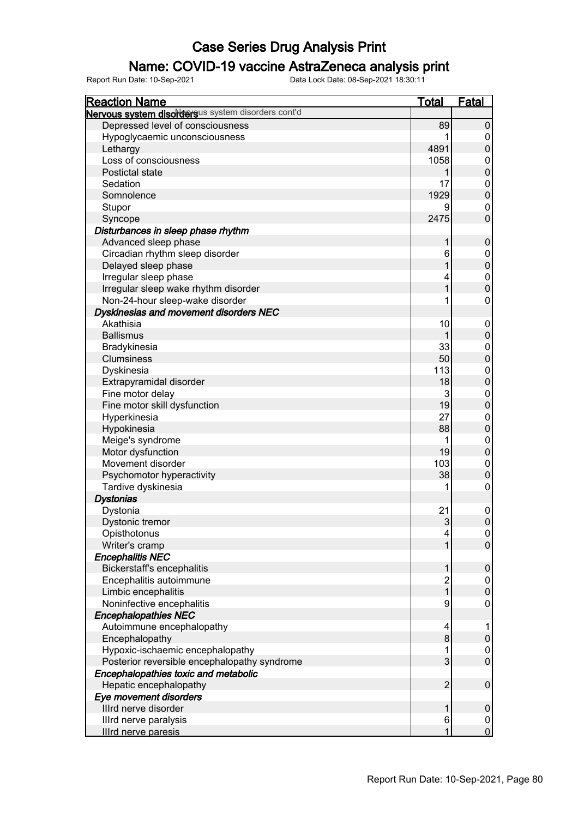### Name: COVID-19 vaccine AstraZeneca analysis print

| <b>Reaction Name</b>                               | <b>Total</b>            | <b>Fatal</b>     |
|----------------------------------------------------|-------------------------|------------------|
| Nervous system disordersus system disorders cont'd |                         |                  |
| Depressed level of consciousness                   | 89                      | $\pmb{0}$        |
| Hypoglycaemic unconsciousness                      |                         | 0                |
| Lethargy                                           | 4891                    | $\pmb{0}$        |
| Loss of consciousness                              | 1058                    | 0                |
| Postictal state                                    |                         | $\pmb{0}$        |
| Sedation                                           | 17                      | 0                |
| Somnolence                                         | 1929                    | $\pmb{0}$        |
| Stupor                                             | 9                       | 0                |
| Syncope                                            | 2475                    | $\mathbf 0$      |
| Disturbances in sleep phase rhythm                 |                         |                  |
| Advanced sleep phase                               |                         | $\pmb{0}$        |
| Circadian rhythm sleep disorder                    | 6                       | 0                |
| Delayed sleep phase                                |                         | $\pmb{0}$        |
| Irregular sleep phase                              |                         | 0                |
| Irregular sleep wake rhythm disorder               |                         | $\pmb{0}$        |
| Non-24-hour sleep-wake disorder                    |                         | 0                |
| Dyskinesias and movement disorders NEC             |                         |                  |
| Akathisia                                          | 10                      | 0                |
| <b>Ballismus</b>                                   |                         | $\pmb{0}$        |
|                                                    | 33                      |                  |
| Bradykinesia                                       | 50                      | 0<br>$\pmb{0}$   |
| Clumsiness                                         |                         |                  |
| Dyskinesia                                         | 113                     | 0                |
| Extrapyramidal disorder                            | 18                      | $\pmb{0}$        |
| Fine motor delay                                   | 3                       | 0                |
| Fine motor skill dysfunction                       | 19                      | $\mathbf 0$      |
| Hyperkinesia                                       | 27                      | 0                |
| Hypokinesia                                        | 88                      | $\mathbf 0$      |
| Meige's syndrome                                   |                         | 0                |
| Motor dysfunction                                  | 19                      | $\mathbf 0$      |
| Movement disorder                                  | 103                     | $\boldsymbol{0}$ |
| Psychomotor hyperactivity                          | 38                      | $\mathbf 0$      |
| Tardive dyskinesia                                 |                         | 0                |
| <b>Dystonias</b>                                   |                         |                  |
| Dystonia                                           | 21                      | $\boldsymbol{0}$ |
| Dystonic tremor                                    | 3                       | $\mathsf 0$      |
| Opisthotonus                                       | 4                       | $\overline{0}$   |
| Writer's cramp                                     |                         | $\overline{0}$   |
| <b>Encephalitis NEC</b>                            |                         |                  |
| <b>Bickerstaff's encephalitis</b>                  |                         | $\boldsymbol{0}$ |
| Encephalitis autoimmune                            | $\overline{\mathbf{c}}$ | 0                |
| Limbic encephalitis                                | 1                       | $\mathbf 0$      |
| Noninfective encephalitis                          | 9                       | 0                |
| <b>Encephalopathies NEC</b>                        |                         |                  |
| Autoimmune encephalopathy                          | 4                       |                  |
| Encephalopathy                                     | 8                       | $\mathbf 0$      |
| Hypoxic-ischaemic encephalopathy                   |                         | 0                |
| Posterior reversible encephalopathy syndrome       | 3                       | $\mathsf 0$      |
| Encephalopathies toxic and metabolic               |                         |                  |
| Hepatic encephalopathy                             | $\overline{2}$          | $\pmb{0}$        |
| Eye movement disorders                             |                         |                  |
| Illrd nerve disorder                               |                         | $\pmb{0}$        |
| Illrd nerve paralysis                              | 6                       | 0                |
| <b>Illrd nerve paresis</b>                         |                         | $\overline{0}$   |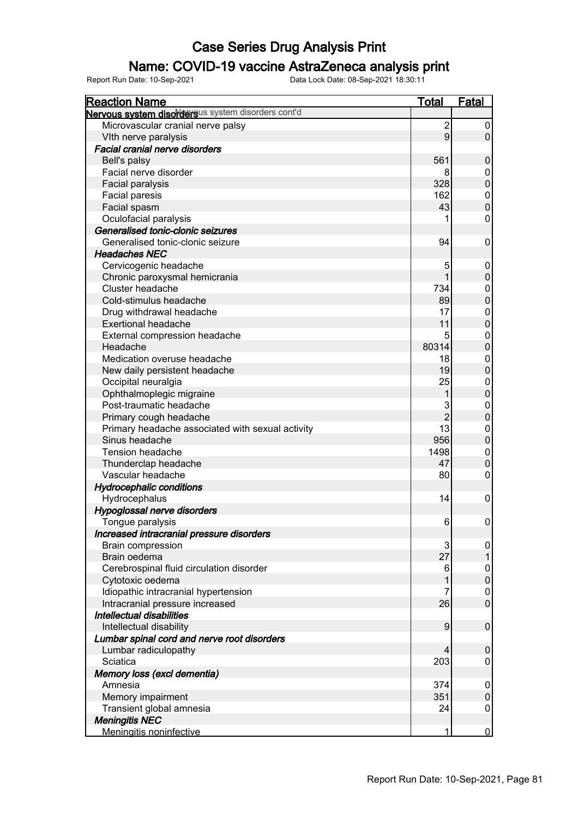### Name: COVID-19 vaccine AstraZeneca analysis print

| <b>Reaction Name</b>                               | <u>Total</u>   | Fatal            |
|----------------------------------------------------|----------------|------------------|
| Nervous system disordersus system disorders cont'd |                |                  |
| Microvascular cranial nerve palsy                  | $\overline{2}$ | 0                |
| VIth nerve paralysis                               | 9              | $\pmb{0}$        |
| Facial cranial nerve disorders                     |                |                  |
| Bell's palsy                                       | 561            | $\mathbf 0$      |
| Facial nerve disorder                              | 8              | 0                |
| Facial paralysis                                   | 328            | $\pmb{0}$        |
| Facial paresis                                     | 162            | $\pmb{0}$        |
| Facial spasm                                       | 43             | $\mathbf 0$      |
| Oculofacial paralysis                              |                | $\mathbf 0$      |
| Generalised tonic-clonic seizures                  |                |                  |
| Generalised tonic-clonic seizure                   | 94             | 0                |
| <b>Headaches NEC</b>                               |                |                  |
| Cervicogenic headache                              | 5              | 0                |
| Chronic paroxysmal hemicrania                      | 1              | $\boldsymbol{0}$ |
| Cluster headache                                   | 734            | $\mathbf 0$      |
| Cold-stimulus headache                             | 89             | $\mathbf 0$      |
| Drug withdrawal headache                           | 17             | $\mathbf 0$      |
| <b>Exertional headache</b>                         | 11             | $\pmb{0}$        |
| External compression headache                      | 5              | $\pmb{0}$        |
| Headache                                           | 80314          | $\mathbf 0$      |
| Medication overuse headache                        | 18             | $\boldsymbol{0}$ |
| New daily persistent headache                      | 19             | $\boldsymbol{0}$ |
| Occipital neuralgia                                | 25             | $\boldsymbol{0}$ |
| Ophthalmoplegic migraine                           | 1              | $\pmb{0}$        |
| Post-traumatic headache                            | 3              | $\mathbf 0$      |
| Primary cough headache                             | $\overline{2}$ | $\pmb{0}$        |
| Primary headache associated with sexual activity   | 13             | $\mathbf 0$      |
| Sinus headache                                     | 956            | $\pmb{0}$        |
| <b>Tension headache</b>                            | 1498           | $\mathbf 0$      |
| Thunderclap headache                               | 47             | $\boldsymbol{0}$ |
| Vascular headache                                  | 80             | 0                |
| <b>Hydrocephalic conditions</b>                    |                |                  |
| Hydrocephalus                                      | 14             | $\boldsymbol{0}$ |
| Hypoglossal nerve disorders                        |                |                  |
| Tongue paralysis                                   | 6              | $\boldsymbol{0}$ |
| Increased intracranial pressure disorders          |                |                  |
| <b>Brain compression</b>                           | 3              | 0                |
| Brain oedema                                       | 27             | $\mathbf{1}$     |
| Cerebrospinal fluid circulation disorder           | 6              | 0                |
| Cytotoxic oedema                                   | 1              | $\boldsymbol{0}$ |
| Idiopathic intracranial hypertension               | 7              | 0                |
| Intracranial pressure increased                    | 26             | $\mathbf 0$      |
| Intellectual disabilities                          |                |                  |
| Intellectual disability                            | 9              | $\boldsymbol{0}$ |
| Lumbar spinal cord and nerve root disorders        |                |                  |
| Lumbar radiculopathy                               | 4              | $\mathbf 0$      |
| Sciatica                                           | 203            | 0                |
| Memory loss (excl dementia)                        |                |                  |
| Amnesia                                            | 374            | $\boldsymbol{0}$ |
| Memory impairment                                  | 351            | $\pmb{0}$        |
| Transient global amnesia                           | 24             | $\pmb{0}$        |
| <b>Meningitis NEC</b>                              |                |                  |
| Meningitis noninfective                            | 1              | $\overline{0}$   |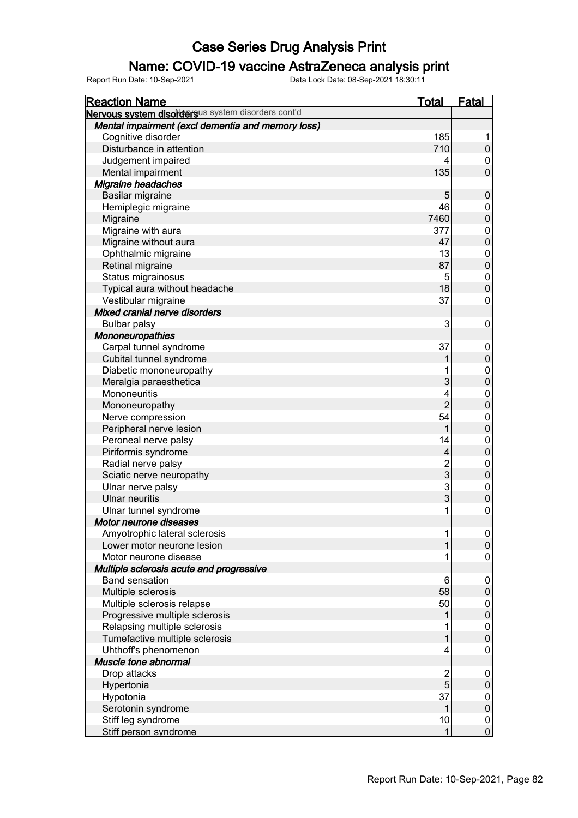#### Name: COVID-19 vaccine AstraZeneca analysis print

| <b>Reaction Name</b>                               | <b>Total</b>   | Fatal            |
|----------------------------------------------------|----------------|------------------|
| Nervous system disordersus system disorders cont'd |                |                  |
| Mental impairment (excl dementia and memory loss)  |                |                  |
| Cognitive disorder                                 | 185            | 1                |
| Disturbance in attention                           | 710            | $\boldsymbol{0}$ |
| Judgement impaired                                 | 4              | 0                |
| Mental impairment                                  | 135            | $\mathbf 0$      |
| Migraine headaches                                 |                |                  |
| Basilar migraine                                   | 5              | $\mathbf 0$      |
| Hemiplegic migraine                                | 46             | $\pmb{0}$        |
| Migraine                                           | 7460           | $\mathbf 0$      |
| Migraine with aura                                 | 377            | $\overline{0}$   |
| Migraine without aura                              | 47             | $\mathbf 0$      |
| Ophthalmic migraine                                | 13             | $\mathbf{0}$     |
| Retinal migraine                                   | 87             | $\mathbf 0$      |
| Status migrainosus                                 | 5              | $\mathbf{0}$     |
| Typical aura without headache                      | 18             | $\mathbf 0$      |
| Vestibular migraine                                | 37             | $\mathbf 0$      |
| Mixed cranial nerve disorders                      |                |                  |
| <b>Bulbar palsy</b>                                | 3              | 0                |
| <b>Mononeuropathies</b>                            |                |                  |
| Carpal tunnel syndrome                             | 37             | $\boldsymbol{0}$ |
| Cubital tunnel syndrome                            |                | $\boldsymbol{0}$ |
| Diabetic mononeuropathy                            | 1              | $\mathbf{0}$     |
| Meralgia paraesthetica                             | 3              | $\mathbf 0$      |
| Mononeuritis                                       | 4              | $\mathbf 0$      |
| Mononeuropathy                                     | $\overline{2}$ | $\pmb{0}$        |
| Nerve compression                                  | 54             | $\mathbf 0$      |
| Peripheral nerve lesion                            | 1              | $\mathbf 0$      |
| Peroneal nerve palsy                               | 14             | $\mathbf 0$      |
| Piriformis syndrome                                | 4              | $\mathbf 0$      |
| Radial nerve palsy                                 | $\overline{c}$ | $\mathbf 0$      |
| Sciatic nerve neuropathy                           | $\overline{3}$ | $\mathbf 0$      |
| Ulnar nerve palsy                                  | $\overline{3}$ | $\mathbf 0$      |
| <b>Ulnar neuritis</b>                              | $\overline{3}$ | $\mathbf 0$      |
| Ulnar tunnel syndrome                              | 1              | $\pmb{0}$        |
| Motor neurone diseases                             |                |                  |
| Amyotrophic lateral sclerosis                      | 1              | $\overline{0}$   |
| Lower motor neurone lesion                         | 1              | $\mathbf 0$      |
| Motor neurone disease                              |                | $\pmb{0}$        |
| Multiple sclerosis acute and progressive           |                |                  |
| <b>Band sensation</b>                              | 6              | $\mathbf 0$      |
| Multiple sclerosis                                 | 58             | $\boldsymbol{0}$ |
| Multiple sclerosis relapse                         | 50             | 0                |
| Progressive multiple sclerosis                     |                | $\mathbf 0$      |
| Relapsing multiple sclerosis                       |                | $\pmb{0}$        |
| Tumefactive multiple sclerosis                     | 1              | $\pmb{0}$        |
| Uhthoff's phenomenon                               | 4              | $\pmb{0}$        |
| Muscle tone abnormal                               |                |                  |
| Drop attacks                                       | $\overline{c}$ | $\mathbf 0$      |
| Hypertonia                                         | 5              | $\pmb{0}$        |
| Hypotonia                                          | 37             | $\mathbf 0$      |
| Serotonin syndrome                                 | 1              | $\mathbf 0$      |
| Stiff leg syndrome                                 | 10             | $\boldsymbol{0}$ |
| Stiff person syndrome                              | 1              | $\overline{0}$   |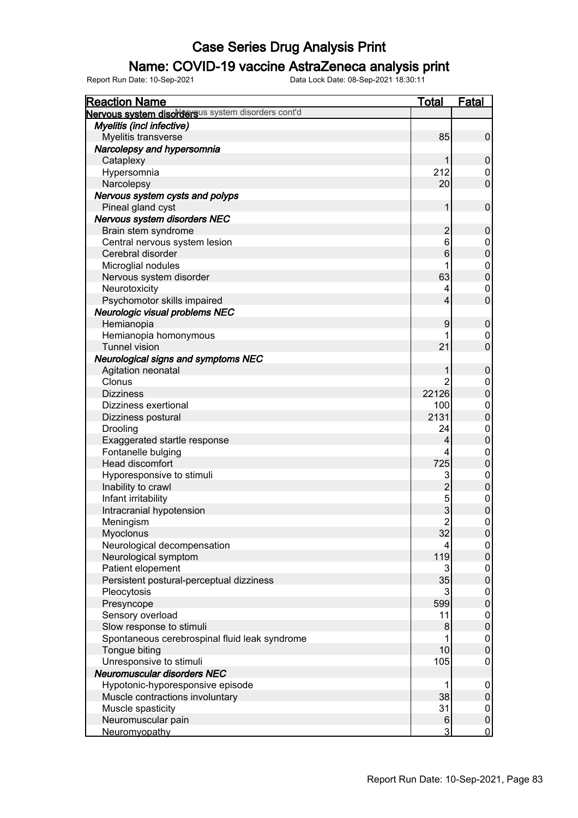### Name: COVID-19 vaccine AstraZeneca analysis print

| <b>Reaction Name</b>                               | <b>Total</b>   | <b>Fatal</b>     |
|----------------------------------------------------|----------------|------------------|
| Nervous system disordersus system disorders cont'd |                |                  |
| Myelitis (incl infective)                          |                |                  |
| Myelitis transverse                                | 85             | $\boldsymbol{0}$ |
| Narcolepsy and hypersomnia                         |                |                  |
| Cataplexy                                          | 1              | $\mathbf 0$      |
| Hypersomnia                                        | 212            | 0                |
| Narcolepsy                                         | 20             | $\overline{0}$   |
| Nervous system cysts and polyps                    |                |                  |
| Pineal gland cyst                                  | 1              | $\mathbf 0$      |
| Nervous system disorders NEC                       |                |                  |
| Brain stem syndrome                                | $\overline{c}$ | $\mathbf 0$      |
| Central nervous system lesion                      | 6              | $\boldsymbol{0}$ |
| Cerebral disorder                                  | 6              | $\mathbf 0$      |
| Microglial nodules                                 | 1              | $\boldsymbol{0}$ |
| Nervous system disorder                            | 63             | $\mathbf 0$      |
| Neurotoxicity                                      | 4              | $\mathbf 0$      |
| Psychomotor skills impaired                        | 4              | $\mathbf 0$      |
| Neurologic visual problems NEC                     |                |                  |
| Hemianopia                                         | 9              | $\boldsymbol{0}$ |
| Hemianopia homonymous                              | 1              | $\pmb{0}$        |
| <b>Tunnel vision</b>                               | 21             | $\overline{0}$   |
|                                                    |                |                  |
| <b>Neurological signs and symptoms NEC</b>         |                |                  |
| Agitation neonatal                                 | 1              | $\boldsymbol{0}$ |
| Clonus                                             | 2              | $\boldsymbol{0}$ |
| <b>Dizziness</b>                                   | 22126          | $\mathbf 0$      |
| Dizziness exertional                               | 100            | $\mathbf{0}$     |
| Dizziness postural                                 | 2131           | $\mathbf 0$      |
| Drooling                                           | 24             | $\mathbf{0}$     |
| Exaggerated startle response                       | 4              | $\mathbf 0$      |
| Fontanelle bulging                                 | 4              | $\mathbf 0$      |
| <b>Head discomfort</b>                             | 725            | $\mathbf 0$      |
| Hyporesponsive to stimuli                          | 3              | $\mathbf{0}$     |
| Inability to crawl                                 | $\overline{c}$ | $\mathbf 0$      |
| Infant irritability                                | 5              | $\mathbf{0}$     |
| Intracranial hypotension                           | 3              | $\mathbf 0$      |
| Meningism                                          | $\overline{c}$ | $\mathbf 0$      |
| Myoclonus                                          | 32             | 0                |
| Neurological decompensation                        | 4              | $\overline{0}$   |
| Neurological symptom                               | 119            | $\pmb{0}$        |
| Patient elopement                                  | 3              | $\pmb{0}$        |
| Persistent postural-perceptual dizziness           | 35             | $\mathbf 0$      |
| Pleocytosis                                        | 3              | $\boldsymbol{0}$ |
| Presyncope                                         | 599            | $\mathbf 0$      |
| Sensory overload                                   | 11             | $\boldsymbol{0}$ |
| Slow response to stimuli                           | 8              | $\pmb{0}$        |
| Spontaneous cerebrospinal fluid leak syndrome      | 1              | $\mathbf 0$      |
| Tongue biting                                      | 10             | $\mathbf 0$      |
| Unresponsive to stimuli                            | 105            | $\pmb{0}$        |
| Neuromuscular disorders NEC                        |                |                  |
| Hypotonic-hyporesponsive episode                   | 1              | $\mathbf 0$      |
| Muscle contractions involuntary                    | 38             | $\pmb{0}$        |
| Muscle spasticity                                  | 31             | $\mathbf 0$      |
| Neuromuscular pain                                 | 6              | $\pmb{0}$        |
| Neuromyopathy                                      | 3              | $\overline{0}$   |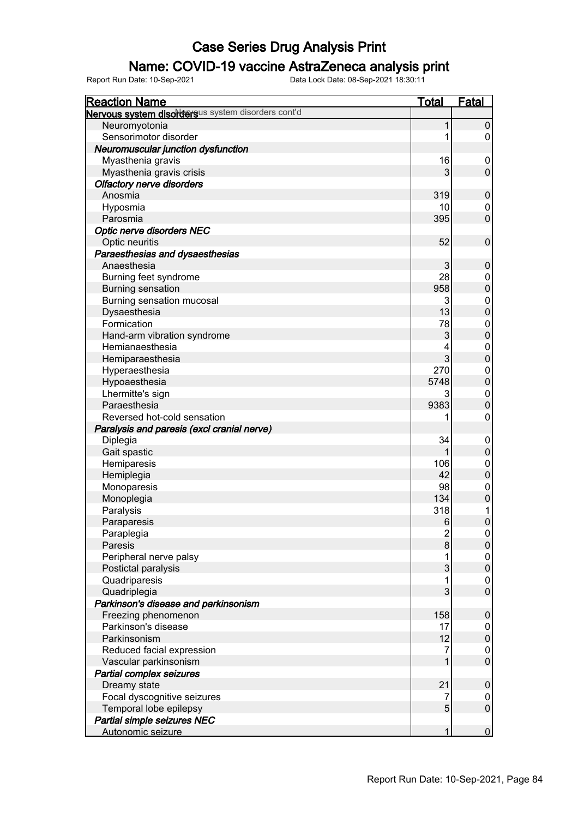### Name: COVID-19 vaccine AstraZeneca analysis print

| <b>Reaction Name</b>                               | <b>Total</b>   | <b>Fatal</b>               |
|----------------------------------------------------|----------------|----------------------------|
| Nervous system disordersus system disorders cont'd |                |                            |
| Neuromyotonia                                      | 1              | $\pmb{0}$                  |
| Sensorimotor disorder                              | 1              | 0                          |
| Neuromuscular junction dysfunction                 |                |                            |
| Myasthenia gravis                                  | 16             | $\boldsymbol{0}$           |
| Myasthenia gravis crisis                           | 3              | $\mathbf 0$                |
| <b>Olfactory nerve disorders</b>                   |                |                            |
| Anosmia                                            | 319            | $\pmb{0}$                  |
| Hyposmia                                           | 10             | $\mathbf 0$                |
| Parosmia                                           | 395            | $\mathbf 0$                |
| <b>Optic nerve disorders NEC</b>                   |                |                            |
| Optic neuritis                                     | 52             | $\mathbf 0$                |
| Paraesthesias and dysaesthesias                    |                |                            |
| Anaesthesia                                        | 3              | $\pmb{0}$                  |
| Burning feet syndrome                              | 28             | $\boldsymbol{0}$           |
| <b>Burning sensation</b>                           | 958            | $\mathbf 0$                |
| Burning sensation mucosal                          | 3              | $\mathbf 0$                |
| Dysaesthesia                                       | 13             | $\boldsymbol{0}$           |
| Formication                                        | 78             |                            |
|                                                    | 3              | $\mathbf 0$<br>$\mathbf 0$ |
| Hand-arm vibration syndrome                        |                |                            |
| Hemianaesthesia                                    | 4              | $\mathbf 0$                |
| Hemiparaesthesia                                   | 3              | $\pmb{0}$                  |
| Hyperaesthesia                                     | 270            | $\mathbf 0$                |
| Hypoaesthesia                                      | 5748           | $\pmb{0}$                  |
| Lhermitte's sign                                   | 3              | $\mathbf 0$                |
| Paraesthesia                                       | 9383           | $\mathbf 0$                |
| Reversed hot-cold sensation                        | 1              | $\mathbf 0$                |
| Paralysis and paresis (excl cranial nerve)         |                |                            |
| Diplegia                                           | 34             | $\mathbf 0$                |
| Gait spastic                                       |                | $\boldsymbol{0}$           |
| Hemiparesis                                        | 106            | $\mathbf 0$                |
| Hemiplegia                                         | 42             | $\mathbf 0$                |
| Monoparesis                                        | 98             | $\mathbf 0$                |
| Monoplegia                                         | 134            | $\pmb{0}$                  |
| Paralysis                                          | 318            | 1                          |
| Paraparesis                                        | 6              | $\mathbf 0$                |
| Paraplegia                                         | $\overline{c}$ | $\boldsymbol{0}$           |
| Paresis                                            | 8              | $\pmb{0}$                  |
| Peripheral nerve palsy                             |                | $\mathbf 0$                |
| Postictal paralysis                                | 3              | $\pmb{0}$                  |
| Quadriparesis                                      | 1              | $\pmb{0}$                  |
| Quadriplegia                                       | 3              | $\overline{0}$             |
| Parkinson's disease and parkinsonism               |                |                            |
| Freezing phenomenon                                | 158            | $\pmb{0}$                  |
| Parkinson's disease                                | 17             | $\boldsymbol{0}$           |
| Parkinsonism                                       | 12             | $\pmb{0}$                  |
| Reduced facial expression                          | 7              | $\pmb{0}$                  |
| Vascular parkinsonism                              |                | $\mathbf 0$                |
| Partial complex seizures                           |                |                            |
| Dreamy state                                       | 21             | $\pmb{0}$                  |
| Focal dyscognitive seizures                        | 7              | $\pmb{0}$                  |
| Temporal lobe epilepsy                             | 5              | $\mathsf{O}\xspace$        |
| Partial simple seizures NEC                        |                |                            |
| Autonomic seizure                                  | 1              | $\overline{0}$             |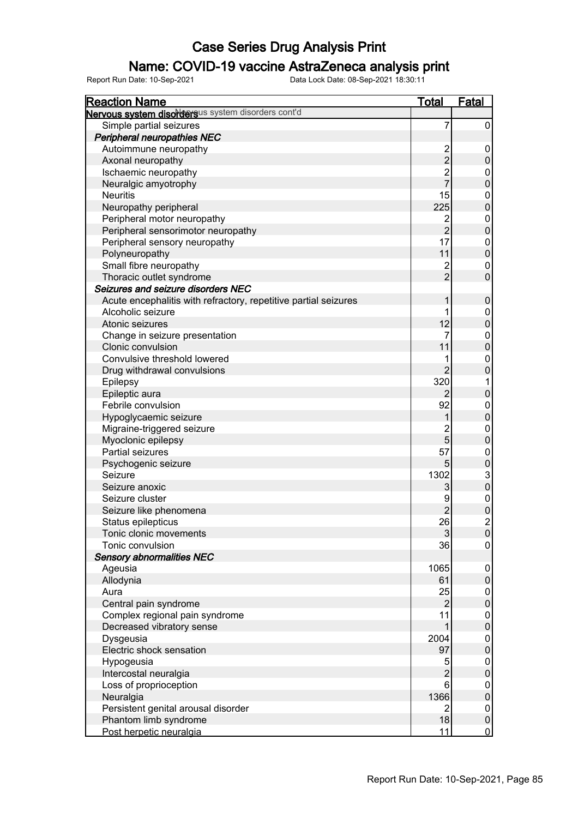### Name: COVID-19 vaccine AstraZeneca analysis print

| <b>Reaction Name</b>                                            | <b>Total</b>   | <b>Fatal</b>     |
|-----------------------------------------------------------------|----------------|------------------|
| Nervous system disordersus system disorders cont'd              |                |                  |
| Simple partial seizures                                         | 7              | 0                |
| <b>Peripheral neuropathies NEC</b>                              |                |                  |
| Autoimmune neuropathy                                           | $\overline{c}$ | 0                |
| Axonal neuropathy                                               | $\overline{c}$ | $\mathsf 0$      |
| Ischaemic neuropathy                                            | $\overline{c}$ | 0                |
| Neuralgic amyotrophy                                            | $\overline{7}$ | $\pmb{0}$        |
| <b>Neuritis</b>                                                 | 15             | $\pmb{0}$        |
| Neuropathy peripheral                                           | 225            | $\mathbf 0$      |
| Peripheral motor neuropathy                                     | $\overline{2}$ | $\boldsymbol{0}$ |
| Peripheral sensorimotor neuropathy                              | $\overline{2}$ | $\overline{0}$   |
| Peripheral sensory neuropathy                                   | 17             | $\boldsymbol{0}$ |
| Polyneuropathy                                                  | 11             | $\mathbf 0$      |
| Small fibre neuropathy                                          | $\overline{c}$ | 0                |
| Thoracic outlet syndrome                                        | $\overline{2}$ | $\mathbf 0$      |
| Seizures and seizure disorders NEC                              |                |                  |
| Acute encephalitis with refractory, repetitive partial seizures | 1              | $\pmb{0}$        |
| Alcoholic seizure                                               |                | $\pmb{0}$        |
| Atonic seizures                                                 | 12             | $\mathbf 0$      |
|                                                                 | 7              |                  |
| Change in seizure presentation                                  | 11             | $\overline{0}$   |
| Clonic convulsion                                               |                | $\mathbf 0$      |
| Convulsive threshold lowered                                    |                | $\boldsymbol{0}$ |
| Drug withdrawal convulsions                                     | $\overline{2}$ | $\mathbf 0$      |
| Epilepsy                                                        | 320            | 1                |
| Epileptic aura                                                  | $\overline{2}$ | $\overline{0}$   |
| Febrile convulsion                                              | 92             | 0                |
| Hypoglycaemic seizure                                           |                | $\mathbf 0$      |
| Migraine-triggered seizure                                      | $\overline{c}$ | 0                |
| Myoclonic epilepsy                                              | 5              | $\mathbf 0$      |
| Partial seizures                                                | 57             | 0                |
| Psychogenic seizure                                             | 5              | $\pmb{0}$        |
| Seizure                                                         | 1302           | $\frac{3}{0}$    |
| Seizure anoxic                                                  | 3              |                  |
| Seizure cluster                                                 | 9              | $\mathbf 0$      |
| Seizure like phenomena                                          | $\overline{2}$ | $\overline{0}$   |
| Status epilepticus                                              | 26             | $\overline{c}$   |
| Tonic clonic movements                                          | $\mathfrak 3$  | $\boldsymbol{0}$ |
| Tonic convulsion                                                | 36             | $\boldsymbol{0}$ |
| <b>Sensory abnormalities NEC</b>                                |                |                  |
| Ageusia                                                         | 1065           | 0                |
| Allodynia                                                       | 61             | $\pmb{0}$        |
| Aura                                                            | 25             | 0                |
| Central pain syndrome                                           | $\overline{2}$ | $\overline{0}$   |
| Complex regional pain syndrome                                  | 11             | 0                |
| Decreased vibratory sense                                       | 1              | $\overline{0}$   |
| Dysgeusia                                                       | 2004           | 0                |
| Electric shock sensation                                        | 97             | $\overline{0}$   |
| Hypogeusia                                                      | 5              | 0                |
| Intercostal neuralgia                                           | $\overline{2}$ | $\overline{0}$   |
| Loss of proprioception                                          | 6              | 0                |
| Neuralgia                                                       | 1366           | $\boldsymbol{0}$ |
| Persistent genital arousal disorder                             | $\overline{2}$ | 0                |
| Phantom limb syndrome                                           | 18             | $\pmb{0}$        |
| Post herpetic neuralgia                                         | 11             | $\overline{0}$   |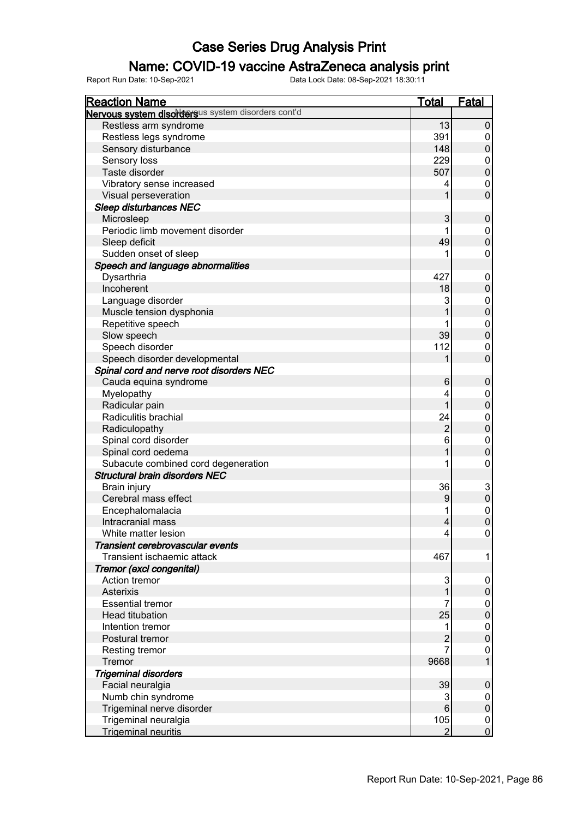### Name: COVID-19 vaccine AstraZeneca analysis print

| <b>Reaction Name</b>                                                         | <b>Total</b>   | <b>Fatal</b>                    |
|------------------------------------------------------------------------------|----------------|---------------------------------|
| Nervous system disordersus system disorders cont'd                           |                |                                 |
| Restless arm syndrome                                                        | 13             | $\pmb{0}$                       |
| Restless legs syndrome                                                       | 391            | 0                               |
| Sensory disturbance                                                          | 148            | $\boldsymbol{0}$                |
| Sensory loss                                                                 | 229            | 0                               |
| Taste disorder                                                               | 507            | $\mathbf 0$                     |
| Vibratory sense increased                                                    | 4              | 0                               |
| Visual perseveration                                                         | 1              | $\mathbf 0$                     |
| <b>Sleep disturbances NEC</b>                                                |                |                                 |
| Microsleep                                                                   | 3              | $\boldsymbol{0}$                |
| Periodic limb movement disorder                                              |                | 0                               |
| Sleep deficit                                                                | 49             | $\mathbf 0$                     |
| Sudden onset of sleep                                                        |                | 0                               |
| Speech and language abnormalities                                            |                |                                 |
| Dysarthria                                                                   | 427            | 0                               |
| Incoherent                                                                   | 18             | $\boldsymbol{0}$                |
| Language disorder                                                            | 3              | 0                               |
| Muscle tension dysphonia                                                     |                | $\mathbf 0$                     |
| Repetitive speech                                                            |                | 0                               |
| Slow speech                                                                  | 39             | $\mathbf 0$                     |
| Speech disorder                                                              | 112            | 0                               |
| Speech disorder developmental                                                |                | $\mathbf 0$                     |
| Spinal cord and nerve root disorders NEC                                     |                |                                 |
| Cauda equina syndrome                                                        | 6              | $\boldsymbol{0}$                |
|                                                                              | 4              |                                 |
| Myelopathy<br>Radicular pain                                                 | 1              | 0<br>$\boldsymbol{0}$           |
| Radiculitis brachial                                                         | 24             |                                 |
|                                                                              | $\overline{2}$ | 0<br>$\boldsymbol{0}$           |
| Radiculopathy                                                                | 6              |                                 |
| Spinal cord disorder                                                         |                | 0                               |
| Spinal cord oedema                                                           |                | $\boldsymbol{0}$                |
| Subacute combined cord degeneration<br><b>Structural brain disorders NEC</b> | 1              | 0                               |
|                                                                              | 36             |                                 |
| Brain injury<br>Cerebral mass effect                                         |                | $\mathbf{3}$                    |
|                                                                              | 9              | $\pmb{0}$                       |
| Encephalomalacia                                                             |                | $\mathbf 0$<br>$\boldsymbol{0}$ |
| Intracranial mass<br>White matter lesion                                     | 4              |                                 |
|                                                                              | 4              | 0                               |
| Transient cerebrovascular events                                             |                |                                 |
| Transient ischaemic attack                                                   | 467            | 1                               |
| Tremor (excl congenital)                                                     |                |                                 |
| Action tremor                                                                | 3              | 0                               |
| Asterixis                                                                    | 1              | $\boldsymbol{0}$                |
| <b>Essential tremor</b>                                                      | 7              | 0                               |
| <b>Head titubation</b>                                                       | 25             | $\pmb{0}$                       |
| Intention tremor                                                             | 1              | 0                               |
| Postural tremor                                                              | $\overline{2}$ | $\boldsymbol{0}$                |
| Resting tremor                                                               | $\overline{7}$ | 0                               |
| Tremor                                                                       | 9668           |                                 |
| <b>Trigeminal disorders</b>                                                  |                |                                 |
| Facial neuralgia                                                             | 39             | $\pmb{0}$                       |
| Numb chin syndrome                                                           | 3              | 0                               |
| Trigeminal nerve disorder                                                    | $\,6$          | $\pmb{0}$                       |
| Trigeminal neuralgia                                                         | 105            | $\boldsymbol{0}$                |
| <b>Trigeminal neuritis</b>                                                   | $\overline{2}$ | $\overline{0}$                  |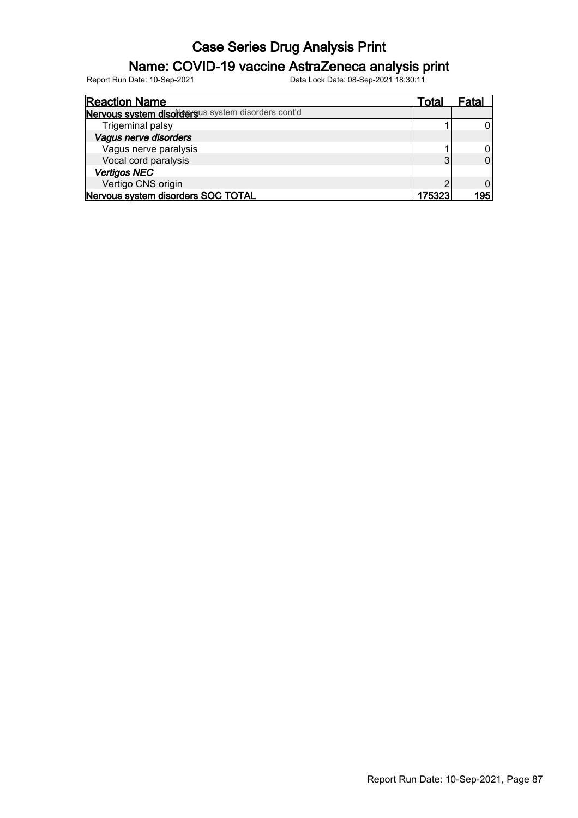### Name: COVID-19 vaccine AstraZeneca analysis print

| <b>Reaction Name</b>                               | Гоtal  | ⊦atal |
|----------------------------------------------------|--------|-------|
| Nervous system disordersus system disorders cont'd |        |       |
| Trigeminal palsy                                   |        |       |
| Vagus nerve disorders                              |        |       |
| Vagus nerve paralysis                              |        |       |
| Vocal cord paralysis                               | 3      |       |
| <b>Vertigos NEC</b>                                |        |       |
| Vertigo CNS origin                                 | ⌒      |       |
| Nervous system disorders SOC TOTAL                 | 175323 | 195   |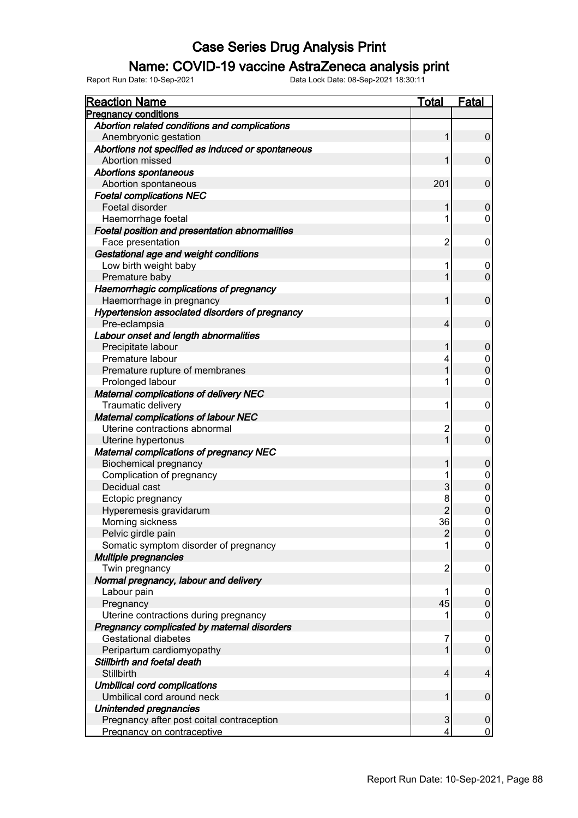### Name: COVID-19 vaccine AstraZeneca analysis print

| <b>Reaction Name</b>                              | <b>Total</b>   | Fatal            |
|---------------------------------------------------|----------------|------------------|
| <b>Pregnancy conditions</b>                       |                |                  |
| Abortion related conditions and complications     |                |                  |
| Anembryonic gestation                             | 1              | $\pmb{0}$        |
| Abortions not specified as induced or spontaneous |                |                  |
| Abortion missed                                   |                | $\pmb{0}$        |
| <b>Abortions spontaneous</b>                      |                |                  |
| Abortion spontaneous                              | 201            | $\mathbf 0$      |
| <b>Foetal complications NEC</b>                   |                |                  |
| Foetal disorder                                   | 1              | $\boldsymbol{0}$ |
| Haemorrhage foetal                                | 1              | 0                |
| Foetal position and presentation abnormalities    |                |                  |
| Face presentation                                 | $\overline{c}$ | 0                |
| Gestational age and weight conditions             |                |                  |
| Low birth weight baby                             | 1              | 0                |
| Premature baby                                    | 1              | $\mathbf 0$      |
| Haemorrhagic complications of pregnancy           |                |                  |
| Haemorrhage in pregnancy                          | 1              | $\pmb{0}$        |
| Hypertension associated disorders of pregnancy    |                |                  |
| Pre-eclampsia                                     | 4              | $\pmb{0}$        |
|                                                   |                |                  |
| Labour onset and length abnormalities             |                |                  |
| Precipitate labour<br>Premature labour            | 1              | $\pmb{0}$        |
|                                                   | 4              | 0                |
| Premature rupture of membranes                    | 1              | $\boldsymbol{0}$ |
| Prolonged labour                                  | 1              | 0                |
| <b>Maternal complications of delivery NEC</b>     |                |                  |
| Traumatic delivery                                | 1              | $\boldsymbol{0}$ |
| Maternal complications of labour NEC              |                |                  |
| Uterine contractions abnormal                     | $\overline{c}$ | 0                |
| Uterine hypertonus                                |                | $\mathbf 0$      |
| <b>Maternal complications of pregnancy NEC</b>    |                |                  |
| <b>Biochemical pregnancy</b>                      |                | 0                |
| Complication of pregnancy                         |                | 0                |
| Decidual cast                                     | 3              | $\mathbf 0$      |
| Ectopic pregnancy                                 | 8              | 0                |
| Hyperemesis gravidarum                            | $\overline{2}$ | $\overline{0}$   |
| Morning sickness                                  | 36             | $\mathbf 0$      |
| Pelvic girdle pain                                | $\overline{2}$ | $\boldsymbol{0}$ |
| Somatic symptom disorder of pregnancy             |                | 0                |
| Multiple pregnancies                              |                |                  |
| Twin pregnancy                                    | $\overline{2}$ | 0                |
| Normal pregnancy, labour and delivery             |                |                  |
| Labour pain                                       |                | 0                |
| Pregnancy                                         | 45             | $\mathsf 0$      |
| Uterine contractions during pregnancy             |                | 0                |
| Pregnancy complicated by maternal disorders       |                |                  |
| <b>Gestational diabetes</b>                       | 7              | 0                |
| Peripartum cardiomyopathy                         |                | $\mathsf 0$      |
| Stillbirth and foetal death                       |                |                  |
| Stillbirth                                        | 4              | 4                |
| <b>Umbilical cord complications</b>               |                |                  |
| Umbilical cord around neck                        | 1              | $\pmb{0}$        |
| Unintended pregnancies                            |                |                  |
| Pregnancy after post coital contraception         | 3              | 0                |
| Pregnancy on contraceptive                        | 4              | $\overline{0}$   |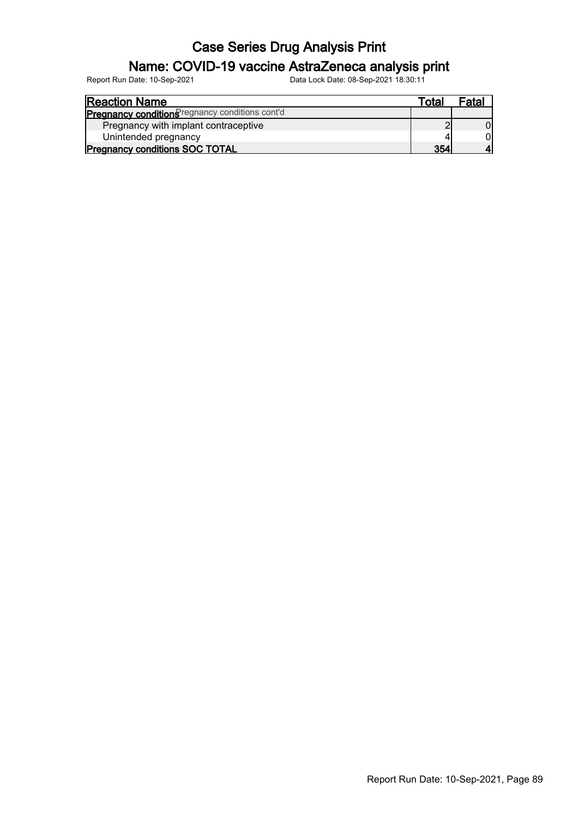### Name: COVID-19 vaccine AstraZeneca analysis print

| <b>Reaction Name</b>                            | Total | Fatal |
|-------------------------------------------------|-------|-------|
| Pregnancy conditions regnancy conditions cont'd |       |       |
| Pregnancy with implant contraceptive            |       |       |
| Unintended pregnancy                            |       |       |
| <b>Pregnancy conditions SOC TOTAL</b>           | 354   |       |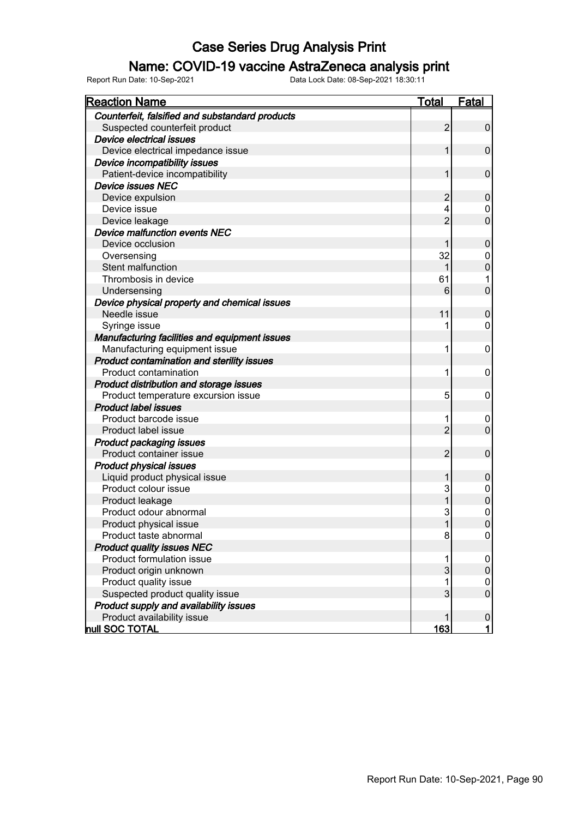### Name: COVID-19 vaccine AstraZeneca analysis print

| <b>Reaction Name</b>                            | Total          | <b>Fatal</b>     |
|-------------------------------------------------|----------------|------------------|
| Counterfeit, falsified and substandard products |                |                  |
| Suspected counterfeit product                   | $\overline{2}$ | $\boldsymbol{0}$ |
| Device electrical issues                        |                |                  |
| Device electrical impedance issue               | 1              | $\mathbf 0$      |
| Device incompatibility issues                   |                |                  |
| Patient-device incompatibility                  | 1              | $\mathbf 0$      |
| <b>Device issues NEC</b>                        |                |                  |
| Device expulsion                                | 2              | $\mathbf 0$      |
| Device issue                                    | 4              | $\mathbf 0$      |
| Device leakage                                  | $\overline{2}$ | $\overline{0}$   |
| <b>Device malfunction events NEC</b>            |                |                  |
| Device occlusion                                | 1              | $\mathbf 0$      |
| Oversensing                                     | 32             | $\mathbf 0$      |
| Stent malfunction                               | 1              | $\mathbf 0$      |
| Thrombosis in device                            | 61             | 1                |
| Undersensing                                    | 6              | $\overline{0}$   |
| Device physical property and chemical issues    |                |                  |
| Needle issue                                    | 11             | $\mathbf 0$      |
| Syringe issue                                   | 1              | 0                |
| Manufacturing facilities and equipment issues   |                |                  |
| Manufacturing equipment issue                   | 1              | 0                |
| Product contamination and sterility issues      |                |                  |
| <b>Product contamination</b>                    | 1              | 0                |
| Product distribution and storage issues         |                |                  |
| Product temperature excursion issue             | 5              | 0                |
| <b>Product label issues</b>                     |                |                  |
| Product barcode issue                           | 1              | 0                |
| Product label issue                             | $\overline{2}$ | $\overline{0}$   |
| <b>Product packaging issues</b>                 |                |                  |
| Product container issue                         | $\overline{2}$ | $\mathbf 0$      |
| <b>Product physical issues</b>                  |                |                  |
| Liquid product physical issue                   | 1              | 0                |
| Product colour issue                            | 3              | $\mathbf 0$      |
| Product leakage                                 | 1              | $\mathbf 0$      |
| Product odour abnormal                          | 3              | 0                |
| Product physical issue                          | 1              | $\mathbf 0$      |
| Product taste abnormal                          | 8              | 0                |
| <b>Product quality issues NEC</b>               |                |                  |
| Product formulation issue                       | 1              | 0                |
| Product origin unknown                          | 3              | 0                |
| Product quality issue                           | 1              | 0                |
| Suspected product quality issue                 | 3              | $\mathbf 0$      |
| Product supply and availability issues          |                |                  |
| Product availability issue                      | 1              | $\pmb{0}$        |
| <b>hull SOC TOTAL</b>                           | <b>163</b>     | $\mathbf{1}$     |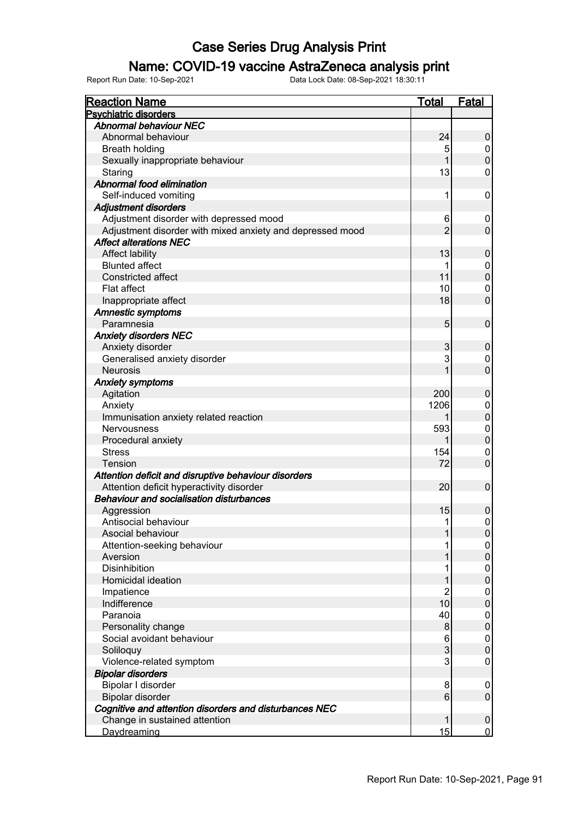### Name: COVID-19 vaccine AstraZeneca analysis print

| <b>Reaction Name</b>                                      | <b>Total</b>   | <b>Fatal</b>     |
|-----------------------------------------------------------|----------------|------------------|
| <b>Psychiatric disorders</b>                              |                |                  |
| <b>Abnormal behaviour NEC</b>                             |                |                  |
| Abnormal behaviour                                        | 24             | $\pmb{0}$        |
| <b>Breath holding</b>                                     | 5              | 0                |
| Sexually inappropriate behaviour                          |                | $\mathbf 0$      |
| Staring                                                   | 13             | 0                |
| Abnormal food elimination                                 |                |                  |
| Self-induced vomiting                                     | 1              | 0                |
| <b>Adjustment disorders</b>                               |                |                  |
| Adjustment disorder with depressed mood                   | 6              | 0                |
| Adjustment disorder with mixed anxiety and depressed mood | $\overline{2}$ | $\mathbf 0$      |
| <b>Affect alterations NEC</b>                             |                |                  |
| Affect lability                                           | 13             | $\pmb{0}$        |
| <b>Blunted affect</b>                                     |                | 0                |
| Constricted affect                                        | 11             | $\pmb{0}$        |
| Flat affect                                               | 10             | 0                |
| Inappropriate affect                                      | 18             | $\mathbf 0$      |
| Amnestic symptoms                                         |                |                  |
| Paramnesia                                                | 5              | $\pmb{0}$        |
| <b>Anxiety disorders NEC</b>                              |                |                  |
| Anxiety disorder                                          | 3              | $\pmb{0}$        |
| Generalised anxiety disorder                              | 3              | 0                |
| <b>Neurosis</b>                                           |                | $\overline{0}$   |
| <b>Anxiety symptoms</b>                                   |                |                  |
| Agitation                                                 | 200            | 0                |
| Anxiety                                                   | 1206           | 0                |
| Immunisation anxiety related reaction                     |                | $\overline{0}$   |
| <b>Nervousness</b>                                        | 593            | 0                |
| Procedural anxiety                                        |                | $\pmb{0}$        |
| <b>Stress</b>                                             | 154            | 0                |
| <b>Tension</b>                                            | 72             | $\mathbf 0$      |
| Attention deficit and disruptive behaviour disorders      |                |                  |
| Attention deficit hyperactivity disorder                  | 20             | $\pmb{0}$        |
| <b>Behaviour and socialisation disturbances</b>           |                |                  |
| Aggression                                                | 15             | $\boldsymbol{0}$ |
| Antisocial behaviour                                      | 1              | $\mathsf 0$      |
| Asocial behaviour                                         |                | $\boldsymbol{0}$ |
| Attention-seeking behaviour                               |                | 0                |
| Aversion                                                  |                | $\pmb{0}$        |
| <b>Disinhibition</b>                                      |                | 0                |
| Homicidal ideation                                        |                | $\mathbf 0$      |
| Impatience                                                | 2              | 0                |
| Indifference                                              | 10             | $\mathbf 0$      |
| Paranoia                                                  | 40             | 0                |
| Personality change                                        | 8              | $\mathbf 0$      |
| Social avoidant behaviour                                 | 6              | 0                |
| Soliloquy                                                 | 3              | $\mathbf 0$      |
| Violence-related symptom                                  | 3              | 0                |
| <b>Bipolar disorders</b>                                  |                |                  |
| Bipolar I disorder                                        | 8              | 0                |
| Bipolar disorder                                          | 6              | $\pmb{0}$        |
| Cognitive and attention disorders and disturbances NEC    |                |                  |
| Change in sustained attention                             | 1              | $\pmb{0}$        |
| Daydreaming                                               | 15             | $\overline{0}$   |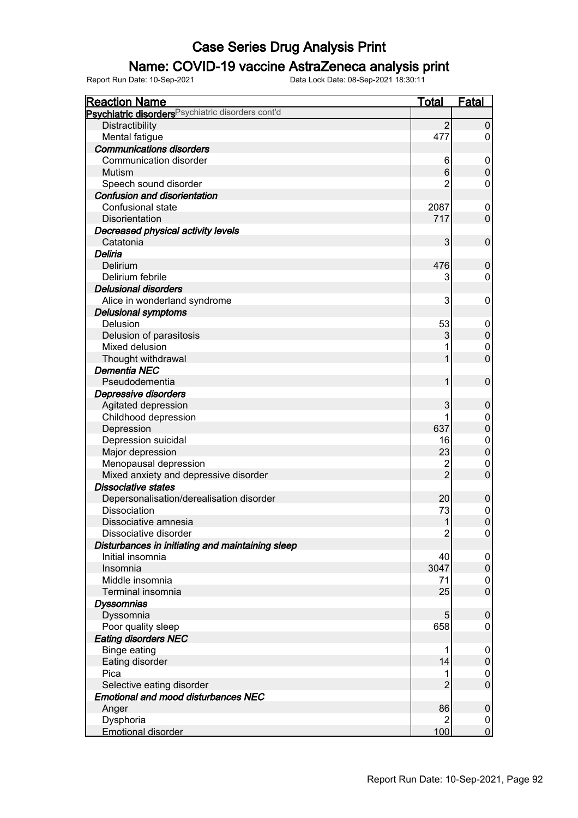### Name: COVID-19 vaccine AstraZeneca analysis print

| <b>Reaction Name</b>                                          | <b>Total</b>   | <b>Fatal</b>     |
|---------------------------------------------------------------|----------------|------------------|
| Psychiatric disorders <sup>Psychiatric disorders cont'd</sup> |                |                  |
| Distractibility                                               | $\overline{2}$ | $\overline{0}$   |
| Mental fatigue                                                | 477            | 0                |
| <b>Communications disorders</b>                               |                |                  |
| Communication disorder                                        | 6              | $\boldsymbol{0}$ |
| Mutism                                                        | 6              | $\pmb{0}$        |
| Speech sound disorder                                         | 2              | 0                |
| <b>Confusion and disorientation</b>                           |                |                  |
| Confusional state                                             | 2087           | $\boldsymbol{0}$ |
| Disorientation                                                | 717            | $\mathbf 0$      |
| Decreased physical activity levels                            |                |                  |
| Catatonia                                                     | 3              | $\mathbf 0$      |
| Deliria                                                       |                |                  |
| Delirium                                                      | 476            | $\mathbf 0$      |
| Delirium febrile                                              | 3              | 0                |
| <b>Delusional disorders</b>                                   |                |                  |
| Alice in wonderland syndrome                                  | 3              | $\mathbf 0$      |
| <b>Delusional symptoms</b>                                    |                |                  |
| Delusion                                                      | 53             | $\boldsymbol{0}$ |
| Delusion of parasitosis                                       | 3              | $\pmb{0}$        |
| Mixed delusion                                                |                | 0                |
| Thought withdrawal                                            | 1              | $\mathbf 0$      |
| <b>Dementia NEC</b>                                           |                |                  |
| Pseudodementia                                                | 1              | $\mathbf 0$      |
| Depressive disorders                                          |                |                  |
| Agitated depression                                           | 3              | $\pmb{0}$        |
| Childhood depression                                          | 1              | $\boldsymbol{0}$ |
| Depression                                                    | 637            | $\pmb{0}$        |
| Depression suicidal                                           | 16             | $\mathbf 0$      |
| Major depression                                              | 23             | $\pmb{0}$        |
| Menopausal depression                                         | $\overline{c}$ | $\mathbf 0$      |
| Mixed anxiety and depressive disorder                         | $\overline{2}$ | $\mathbf 0$      |
| <b>Dissociative states</b>                                    |                |                  |
| Depersonalisation/derealisation disorder                      | 20             | $\pmb{0}$        |
| Dissociation                                                  | 73             | $\mathbf 0$      |
| Dissociative amnesia                                          | 1              | $\mathbf 0$      |
| Dissociative disorder                                         | $\overline{2}$ | $\boldsymbol{0}$ |
| Disturbances in initiating and maintaining sleep              |                |                  |
| Initial insomnia                                              | 40             | $\boldsymbol{0}$ |
| Insomnia                                                      | 3047           | $\pmb{0}$        |
| Middle insomnia                                               | 71             | 0                |
| Terminal insomnia                                             | 25             | $\boldsymbol{0}$ |
| <b>Dyssomnias</b>                                             |                |                  |
| Dyssomnia                                                     | 5              | $\boldsymbol{0}$ |
| Poor quality sleep                                            | 658            | 0                |
| <b>Eating disorders NEC</b>                                   |                |                  |
| <b>Binge eating</b>                                           | 1              | $\boldsymbol{0}$ |
| Eating disorder                                               | 14             | $\pmb{0}$        |
| Pica                                                          | 1              | 0                |
| Selective eating disorder                                     | $\overline{2}$ | $\boldsymbol{0}$ |
| <b>Emotional and mood disturbances NEC</b>                    |                |                  |
| Anger                                                         | 86             | $\pmb{0}$        |
| Dysphoria                                                     | 2              | 0                |
| <b>Emotional disorder</b>                                     | 100            | $\overline{0}$   |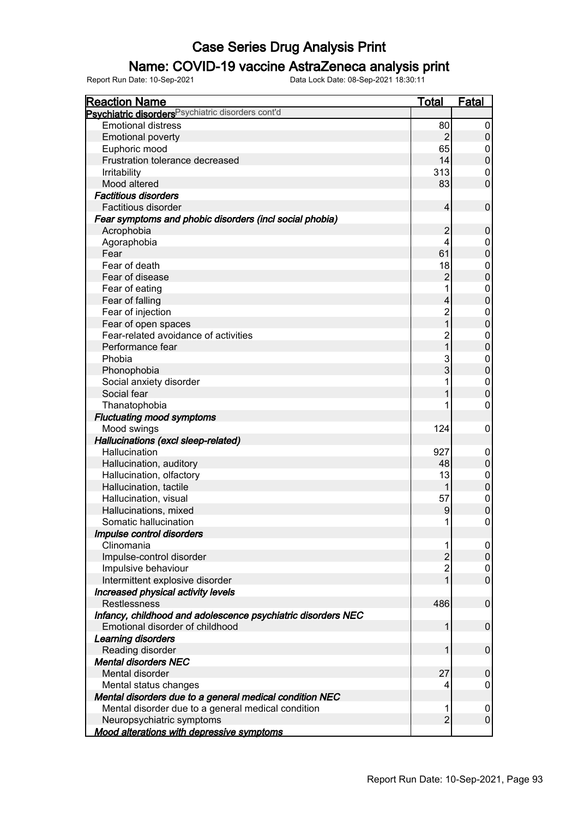### Name: COVID-19 vaccine AstraZeneca analysis print

| <b>Reaction Name</b>                                          | <b>Total</b>   | <u>Fatal</u>        |
|---------------------------------------------------------------|----------------|---------------------|
| Psychiatric disorders <sup>Psychiatric disorders cont'd</sup> |                |                     |
| <b>Emotional distress</b>                                     | 80             | 0                   |
| <b>Emotional poverty</b>                                      | $\overline{2}$ | $\mathsf{O}\xspace$ |
| Euphoric mood                                                 | 65             | 0                   |
| Frustration tolerance decreased                               | 14             | $\mathbf 0$         |
| Irritability                                                  | 313            | 0                   |
| Mood altered                                                  | 83             | $\overline{0}$      |
| <b>Factitious disorders</b>                                   |                |                     |
| Factitious disorder                                           | 4              | $\pmb{0}$           |
| Fear symptoms and phobic disorders (incl social phobia)       |                |                     |
| Acrophobia                                                    | $\overline{2}$ | $\pmb{0}$           |
| Agoraphobia                                                   | 4              | 0                   |
| Fear                                                          | 61             | $\mathbf 0$         |
| Fear of death                                                 | 18             | 0                   |
| Fear of disease                                               | $\overline{2}$ | $\pmb{0}$           |
| Fear of eating                                                |                | 0                   |
| Fear of falling                                               | 4              | $\mathbf 0$         |
| Fear of injection                                             | $\overline{c}$ | 0                   |
| Fear of open spaces                                           | $\overline{1}$ | $\mathbf 0$         |
| Fear-related avoidance of activities                          | $\overline{c}$ | 0                   |
| Performance fear                                              | $\overline{1}$ | $\mathbf 0$         |
| Phobia                                                        | 3              | 0                   |
| Phonophobia                                                   | 3              | $\pmb{0}$           |
| Social anxiety disorder                                       |                | 0                   |
| Social fear                                                   |                | $\mathbf 0$         |
| Thanatophobia                                                 |                | 0                   |
| <b>Fluctuating mood symptoms</b>                              |                |                     |
| Mood swings                                                   | 124            | 0                   |
| Hallucinations (excl sleep-related)                           |                |                     |
| Hallucination                                                 | 927            | 0                   |
| Hallucination, auditory                                       | 48             | $\mathbf 0$         |
| Hallucination, olfactory                                      | 13             | 0                   |
| Hallucination, tactile                                        | 1              | $\mathbf 0$         |
| Hallucination, visual                                         | 57             | 0                   |
| Hallucinations, mixed                                         | 9              | $\overline{0}$      |
| Somatic hallucination                                         | 1              | 0                   |
| Impulse control disorders                                     |                |                     |
| Clinomania                                                    |                |                     |
| Impulse-control disorder                                      | $\overline{2}$ | $\boldsymbol{0}$    |
| Impulsive behaviour                                           | $\overline{c}$ | 0                   |
| Intermittent explosive disorder                               |                | $\overline{0}$      |
| Increased physical activity levels                            |                |                     |
| <b>Restlessness</b>                                           | 486            | 0                   |
| Infancy, childhood and adolescence psychiatric disorders NEC  |                |                     |
| Emotional disorder of childhood                               |                | 0                   |
| Learning disorders                                            |                |                     |
| Reading disorder                                              |                | 0                   |
|                                                               |                |                     |
| <b>Mental disorders NEC</b><br>Mental disorder                | 27             |                     |
|                                                               |                | 0                   |
| Mental status changes                                         |                | 0                   |
| Mental disorders due to a general medical condition NEC       |                |                     |
| Mental disorder due to a general medical condition            | $\overline{2}$ | 0<br>$\overline{0}$ |
| Neuropsychiatric symptoms                                     |                |                     |
| <b>Mood alterations with depressive symptoms</b>              |                |                     |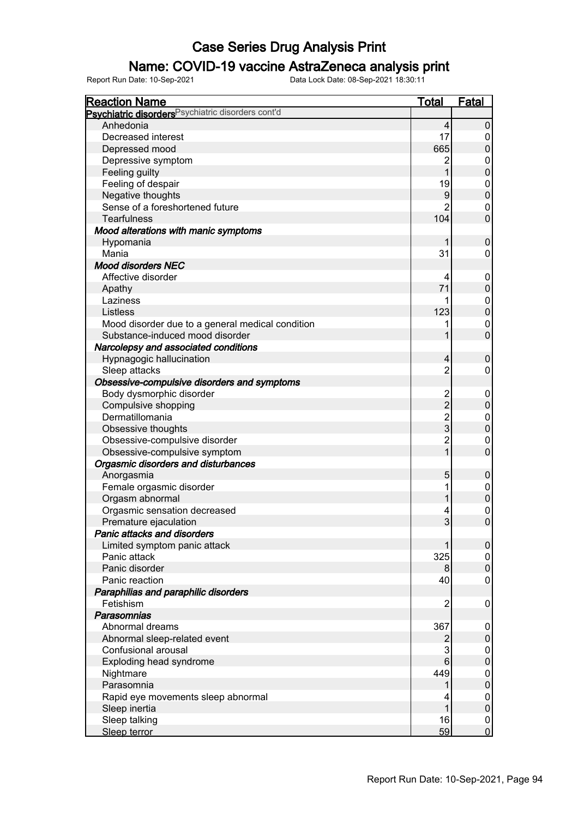### Name: COVID-19 vaccine AstraZeneca analysis print

| <b>Reaction Name</b>                               | <b>Total</b>     | <b>Fatal</b>                  |
|----------------------------------------------------|------------------|-------------------------------|
| Psychiatric disorders Psychiatric disorders cont'd |                  |                               |
| Anhedonia                                          | 4                | $\pmb{0}$                     |
| Decreased interest                                 | 17               | $\mathbf 0$                   |
| Depressed mood                                     | 665              | $\mathbf 0$                   |
| Depressive symptom                                 | 2                | $\boldsymbol{0}$              |
| Feeling guilty                                     | 1                | $\mathbf 0$                   |
| Feeling of despair                                 | 19               | $\overline{0}$                |
| Negative thoughts                                  | $\boldsymbol{9}$ | $\mathbf 0$                   |
| Sense of a foreshortened future                    | $\overline{2}$   | $\boldsymbol{0}$              |
| <b>Tearfulness</b>                                 | 104              | $\overline{0}$                |
| Mood alterations with manic symptoms               |                  |                               |
| Hypomania                                          |                  | $\mathbf 0$                   |
| Mania                                              | 31               | 0                             |
| <b>Mood disorders NEC</b>                          |                  |                               |
| Affective disorder                                 | 4                | $\mathbf 0$                   |
|                                                    | 71               | $\mathbf 0$                   |
| Apathy<br>Laziness                                 |                  |                               |
|                                                    | 123              | $\overline{0}$<br>$\mathbf 0$ |
| Listless                                           |                  |                               |
| Mood disorder due to a general medical condition   | 1                | $\boldsymbol{0}$              |
| Substance-induced mood disorder                    | 1                | $\overline{0}$                |
| Narcolepsy and associated conditions               |                  |                               |
| Hypnagogic hallucination                           | 4                | $\mathbf 0$                   |
| Sleep attacks                                      | $\overline{2}$   | $\mathbf 0$                   |
| Obsessive-compulsive disorders and symptoms        |                  |                               |
| Body dysmorphic disorder                           | $\frac{2}{2}$    | $\mathbf 0$                   |
| Compulsive shopping                                |                  | $\pmb{0}$                     |
| Dermatillomania                                    | $\frac{2}{3}$    | $\mathbf 0$                   |
| Obsessive thoughts                                 |                  | $\boldsymbol{0}$              |
| Obsessive-compulsive disorder                      | $\overline{2}$   | $\mathbf 0$                   |
| Obsessive-compulsive symptom                       | $\overline{1}$   | $\mathbf 0$                   |
| Orgasmic disorders and disturbances                |                  |                               |
| Anorgasmia                                         | 5                | $\boldsymbol{0}$              |
| Female orgasmic disorder                           | 1                | $\mathbf 0$                   |
| Orgasm abnormal                                    |                  | $\pmb{0}$                     |
| Orgasmic sensation decreased                       | 4                | $\mathbf 0$                   |
| Premature ejaculation                              | 3                | $\mathbf 0$                   |
| Panic attacks and disorders                        |                  |                               |
| Limited symptom panic attack                       |                  | $\pmb{0}$                     |
| Panic attack                                       | 325              | 0                             |
| Panic disorder                                     | 8 <sup>2</sup>   | $\mathbf 0$                   |
| Panic reaction                                     | 40               | $\mathbf 0$                   |
| Paraphilias and paraphilic disorders               |                  |                               |
| Fetishism                                          | 2                | $\mathbf 0$                   |
| Parasomnias                                        |                  |                               |
| Abnormal dreams                                    | 367              | 0                             |
| Abnormal sleep-related event                       | 2                | $\pmb{0}$                     |
| Confusional arousal                                | 3                | $\boldsymbol{0}$              |
| Exploding head syndrome                            | 6                | $\boldsymbol{0}$              |
| Nightmare                                          | 449              | $\pmb{0}$                     |
| Parasomnia                                         | 1                | $\boldsymbol{0}$              |
| Rapid eye movements sleep abnormal                 | 4                | $\boldsymbol{0}$              |
| Sleep inertia                                      | 1                | $\boldsymbol{0}$              |
| Sleep talking                                      | 16               | $\mathbf 0$                   |
| Sleep terror                                       | 59               | $\mathbf 0$                   |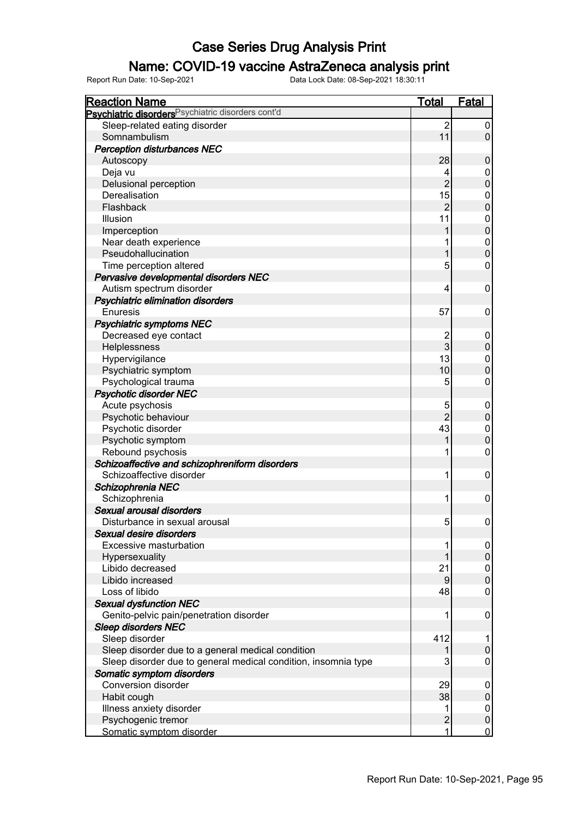### Name: COVID-19 vaccine AstraZeneca analysis print

| <b>Reaction Name</b>                                           | <b>Total</b>   | <b>Fatal</b>     |
|----------------------------------------------------------------|----------------|------------------|
| Psychiatric disorders <sup>Psychiatric disorders cont'd</sup>  |                |                  |
| Sleep-related eating disorder                                  | 2              | 0                |
| Somnambulism                                                   | 11             | $\mathbf 0$      |
| <b>Perception disturbances NEC</b>                             |                |                  |
| Autoscopy                                                      | 28             | $\mathbf 0$      |
| Deja vu                                                        |                | 0                |
| Delusional perception                                          | $\overline{2}$ | $\boldsymbol{0}$ |
| Derealisation                                                  | 15             | 0                |
| Flashback                                                      | $\overline{2}$ | $\mathbf 0$      |
| Illusion                                                       | 11             | 0                |
| Imperception                                                   |                | $\pmb{0}$        |
| Near death experience                                          |                | $\mathbf 0$      |
| Pseudohallucination                                            |                | $\mathbf 0$      |
| Time perception altered                                        | 5              | 0                |
| Pervasive developmental disorders NEC                          |                |                  |
| Autism spectrum disorder                                       | 4              | 0                |
| Psychiatric elimination disorders                              |                |                  |
| Enuresis                                                       | 57             | 0                |
| <b>Psychiatric symptoms NEC</b>                                |                |                  |
| Decreased eye contact                                          | 2              | 0                |
| Helplessness                                                   | 3              | $\mathbf 0$      |
| Hypervigilance                                                 | 13             | 0                |
| Psychiatric symptom                                            | 10             | $\mathbf 0$      |
| Psychological trauma                                           | 5              | 0                |
| <b>Psychotic disorder NEC</b>                                  |                |                  |
| Acute psychosis                                                | 5              | $\boldsymbol{0}$ |
| Psychotic behaviour                                            | $\overline{2}$ | $\mathbf 0$      |
| Psychotic disorder                                             | 43             | $\boldsymbol{0}$ |
| Psychotic symptom                                              |                | $\mathbf 0$      |
| Rebound psychosis                                              |                | 0                |
| Schizoaffective and schizophreniform disorders                 |                |                  |
| Schizoaffective disorder                                       | 1              | 0                |
| Schizophrenia NEC                                              |                |                  |
| Schizophrenia                                                  | 1              | 0                |
| Sexual arousal disorders                                       |                |                  |
| Disturbance in sexual arousal                                  | 5 <sup>1</sup> | 0                |
| Sexual desire disorders                                        |                |                  |
| Excessive masturbation                                         |                | 0                |
| Hypersexuality                                                 |                | $\mathbf 0$      |
| Libido decreased                                               | 21             | 0                |
| Libido increased                                               | 9              | $\mathbf 0$      |
| Loss of libido                                                 | 48             | 0                |
| <b>Sexual dysfunction NEC</b>                                  |                |                  |
| Genito-pelvic pain/penetration disorder                        | 1              | 0                |
| <b>Sleep disorders NEC</b>                                     |                |                  |
| Sleep disorder                                                 | 412            | 1                |
| Sleep disorder due to a general medical condition              | 1              | $\pmb{0}$        |
| Sleep disorder due to general medical condition, insomnia type | 3              | 0                |
| Somatic symptom disorders                                      |                |                  |
| Conversion disorder                                            | 29             | 0                |
| Habit cough                                                    | 38             | $\pmb{0}$        |
| Illness anxiety disorder                                       |                | $\boldsymbol{0}$ |
| Psychogenic tremor                                             | $\overline{c}$ | $\pmb{0}$        |
| Somatic symptom disorder                                       | 1              | 0                |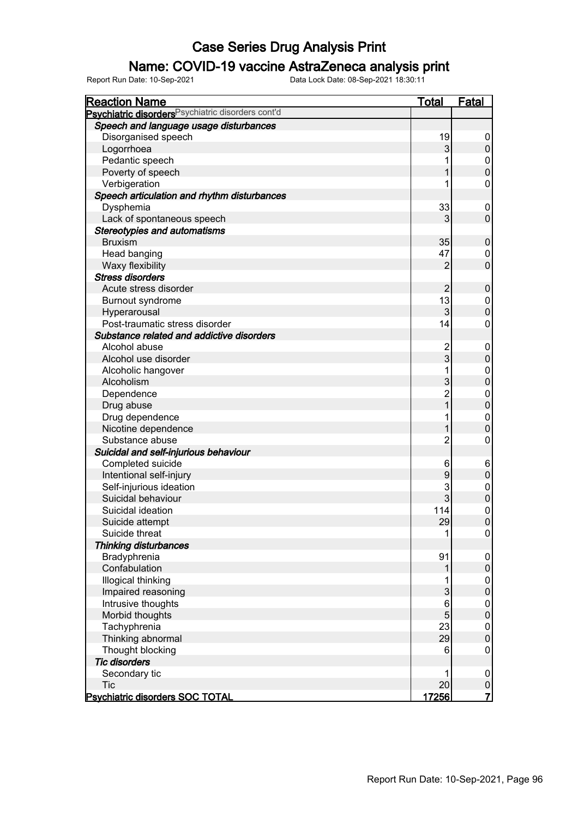### Name: COVID-19 vaccine AstraZeneca analysis print

| <b>Reaction Name</b>                                          | <b>Total</b>   | Fatal            |
|---------------------------------------------------------------|----------------|------------------|
| Psychiatric disorders <sup>Psychiatric disorders cont'd</sup> |                |                  |
| Speech and language usage disturbances                        |                |                  |
| Disorganised speech                                           | 19             | 0                |
| Logorrhoea                                                    | 3              | $\mathsf 0$      |
| Pedantic speech                                               |                | 0                |
| Poverty of speech                                             | 1              | $\mathbf 0$      |
| Verbigeration                                                 |                | 0                |
| Speech articulation and rhythm disturbances                   |                |                  |
| Dysphemia                                                     | 33             | 0                |
| Lack of spontaneous speech                                    | 3              | $\mathbf 0$      |
| <b>Stereotypies and automatisms</b>                           |                |                  |
| <b>Bruxism</b>                                                | 35             | $\pmb{0}$        |
| Head banging                                                  | 47             | 0                |
| Waxy flexibility                                              | $\overline{2}$ | $\mathbf 0$      |
| <b>Stress disorders</b>                                       |                |                  |
| Acute stress disorder                                         | $\overline{2}$ | $\pmb{0}$        |
| Burnout syndrome                                              | 13             | 0                |
| Hyperarousal                                                  | 3              | $\boldsymbol{0}$ |
| Post-traumatic stress disorder                                | 14             | 0                |
| Substance related and addictive disorders                     |                |                  |
| Alcohol abuse                                                 | 2              | 0                |
| Alcohol use disorder                                          | 3              | $\pmb{0}$        |
| Alcoholic hangover                                            |                | 0                |
| Alcoholism                                                    | 3              | $\boldsymbol{0}$ |
| Dependence                                                    | $\overline{c}$ | $\boldsymbol{0}$ |
| Drug abuse                                                    | $\overline{1}$ | $\pmb{0}$        |
| Drug dependence                                               |                | $\mathbf 0$      |
| Nicotine dependence                                           |                | $\mathbf 0$      |
| Substance abuse                                               | 2              | 0                |
| Suicidal and self-injurious behaviour                         |                |                  |
| Completed suicide                                             | 6              | 6                |
| Intentional self-injury                                       | 9              | $\mathbf 0$      |
| Self-injurious ideation                                       | 3              | $\boldsymbol{0}$ |
| Suicidal behaviour                                            | 3              | $\mathbf 0$      |
| Suicidal ideation                                             | 114            | $\mathbf 0$      |
| Suicide attempt                                               | 29             | $\mathbf 0$      |
| Suicide threat                                                | 1              | 0                |
| <b>Thinking disturbances</b>                                  |                |                  |
| Bradyphrenia                                                  | 91             | 0                |
| Confabulation                                                 |                | $\mathbf 0$      |
| Illogical thinking                                            |                | $\boldsymbol{0}$ |
| Impaired reasoning                                            | 3              | $\mathbf 0$      |
| Intrusive thoughts                                            | 6              | $\boldsymbol{0}$ |
| Morbid thoughts                                               | 5              | $\mathbf 0$      |
| Tachyphrenia                                                  | 23             | 0                |
| Thinking abnormal                                             | 29             | $\mathbf 0$      |
| Thought blocking                                              | 6              | 0                |
| <b>Tic disorders</b>                                          |                |                  |
| Secondary tic                                                 | 1              | 0                |
| <b>Tic</b>                                                    | 20             | $\pmb{0}$        |
| <b>Psychiatric disorders SOC TOTAL</b>                        | 17256          | $\overline{7}$   |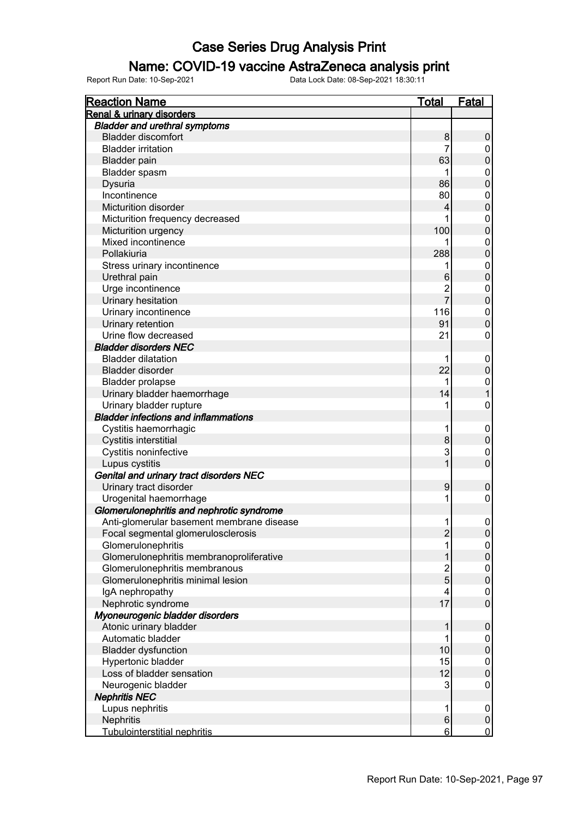### Name: COVID-19 vaccine AstraZeneca analysis print

| <b>Reaction Name</b>                        | Total          | <b>Fatal</b>     |
|---------------------------------------------|----------------|------------------|
| Renal & urinary disorders                   |                |                  |
| <b>Bladder and urethral symptoms</b>        |                |                  |
| <b>Bladder discomfort</b>                   | 8              | $\boldsymbol{0}$ |
| <b>Bladder irritation</b>                   | 7              | 0                |
| <b>Bladder</b> pain                         | 63             | $\overline{0}$   |
| Bladder spasm                               | 1              | $\mathbf 0$      |
| Dysuria                                     | 86             | $\overline{0}$   |
| Incontinence                                | 80             | $\mathbf{0}$     |
| Micturition disorder                        | 4              | $\overline{0}$   |
| Micturition frequency decreased             | 1              | $\mathbf{0}$     |
| Micturition urgency                         | 100            | $\overline{0}$   |
| Mixed incontinence                          |                | $\overline{0}$   |
| Pollakiuria                                 | 288            | $\overline{0}$   |
| Stress urinary incontinence                 | 1              | $\overline{0}$   |
| Urethral pain                               | $6\phantom{1}$ | $\overline{0}$   |
| Urge incontinence                           | $\overline{c}$ | $\mathbf{0}$     |
| Urinary hesitation                          | $\overline{7}$ | $\overline{0}$   |
| Urinary incontinence                        | 116            | $\overline{0}$   |
| Urinary retention                           | 91             | $\overline{0}$   |
| Urine flow decreased                        | 21             | $\mathbf 0$      |
| <b>Bladder disorders NEC</b>                |                |                  |
| <b>Bladder dilatation</b>                   | 1              | $\boldsymbol{0}$ |
| Bladder disorder                            | 22             | $\mathbf 0$      |
| <b>Bladder prolapse</b>                     | 1              | $\boldsymbol{0}$ |
| Urinary bladder haemorrhage                 | 14             | $\overline{1}$   |
| Urinary bladder rupture                     | 1              | $\mathbf 0$      |
| <b>Bladder infections and inflammations</b> |                |                  |
| Cystitis haemorrhagic                       | 1              | $\mathbf 0$      |
| Cystitis interstitial                       | 8              | $\mathbf 0$      |
| Cystitis noninfective                       | 3              | $\mathbf{0}$     |
| Lupus cystitis                              | $\overline{1}$ | $\overline{0}$   |
| Genital and urinary tract disorders NEC     |                |                  |
| Urinary tract disorder                      | 9              | $\boldsymbol{0}$ |
| Urogenital haemorrhage                      | 1              | $\mathbf 0$      |
| Glomerulonephritis and nephrotic syndrome   |                |                  |
| Anti-glomerular basement membrane disease   | 1              | $\mathbf 0$      |
| Focal segmental glomerulosclerosis          | 2              | $\boldsymbol{0}$ |
| Glomerulonephritis                          | 1              | $\boldsymbol{0}$ |
| Glomerulonephritis membranoproliferative    | 1              | $\pmb{0}$        |
| Glomerulonephritis membranous               | $\overline{2}$ | $\mathbf 0$      |
| Glomerulonephritis minimal lesion           | 5              | $\pmb{0}$        |
| IgA nephropathy                             | 4              | $\mathbf 0$      |
| Nephrotic syndrome                          | 17             | $\mathbf 0$      |
| Myoneurogenic bladder disorders             |                |                  |
| Atonic urinary bladder                      | 1              | $\boldsymbol{0}$ |
| Automatic bladder                           | 1              | $\mathbf 0$      |
| <b>Bladder dysfunction</b>                  | 10             | $\boldsymbol{0}$ |
| Hypertonic bladder                          | 15             | $\mathbf 0$      |
| Loss of bladder sensation                   | 12             | $\mathbf 0$      |
| Neurogenic bladder                          | 3              | $\boldsymbol{0}$ |
| <b>Nephritis NEC</b>                        |                |                  |
| Lupus nephritis                             | 1              | $\mathbf 0$      |
| Nephritis                                   | 6              | $\pmb{0}$        |
| Tubulointerstitial nephritis                | 6              | $\overline{0}$   |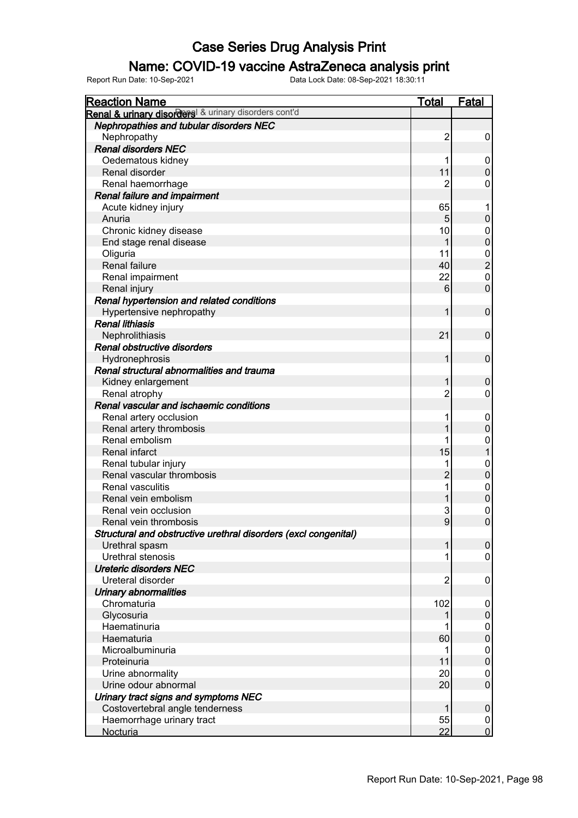#### Name: COVID-19 vaccine AstraZeneca analysis print

| <b>Reaction Name</b>                                            | <b>Total</b>   | <b>Fatal</b>     |
|-----------------------------------------------------------------|----------------|------------------|
| Renal & urinary disorders & urinary disorders cont'd            |                |                  |
| Nephropathies and tubular disorders NEC                         |                |                  |
| Nephropathy                                                     | $\overline{c}$ | 0                |
| <b>Renal disorders NEC</b>                                      |                |                  |
| Oedematous kidney                                               | 1              | 0                |
| Renal disorder                                                  | 11             | $\mathbf 0$      |
| Renal haemorrhage                                               | $\overline{2}$ | 0                |
| Renal failure and impairment                                    |                |                  |
| Acute kidney injury                                             | 65             | 1                |
| Anuria                                                          | 5              | $\pmb{0}$        |
| Chronic kidney disease                                          | 10             | 0                |
| End stage renal disease                                         | 1              | $\mathbf 0$      |
| Oliguria                                                        | 11             | $\pmb{0}$        |
| Renal failure                                                   | 40             | $\overline{c}$   |
| Renal impairment                                                | 22             | $\pmb{0}$        |
| Renal injury                                                    | 6              | $\overline{0}$   |
| Renal hypertension and related conditions                       |                |                  |
| Hypertensive nephropathy                                        | 1              | $\mathbf 0$      |
| <b>Renal lithiasis</b>                                          |                |                  |
| Nephrolithiasis                                                 | 21             | $\mathbf 0$      |
| Renal obstructive disorders                                     |                |                  |
| Hydronephrosis                                                  | 1              | $\mathbf 0$      |
| Renal structural abnormalities and trauma                       |                |                  |
| Kidney enlargement                                              | 1              | $\mathbf 0$      |
| Renal atrophy                                                   | $\overline{2}$ | 0                |
| Renal vascular and ischaemic conditions                         |                |                  |
| Renal artery occlusion                                          | 1              | 0                |
| Renal artery thrombosis                                         |                | $\boldsymbol{0}$ |
| Renal embolism                                                  |                | $\mathbf 0$      |
| Renal infarct                                                   | 15             | $\mathbf 1$      |
| Renal tubular injury                                            | 1              | $\mathbf 0$      |
| Renal vascular thrombosis                                       | $\overline{2}$ | $\pmb{0}$        |
| <b>Renal vasculitis</b>                                         | 1              | $\mathbf 0$      |
| Renal vein embolism                                             |                | $\overline{0}$   |
| Renal vein occlusion                                            | 3              | $\mathbf 0$      |
| Renal vein thrombosis                                           | 9              | $\overline{0}$   |
| Structural and obstructive urethral disorders (excl congenital) |                |                  |
| Urethral spasm                                                  | 1              | $\pmb{0}$        |
| Urethral stenosis                                               | 1              | $\pmb{0}$        |
| <b>Ureteric disorders NEC</b>                                   |                |                  |
| Ureteral disorder                                               | $\overline{2}$ | 0                |
| Urinary abnormalities                                           |                |                  |
| Chromaturia                                                     | 102            | 0                |
| Glycosuria                                                      | 1              | $\boldsymbol{0}$ |
| Haematinuria                                                    |                | $\pmb{0}$        |
| Haematuria                                                      | 60             | $\pmb{0}$        |
| Microalbuminuria                                                | 1              | $\boldsymbol{0}$ |
| Proteinuria                                                     | 11             | $\pmb{0}$        |
| Urine abnormality                                               | 20             | $\pmb{0}$        |
| Urine odour abnormal                                            | 20             | $\mathbf 0$      |
| Urinary tract signs and symptoms NEC                            |                |                  |
| Costovertebral angle tenderness                                 | 1              | $\pmb{0}$        |
| Haemorrhage urinary tract                                       | 55             | $\boldsymbol{0}$ |
| <b>Nocturia</b>                                                 | 22             | $\overline{0}$   |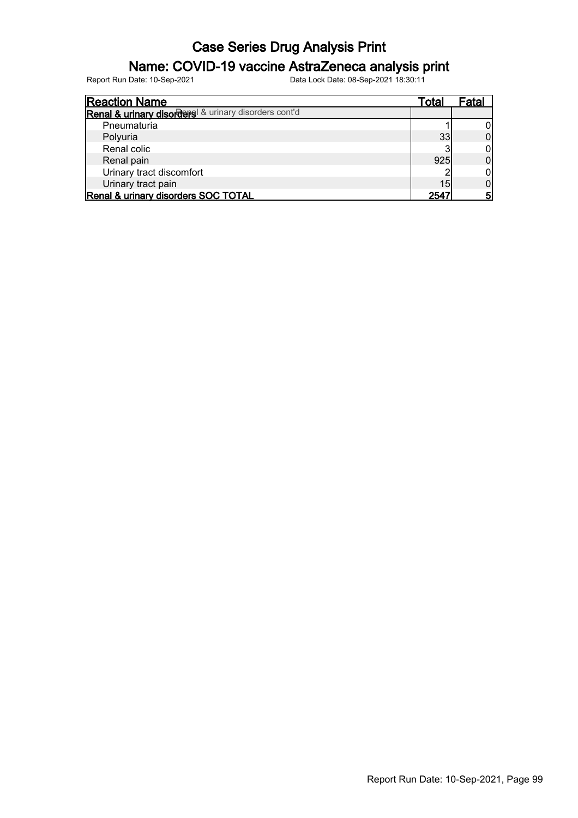### Name: COVID-19 vaccine AstraZeneca analysis print

| <b>Reaction Name</b>                                 | Total | ⊦atal |
|------------------------------------------------------|-------|-------|
| Renal & urinary disorders & urinary disorders cont'd |       |       |
| Pneumaturia                                          |       |       |
| Polyuria                                             | 33    |       |
| Renal colic                                          | ว     |       |
| Renal pain                                           | 925   |       |
| Urinary tract discomfort                             |       |       |
| Urinary tract pain                                   | 15    |       |
| Renal & urinary disorders SOC TOTAL                  | 2547  | 5     |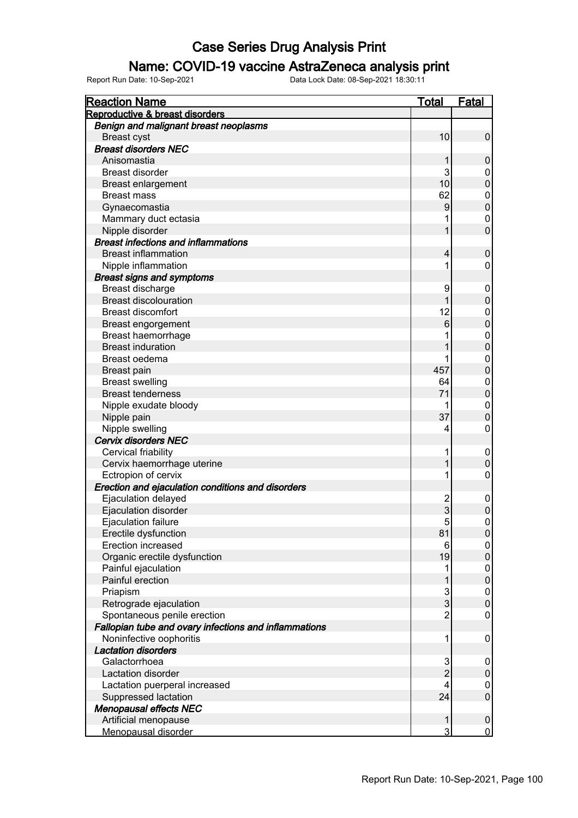#### Name: COVID-19 vaccine AstraZeneca analysis print

| <b>Reaction Name</b>                                  | <u>Total</u>        | <u>Fatal</u>     |
|-------------------------------------------------------|---------------------|------------------|
| Reproductive & breast disorders                       |                     |                  |
| Benign and malignant breast neoplasms                 |                     |                  |
| <b>Breast cyst</b>                                    | 10                  | $\pmb{0}$        |
| <b>Breast disorders NEC</b>                           |                     |                  |
| Anisomastia                                           | 1                   | 0                |
| <b>Breast disorder</b>                                | 3                   | 0                |
| <b>Breast enlargement</b>                             | 10                  | $\mathbf 0$      |
| <b>Breast mass</b>                                    | 62                  | 0                |
| Gynaecomastia                                         | 9                   | $\mathbf 0$      |
| Mammary duct ectasia                                  |                     | 0                |
| Nipple disorder                                       | 1                   | $\overline{0}$   |
| <b>Breast infections and inflammations</b>            |                     |                  |
| <b>Breast inflammation</b>                            | 4                   | $\mathbf 0$      |
| Nipple inflammation                                   | 1                   | 0                |
| <b>Breast signs and symptoms</b>                      |                     |                  |
| Breast discharge                                      | 9                   | 0                |
| <b>Breast discolouration</b>                          |                     | $\mathbf 0$      |
| <b>Breast discomfort</b>                              | 12                  | 0                |
| Breast engorgement                                    | $6\phantom{1}$      | $\mathbf 0$      |
| Breast haemorrhage                                    |                     | 0                |
| <b>Breast induration</b>                              |                     | $\mathbf 0$      |
| Breast oedema                                         |                     | 0                |
| Breast pain                                           | 457                 | $\mathbf 0$      |
| <b>Breast swelling</b>                                | 64                  | 0                |
| <b>Breast tenderness</b>                              | 71                  | $\overline{0}$   |
| Nipple exudate bloody                                 | 1                   | $\boldsymbol{0}$ |
| Nipple pain                                           | 37                  | $\mathbf 0$      |
| Nipple swelling                                       | 4                   | $\mathbf 0$      |
| <b>Cervix disorders NEC</b>                           |                     |                  |
| Cervical friability                                   | 1                   | $\mathbf 0$      |
| Cervix haemorrhage uterine                            |                     | $\mathbf 0$      |
| Ectropion of cervix                                   | 1                   | $\mathbf 0$      |
| Erection and ejaculation conditions and disorders     |                     |                  |
| Ejaculation delayed                                   | $\overline{c}$      | 0                |
| Ejaculation disorder                                  | 3                   | $\pmb{0}$        |
| Ejaculation failure                                   | 5                   | $\mathbf 0$      |
| Erectile dysfunction                                  | 81                  | $\overline{0}$   |
| Erection increased                                    | 6                   | $\overline{0}$   |
| Organic erectile dysfunction                          | 19                  | $\pmb{0}$        |
| Painful ejaculation                                   | 1                   | 0                |
| Painful erection                                      | 1                   | $\pmb{0}$        |
| Priapism                                              | 3                   | 0                |
| Retrograde ejaculation                                | 3                   | $\mathbf 0$      |
| Spontaneous penile erection                           | $\overline{2}$      | 0                |
| Fallopian tube and ovary infections and inflammations |                     |                  |
| Noninfective oophoritis                               | 1                   | $\mathbf 0$      |
| <b>Lactation disorders</b>                            |                     |                  |
| Galactorrhoea                                         |                     |                  |
| Lactation disorder                                    | 3<br>$\overline{2}$ | 0<br>$\pmb{0}$   |
|                                                       | 4                   |                  |
| Lactation puerperal increased                         | 24                  | 0<br>$\mathsf 0$ |
| Suppressed lactation                                  |                     |                  |
| <b>Menopausal effects NEC</b><br>Artificial menopause | 1                   | $\pmb{0}$        |
| Menopausal disorder                                   | 3                   | $\mathbf 0$      |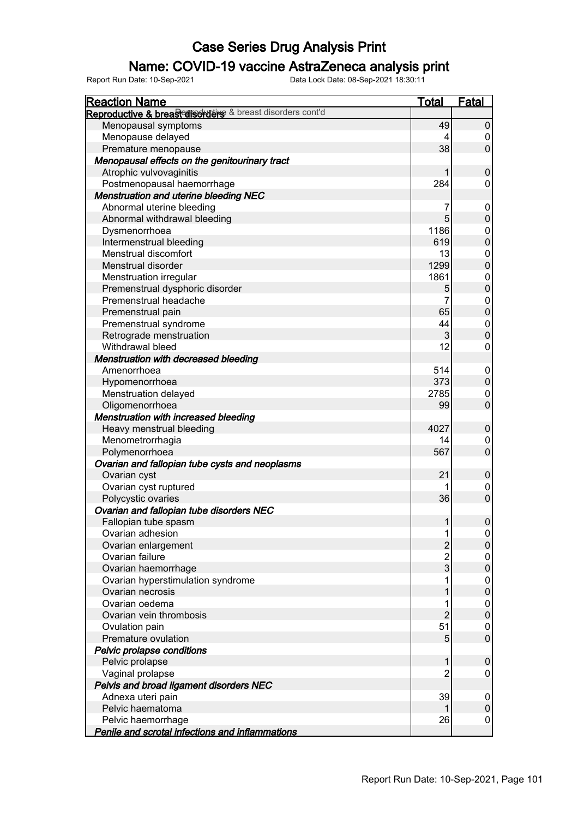### Name: COVID-19 vaccine AstraZeneca analysis print

| <b>Reaction Name</b>                                      | <b>Total</b>   | Fatal            |
|-----------------------------------------------------------|----------------|------------------|
| Reproductive & breast disorders & breast disorders cont'd |                |                  |
| Menopausal symptoms                                       | 49             | $\pmb{0}$        |
| Menopause delayed                                         |                | 0                |
| Premature menopause                                       | 38             | $\pmb{0}$        |
| Menopausal effects on the genitourinary tract             |                |                  |
| Atrophic vulvovaginitis                                   |                | $\mathbf 0$      |
| Postmenopausal haemorrhage                                | 284            | 0                |
| <b>Menstruation and uterine bleeding NEC</b>              |                |                  |
| Abnormal uterine bleeding                                 | 7              | 0                |
| Abnormal withdrawal bleeding                              | 5              | $\mathsf 0$      |
| Dysmenorrhoea                                             | 1186           | 0                |
| Intermenstrual bleeding                                   | 619            | $\mathbf 0$      |
| Menstrual discomfort                                      | 13             | $\boldsymbol{0}$ |
| Menstrual disorder                                        | 1299           | $\mathbf 0$      |
| Menstruation irregular                                    | 1861           | $\boldsymbol{0}$ |
| Premenstrual dysphoric disorder                           | 5              | $\overline{0}$   |
| Premenstrual headache                                     | 7              | $\boldsymbol{0}$ |
| Premenstrual pain                                         | 65             | $\overline{0}$   |
| Premenstrual syndrome                                     | 44             | $\boldsymbol{0}$ |
| Retrograde menstruation                                   | 3              | $\pmb{0}$        |
| Withdrawal bleed                                          | 12             | 0                |
| Menstruation with decreased bleeding                      |                |                  |
| Amenorrhoea                                               | 514            | 0                |
| Hypomenorrhoea                                            | 373            | $\mathsf 0$      |
| Menstruation delayed                                      | 2785           | 0                |
| Oligomenorrhoea                                           | 99             | $\mathbf 0$      |
| <b>Menstruation with increased bleeding</b>               |                |                  |
| Heavy menstrual bleeding                                  | 4027           | $\pmb{0}$        |
| Menometrorrhagia                                          | 14             | 0                |
| Polymenorrhoea                                            | 567            | $\mathbf 0$      |
| Ovarian and fallopian tube cysts and neoplasms            |                |                  |
| Ovarian cyst                                              | 21             | $\pmb{0}$        |
| Ovarian cyst ruptured                                     |                | 0                |
| Polycystic ovaries                                        | 36             | $\overline{0}$   |
| Ovarian and fallopian tube disorders NEC                  |                |                  |
| Fallopian tube spasm                                      | 1              | $\mathsf 0$      |
| Ovarian adhesion                                          | 1              | 0                |
| Ovarian enlargement                                       | $\overline{c}$ | $\pmb{0}$        |
| Ovarian failure                                           | $\overline{c}$ | 0                |
| Ovarian haemorrhage                                       | 3              | $\pmb{0}$        |
| Ovarian hyperstimulation syndrome                         |                | 0                |
| Ovarian necrosis                                          |                | $\pmb{0}$        |
| Ovarian oedema                                            |                | 0                |
| Ovarian vein thrombosis                                   | $\overline{2}$ | $\overline{0}$   |
| Ovulation pain                                            | 51             | 0                |
| Premature ovulation                                       | 5              | $\mathbf 0$      |
| Pelvic prolapse conditions                                |                |                  |
| Pelvic prolapse                                           | 1              | 0                |
| Vaginal prolapse                                          | 2              | 0                |
| Pelvis and broad ligament disorders NEC                   |                |                  |
| Adnexa uteri pain                                         | 39             | 0                |
| Pelvic haematoma                                          |                | $\pmb{0}$        |
| Pelvic haemorrhage                                        | 26             | 0                |
| Penile and scrotal infections and inflammations           |                |                  |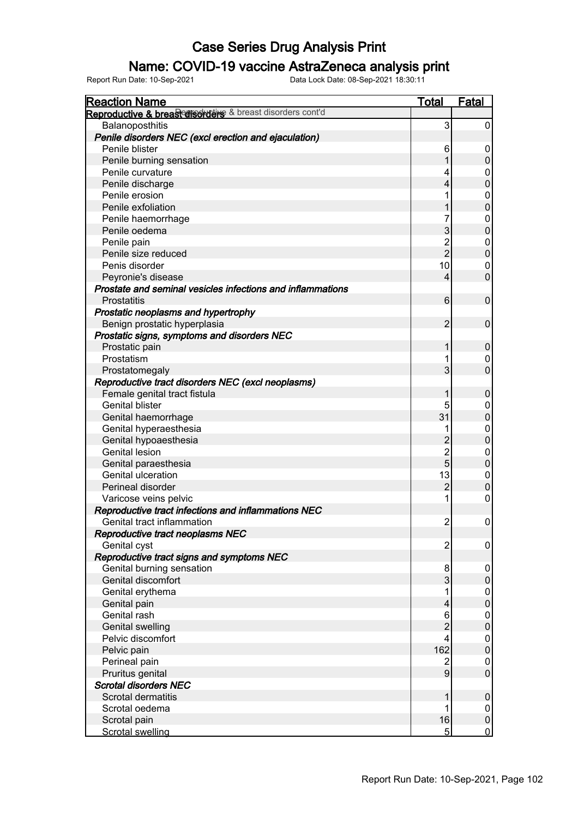### Name: COVID-19 vaccine AstraZeneca analysis print

| <b>Reaction Name</b>                                       | <b>Total</b>   | <b>Fatal</b>     |
|------------------------------------------------------------|----------------|------------------|
| Reproductive & breasconsorutive & breast disorders cont'd  |                |                  |
| Balanoposthitis                                            | 3              | 0                |
| Penile disorders NEC (excl erection and ejaculation)       |                |                  |
| Penile blister                                             | 6              | 0                |
| Penile burning sensation                                   |                | $\pmb{0}$        |
| Penile curvature                                           | 4              | 0                |
| Penile discharge                                           | 4              | $\pmb{0}$        |
| Penile erosion                                             |                | 0                |
| Penile exfoliation                                         |                | $\mathbf 0$      |
| Penile haemorrhage                                         | 7              | 0                |
| Penile oedema                                              | 3              | $\mathbf 0$      |
| Penile pain                                                | $\overline{2}$ | 0                |
| Penile size reduced                                        | $\overline{2}$ | $\pmb{0}$        |
| Penis disorder                                             | 10             | 0                |
| Peyronie's disease                                         | $\overline{4}$ | $\mathbf 0$      |
| Prostate and seminal vesicles infections and inflammations |                |                  |
| <b>Prostatitis</b>                                         | 6              | $\mathbf 0$      |
| Prostatic neoplasms and hypertrophy                        |                |                  |
| Benign prostatic hyperplasia                               | $\overline{2}$ | $\mathbf 0$      |
| Prostatic signs, symptoms and disorders NEC                |                |                  |
| Prostatic pain                                             | 1              | $\pmb{0}$        |
| Prostatism                                                 |                | 0                |
| Prostatomegaly                                             | 3              | $\mathbf 0$      |
| Reproductive tract disorders NEC (excl neoplasms)          |                |                  |
| Female genital tract fistula                               |                | $\pmb{0}$        |
| <b>Genital blister</b>                                     | 5              | 0                |
| Genital haemorrhage                                        | 31             | $\pmb{0}$        |
| Genital hyperaesthesia                                     | 1              | 0                |
| Genital hypoaesthesia                                      | $\overline{2}$ | $\boldsymbol{0}$ |
| <b>Genital lesion</b>                                      | $\overline{2}$ | 0                |
| Genital paraesthesia                                       | 5              | $\boldsymbol{0}$ |
| Genital ulceration                                         | 13             | 0                |
| Perineal disorder                                          | $\overline{2}$ | $\pmb{0}$        |
| Varicose veins pelvic                                      |                | 0                |
| Reproductive tract infections and inflammations NEC        |                |                  |
| Genital tract inflammation                                 | 2              | 0                |
| Reproductive tract neoplasms NEC                           |                |                  |
| Genital cyst                                               | 2              | 0                |
| Reproductive tract signs and symptoms NEC                  |                |                  |
| Genital burning sensation                                  | 8              | 0                |
| Genital discomfort                                         | 3              | $\pmb{0}$        |
| Genital erythema                                           | 1              | 0                |
| Genital pain                                               | 4              | $\boldsymbol{0}$ |
| Genital rash                                               | 6              | 0                |
| <b>Genital swelling</b>                                    | $\overline{c}$ | $\boldsymbol{0}$ |
| Pelvic discomfort                                          | 4              | 0                |
| Pelvic pain                                                | 162            | $\pmb{0}$        |
| Perineal pain                                              | 2              | 0                |
| Pruritus genital                                           | 9              | $\mathsf 0$      |
| <b>Scrotal disorders NEC</b>                               |                |                  |
| <b>Scrotal dermatitis</b>                                  | 1              | $\pmb{0}$        |
| Scrotal oedema                                             | 1              | 0                |
| Scrotal pain                                               | 16             | $\pmb{0}$        |
| <b>Scrotal swelling</b>                                    | 5              | $\overline{0}$   |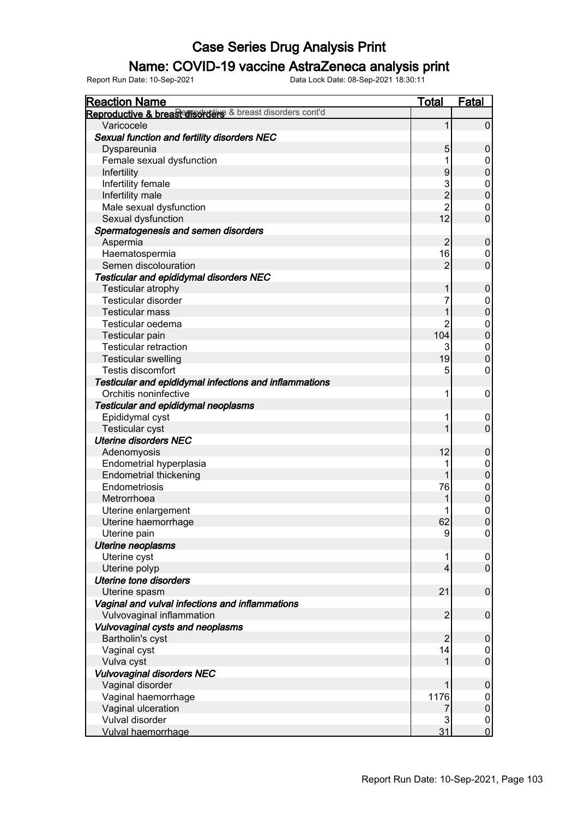### Name: COVID-19 vaccine AstraZeneca analysis print

| <b>Reaction Name</b>                                      | <b>Total</b>   | <b>Fatal</b>     |
|-----------------------------------------------------------|----------------|------------------|
| Reproductive & breasterisorders & breast disorders cont'd |                |                  |
| Varicocele                                                | 1              | $\mathbf 0$      |
| Sexual function and fertility disorders NEC               |                |                  |
| Dyspareunia                                               | 5              | $\mathbf 0$      |
| Female sexual dysfunction                                 | 1              | 0                |
| Infertility                                               | 9              | $\pmb{0}$        |
| Infertility female                                        | 3              | 0                |
| Infertility male                                          | $\overline{c}$ | $\mathbf 0$      |
| Male sexual dysfunction                                   | $\overline{2}$ | 0                |
| Sexual dysfunction                                        | 12             | $\overline{0}$   |
| Spermatogenesis and semen disorders                       |                |                  |
| Aspermia                                                  | $\overline{2}$ | $\mathbf 0$      |
| Haematospermia                                            | 16             | 0                |
| Semen discolouration                                      | $\overline{2}$ | $\overline{0}$   |
| <b>Testicular and epididymal disorders NEC</b>            |                |                  |
| Testicular atrophy                                        | 1              | $\mathbf 0$      |
| Testicular disorder                                       | 7              | 0                |
| <b>Testicular mass</b>                                    | 1              | $\pmb{0}$        |
| Testicular oedema                                         | 2              | 0                |
| Testicular pain                                           | 104            | $\pmb{0}$        |
| <b>Testicular retraction</b>                              | 3              | 0                |
| <b>Testicular swelling</b>                                | 19             | $\mathbf 0$      |
| <b>Testis discomfort</b>                                  | 5              | 0                |
| Testicular and epididymal infections and inflammations    |                |                  |
| Orchitis noninfective                                     | 1              | $\mathbf 0$      |
| Testicular and epididymal neoplasms                       |                |                  |
| Epididymal cyst                                           | 1              | $\overline{0}$   |
| Testicular cyst                                           | 1              | $\mathbf 0$      |
| <b>Uterine disorders NEC</b>                              |                |                  |
| Adenomyosis                                               | 12             | $\boldsymbol{0}$ |
| Endometrial hyperplasia                                   |                | $\mathbf 0$      |
| <b>Endometrial thickening</b>                             | 1              | $\pmb{0}$        |
| Endometriosis                                             | 76             | $\mathbf 0$      |
| Metrorrhoea                                               |                | $\pmb{0}$        |
| Uterine enlargement                                       |                | $\mathbf 0$      |
| Uterine haemorrhage                                       | 62             | $\boldsymbol{0}$ |
| Uterine pain                                              | 9              | 0                |
| Uterine neoplasms                                         |                |                  |
| Uterine cyst                                              | 1              | 0                |
| Uterine polyp                                             | $\overline{4}$ | $\mathbf 0$      |
| <b>Uterine tone disorders</b>                             |                |                  |
| Uterine spasm                                             | 21             | $\mathbf 0$      |
| Vaginal and vulval infections and inflammations           |                |                  |
| Vulvovaginal inflammation                                 | $\overline{2}$ | $\mathbf 0$      |
| Vulvovaginal cysts and neoplasms                          |                |                  |
| Bartholin's cyst                                          | $\overline{2}$ | $\mathbf 0$      |
| Vaginal cyst                                              | 14             | 0                |
| Vulva cyst                                                |                | $\mathbf 0$      |
| <b>Vulvovaginal disorders NEC</b>                         |                |                  |
| Vaginal disorder                                          | 1              | $\mathbf 0$      |
| Vaginal haemorrhage                                       | 1176           | $\mathbf 0$      |
| Vaginal ulceration                                        |                | $\pmb{0}$        |
| Vulval disorder                                           | 3              | $\mathbf 0$      |
| Vulval haemorrhage                                        | 31             | $\overline{0}$   |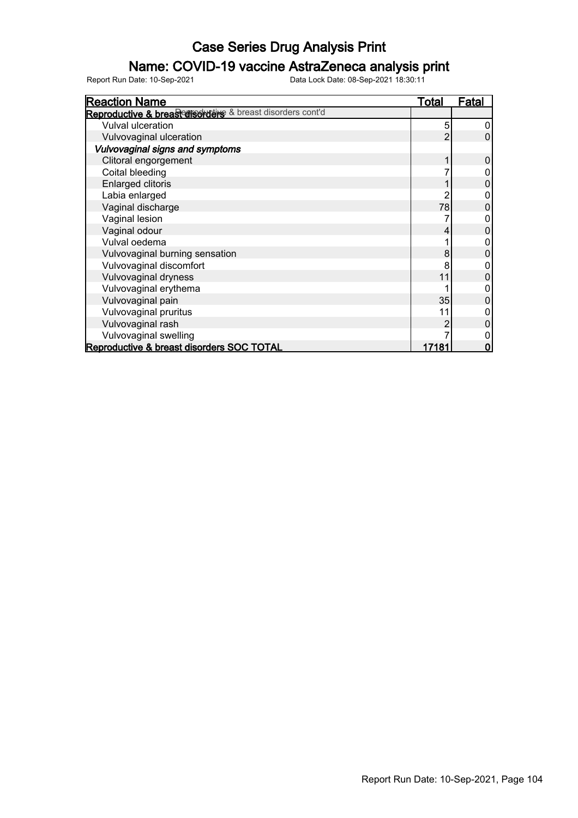### Name: COVID-19 vaccine AstraZeneca analysis print

| <b>Reaction Name</b>                                      | Total | Fatal |
|-----------------------------------------------------------|-------|-------|
| Reproductive & breasterisorders & breast disorders cont'd |       |       |
| <b>Vulval ulceration</b>                                  | 5     |       |
| Vulvovaginal ulceration                                   | 2     | 0     |
| Vulvovaginal signs and symptoms                           |       |       |
| Clitoral engorgement                                      |       | 0     |
| Coital bleeding                                           |       |       |
| <b>Enlarged clitoris</b>                                  |       |       |
| Labia enlarged                                            |       |       |
| Vaginal discharge                                         | 78    |       |
| Vaginal lesion                                            |       |       |
| Vaginal odour                                             | 4     | 0     |
| Vulval oedema                                             |       |       |
| Vulvovaginal burning sensation                            | 8     |       |
| Vulvovaginal discomfort                                   |       |       |
| Vulvovaginal dryness                                      | 11    |       |
| Vulvovaginal erythema                                     |       |       |
| Vulvovaginal pain                                         | 35    | 0     |
| Vulvovaginal pruritus                                     | 11    |       |
| Vulvovaginal rash                                         |       |       |
| Vulvovaginal swelling                                     |       |       |
| Reproductive & breast disorders SOC TOTAL                 | 17181 |       |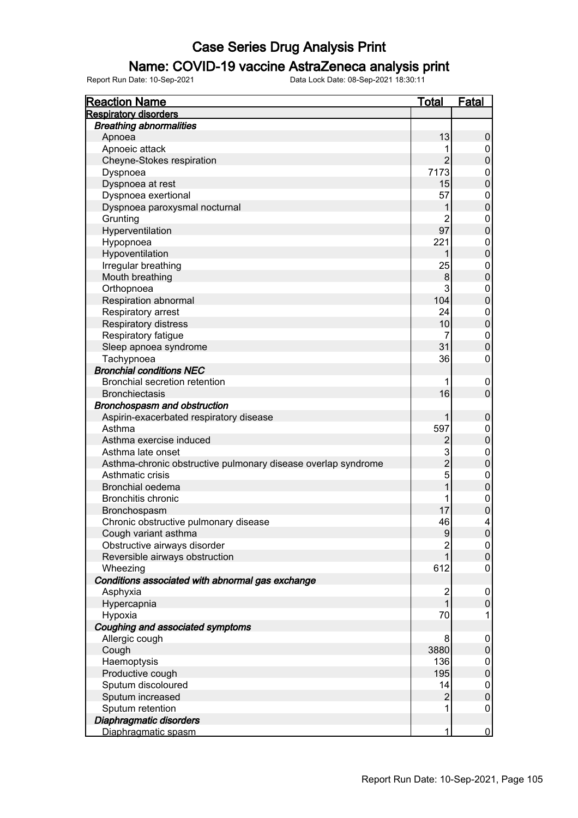### Name: COVID-19 vaccine AstraZeneca analysis print

| <b>Reaction Name</b>                                          | <u>Total</u>   | <u>Fatal</u>     |
|---------------------------------------------------------------|----------------|------------------|
| <b>Respiratory disorders</b>                                  |                |                  |
| <b>Breathing abnormalities</b>                                |                |                  |
| Apnoea                                                        | 13             | 0                |
| Apnoeic attack                                                | 1              | 0                |
| Cheyne-Stokes respiration                                     | $\overline{2}$ | $\mathbf 0$      |
| Dyspnoea                                                      | 7173           | $\overline{0}$   |
| Dyspnoea at rest                                              | 15             | $\overline{0}$   |
| Dyspnoea exertional                                           | 57             | $\overline{0}$   |
| Dyspnoea paroxysmal nocturnal                                 | 1              | $\overline{0}$   |
| Grunting                                                      | 2              | $\overline{0}$   |
| Hyperventilation                                              | 97             | $\overline{0}$   |
| Hypopnoea                                                     | 221            | $\overline{0}$   |
| Hypoventilation                                               | 1              | $\overline{0}$   |
| Irregular breathing                                           | 25             | $\mathbf{0}$     |
| Mouth breathing                                               | 8              | $\overline{0}$   |
| Orthopnoea                                                    | 3              | $\overline{0}$   |
| Respiration abnormal                                          | 104            | $\overline{0}$   |
| Respiratory arrest                                            | 24             | $\mathbf{0}$     |
| Respiratory distress                                          | 10             | $\overline{0}$   |
| Respiratory fatigue                                           | 7              | $\mathbf{0}$     |
| Sleep apnoea syndrome                                         | 31             | $\overline{0}$   |
| Tachypnoea                                                    | 36             | $\mathbf 0$      |
| <b>Bronchial conditions NEC</b>                               |                |                  |
| Bronchial secretion retention                                 | 1              | $\mathbf 0$      |
| <b>Bronchiectasis</b>                                         | 16             | $\mathbf 0$      |
| Bronchospasm and obstruction                                  |                |                  |
| Aspirin-exacerbated respiratory disease                       | 1              | $\mathbf 0$      |
| Asthma                                                        | 597            | $\mathbf 0$      |
| Asthma exercise induced                                       | $\overline{2}$ | $\overline{0}$   |
| Asthma late onset                                             | 3              | $\mathbf{0}$     |
| Asthma-chronic obstructive pulmonary disease overlap syndrome | $\overline{2}$ | $\overline{0}$   |
| Asthmatic crisis                                              | 5              | $\mathbf{0}$     |
| Bronchial oedema                                              |                | $\overline{0}$   |
| <b>Bronchitis chronic</b>                                     | 1              | $\mathbf{0}$     |
| Bronchospasm                                                  | 17             | $\overline{0}$   |
| Chronic obstructive pulmonary disease                         | 46             | 4                |
| Cough variant asthma                                          | 9              | $\boldsymbol{0}$ |
| Obstructive airways disorder                                  | $\overline{c}$ | 0                |
| Reversible airways obstruction                                |                | 0                |
| Wheezing                                                      | 612            | $\mathbf 0$      |
| Conditions associated with abnormal gas exchange              |                |                  |
| Asphyxia                                                      | $\overline{2}$ | $\mathbf 0$      |
| Hypercapnia                                                   |                | 0                |
| Hypoxia                                                       | 70             | 1                |
| Coughing and associated symptoms                              |                |                  |
| Allergic cough                                                | 8              | $\mathbf 0$      |
| Cough                                                         | 3880           | 0                |
| Haemoptysis                                                   | 136            | 0                |
| Productive cough                                              | 195            | $\boldsymbol{0}$ |
| Sputum discoloured                                            | 14             | $\mathbf 0$      |
| Sputum increased                                              | $\overline{2}$ | $\pmb{0}$        |
| Sputum retention                                              | 1              | $\mathbf 0$      |
| Diaphragmatic disorders                                       |                |                  |
| Diaphragmatic spasm                                           | 1              | $\overline{0}$   |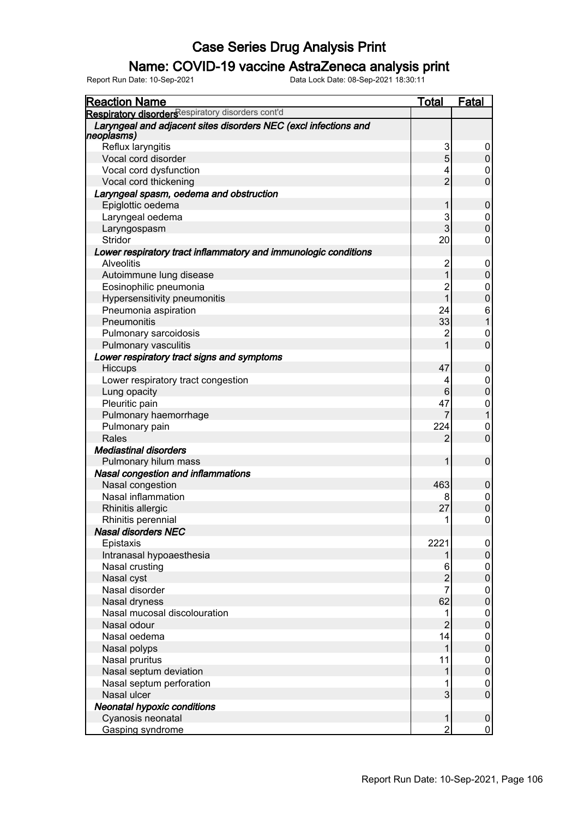#### Name: COVID-19 vaccine AstraZeneca analysis print

| <b>Reaction Name</b>                                                          | Total          | <b>Fatal</b>     |
|-------------------------------------------------------------------------------|----------------|------------------|
| Respiratory disorders espiratory disorders cont'd                             |                |                  |
| Laryngeal and adjacent sites disorders NEC (excl infections and<br>neoplasms) |                |                  |
| Reflux laryngitis                                                             | 3              | 0                |
| Vocal cord disorder                                                           | 5              | $\pmb{0}$        |
| Vocal cord dysfunction                                                        | 4              | 0                |
| Vocal cord thickening                                                         | $\overline{2}$ | $\mathbf 0$      |
| Laryngeal spasm, oedema and obstruction                                       |                |                  |
| Epiglottic oedema                                                             | 1              | $\mathbf 0$      |
| Laryngeal oedema                                                              | 3              | 0                |
| Laryngospasm                                                                  | 3              | $\mathbf 0$      |
| <b>Stridor</b>                                                                | 20             | $\mathbf 0$      |
| Lower respiratory tract inflammatory and immunologic conditions               |                |                  |
| <b>Alveolitis</b>                                                             | $\overline{2}$ | 0                |
| Autoimmune lung disease                                                       | 1              | $\pmb{0}$        |
| Eosinophilic pneumonia                                                        | $\overline{2}$ | 0                |
| Hypersensitivity pneumonitis                                                  | $\mathbf 1$    | $\boldsymbol{0}$ |
| Pneumonia aspiration                                                          | 24             | 6                |
| Pneumonitis                                                                   | 33             | $\mathbf{1}$     |
| Pulmonary sarcoidosis                                                         | $\overline{2}$ | 0                |
| Pulmonary vasculitis                                                          | 1              | $\mathbf 0$      |
| Lower respiratory tract signs and symptoms                                    |                |                  |
| Hiccups                                                                       | 47             | 0                |
| Lower respiratory tract congestion                                            | 4              | 0                |
| Lung opacity                                                                  | 6              | $\boldsymbol{0}$ |
| Pleuritic pain                                                                | 47             | 0                |
| Pulmonary haemorrhage                                                         | $\overline{7}$ | $\mathbf{1}$     |
| Pulmonary pain                                                                | 224            | 0                |
| Rales                                                                         | $\overline{2}$ | $\mathbf 0$      |
| <b>Mediastinal disorders</b>                                                  |                |                  |
| Pulmonary hilum mass                                                          | 1              | $\pmb{0}$        |
| <b>Nasal congestion and inflammations</b>                                     |                |                  |
| Nasal congestion                                                              | 463            | $\boldsymbol{0}$ |
| Nasal inflammation                                                            | 8              | 0                |
| Rhinitis allergic                                                             | 27             | $\mathbf 0$      |
| Rhinitis perennial                                                            | 1              | 0                |
| <b>Nasal disorders NEC</b>                                                    |                |                  |
| Epistaxis                                                                     | 2221           | 0                |
| Intranasal hypoaesthesia                                                      | 1              | $\pmb{0}$        |
| Nasal crusting                                                                | 6              | 0                |
| Nasal cyst                                                                    | $\overline{c}$ | 0                |
| Nasal disorder                                                                | 7              | 0                |
| Nasal dryness                                                                 | 62             | 0                |
| Nasal mucosal discolouration                                                  |                | 0                |
| Nasal odour                                                                   | $\overline{2}$ | 0                |
| Nasal oedema                                                                  | 14             | 0                |
| Nasal polyps                                                                  | 1              | 0                |
| Nasal pruritus                                                                | 11             | 0                |
| Nasal septum deviation                                                        |                | 0                |
| Nasal septum perforation                                                      |                | 0                |
| Nasal ulcer                                                                   | 3              | $\pmb{0}$        |
| <b>Neonatal hypoxic conditions</b>                                            |                |                  |
| Cyanosis neonatal                                                             | 1              | $\boldsymbol{0}$ |
| Gasping syndrome                                                              | $\overline{2}$ | 0                |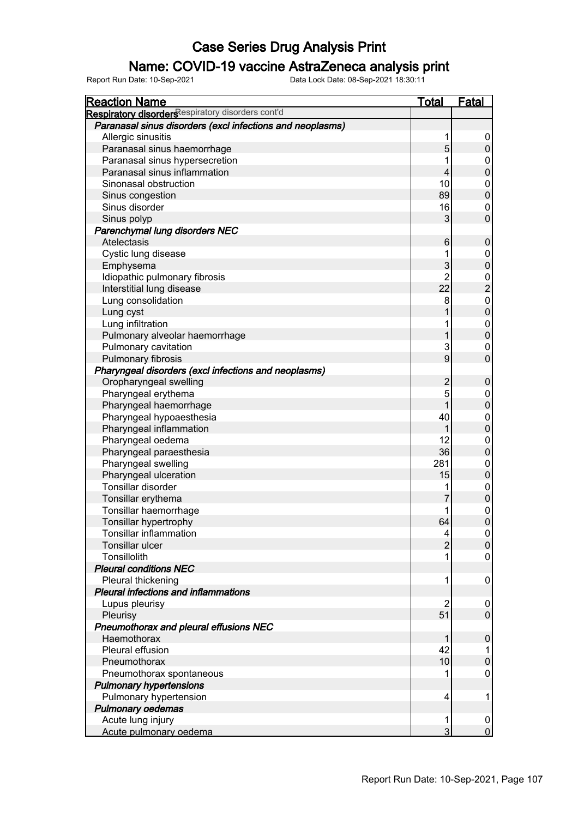#### Name: COVID-19 vaccine AstraZeneca analysis print

| <b>Reaction Name</b>                                      | Total          | <b>Fatal</b>        |
|-----------------------------------------------------------|----------------|---------------------|
| Respiratory disorders espiratory disorders cont'd         |                |                     |
| Paranasal sinus disorders (excl infections and neoplasms) |                |                     |
| Allergic sinusitis                                        | 1              | 0                   |
| Paranasal sinus haemorrhage                               | 5              | $\mathsf 0$         |
| Paranasal sinus hypersecretion                            |                | 0                   |
| Paranasal sinus inflammation                              | $\overline{4}$ | $\mathbf 0$         |
| Sinonasal obstruction                                     | 10             | 0                   |
| Sinus congestion                                          | 89             | $\mathbf 0$         |
| Sinus disorder                                            | 16             | 0                   |
| Sinus polyp                                               | 3              | $\mathbf 0$         |
| Parenchymal lung disorders NEC                            |                |                     |
| Atelectasis                                               | 6              | $\mathbf 0$         |
| Cystic lung disease                                       |                | 0                   |
| Emphysema                                                 | 3              | $\pmb{0}$           |
| Idiopathic pulmonary fibrosis                             | 2              | 0                   |
| Interstitial lung disease                                 | 22             | $\overline{c}$      |
| Lung consolidation                                        | 8              | $\mathbf 0$         |
| Lung cyst                                                 |                | $\mathbf 0$         |
| Lung infiltration                                         |                | 0                   |
| Pulmonary alveolar haemorrhage                            |                | $\pmb{0}$           |
| Pulmonary cavitation                                      | 3              | 0                   |
|                                                           | 9              | $\mathbf 0$         |
| Pulmonary fibrosis                                        |                |                     |
| Pharyngeal disorders (excl infections and neoplasms)      |                |                     |
| Oropharyngeal swelling                                    | $\overline{c}$ | $\pmb{0}$           |
| Pharyngeal erythema                                       | 5              | 0                   |
| Pharyngeal haemorrhage                                    |                | $\boldsymbol{0}$    |
| Pharyngeal hypoaesthesia                                  | 40             | 0                   |
| Pharyngeal inflammation                                   |                | $\boldsymbol{0}$    |
| Pharyngeal oedema                                         | 12             | 0                   |
| Pharyngeal paraesthesia                                   | 36             | $\pmb{0}$           |
| Pharyngeal swelling                                       | 281            | 0                   |
| Pharyngeal ulceration                                     | 15             | $\boldsymbol{0}$    |
| Tonsillar disorder                                        |                | 0                   |
| Tonsillar erythema                                        |                | $\boldsymbol{0}$    |
| Tonsillar haemorrhage                                     |                | $\mathbf 0$         |
| Tonsillar hypertrophy                                     | 64             | $\mathbf 0$         |
| <b>Tonsillar inflammation</b>                             | 4              | $\overline{0}$      |
| Tonsillar ulcer                                           | $\overline{2}$ | $\mathsf{O}\xspace$ |
| Tonsillolith                                              |                | 0                   |
| <b>Pleural conditions NEC</b>                             |                |                     |
| Pleural thickening                                        | 1              | 0                   |
| <b>Pleural infections and inflammations</b>               |                |                     |
| Lupus pleurisy                                            | 2              | 0                   |
| Pleurisy                                                  | 51             | $\mathsf 0$         |
| Pneumothorax and pleural effusions NEC                    |                |                     |
| Haemothorax                                               |                | $\pmb{0}$           |
| Pleural effusion                                          | 42             | 1                   |
| Pneumothorax                                              | 10             | $\boldsymbol{0}$    |
| Pneumothorax spontaneous                                  |                | 0                   |
| <b>Pulmonary hypertensions</b>                            |                |                     |
| Pulmonary hypertension                                    | 4              | 1                   |
| <b>Pulmonary oedemas</b>                                  |                |                     |
| Acute lung injury                                         | 1              | $\boldsymbol{0}$    |
| Acute pulmonary oedema                                    | 3              | $\overline{0}$      |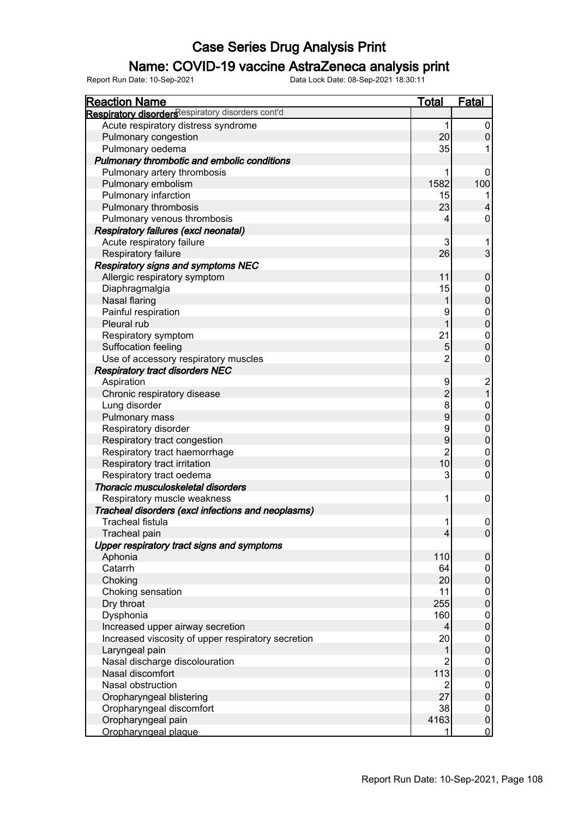### Name: COVID-19 vaccine AstraZeneca analysis print

| <b>Reaction Name</b>                               | <b>Total</b>   | <b>Fatal</b>                          |
|----------------------------------------------------|----------------|---------------------------------------|
| Respiratory disorders espiratory disorders cont'd  |                |                                       |
| Acute respiratory distress syndrome                | 1              | 0                                     |
| Pulmonary congestion                               | 20             | $\mathbf 0$                           |
| Pulmonary oedema                                   | 35             |                                       |
| Pulmonary thrombotic and embolic conditions        |                |                                       |
| Pulmonary artery thrombosis                        |                | 0                                     |
| Pulmonary embolism                                 | 1582           | 100                                   |
| Pulmonary infarction                               | 15             |                                       |
| Pulmonary thrombosis                               | 23             | 4                                     |
| Pulmonary venous thrombosis                        | 4              | 0                                     |
| Respiratory failures (excl neonatal)               |                |                                       |
| Acute respiratory failure                          | 3              | 1                                     |
| Respiratory failure                                | 26             | 3                                     |
| <b>Respiratory signs and symptoms NEC</b>          |                |                                       |
| Allergic respiratory symptom                       | 11             | $\pmb{0}$                             |
| Diaphragmalgia                                     | 15             | 0                                     |
| Nasal flaring                                      | 1              | $\overline{0}$                        |
| Painful respiration                                | 9              | $\boldsymbol{0}$                      |
| Pleural rub                                        |                | $\overline{0}$                        |
| Respiratory symptom                                | 21             | $\mathbf 0$                           |
| Suffocation feeling                                | 5              | $\mathbf 0$                           |
| Use of accessory respiratory muscles               | $\overline{c}$ | $\mathsf 0$                           |
| <b>Respiratory tract disorders NEC</b>             |                |                                       |
|                                                    | 9              |                                       |
| Aspiration                                         | $\overline{c}$ | $\begin{array}{c} 2 \\ 1 \end{array}$ |
| Chronic respiratory disease                        |                |                                       |
| Lung disorder                                      | 8<br>9         | 0                                     |
| Pulmonary mass                                     |                | $\overline{0}$                        |
| Respiratory disorder                               | 9              | $\mathbf 0$                           |
| Respiratory tract congestion                       | 9              | $\overline{0}$                        |
| Respiratory tract haemorrhage                      | $\overline{2}$ | $\overline{0}$                        |
| Respiratory tract irritation                       | 10             | $\overline{0}$                        |
| Respiratory tract oedema                           | 3              | $\mathbf 0$                           |
| Thoracic musculoskeletal disorders                 |                |                                       |
| Respiratory muscle weakness                        | 1              | $\boldsymbol{0}$                      |
| Tracheal disorders (excl infections and neoplasms) |                |                                       |
| <b>Tracheal fistula</b>                            | 1              | 0                                     |
| Tracheal pain                                      | 4              | $\overline{0}$                        |
| Upper respiratory tract signs and symptoms         |                |                                       |
| Aphonia                                            | 110            | $\pmb{0}$                             |
| Catarrh                                            | 64             | 0                                     |
| Choking                                            | 20             | $\pmb{0}$                             |
| Choking sensation                                  | 11             | 0                                     |
| Dry throat                                         | 255            | $\pmb{0}$                             |
| Dysphonia                                          | 160            | 0                                     |
| Increased upper airway secretion                   | 4              | $\pmb{0}$                             |
| Increased viscosity of upper respiratory secretion | 20             | 0                                     |
| Laryngeal pain                                     |                | $\pmb{0}$                             |
| Nasal discharge discolouration                     | 2              | 0                                     |
| Nasal discomfort                                   | 113            | $\pmb{0}$                             |
| Nasal obstruction                                  | $\overline{2}$ | 0                                     |
| Oropharyngeal blistering                           | 27             | $\pmb{0}$                             |
| Oropharyngeal discomfort                           | 38             | $\mathbf 0$                           |
| Oropharyngeal pain                                 | 4163           | $\pmb{0}$                             |
| Oropharyngeal plaque                               |                | $\overline{0}$                        |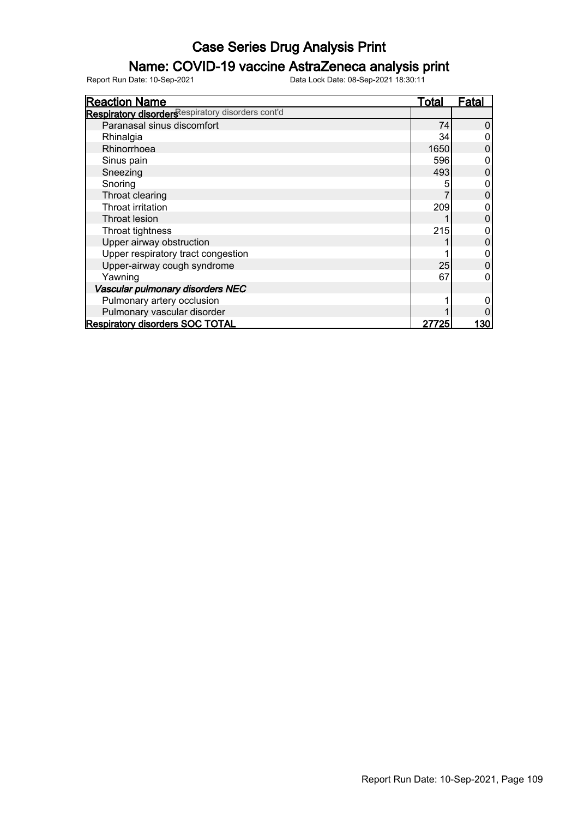#### Name: COVID-19 vaccine AstraZeneca analysis print

| <b>Reaction Name</b>                              | <b>Total</b> | Fatal |
|---------------------------------------------------|--------------|-------|
| Respiratory disorders espiratory disorders cont'd |              |       |
| Paranasal sinus discomfort                        | 74           | 0     |
| Rhinalgia                                         | 34           |       |
| Rhinorrhoea                                       | 1650         | 0     |
| Sinus pain                                        | 596          |       |
| Sneezing                                          | 493          | 0     |
| Snoring                                           |              | 0     |
| Throat clearing                                   |              |       |
| Throat irritation                                 | 209          |       |
| Throat lesion                                     |              | 0     |
| Throat tightness                                  | 215          |       |
| Upper airway obstruction                          |              | 0     |
| Upper respiratory tract congestion                |              |       |
| Upper-airway cough syndrome                       | 25           |       |
| Yawning                                           | 67           |       |
| Vascular pulmonary disorders NEC                  |              |       |
| Pulmonary artery occlusion                        |              |       |
| Pulmonary vascular disorder                       |              |       |
| <b>Respiratory disorders SOC TOTAL</b>            | 27725        | 130   |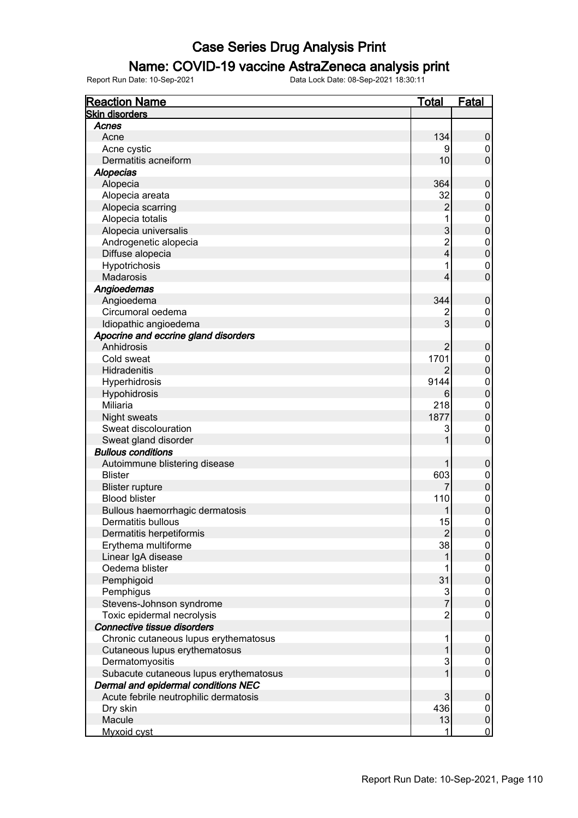#### Name: COVID-19 vaccine AstraZeneca analysis print

| <b>Reaction Name</b>                   | <b>Total</b>   | <b>Fatal</b>     |
|----------------------------------------|----------------|------------------|
| <b>Skin disorders</b>                  |                |                  |
| Acnes                                  |                |                  |
| Acne                                   | 134            | $\mathbf 0$      |
| Acne cystic                            | 9              | 0                |
| Dermatitis acneiform                   | 10             | $\overline{0}$   |
| <b>Alopecias</b>                       |                |                  |
| Alopecia                               | 364            | $\mathbf 0$      |
| Alopecia areata                        | 32             | $\boldsymbol{0}$ |
| Alopecia scarring                      | 2              | $\boldsymbol{0}$ |
| Alopecia totalis                       | 1              | $\mathbf 0$      |
| Alopecia universalis                   | 3              | $\mathbf 0$      |
| Androgenetic alopecia                  | $\overline{c}$ | $\boldsymbol{0}$ |
| Diffuse alopecia                       | 4              | $\mathbf 0$      |
| Hypotrichosis                          | 1              | $\boldsymbol{0}$ |
| Madarosis                              | 4              | $\overline{0}$   |
| Angioedemas                            |                |                  |
| Angioedema                             | 344            | $\mathbf 0$      |
| Circumoral oedema                      |                | $\mathbf 0$      |
| Idiopathic angioedema                  | 3              | $\overline{0}$   |
| Apocrine and eccrine gland disorders   |                |                  |
| Anhidrosis                             | 2              | $\mathbf 0$      |
| Cold sweat                             | 1701           | $\mathbf 0$      |
| Hidradenitis                           |                | $\mathbf 0$      |
| Hyperhidrosis                          | 9144           | $\mathbf 0$      |
| Hypohidrosis                           | 6              | $\overline{0}$   |
| Miliaria                               | 218            | $\mathbf 0$      |
| Night sweats                           | 1877           | $\overline{0}$   |
| Sweat discolouration                   | 3              | $\overline{0}$   |
| Sweat gland disorder                   | 1              | $\overline{0}$   |
| <b>Bullous conditions</b>              |                |                  |
| Autoimmune blistering disease          |                | $\mathbf 0$      |
| <b>Blister</b>                         | 603            | $\mathbf 0$      |
| <b>Blister rupture</b>                 |                | $\mathbf 0$      |
| <b>Blood blister</b>                   | 110            | $\mathbf 0$      |
| Bullous haemorrhagic dermatosis        |                | $\mathbf 0$      |
| <b>Dermatitis bullous</b>              | 15             | $\mathbf 0$      |
| Dermatitis herpetiformis               | $\mathbf{2}$   | $\overline{0}$   |
| Erythema multiforme                    | 38             | 0                |
| Linear IgA disease                     |                | $\pmb{0}$        |
| Oedema blister                         |                | $\mathbf 0$      |
| Pemphigoid                             | 31             | $\mathbf 0$      |
| Pemphigus                              | 3              | $\mathbf 0$      |
| Stevens-Johnson syndrome               | $\overline{7}$ | $\mathbf 0$      |
| Toxic epidermal necrolysis             | $\overline{c}$ | $\boldsymbol{0}$ |
| Connective tissue disorders            |                |                  |
| Chronic cutaneous lupus erythematosus  | 1              | $\overline{0}$   |
| Cutaneous lupus erythematosus          | 1              | $\pmb{0}$        |
| Dermatomyositis                        | 3              | $\mathbf 0$      |
| Subacute cutaneous lupus erythematosus | 1              | $\mathbf 0$      |
| Dermal and epidermal conditions NEC    |                |                  |
| Acute febrile neutrophilic dermatosis  | 3              | $\mathbf 0$      |
| Dry skin                               | 436            | $\mathbf 0$      |
| Macule                                 | 13             | $\mathbf 0$      |
| Myxoid cyst                            | 1              | $\overline{0}$   |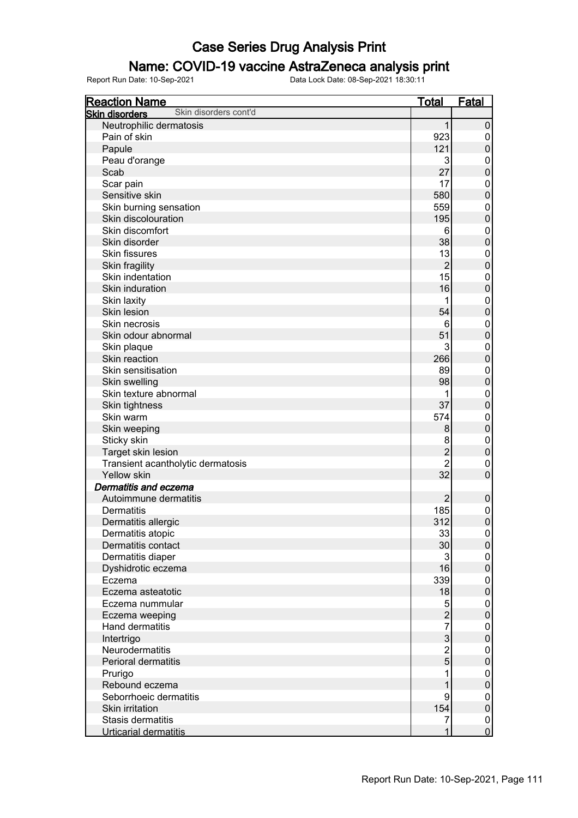#### Name: COVID-19 vaccine AstraZeneca analysis print

| <b>Reaction Name</b>                           | Total           | <u>Fatal</u>                         |
|------------------------------------------------|-----------------|--------------------------------------|
| Skin disorders cont'd<br><b>Skin disorders</b> |                 |                                      |
| Neutrophilic dermatosis                        | 1               | 0                                    |
| Pain of skin                                   | 923             | 0                                    |
| Papule                                         | 121             | $\mathbf 0$                          |
| Peau d'orange                                  | 3               | $\pmb{0}$                            |
| Scab                                           | 27              | $\mathbf 0$                          |
| Scar pain                                      | 17              | $\pmb{0}$                            |
| Sensitive skin                                 | 580             | $\mathbf 0$                          |
| Skin burning sensation                         | 559             | $\pmb{0}$                            |
| Skin discolouration                            | 195             | $\mathbf 0$                          |
| Skin discomfort                                | 6               | $\pmb{0}$                            |
| Skin disorder                                  | 38              | $\mathbf 0$                          |
| <b>Skin fissures</b>                           | 13              | $\pmb{0}$                            |
|                                                | $\overline{2}$  | $\mathbf 0$                          |
| Skin fragility<br>Skin indentation             | 15 <sub>l</sub> |                                      |
|                                                |                 | $\pmb{0}$                            |
| Skin induration                                | 16              | $\mathbf 0$                          |
| Skin laxity                                    | 1               | $\pmb{0}$                            |
| Skin lesion                                    | 54              | $\mathbf 0$                          |
| Skin necrosis                                  | 6               | $\pmb{0}$                            |
| Skin odour abnormal                            | 51              | $\mathbf 0$                          |
| Skin plaque                                    | 3               | $\pmb{0}$                            |
| Skin reaction                                  | 266             | $\mathbf 0$                          |
| Skin sensitisation                             | 89              | $\pmb{0}$                            |
| Skin swelling                                  | 98              | $\mathbf 0$                          |
| Skin texture abnormal                          | 1               | $\mathbf{0}$                         |
| Skin tightness                                 | 37              | $\overline{0}$                       |
| Skin warm                                      | 574             | $\mathbf{0}$                         |
| Skin weeping                                   | 8               | $\overline{0}$                       |
| Sticky skin                                    | 8               | $\mathbf 0$                          |
| Target skin lesion                             | $\overline{c}$  | $\overline{0}$                       |
| Transient acantholytic dermatosis              | $\overline{2}$  | $\mathbf 0$                          |
| Yellow skin                                    | 32              | $\mathbf 0$                          |
| Dermatitis and eczema                          |                 |                                      |
| Autoimmune dermatitis                          | $\overline{2}$  | $\pmb{0}$                            |
| <b>Dermatitis</b>                              | 185             | $\begin{matrix} 0 \\ 0 \end{matrix}$ |
| Dermatitis allergic                            | 312             |                                      |
| Dermatitis atopic                              | 33              | 0                                    |
| Dermatitis contact                             | 30 <sup>°</sup> | $\pmb{0}$                            |
| Dermatitis diaper                              | $\overline{3}$  | $\pmb{0}$                            |
| Dyshidrotic eczema                             | 16              | $\pmb{0}$                            |
| Eczema                                         | 339             | $\pmb{0}$                            |
| Eczema asteatotic                              | 18              | $\pmb{0}$                            |
| Eczema nummular                                | 5               | $\pmb{0}$                            |
| Eczema weeping                                 | $\overline{2}$  | $\pmb{0}$                            |
| Hand dermatitis                                | $\overline{7}$  | $\pmb{0}$                            |
| Intertrigo                                     | $\overline{3}$  | $\pmb{0}$                            |
| Neurodermatitis                                | $\overline{2}$  | $\pmb{0}$                            |
| Perioral dermatitis                            | $\overline{5}$  | $\pmb{0}$                            |
| Prurigo                                        | 1               | $\pmb{0}$                            |
| Rebound eczema                                 | 1               | $\pmb{0}$                            |
| Seborrhoeic dermatitis                         | 9               | $\pmb{0}$                            |
| Skin irritation                                | 154             | $\pmb{0}$                            |
| Stasis dermatitis                              | $\overline{7}$  |                                      |
| Urticarial dermatitis                          | $\overline{1}$  | $\begin{matrix}0\\0\end{matrix}$     |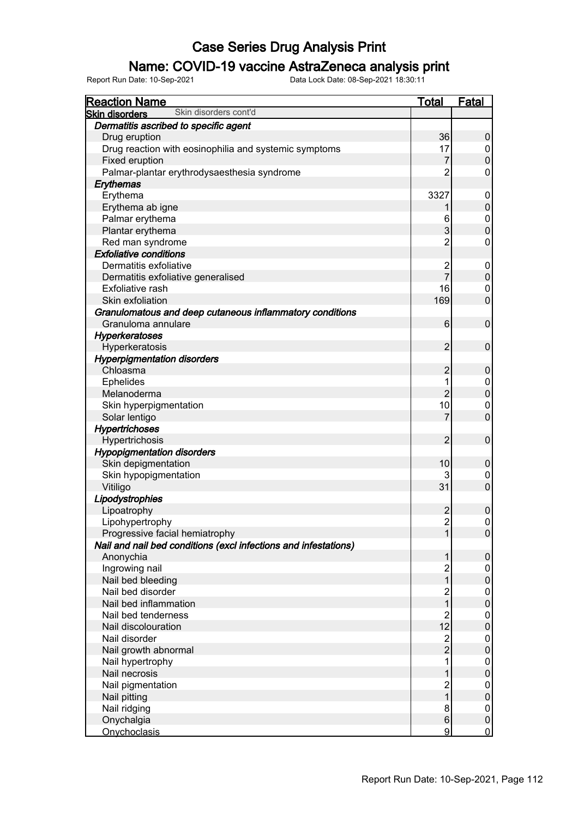#### Name: COVID-19 vaccine AstraZeneca analysis print

| <b>Reaction Name</b>                                            | <b>Total</b>   | <b>Fatal</b>     |
|-----------------------------------------------------------------|----------------|------------------|
| Skin disorders cont'd<br><b>Skin disorders</b>                  |                |                  |
| Dermatitis ascribed to specific agent                           |                |                  |
| Drug eruption                                                   | 36             | 0                |
| Drug reaction with eosinophilia and systemic symptoms           | 17             | 0                |
| Fixed eruption                                                  | $\overline{7}$ | $\mathbf 0$      |
| Palmar-plantar erythrodysaesthesia syndrome                     | $\overline{2}$ | 0                |
| Erythemas                                                       |                |                  |
| Erythema                                                        | 3327           | 0                |
| Erythema ab igne                                                | 1              | $\pmb{0}$        |
| Palmar erythema                                                 | 6              | 0                |
| Plantar erythema                                                | 3              | $\mathbf{0}$     |
| Red man syndrome                                                | $\overline{2}$ | 0                |
| <b>Exfoliative conditions</b>                                   |                |                  |
| Dermatitis exfoliative                                          | $\overline{c}$ | 0                |
| Dermatitis exfoliative generalised                              | $\overline{7}$ | $\pmb{0}$        |
| Exfoliative rash                                                | 16             | 0                |
| Skin exfoliation                                                | 169            | $\mathbf 0$      |
| Granulomatous and deep cutaneous inflammatory conditions        |                |                  |
| Granuloma annulare                                              | 6              | $\mathbf 0$      |
| Hyperkeratoses                                                  |                |                  |
| Hyperkeratosis                                                  | $\overline{2}$ | $\mathbf 0$      |
| <b>Hyperpigmentation disorders</b>                              |                |                  |
| Chloasma                                                        | $\overline{c}$ | $\mathbf 0$      |
| Ephelides                                                       | 1              | 0                |
| Melanoderma                                                     | $\overline{2}$ | $\mathbf 0$      |
|                                                                 | 10             | $\mathbf 0$      |
| Skin hyperpigmentation                                          | $\overline{7}$ | $\mathbf 0$      |
| Solar lentigo                                                   |                |                  |
| Hypertrichoses                                                  | $\overline{2}$ |                  |
| Hypertrichosis                                                  |                | $\mathbf 0$      |
| <b>Hypopigmentation disorders</b>                               |                |                  |
| Skin depigmentation                                             | 10             | $\boldsymbol{0}$ |
| Skin hypopigmentation                                           | 3              | 0                |
| Vitiligo                                                        | 31             | $\mathbf 0$      |
| Lipodystrophies                                                 |                |                  |
| Lipoatrophy                                                     | $\overline{c}$ | 0                |
| Lipohypertrophy                                                 | $\overline{2}$ | 0                |
| Progressive facial hemiatrophy                                  | 1              | $\boldsymbol{0}$ |
| Nail and nail bed conditions (excl infections and infestations) |                |                  |
| Anonychia                                                       | 1              | $\pmb{0}$        |
| Ingrowing nail                                                  | $\overline{c}$ | 0                |
| Nail bed bleeding                                               | $\overline{1}$ | $\boldsymbol{0}$ |
| Nail bed disorder                                               | $\overline{c}$ | 0                |
| Nail bed inflammation                                           | $\overline{1}$ | $\boldsymbol{0}$ |
| Nail bed tenderness                                             | $\overline{2}$ | 0                |
| Nail discolouration                                             | 12             | $\boldsymbol{0}$ |
| Nail disorder                                                   | $\overline{2}$ | 0                |
| Nail growth abnormal                                            | $\overline{2}$ | $\boldsymbol{0}$ |
| Nail hypertrophy                                                | 1              | 0                |
| Nail necrosis                                                   | 1              | $\boldsymbol{0}$ |
| Nail pigmentation                                               | $\overline{c}$ | 0                |
| Nail pitting                                                    | $\mathbf{1}$   | $\pmb{0}$        |
| Nail ridging                                                    | 8              | $\mathbf 0$      |
| Onychalgia                                                      | $6 \mid$       | $\pmb{0}$        |
| <b>Onychoclasis</b>                                             | $\overline{9}$ | $\mathbf 0$      |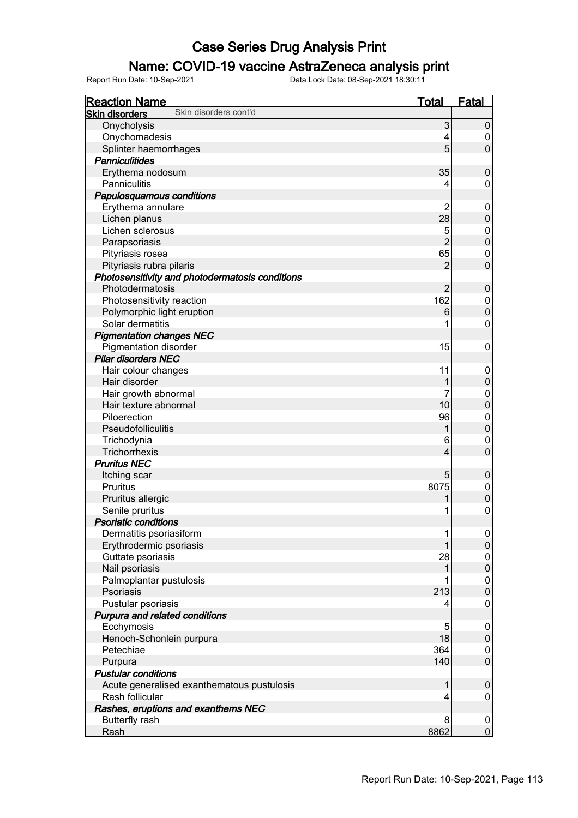#### Name: COVID-19 vaccine AstraZeneca analysis print

| <b>Reaction Name</b>                            | <b>Total</b>   | <b>Fatal</b>     |
|-------------------------------------------------|----------------|------------------|
| Skin disorders cont'd<br><b>Skin disorders</b>  |                |                  |
| Onycholysis                                     | 3              | $\pmb{0}$        |
| Onychomadesis                                   | 4              | 0                |
| Splinter haemorrhages                           | 5              | $\mathbf 0$      |
| <b>Panniculitides</b>                           |                |                  |
| Erythema nodosum                                | 35             | $\mathbf 0$      |
| Panniculitis                                    | 4              | 0                |
| Papulosquamous conditions                       |                |                  |
| Erythema annulare                               | 2              | 0                |
| Lichen planus                                   | 28             | $\boldsymbol{0}$ |
| Lichen sclerosus                                | 5              | 0                |
| Parapsoriasis                                   | $\overline{2}$ | $\pmb{0}$        |
| Pityriasis rosea                                | 65             | 0                |
| Pityriasis rubra pilaris                        | $\overline{2}$ | $\overline{0}$   |
| Photosensitivity and photodermatosis conditions |                |                  |
| Photodermatosis                                 | 2              | $\mathbf 0$      |
| Photosensitivity reaction                       | 162            | 0                |
| Polymorphic light eruption                      |                | $\pmb{0}$        |
| Solar dermatitis                                | 6              | $\mathbf 0$      |
|                                                 |                |                  |
| <b>Pigmentation changes NEC</b>                 |                |                  |
| <b>Pigmentation disorder</b>                    | 15             | $\pmb{0}$        |
| <b>Pilar disorders NEC</b>                      |                |                  |
| Hair colour changes                             | 11             | 0                |
| Hair disorder                                   |                | $\boldsymbol{0}$ |
| Hair growth abnormal                            |                | $\boldsymbol{0}$ |
| Hair texture abnormal                           | 10             | $\overline{0}$   |
| Piloerection                                    | 96             | $\mathbf 0$      |
| Pseudofolliculitis                              |                | $\mathbf 0$      |
| Trichodynia                                     | 6              | $\boldsymbol{0}$ |
| Trichorrhexis                                   | 4              | $\overline{0}$   |
| <b>Pruritus NEC</b>                             |                |                  |
| Itching scar                                    | 5              | $\mathbf 0$      |
| Pruritus                                        | 8075           | 0                |
| Pruritus allergic                               |                | $\mathbf 0$      |
| Senile pruritus                                 |                | $\mathbf 0$      |
| <b>Psoriatic conditions</b>                     |                |                  |
| Dermatitis psoriasiform                         | 1              | $\boldsymbol{0}$ |
| Erythrodermic psoriasis                         |                | $\mathbf 0$      |
| Guttate psoriasis                               | 28             | 0                |
| Nail psoriasis                                  |                | $\pmb{0}$        |
| Palmoplantar pustulosis                         |                | $\pmb{0}$        |
| Psoriasis                                       | 213            | $\pmb{0}$        |
| Pustular psoriasis                              | 4              | $\mathsf 0$      |
| Purpura and related conditions                  |                |                  |
| Ecchymosis                                      | 5              | $\mathbf 0$      |
| Henoch-Schonlein purpura                        | 18             | $\pmb{0}$        |
| Petechiae                                       | 364            | 0                |
| Purpura                                         | 140            | $\pmb{0}$        |
| <b>Pustular conditions</b>                      |                |                  |
| Acute generalised exanthematous pustulosis      | 1              | $\boldsymbol{0}$ |
| Rash follicular                                 | 4              | 0                |
| Rashes, eruptions and exanthems NEC             |                |                  |
| Butterfly rash                                  | 8              | $\boldsymbol{0}$ |
| Rash                                            | 8862           | $\overline{0}$   |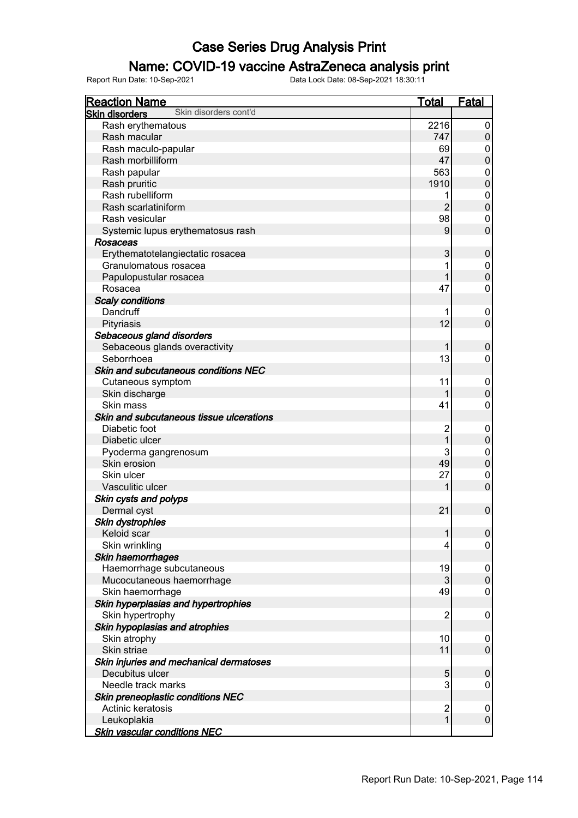#### Name: COVID-19 vaccine AstraZeneca analysis print

| <b>Reaction Name</b>                                          | <b>Total</b>                   | <b>Fatal</b>          |
|---------------------------------------------------------------|--------------------------------|-----------------------|
| Skin disorders cont'd<br><b>Skin disorders</b>                |                                |                       |
| Rash erythematous                                             | 2216                           | 0                     |
| Rash macular                                                  | 747                            | $\boldsymbol{0}$      |
| Rash maculo-papular                                           | 69                             | 0                     |
| Rash morbilliform                                             | 47                             | $\mathbf 0$           |
| Rash papular                                                  | 563                            | $\mathbf 0$           |
| Rash pruritic                                                 | 1910                           | $\mathbf 0$           |
| Rash rubelliform                                              | 1                              | $\boldsymbol{0}$      |
| Rash scarlatiniform                                           | $\overline{2}$                 | $\mathbf 0$           |
| Rash vesicular                                                | 98                             | $\mathbf 0$           |
| Systemic lupus erythematosus rash                             | 9                              | $\overline{0}$        |
| Rosaceas                                                      |                                |                       |
| Erythematotelangiectatic rosacea                              | 3                              | $\boldsymbol{0}$      |
| Granulomatous rosacea                                         | 1                              |                       |
|                                                               |                                | $\boldsymbol{0}$      |
| Papulopustular rosacea                                        | 1                              | $\mathbf 0$           |
| Rosacea                                                       | 47                             | $\mathbf 0$           |
| <b>Scaly conditions</b>                                       |                                |                       |
| Dandruff                                                      | 1                              | 0                     |
| Pityriasis                                                    | 12                             | $\overline{0}$        |
| Sebaceous gland disorders                                     |                                |                       |
| Sebaceous glands overactivity                                 | 1                              | $\boldsymbol{0}$      |
| Seborrhoea                                                    | 13                             | $\mathbf 0$           |
| Skin and subcutaneous conditions NEC                          |                                |                       |
| Cutaneous symptom                                             | 11                             | $\mathbf 0$           |
| Skin discharge                                                | 1                              | $\pmb{0}$             |
| Skin mass                                                     | 41                             | $\mathbf 0$           |
| Skin and subcutaneous tissue ulcerations                      |                                |                       |
| Diabetic foot                                                 | $\overline{c}$                 | $\boldsymbol{0}$      |
| Diabetic ulcer                                                | 1                              | $\mathbf 0$           |
| Pyoderma gangrenosum                                          | 3                              | $\mathbf 0$           |
| Skin erosion                                                  | 49                             | $\mathbf 0$           |
| Skin ulcer                                                    | 27                             | $\mathbf 0$           |
| Vasculitic ulcer                                              | 1                              | $\mathbf 0$           |
| Skin cysts and polyps                                         |                                |                       |
| Dermal cyst                                                   | 21                             | $\mathbf 0$           |
| Skin dystrophies                                              |                                |                       |
| Keloid scar                                                   | 1                              | $\boldsymbol{0}$      |
| Skin wrinkling                                                | 4                              | 0                     |
| Skin haemorrhages                                             |                                |                       |
| Haemorrhage subcutaneous                                      | 19                             | $\mathbf 0$           |
| Mucocutaneous haemorrhage                                     | 3                              | $\mathbf 0$           |
| Skin haemorrhage                                              | 49                             | $\mathbf 0$           |
| Skin hyperplasias and hypertrophies                           |                                |                       |
| Skin hypertrophy                                              | $\overline{2}$                 | $\mathbf 0$           |
| Skin hypoplasias and atrophies                                |                                |                       |
| Skin atrophy                                                  | 10                             | $\mathbf 0$           |
| Skin striae                                                   | 11                             | $\mathbf 0$           |
| Skin injuries and mechanical dermatoses                       |                                |                       |
| Decubitus ulcer                                               | 5                              |                       |
| Needle track marks                                            | 3                              | $\boldsymbol{0}$<br>0 |
|                                                               |                                |                       |
| <b>Skin preneoplastic conditions NEC</b><br>Actinic keratosis |                                |                       |
|                                                               | $\overline{c}$<br>$\mathbf{1}$ | 0<br>$\mathbf 0$      |
| Leukoplakia                                                   |                                |                       |
| <b>Skin vascular conditions NEC</b>                           |                                |                       |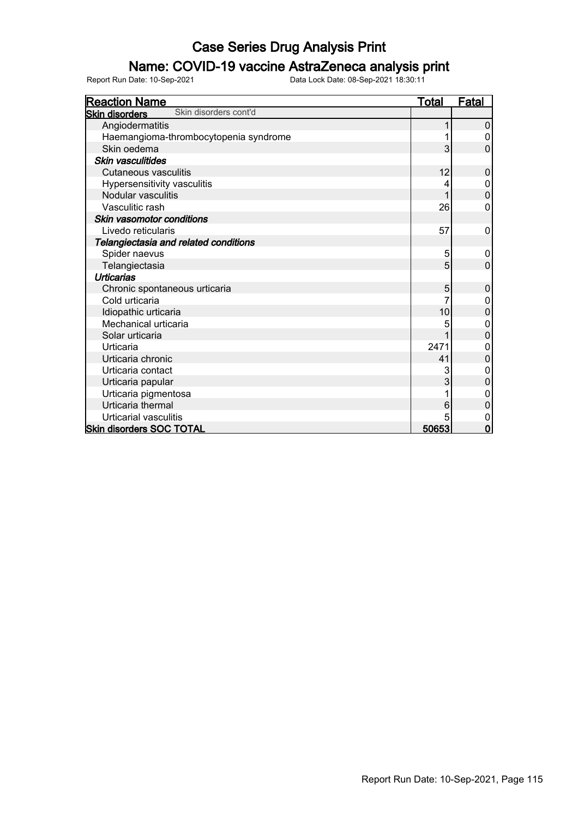#### Name: COVID-19 vaccine AstraZeneca analysis print

| <b>Reaction Name</b>                           | <b>Total</b> | <u>Fatal</u>   |
|------------------------------------------------|--------------|----------------|
| Skin disorders cont'd<br><b>Skin disorders</b> |              |                |
| Angiodermatitis                                |              | 0              |
| Haemangioma-thrombocytopenia syndrome          |              | 0              |
| Skin oedema                                    | 3            | 0              |
| Skin vasculitides                              |              |                |
| <b>Cutaneous vasculitis</b>                    | 12           | 0              |
| Hypersensitivity vasculitis                    | 4            | 0              |
| Nodular vasculitis                             |              | 0              |
| Vasculitic rash                                | 26           | 0              |
| Skin vasomotor conditions                      |              |                |
| Livedo reticularis                             | 57           | 0              |
| Telangiectasia and related conditions          |              |                |
| Spider naevus                                  | 5            | 0              |
| Telangiectasia                                 | 5            | $\overline{0}$ |
| <b>Urticarias</b>                              |              |                |
| Chronic spontaneous urticaria                  | 5            | 0              |
| Cold urticaria                                 |              | 0              |
| Idiopathic urticaria                           | 10           | $\mathbf 0$    |
| Mechanical urticaria                           | 5            | 0              |
| Solar urticaria                                |              | $\mathbf 0$    |
| Urticaria                                      | 2471         | 0              |
| Urticaria chronic                              | 41           | $\overline{0}$ |
| Urticaria contact                              | 3            | $\mathbf{0}$   |
| Urticaria papular                              | 3            | $\mathbf{0}$   |
| Urticaria pigmentosa                           |              | $\mathbf 0$    |
| Urticaria thermal                              | 6            | 0              |
| Urticarial vasculitis                          | 5            | 0              |
| <b>Skin disorders SOC TOTAL</b>                | 50653        | $\mathbf 0$    |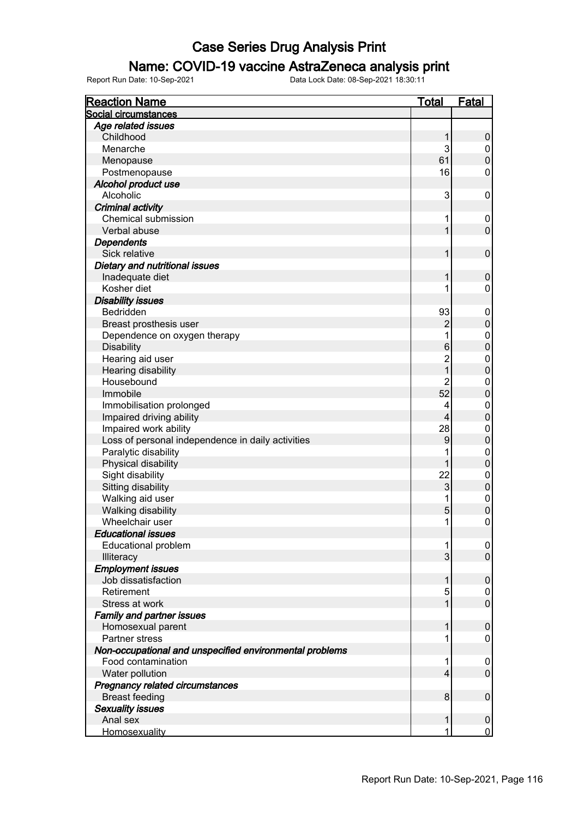#### Name: COVID-19 vaccine AstraZeneca analysis print

| <b>Reaction Name</b>                                    | <b>Total</b>     | <b>Fatal</b>     |
|---------------------------------------------------------|------------------|------------------|
| Social circumstances                                    |                  |                  |
| Age related issues                                      |                  |                  |
| Childhood                                               | 1                | $\pmb{0}$        |
| Menarche                                                | 3                | $\pmb{0}$        |
| Menopause                                               | 61               | $\boldsymbol{0}$ |
| Postmenopause                                           | 16               | $\mathbf 0$      |
| Alcohol product use                                     |                  |                  |
| Alcoholic                                               | 3                | 0                |
| <b>Criminal activity</b>                                |                  |                  |
| Chemical submission                                     | 1                | 0                |
| Verbal abuse                                            | 1                | $\mathbf 0$      |
| <b>Dependents</b>                                       |                  |                  |
| Sick relative                                           | 1                | $\mathbf 0$      |
| Dietary and nutritional issues                          |                  |                  |
| Inadequate diet                                         | 1                | $\mathbf 0$      |
| Kosher diet                                             | 1                | $\mathbf 0$      |
| <b>Disability issues</b>                                |                  |                  |
| Bedridden                                               | 93               | $\boldsymbol{0}$ |
| Breast prosthesis user                                  | $\overline{2}$   | $\boldsymbol{0}$ |
| Dependence on oxygen therapy                            | 1                | $\mathbf 0$      |
| <b>Disability</b>                                       | 6                | $\overline{0}$   |
| Hearing aid user                                        | $\overline{2}$   | $\mathbf 0$      |
| Hearing disability                                      | $\overline{1}$   | $\mathbf 0$      |
| Housebound                                              | $\overline{2}$   | $\pmb{0}$        |
| Immobile                                                | 52               | $\overline{0}$   |
| Immobilisation prolonged                                | 4                | $\mathbf 0$      |
| Impaired driving ability                                | $\overline{4}$   | $\mathbf 0$      |
| Impaired work ability                                   | 28               | $\mathbf 0$      |
| Loss of personal independence in daily activities       | $\boldsymbol{9}$ | $\mathbf 0$      |
| Paralytic disability                                    | 1                | $\mathbf 0$      |
| Physical disability                                     |                  | $\boldsymbol{0}$ |
| Sight disability                                        | 22               | $\mathbf 0$      |
| Sitting disability                                      | 3                | $\mathbf 0$      |
| Walking aid user                                        | 1                | $\mathbf 0$      |
| Walking disability                                      | 5                | $\mathbf 0$      |
| Wheelchair user                                         | 1                | $\pmb{0}$        |
| <b>Educational issues</b>                               |                  |                  |
| <b>Educational problem</b>                              | 1                | 0                |
| Illiteracy                                              | 3                | $\mathsf 0$      |
| <b>Employment issues</b>                                |                  |                  |
| Job dissatisfaction                                     | 1                | $\boldsymbol{0}$ |
| Retirement                                              | 5                | 0                |
| Stress at work                                          | 1                | $\mathbf 0$      |
| <b>Family and partner issues</b>                        |                  |                  |
| Homosexual parent                                       | 1                | $\mathbf 0$      |
| Partner stress                                          | 1                | 0                |
| Non-occupational and unspecified environmental problems |                  |                  |
| Food contamination                                      | 1                | $\mathbf 0$      |
| Water pollution                                         | 4                | $\mathbf 0$      |
| <b>Pregnancy related circumstances</b>                  |                  |                  |
| <b>Breast feeding</b>                                   | 8                | $\mathbf 0$      |
| <b>Sexuality issues</b>                                 |                  |                  |
| Anal sex                                                | 1                | $\mathbf 0$      |
| Homosexuality                                           | 1                | $\mathbf 0$      |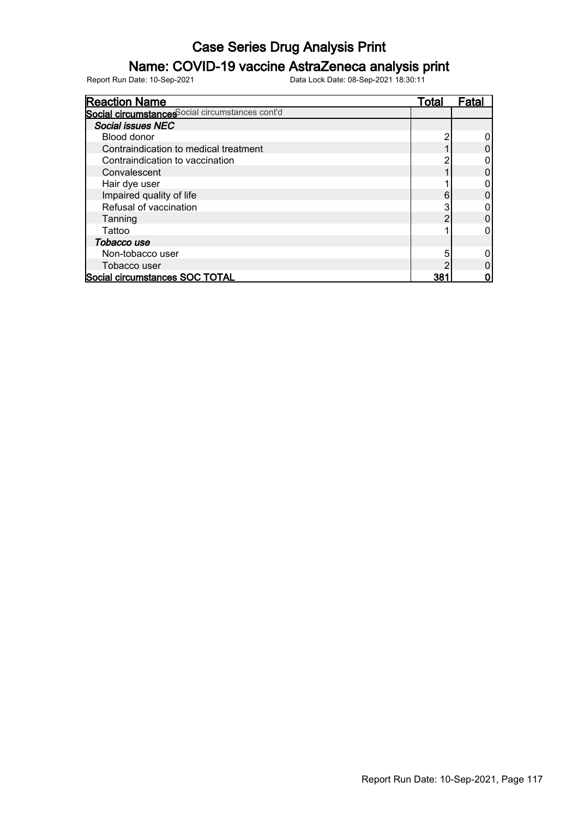#### Name: COVID-19 vaccine AstraZeneca analysis print

| <b>Reaction Name</b>                            | Total           | Fatal |
|-------------------------------------------------|-----------------|-------|
| Social circumstances ocial circumstances cont'd |                 |       |
| Social issues NEC                               |                 |       |
| Blood donor                                     |                 |       |
| Contraindication to medical treatment           |                 |       |
| Contraindication to vaccination                 |                 |       |
| Convalescent                                    |                 |       |
| Hair dye user                                   |                 |       |
| Impaired quality of life                        | 6               |       |
| Refusal of vaccination                          |                 |       |
| Tanning                                         |                 |       |
| Tattoo                                          |                 |       |
| Tobacco use                                     |                 |       |
| Non-tobacco user                                |                 |       |
| Tobacco user                                    |                 |       |
| Social circumstances SOC TOTAL                  | 38 <sup>.</sup> |       |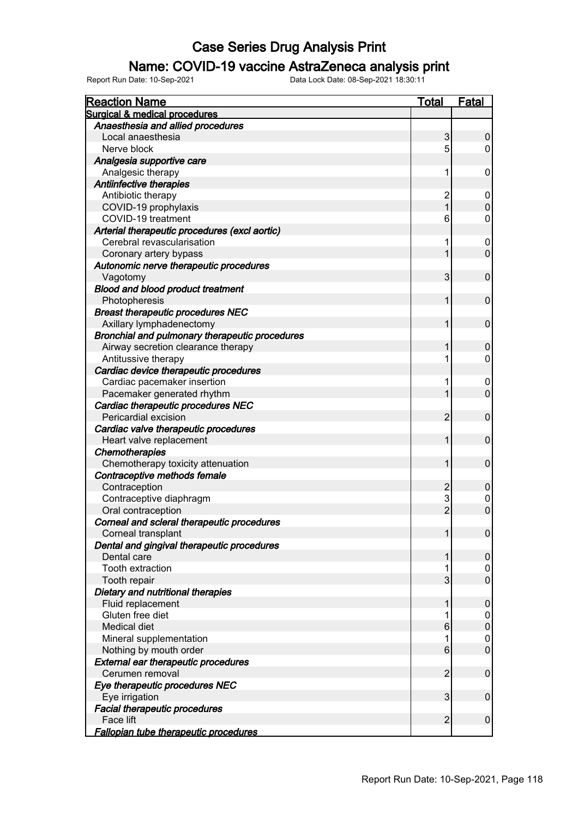#### Name: COVID-19 vaccine AstraZeneca analysis print

| <b>Reaction Name</b>                           | <b>Total</b>   | <b>Fatal</b>     |
|------------------------------------------------|----------------|------------------|
| <b>Surgical &amp; medical procedures</b>       |                |                  |
| Anaesthesia and allied procedures              |                |                  |
| Local anaesthesia                              | 3              | 0                |
| Nerve block                                    | 5              | 0                |
| Analgesia supportive care                      |                |                  |
| Analgesic therapy                              | 1              | 0                |
| Antiinfective therapies                        |                |                  |
| Antibiotic therapy                             | $\overline{2}$ | 0                |
| COVID-19 prophylaxis                           |                | $\mathbf 0$      |
| COVID-19 treatment                             | 6              | 0                |
| Arterial therapeutic procedures (excl aortic)  |                |                  |
| Cerebral revascularisation                     | 1              | 0                |
| Coronary artery bypass                         |                | $\mathbf 0$      |
| Autonomic nerve therapeutic procedures         |                |                  |
| Vagotomy                                       | 3              | 0                |
| <b>Blood and blood product treatment</b>       |                |                  |
| Photopheresis                                  | 1              | 0                |
| <b>Breast therapeutic procedures NEC</b>       |                |                  |
| Axillary lymphadenectomy                       | 1              | $\pmb{0}$        |
| Bronchial and pulmonary therapeutic procedures |                |                  |
| Airway secretion clearance therapy             |                | $\pmb{0}$        |
| Antitussive therapy                            | 1              | 0                |
| Cardiac device therapeutic procedures          |                |                  |
| Cardiac pacemaker insertion                    | 1              | 0                |
| Pacemaker generated rhythm                     |                | $\overline{0}$   |
| Cardiac therapeutic procedures NEC             |                |                  |
| Pericardial excision                           | $\overline{2}$ | $\mathbf 0$      |
| Cardiac valve therapeutic procedures           |                |                  |
| Heart valve replacement                        | 1              | $\mathbf 0$      |
| <b>Chemotherapies</b>                          |                |                  |
| Chemotherapy toxicity attenuation              | 1              | $\pmb{0}$        |
| Contraceptive methods female                   |                |                  |
| Contraception                                  | $\overline{2}$ | $\pmb{0}$        |
| Contraceptive diaphragm                        | 3              | 0                |
| Oral contraception                             | $\overline{2}$ | $\overline{0}$   |
| Corneal and scleral therapeutic procedures     |                |                  |
| Corneal transplant                             |                | $\boldsymbol{0}$ |
| Dental and gingival therapeutic procedures     |                |                  |
| Dental care                                    |                | $\pmb{0}$        |
| Tooth extraction                               |                | 0                |
| Tooth repair                                   | 3              | $\pmb{0}$        |
| Dietary and nutritional therapies              |                |                  |
| Fluid replacement                              | 1              | $\mathbf 0$      |
| Gluten free diet                               |                | 0                |
| <b>Medical diet</b>                            | 6              | $\pmb{0}$        |
| Mineral supplementation                        |                | 0                |
| Nothing by mouth order                         | 6              | $\pmb{0}$        |
| <b>External ear therapeutic procedures</b>     |                |                  |
| Cerumen removal                                | $\overline{2}$ | 0                |
| Eye therapeutic procedures NEC                 |                |                  |
| Eye irrigation                                 | 3              | 0                |
| <b>Facial therapeutic procedures</b>           |                |                  |
| Face lift                                      | $\overline{2}$ | 0                |
| Fallopian tube therapeutic procedures          |                |                  |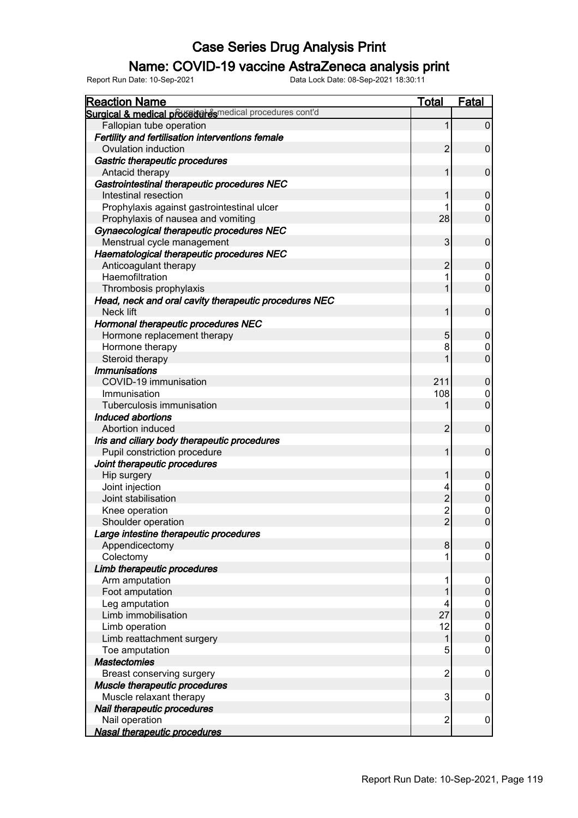#### Name: COVID-19 vaccine AstraZeneca analysis print

| Surgical & medical proceduares medical procedures cont'd<br>Fallopian tube operation<br>Fertility and fertilisation interventions female<br>Ovulation induction<br>2<br>Gastric therapeutic procedures<br>Antacid therapy<br>Gastrointestinal therapeutic procedures NEC<br>Intestinal resection<br>Prophylaxis against gastrointestinal ulcer<br>28<br>Prophylaxis of nausea and vomiting<br>Gynaecological therapeutic procedures NEC | $\mathbf 0$<br>$\pmb{0}$<br>$\pmb{0}$<br>$\pmb{0}$<br>0<br>$\overline{0}$ |
|-----------------------------------------------------------------------------------------------------------------------------------------------------------------------------------------------------------------------------------------------------------------------------------------------------------------------------------------------------------------------------------------------------------------------------------------|---------------------------------------------------------------------------|
|                                                                                                                                                                                                                                                                                                                                                                                                                                         |                                                                           |
|                                                                                                                                                                                                                                                                                                                                                                                                                                         |                                                                           |
|                                                                                                                                                                                                                                                                                                                                                                                                                                         |                                                                           |
|                                                                                                                                                                                                                                                                                                                                                                                                                                         |                                                                           |
|                                                                                                                                                                                                                                                                                                                                                                                                                                         |                                                                           |
|                                                                                                                                                                                                                                                                                                                                                                                                                                         |                                                                           |
|                                                                                                                                                                                                                                                                                                                                                                                                                                         |                                                                           |
|                                                                                                                                                                                                                                                                                                                                                                                                                                         |                                                                           |
|                                                                                                                                                                                                                                                                                                                                                                                                                                         |                                                                           |
|                                                                                                                                                                                                                                                                                                                                                                                                                                         |                                                                           |
|                                                                                                                                                                                                                                                                                                                                                                                                                                         |                                                                           |
| 3<br>Menstrual cycle management                                                                                                                                                                                                                                                                                                                                                                                                         | $\pmb{0}$                                                                 |
| Haematological therapeutic procedures NEC                                                                                                                                                                                                                                                                                                                                                                                               |                                                                           |
| Anticoagulant therapy<br>$\overline{2}$                                                                                                                                                                                                                                                                                                                                                                                                 | $\pmb{0}$                                                                 |
| Haemofiltration                                                                                                                                                                                                                                                                                                                                                                                                                         | 0                                                                         |
| Thrombosis prophylaxis                                                                                                                                                                                                                                                                                                                                                                                                                  | $\overline{0}$                                                            |
| Head, neck and oral cavity therapeutic procedures NEC                                                                                                                                                                                                                                                                                                                                                                                   |                                                                           |
| Neck lift                                                                                                                                                                                                                                                                                                                                                                                                                               | $\pmb{0}$                                                                 |
| Hormonal therapeutic procedures NEC                                                                                                                                                                                                                                                                                                                                                                                                     |                                                                           |
| Hormone replacement therapy<br>5                                                                                                                                                                                                                                                                                                                                                                                                        | $\pmb{0}$                                                                 |
| Hormone therapy<br>8                                                                                                                                                                                                                                                                                                                                                                                                                    | 0                                                                         |
| Steroid therapy                                                                                                                                                                                                                                                                                                                                                                                                                         | $\overline{0}$                                                            |
| <b>Immunisations</b>                                                                                                                                                                                                                                                                                                                                                                                                                    |                                                                           |
| 211<br>COVID-19 immunisation                                                                                                                                                                                                                                                                                                                                                                                                            | $\pmb{0}$                                                                 |
| Immunisation<br>108                                                                                                                                                                                                                                                                                                                                                                                                                     | 0                                                                         |
| Tuberculosis immunisation                                                                                                                                                                                                                                                                                                                                                                                                               | $\overline{0}$                                                            |
| <b>Induced abortions</b>                                                                                                                                                                                                                                                                                                                                                                                                                |                                                                           |
| 2<br>Abortion induced                                                                                                                                                                                                                                                                                                                                                                                                                   | $\pmb{0}$                                                                 |
| Iris and ciliary body therapeutic procedures                                                                                                                                                                                                                                                                                                                                                                                            |                                                                           |
| Pupil constriction procedure                                                                                                                                                                                                                                                                                                                                                                                                            | $\pmb{0}$                                                                 |
| Joint therapeutic procedures                                                                                                                                                                                                                                                                                                                                                                                                            |                                                                           |
| Hip surgery                                                                                                                                                                                                                                                                                                                                                                                                                             | $\mathbf 0$                                                               |
| Joint injection<br>4                                                                                                                                                                                                                                                                                                                                                                                                                    | 0                                                                         |
| $\overline{2}$<br>Joint stabilisation                                                                                                                                                                                                                                                                                                                                                                                                   | $\overline{0}$                                                            |
| Knee operation                                                                                                                                                                                                                                                                                                                                                                                                                          | 0                                                                         |
| $\frac{2}{2}$<br>Shoulder operation                                                                                                                                                                                                                                                                                                                                                                                                     | $\overline{0}$                                                            |
| Large intestine therapeutic procedures                                                                                                                                                                                                                                                                                                                                                                                                  |                                                                           |
| Appendicectomy<br>8                                                                                                                                                                                                                                                                                                                                                                                                                     | 0                                                                         |
| Colectomy                                                                                                                                                                                                                                                                                                                                                                                                                               | 0                                                                         |
| Limb therapeutic procedures                                                                                                                                                                                                                                                                                                                                                                                                             |                                                                           |
| Arm amputation                                                                                                                                                                                                                                                                                                                                                                                                                          | 0                                                                         |
| Foot amputation                                                                                                                                                                                                                                                                                                                                                                                                                         | $\mathbf 0$                                                               |
| Leg amputation                                                                                                                                                                                                                                                                                                                                                                                                                          | 0                                                                         |
| 27<br>Limb immobilisation                                                                                                                                                                                                                                                                                                                                                                                                               | $\overline{0}$                                                            |
| 12<br>Limb operation                                                                                                                                                                                                                                                                                                                                                                                                                    | $\mathbf{0}$                                                              |
| Limb reattachment surgery                                                                                                                                                                                                                                                                                                                                                                                                               | $\overline{0}$                                                            |
| 5<br>Toe amputation                                                                                                                                                                                                                                                                                                                                                                                                                     | 0                                                                         |
| <b>Mastectomies</b>                                                                                                                                                                                                                                                                                                                                                                                                                     |                                                                           |
| $\overline{c}$<br>Breast conserving surgery                                                                                                                                                                                                                                                                                                                                                                                             | 0                                                                         |
| Muscle therapeutic procedures                                                                                                                                                                                                                                                                                                                                                                                                           |                                                                           |
| Muscle relaxant therapy<br>3                                                                                                                                                                                                                                                                                                                                                                                                            | 0                                                                         |
| Nail therapeutic procedures                                                                                                                                                                                                                                                                                                                                                                                                             |                                                                           |
| Nail operation<br>$\overline{2}$                                                                                                                                                                                                                                                                                                                                                                                                        | 0                                                                         |
| <b>Nasal therapeutic procedures</b>                                                                                                                                                                                                                                                                                                                                                                                                     |                                                                           |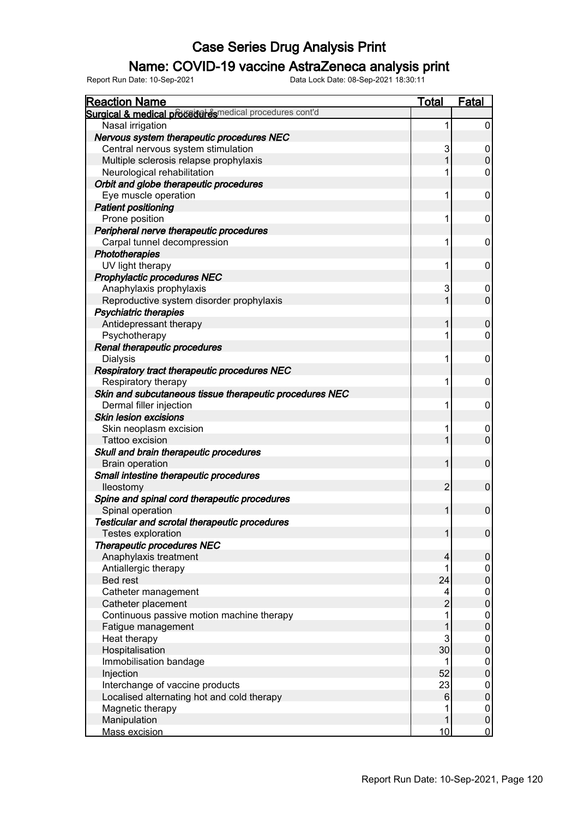#### Name: COVID-19 vaccine AstraZeneca analysis print

| <b>Reaction Name</b>                                    | <b>Total</b>   | <u>Fatal</u>     |
|---------------------------------------------------------|----------------|------------------|
| Surgical & medical proceder esmedical procedures cont'd |                |                  |
| Nasal irrigation                                        | 1              | 0                |
| Nervous system therapeutic procedures NEC               |                |                  |
| Central nervous system stimulation                      | 3              | 0                |
| Multiple sclerosis relapse prophylaxis                  |                | $\overline{0}$   |
| Neurological rehabilitation                             |                | 0                |
| Orbit and globe therapeutic procedures                  |                |                  |
| Eye muscle operation                                    | 1              | 0                |
| <b>Patient positioning</b>                              |                |                  |
| Prone position                                          | 1              | 0                |
| Peripheral nerve therapeutic procedures                 |                |                  |
| Carpal tunnel decompression                             | 1              | 0                |
| Phototherapies                                          |                |                  |
| UV light therapy                                        | 1              | 0                |
| Prophylactic procedures NEC                             |                |                  |
| Anaphylaxis prophylaxis                                 | 3              | 0                |
| Reproductive system disorder prophylaxis                |                | $\overline{0}$   |
| <b>Psychiatric therapies</b>                            |                |                  |
| Antidepressant therapy                                  |                | $\mathbf 0$      |
| Psychotherapy                                           |                | 0                |
| Renal therapeutic procedures                            |                |                  |
| <b>Dialysis</b>                                         | 1              | 0                |
| Respiratory tract therapeutic procedures NEC            |                |                  |
| Respiratory therapy                                     | 1              | 0                |
| Skin and subcutaneous tissue therapeutic procedures NEC |                |                  |
| Dermal filler injection                                 | 1              | 0                |
| <b>Skin lesion excisions</b>                            |                |                  |
| Skin neoplasm excision                                  |                | 0                |
| <b>Tattoo excision</b>                                  |                | $\overline{0}$   |
| Skull and brain therapeutic procedures                  |                |                  |
| <b>Brain operation</b>                                  |                | $\pmb{0}$        |
| Small intestine therapeutic procedures                  |                |                  |
| lleostomy                                               | 2              | $\pmb{0}$        |
| Spine and spinal cord therapeutic procedures            |                |                  |
| Spinal operation                                        |                | $\pmb{0}$        |
| Testicular and scrotal therapeutic procedures           |                |                  |
| Testes exploration                                      |                | $\boldsymbol{0}$ |
| Therapeutic procedures NEC                              |                |                  |
| Anaphylaxis treatment                                   | 4              | 0                |
| Antiallergic therapy                                    |                | 0                |
| <b>Bed rest</b>                                         | 24             | $\boldsymbol{0}$ |
| Catheter management                                     | 4              | 0                |
| Catheter placement                                      | $\overline{2}$ | $\boldsymbol{0}$ |
| Continuous passive motion machine therapy               |                | 0                |
| Fatigue management                                      |                | $\mathbf 0$      |
| Heat therapy                                            | 3              | 0                |
| Hospitalisation                                         | 30             | $\mathbf 0$      |
| Immobilisation bandage                                  |                | 0                |
| Injection                                               | 52             | $\pmb{0}$        |
| Interchange of vaccine products                         | 23             | 0                |
| Localised alternating hot and cold therapy              | 6              | $\mathbf 0$      |
| Magnetic therapy                                        |                | $\mathbf 0$      |
| Manipulation                                            |                | $\pmb{0}$        |
| Mass excision                                           | 10             | $\overline{0}$   |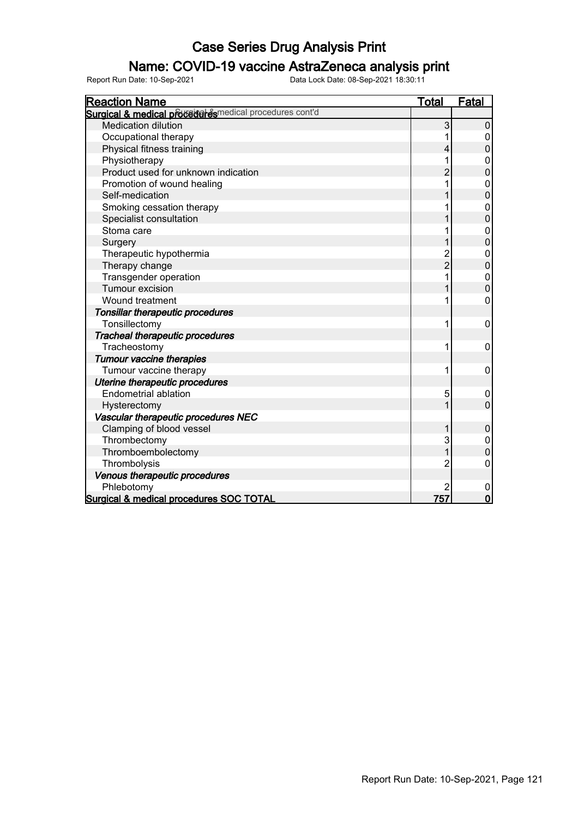#### Name: COVID-19 vaccine AstraZeneca analysis print

| <b>Reaction Name</b>                                   | Total          | <b>Fatal</b>     |
|--------------------------------------------------------|----------------|------------------|
| Surgical & medical proceed esmedical procedures cont'd |                |                  |
| <b>Medication dilution</b>                             | 3              | 0                |
| Occupational therapy                                   |                | 0                |
| Physical fitness training                              | 4              | 0                |
| Physiotherapy                                          | 1              | 0                |
| Product used for unknown indication                    | 2              | $\mathbf{0}$     |
| Promotion of wound healing                             | 1              | $\mathbf{0}$     |
| Self-medication                                        | 1              | $\overline{0}$   |
| Smoking cessation therapy                              |                | $\overline{0}$   |
| Specialist consultation                                |                | $\mathbf 0$      |
| Stoma care                                             |                | $\boldsymbol{0}$ |
| Surgery                                                | 1              | $\overline{0}$   |
| Therapeutic hypothermia                                | $\overline{c}$ | 0                |
| Therapy change                                         | $\overline{2}$ | $\overline{0}$   |
| Transgender operation                                  | 1              | $\mathbf 0$      |
| Tumour excision                                        |                | $\overline{0}$   |
| Wound treatment                                        | 1              | 0                |
| Tonsillar therapeutic procedures                       |                |                  |
| Tonsillectomy                                          | 1              | 0                |
| <b>Tracheal therapeutic procedures</b>                 |                |                  |
| Tracheostomy                                           | 1              | 0                |
| <b>Tumour vaccine therapies</b>                        |                |                  |
| Tumour vaccine therapy                                 | 1              | 0                |
| Uterine therapeutic procedures                         |                |                  |
| <b>Endometrial ablation</b>                            | 5              | 0                |
| Hysterectomy                                           | 1              | $\mathbf 0$      |
| Vascular therapeutic procedures NEC                    |                |                  |
| Clamping of blood vessel                               | 1              | $\boldsymbol{0}$ |
| Thrombectomy                                           | 3              | 0                |
| Thromboembolectomy                                     | 1              | $\overline{0}$   |
| Thrombolysis                                           | 2              | 0                |
| Venous therapeutic procedures                          |                |                  |
| Phlebotomy                                             | 2              | 0                |
| Surgical & medical procedures SOC TOTAL                | 757            | $\mathbf 0$      |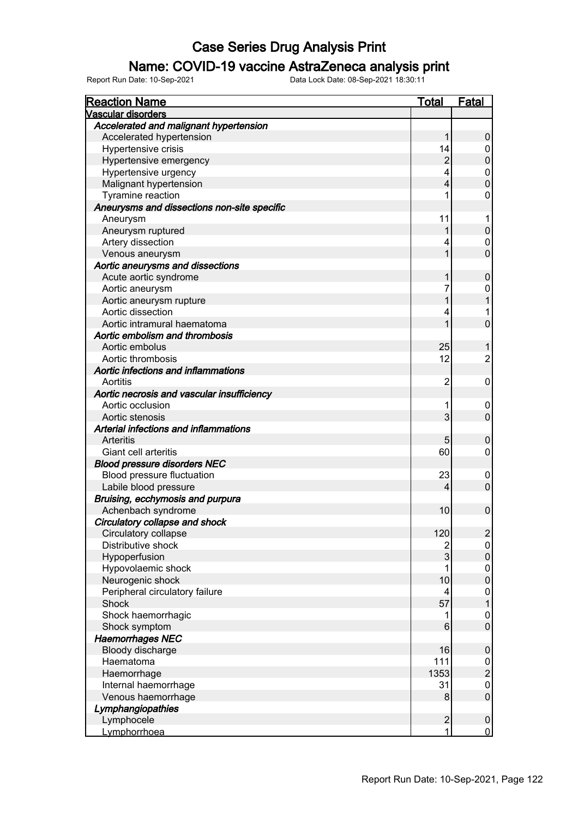#### Name: COVID-19 vaccine AstraZeneca analysis print

| <b>Reaction Name</b>                        | <b>Total</b>     | Fatal            |
|---------------------------------------------|------------------|------------------|
| <b>Vascular disorders</b>                   |                  |                  |
| Accelerated and malignant hypertension      |                  |                  |
| Accelerated hypertension                    | 1                | 0                |
| Hypertensive crisis                         | 14               | 0                |
| Hypertensive emergency                      | $\boldsymbol{2}$ | $\pmb{0}$        |
| Hypertensive urgency                        | 4                | $\pmb{0}$        |
| Malignant hypertension                      | 4                | $\overline{0}$   |
| Tyramine reaction                           | 1                | $\mathbf 0$      |
| Aneurysms and dissections non-site specific |                  |                  |
| Aneurysm                                    | 11               | 1                |
| Aneurysm ruptured                           |                  | $\boldsymbol{0}$ |
| Artery dissection                           | 4                | 0                |
| Venous aneurysm                             | 1                | $\overline{0}$   |
| Aortic aneurysms and dissections            |                  |                  |
| Acute aortic syndrome                       | 1                | $\mathbf 0$      |
| Aortic aneurysm                             | 7                | 0                |
| Aortic aneurysm rupture                     | 1                | 1                |
| Aortic dissection                           | 4                | 1                |
| Aortic intramural haematoma                 | 1                | $\overline{0}$   |
| Aortic embolism and thrombosis              |                  |                  |
| Aortic embolus                              | 25               | 1                |
| Aortic thrombosis                           | 12               | $\overline{c}$   |
| Aortic infections and inflammations         |                  |                  |
| Aortitis                                    | $\overline{2}$   | 0                |
| Aortic necrosis and vascular insufficiency  |                  |                  |
| Aortic occlusion                            | 1                | 0                |
| Aortic stenosis                             | 3                | $\mathbf 0$      |
| Arterial infections and inflammations       |                  |                  |
| Arteritis                                   | 5                | $\mathbf 0$      |
| Giant cell arteritis                        | 60               | $\mathbf 0$      |
| <b>Blood pressure disorders NEC</b>         |                  |                  |
| Blood pressure fluctuation                  | 23               | $\mathbf 0$      |
| Labile blood pressure                       | 4                | $\overline{0}$   |
| Bruising, ecchymosis and purpura            |                  |                  |
| Achenbach syndrome                          | 10               | $\mathbf 0$      |
| Circulatory collapse and shock              |                  |                  |
| Circulatory collapse                        | 120              | $\overline{c}$   |
| Distributive shock                          | $\overline{2}$   | $\pmb{0}$        |
| Hypoperfusion                               | $\mathbf{3}$     | $\pmb{0}$        |
| Hypovolaemic shock                          | 1                | $\pmb{0}$        |
| Neurogenic shock                            | 10               | $\pmb{0}$        |
| Peripheral circulatory failure              | 4                | $\pmb{0}$        |
| Shock                                       | 57               | $\mathbf{1}$     |
| Shock haemorrhagic                          | 1                | $\boldsymbol{0}$ |
| Shock symptom                               | $\,6$            | $\boldsymbol{0}$ |
| <b>Haemorrhages NEC</b>                     |                  |                  |
| Bloody discharge                            | 16               | $\pmb{0}$        |
| Haematoma                                   | 111              |                  |
| Haemorrhage                                 | 1353             | $\frac{0}{2}$    |
| Internal haemorrhage                        | 31               | $\pmb{0}$        |
| Venous haemorrhage                          | 8 <sup>1</sup>   | $\boldsymbol{0}$ |
| Lymphangiopathies                           |                  |                  |
| Lymphocele                                  | $\overline{2}$   | $\pmb{0}$        |
| Lymphorrhoea                                | 1                | $\mathbf 0$      |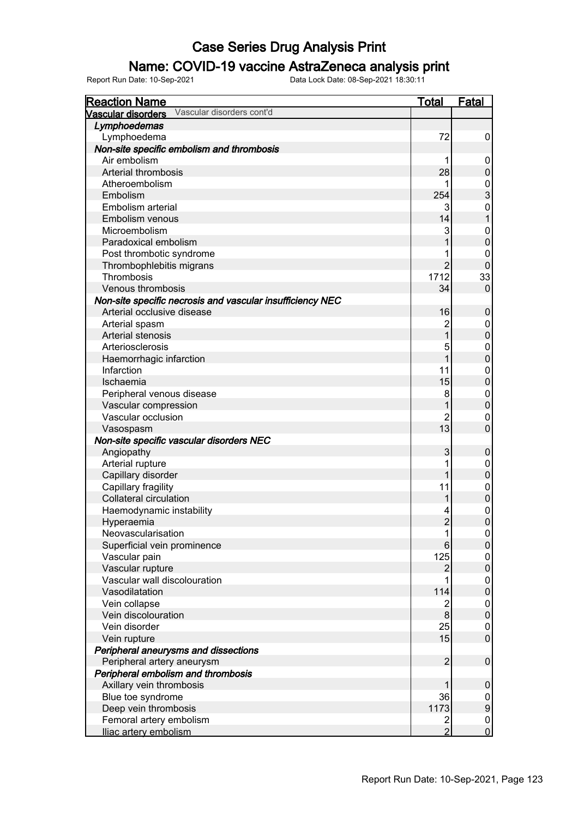#### Name: COVID-19 vaccine AstraZeneca analysis print

| <b>Reaction Name</b>                                      | <b>Total</b>   | <b>Fatal</b>     |
|-----------------------------------------------------------|----------------|------------------|
| Vascular disorders cont'd<br><b>Vascular disorders</b>    |                |                  |
| Lymphoedemas                                              |                |                  |
| Lymphoedema                                               | 72             | 0                |
| Non-site specific embolism and thrombosis                 |                |                  |
| Air embolism                                              |                | 0                |
| Arterial thrombosis                                       | 28             | 0                |
| Atheroembolism                                            |                | 0                |
| Embolism                                                  | 254            | 3                |
| Embolism arterial                                         |                | 0                |
| Embolism venous                                           | 14             |                  |
| Microembolism                                             |                | 0                |
| Paradoxical embolism                                      |                | 0                |
| Post thrombotic syndrome                                  |                | 0                |
| Thrombophlebitis migrans                                  | $\overline{2}$ | 0                |
| Thrombosis                                                | 1712           | 33               |
| Venous thrombosis                                         | 34             | $\mathbf{0}$     |
| Non-site specific necrosis and vascular insufficiency NEC |                |                  |
| Arterial occlusive disease                                | 16             | 0                |
| Arterial spasm                                            | 2              | 0                |
| Arterial stenosis                                         | $\mathbf 1$    | 0                |
| Arteriosclerosis                                          |                |                  |
|                                                           |                | 0                |
| Haemorrhagic infarction                                   |                | 0                |
| Infarction                                                | 11             | 0                |
| Ischaemia                                                 | 15             | 0                |
| Peripheral venous disease                                 | 8              | 0                |
| Vascular compression                                      |                | 0                |
| Vascular occlusion                                        | 2              | 0                |
| Vasospasm                                                 | 13             | 0                |
| Non-site specific vascular disorders NEC                  |                |                  |
| Angiopathy                                                | 3              | 0                |
| Arterial rupture                                          |                | 0                |
| Capillary disorder                                        |                | $\mathbf 0$      |
| Capillary fragility                                       | 11             | 0                |
| <b>Collateral circulation</b>                             |                | 0                |
| Haemodynamic instability                                  |                | 0                |
| Hyperaemia                                                | $\overline{2}$ | 0                |
| Neovascularisation                                        | 1              | 0                |
| Superficial vein prominence                               | 6              | 0                |
| Vascular pain                                             | 125            | 0                |
| Vascular rupture                                          | 2              | $\mathbf 0$      |
| Vascular wall discolouration                              |                | 0                |
| Vasodilatation                                            | 114            | $\mathbf 0$      |
| Vein collapse                                             | $\overline{2}$ | 0                |
| Vein discolouration                                       | 8              | $\mathbf 0$      |
| Vein disorder                                             | 25             | 0                |
| Vein rupture                                              | 15             | $\mathbf 0$      |
| Peripheral aneurysms and dissections                      |                |                  |
| Peripheral artery aneurysm                                | $\overline{2}$ | $\mathbf 0$      |
| Peripheral embolism and thrombosis                        |                |                  |
| Axillary vein thrombosis                                  |                | 0                |
| Blue toe syndrome                                         | 36             | 0                |
| Deep vein thrombosis                                      | 1173           | $\boldsymbol{9}$ |
| Femoral artery embolism                                   | $\overline{2}$ | 0                |
| Iliac artery embolism                                     | $\overline{2}$ | $\overline{0}$   |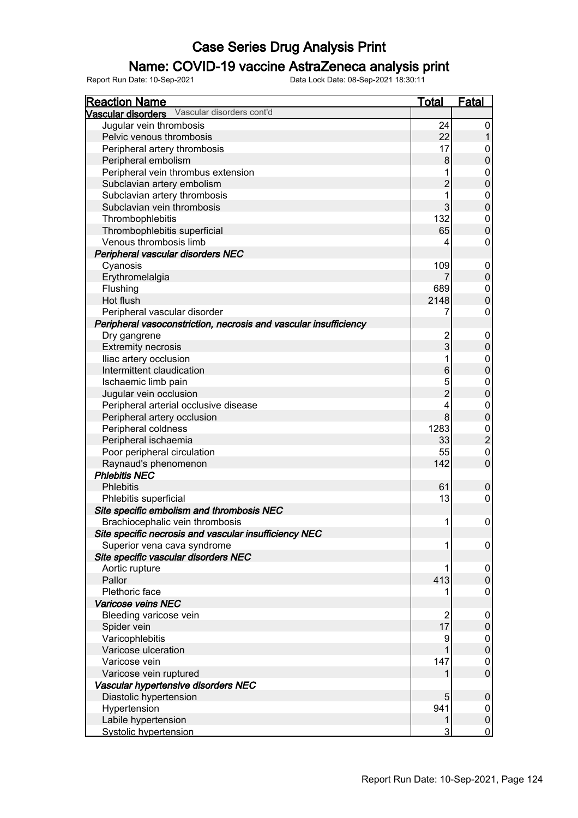#### Name: COVID-19 vaccine AstraZeneca analysis print

| <b>Reaction Name</b>                                             | <b>Total</b>   | <b>Fatal</b>     |
|------------------------------------------------------------------|----------------|------------------|
| Vascular disorders Vascular disorders cont'd                     |                |                  |
| Jugular vein thrombosis                                          | 24             | 0                |
| Pelvic venous thrombosis                                         | 22             |                  |
| Peripheral artery thrombosis                                     | 17             | 0                |
| Peripheral embolism                                              | 8              | $\pmb{0}$        |
| Peripheral vein thrombus extension                               |                | 0                |
| Subclavian artery embolism                                       | $\overline{c}$ | $\mathbf 0$      |
| Subclavian artery thrombosis                                     | 1              | 0                |
| Subclavian vein thrombosis                                       | 3              | $\mathbf 0$      |
| Thrombophlebitis                                                 | 132            | 0                |
| Thrombophlebitis superficial                                     | 65             | $\boldsymbol{0}$ |
| Venous thrombosis limb                                           | 4              | 0                |
| Peripheral vascular disorders NEC                                |                |                  |
| Cyanosis                                                         | 109            | 0                |
| Erythromelalgia                                                  |                | $\pmb{0}$        |
| Flushing                                                         | 689            | 0                |
| Hot flush                                                        | 2148           | $\boldsymbol{0}$ |
| Peripheral vascular disorder                                     | 7              | 0                |
| Peripheral vasoconstriction, necrosis and vascular insufficiency |                |                  |
| Dry gangrene                                                     | 2              | 0                |
| <b>Extremity necrosis</b>                                        | 3              | $\boldsymbol{0}$ |
| Iliac artery occlusion                                           | 1              | 0                |
| Intermittent claudication                                        | 6              | $\mathbf 0$      |
|                                                                  |                |                  |
| Ischaemic limb pain                                              | 5              | 0                |
| Jugular vein occlusion                                           | $\overline{2}$ | $\mathbf 0$      |
| Peripheral arterial occlusive disease                            | 4              | 0                |
| Peripheral artery occlusion                                      | 8              | $\boldsymbol{0}$ |
| Peripheral coldness                                              | 1283           | 0                |
| Peripheral ischaemia                                             | 33             | $\overline{c}$   |
| Poor peripheral circulation                                      | 55             | 0                |
| Raynaud's phenomenon                                             | 142            | $\mathbf 0$      |
| <b>Phlebitis NEC</b>                                             |                |                  |
| <b>Phlebitis</b>                                                 | 61             | $\boldsymbol{0}$ |
| Phlebitis superficial                                            | 13             | 0                |
| Site specific embolism and thrombosis NEC                        |                |                  |
| Brachiocephalic vein thrombosis                                  | 1              | 0                |
| Site specific necrosis and vascular insufficiency NEC            |                |                  |
| Superior vena cava syndrome                                      | 1              | $\boldsymbol{0}$ |
| Site specific vascular disorders NEC                             |                |                  |
| Aortic rupture                                                   | 1              | 0                |
| Pallor                                                           | 413            | $\pmb{0}$        |
| Plethoric face                                                   |                | 0                |
| Varicose veins NEC                                               |                |                  |
| Bleeding varicose vein                                           | $\overline{2}$ | 0                |
| Spider vein                                                      | 17             | $\pmb{0}$        |
| Varicophlebitis                                                  | 9              | 0                |
| Varicose ulceration                                              |                | $\pmb{0}$        |
| Varicose vein                                                    | 147            | 0                |
| Varicose vein ruptured                                           |                | $\pmb{0}$        |
| Vascular hypertensive disorders NEC                              |                |                  |
| Diastolic hypertension                                           | 5              | $\pmb{0}$        |
| Hypertension                                                     | 941            | 0                |
| Labile hypertension                                              | 1              | $\pmb{0}$        |
| Systolic hypertension                                            | 3              | $\mathbf 0$      |